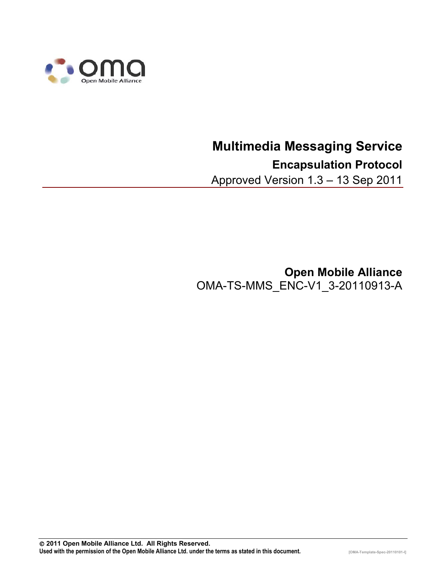

# **Multimedia Messaging Service Encapsulation Protocol**

Approved Version 1.3 – 13 Sep 2011

**Open Mobile Alliance** OMA-TS-MMS\_ENC-V1\_3-20110913-A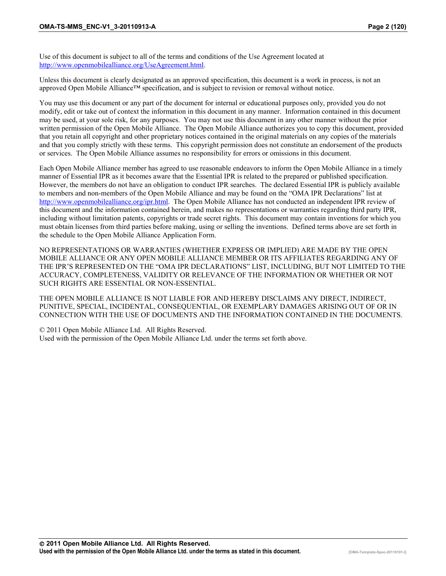Use of this document is subject to all of the terms and conditions of the Use Agreement located at <http://www.openmobilealliance.org/UseAgreement.html>.

Unless this document is clearly designated as an approved specification, this document is a work in process, is not an approved Open Mobile Alliance™ specification, and is subject to revision or removal without notice.

You may use this document or any part of the document for internal or educational purposes only, provided you do not modify, edit or take out of context the information in this document in any manner. Information contained in this document may be used, at your sole risk, for any purposes. You may not use this document in any other manner without the prior written permission of the Open Mobile Alliance. The Open Mobile Alliance authorizes you to copy this document, provided that you retain all copyright and other proprietary notices contained in the original materials on any copies of the materials and that you comply strictly with these terms. This copyright permission does not constitute an endorsement of the products or services. The Open Mobile Alliance assumes no responsibility for errors or omissions in this document.

Each Open Mobile Alliance member has agreed to use reasonable endeavors to inform the Open Mobile Alliance in a timely manner of Essential IPR as it becomes aware that the Essential IPR is related to the prepared or published specification. However, the members do not have an obligation to conduct IPR searches. The declared Essential IPR is publicly available to members and non-members of the Open Mobile Alliance and may be found on the "OMA IPR Declarations" list at [http://www.openmobilealliance.org/ipr.htm](http://www.openmobilealliance.org/ipr.html)l. The Open Mobile Alliance has not conducted an independent IPR review of this document and the information contained herein, and makes no representations or warranties regarding third party IPR, including without limitation patents, copyrights or trade secret rights. This document may contain inventions for which you must obtain licenses from third parties before making, using or selling the inventions. Defined terms above are set forth in the schedule to the Open Mobile Alliance Application Form.

NO REPRESENTATIONS OR WARRANTIES (WHETHER EXPRESS OR IMPLIED) ARE MADE BY THE OPEN MOBILE ALLIANCE OR ANY OPEN MOBILE ALLIANCE MEMBER OR ITS AFFILIATES REGARDING ANY OF THE IPR'S REPRESENTED ON THE "OMA IPR DECLARATIONS" LIST, INCLUDING, BUT NOT LIMITED TO THE ACCURACY, COMPLETENESS, VALIDITY OR RELEVANCE OF THE INFORMATION OR WHETHER OR NOT SUCH RIGHTS ARE ESSENTIAL OR NON-ESSENTIAL.

THE OPEN MOBILE ALLIANCE IS NOT LIABLE FOR AND HEREBY DISCLAIMS ANY DIRECT, INDIRECT, PUNITIVE, SPECIAL, INCIDENTAL, CONSEQUENTIAL, OR EXEMPLARY DAMAGES ARISING OUT OF OR IN CONNECTION WITH THE USE OF DOCUMENTS AND THE INFORMATION CONTAINED IN THE DOCUMENTS.

© 2011 Open Mobile Alliance Ltd. All Rights Reserved. Used with the permission of the Open Mobile Alliance Ltd. under the terms set forth above.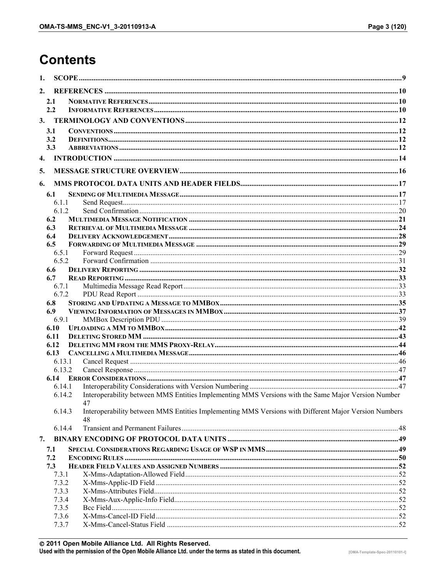# **Contents**

| 1.               |                  |                                                                                                            |  |
|------------------|------------------|------------------------------------------------------------------------------------------------------------|--|
| 2.               |                  |                                                                                                            |  |
|                  | 2.1              |                                                                                                            |  |
|                  | 2.2              |                                                                                                            |  |
| 3.               |                  |                                                                                                            |  |
|                  | 3.1              |                                                                                                            |  |
| 3.2              |                  |                                                                                                            |  |
|                  | 3.3              |                                                                                                            |  |
| $\overline{4}$ . |                  |                                                                                                            |  |
| 5.               |                  |                                                                                                            |  |
| 6.               |                  |                                                                                                            |  |
|                  | 6.1              |                                                                                                            |  |
|                  | 6.1.1            |                                                                                                            |  |
|                  | 6.1.2            |                                                                                                            |  |
|                  | 6.2              |                                                                                                            |  |
|                  | 6.3              |                                                                                                            |  |
|                  | 6.4              |                                                                                                            |  |
|                  | 6.5              |                                                                                                            |  |
|                  | 6.5.1<br>6.5.2   |                                                                                                            |  |
|                  | 6.6              |                                                                                                            |  |
|                  | 6.7              |                                                                                                            |  |
|                  | 6.7.1            |                                                                                                            |  |
|                  | 6.7.2            |                                                                                                            |  |
|                  | 6.8              |                                                                                                            |  |
|                  | 6.9              |                                                                                                            |  |
|                  | 6.9.1            |                                                                                                            |  |
|                  | 6.10             |                                                                                                            |  |
|                  | 6.11             |                                                                                                            |  |
|                  | 6.12             |                                                                                                            |  |
|                  | 6.13             |                                                                                                            |  |
|                  | 6.13.1<br>6.13.2 |                                                                                                            |  |
|                  | 6.14             |                                                                                                            |  |
|                  | 6.14.1           |                                                                                                            |  |
|                  | 6.14.2           | Interoperability between MMS Entities Implementing MMS Versions with the Same Major Version Number         |  |
|                  |                  | 47                                                                                                         |  |
|                  | 6.14.3           | Interoperability between MMS Entities Implementing MMS Versions with Different Major Version Numbers<br>48 |  |
|                  | 6.14.4           |                                                                                                            |  |
| 7.               |                  |                                                                                                            |  |
|                  | 7.1              |                                                                                                            |  |
|                  | 7.2              |                                                                                                            |  |
|                  | 7.3              |                                                                                                            |  |
|                  | 7.3.1            |                                                                                                            |  |
|                  | 7.3.2            |                                                                                                            |  |
|                  | 7.3.3            |                                                                                                            |  |
|                  | 7.3.4            |                                                                                                            |  |
|                  | 7.3.5            |                                                                                                            |  |
|                  | 7.3.6<br>7.3.7   |                                                                                                            |  |
|                  |                  |                                                                                                            |  |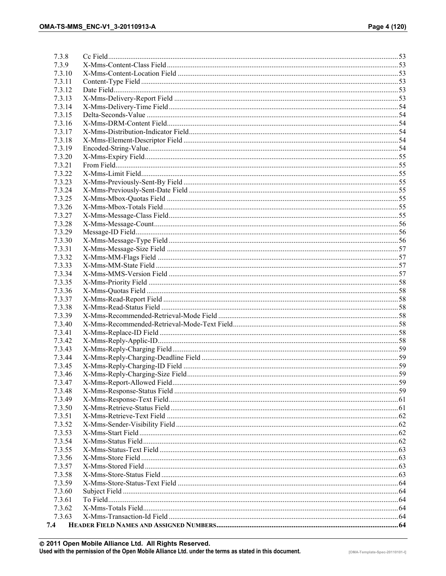| 7.3.8            |  |
|------------------|--|
| 7.3.9            |  |
| 7.3.10           |  |
| 7.3.11           |  |
| 7.3.12           |  |
| 7.3.13           |  |
| 7.3.14           |  |
| 7.3.15           |  |
| 7.3.16           |  |
| 7.3.17           |  |
| 7.3.18           |  |
| 7.3.19           |  |
| 7.3.20           |  |
| 7.3.21           |  |
| 7.3.22           |  |
| 7.3.23           |  |
| 7.3.24           |  |
| 7.3.25           |  |
| 7.3.26           |  |
| 7.3.27           |  |
| 7.3.28           |  |
| 7.3.29           |  |
| 7.3.30           |  |
| 7.3.31           |  |
| 7.3.32           |  |
| 7.3.33           |  |
| 7.3.34           |  |
| 7.3.35           |  |
| 7.3.36           |  |
| 7.3.37           |  |
| 7.3.38           |  |
| 7.3.39           |  |
| 7.3.40           |  |
| 7.3.41           |  |
| 7.3.42           |  |
| 7.3.43           |  |
| 7.3.44           |  |
| 7.3.45           |  |
| 7.3.46           |  |
| 7.3.47           |  |
| 7.3.48           |  |
| 7.3.49           |  |
| 7.3.50           |  |
| 7.3.51           |  |
| 7.3.52           |  |
| 7.3.53           |  |
| 7.3.54           |  |
| 7.3.55           |  |
| 7.3.56           |  |
| 7.3.57           |  |
| 7.3.58           |  |
| 7.3.59           |  |
| 7.3.60<br>7.3.61 |  |
| 7.3.62           |  |
| 7.3.63           |  |
| 7.4              |  |
|                  |  |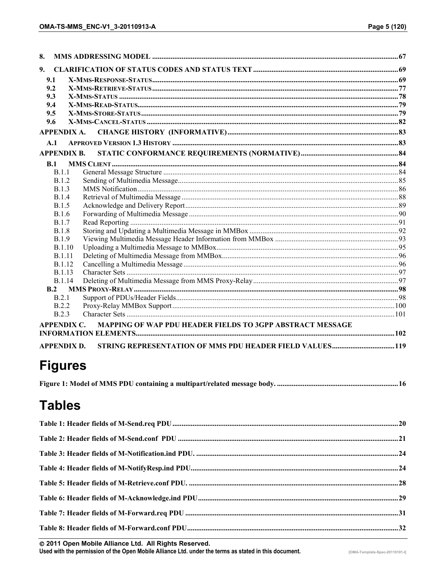| 8.                 |                                                           |  |
|--------------------|-----------------------------------------------------------|--|
| 9.                 |                                                           |  |
| 9.1                |                                                           |  |
| 9.2                |                                                           |  |
| 9.3                |                                                           |  |
| 9.4                |                                                           |  |
| 9.5                |                                                           |  |
| 9.6                |                                                           |  |
| APPENDIX A.        |                                                           |  |
| A.1                |                                                           |  |
| <b>APPENDIX B.</b> |                                                           |  |
| B.1                |                                                           |  |
| B.1.1              |                                                           |  |
| B.1.2              |                                                           |  |
| <b>B.1.3</b>       |                                                           |  |
| <b>B.1.4</b>       |                                                           |  |
| <b>B.1.5</b>       |                                                           |  |
| B.1.6              |                                                           |  |
| <b>B.1.7</b>       |                                                           |  |
| <b>B.1.8</b>       |                                                           |  |
| <b>B.1.9</b>       |                                                           |  |
| <b>B.1.10</b>      |                                                           |  |
| <b>B.1.11</b>      |                                                           |  |
| <b>B.1.12</b>      |                                                           |  |
| <b>B.1.13</b>      |                                                           |  |
| <b>B.1.14</b>      |                                                           |  |
| B.2                |                                                           |  |
| B.2.1              |                                                           |  |
| <b>B.2.2</b>       |                                                           |  |
| <b>B.2.3</b>       |                                                           |  |
| APPENDIX C.        | MAPPING OF WAP PDU HEADER FIELDS TO 3GPP ABSTRACT MESSAGE |  |
|                    |                                                           |  |
| <b>APPENDIX D.</b> | STRING REPRESENTATION OF MMS PDU HEADER FIELD VALUES 119  |  |

# **Figures**

|--|--|

# **Tables**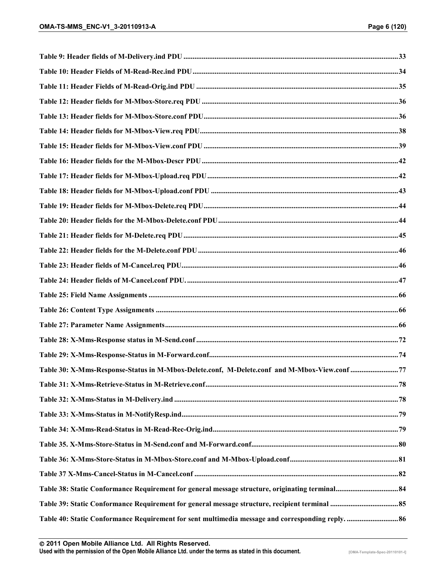| Table 30: X-Mms-Response-Status in M-Mbox-Delete.conf, M-Delete.conf and M-Mbox-View.conf 77      |  |
|---------------------------------------------------------------------------------------------------|--|
|                                                                                                   |  |
|                                                                                                   |  |
|                                                                                                   |  |
|                                                                                                   |  |
|                                                                                                   |  |
|                                                                                                   |  |
|                                                                                                   |  |
|                                                                                                   |  |
|                                                                                                   |  |
| Table 40: Static Conformance Requirement for sent multimedia message and corresponding reply.  86 |  |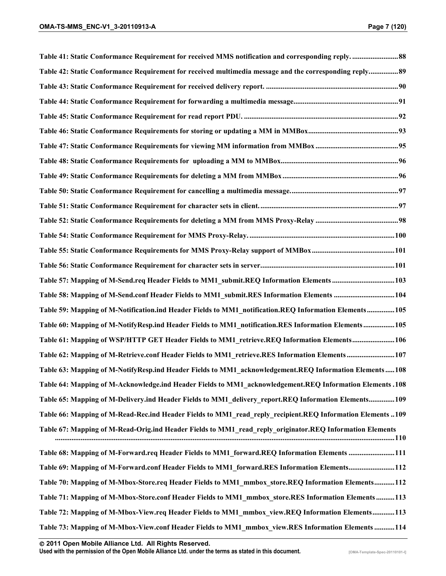| Table 41: Static Conformance Requirement for received MMS notification and corresponding reply 88          |  |
|------------------------------------------------------------------------------------------------------------|--|
| Table 42: Static Conformance Requirement for received multimedia message and the corresponding reply89     |  |
|                                                                                                            |  |
|                                                                                                            |  |
|                                                                                                            |  |
|                                                                                                            |  |
|                                                                                                            |  |
|                                                                                                            |  |
|                                                                                                            |  |
|                                                                                                            |  |
|                                                                                                            |  |
|                                                                                                            |  |
|                                                                                                            |  |
|                                                                                                            |  |
|                                                                                                            |  |
| Table 57: Mapping of M-Send.req Header Fields to MM1_submit.REQ Information Elements 103                   |  |
| Table 58: Mapping of M-Send.conf Header Fields to MM1_submit.RES Information Elements  104                 |  |
| Table 59: Mapping of M-Notification.ind Header Fields to MM1 notification.REQ Information Elements 105     |  |
| Table 60: Mapping of M-NotifyResp.ind Header Fields to MM1_notification.RES Information Elements 105       |  |
| Table 61: Mapping of WSP/HTTP GET Header Fields to MM1 retrieve.REQ Information Elements106                |  |
| Table 62: Mapping of M-Retrieve.conf Header Fields to MM1_retrieve.RES Information Elements 107            |  |
| Table 63: Mapping of M-NotifyResp.ind Header Fields to MM1 acknowledgement.REQ Information Elements108     |  |
| 108. Table 64: Mapping of M-Acknowledge.ind Header Fields to MM1 acknowledgement.REQ Information Elements  |  |
| Table 65: Mapping of M-Delivery.ind Header Fields to MM1 delivery report.REQ Information Elements109       |  |
| Table 66: Mapping of M-Read-Rec.ind Header Fields to MM1 read reply recipient.REQ Information Elements 109 |  |
| Table 67: Mapping of M-Read-Orig.ind Header Fields to MM1 read reply originator.REQ Information Elements   |  |
| Table 68: Mapping of M-Forward.req Header Fields to MM1 forward.REQ Information Elements 111               |  |
| Table 69: Mapping of M-Forward.conf Header Fields to MM1 forward.RES Information Elements112               |  |
| Table 70: Mapping of M-Mbox-Store.req Header Fields to MM1 mmbox store.REQ Information Elements112         |  |
| Table 71: Mapping of M-Mbox-Store.conf Header Fields to MM1 mmbox store.RES Information Elements113        |  |
| Table 72: Mapping of M-Mbox-View.req Header Fields to MM1 mmbox view.REQ Information Elements113           |  |
| Table 73: Mapping of M-Mbox-View.conf Header Fields to MM1 mmbox view.RES Information Elements 114         |  |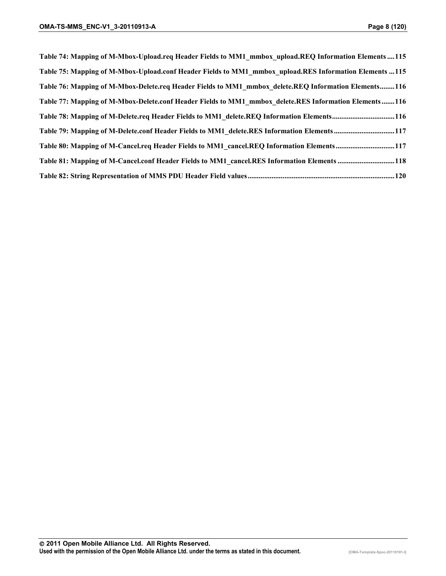| Table 74: Mapping of M-Mbox-Upload.req Header Fields to MM1_mmbox_upload.REQ Information Elements  115 |
|--------------------------------------------------------------------------------------------------------|
| Table 75: Mapping of M-Mbox-Upload.conf Header Fields to MM1 mmbox upload.RES Information Elements 115 |
| Table 76: Mapping of M-Mbox-Delete.req Header Fields to MM1 mmbox delete.REQ Information Elements116   |
| Table 77: Mapping of M-Mbox-Delete.conf Header Fields to MM1 mmbox delete.RES Information Elements116  |
| Table 78: Mapping of M-Delete.req Header Fields to MM1 delete.REQ Information Elements116              |
| Table 79: Mapping of M-Delete.conf Header Fields to MM1 delete.RES Information Elements117             |
| Table 80: Mapping of M-Cancel.req Header Fields to MM1 cancel.REQ Information Elements117              |
| Table 81: Mapping of M-Cancel.conf Header Fields to MM1 cancel.RES Information Elements 118            |
|                                                                                                        |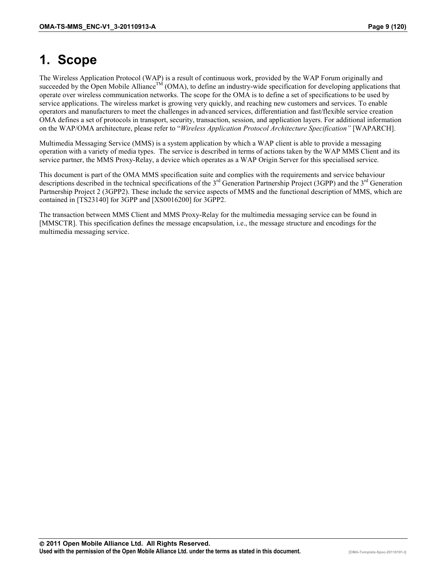# <span id="page-8-0"></span>**1. Scope**

The Wireless Application Protocol (WAP) is a result of continuous work, provided by the WAP Forum originally and succeeded by the Open Mobile Alliance<sup>TM</sup> (OMA), to define an industry-wide specification for developing applications that operate over wireless communication networks. The scope for the OMA is to define a set of specifications to be used by service applications. The wireless market is growing very quickly, and reaching new customers and services. To enable operators and manufacturers to meet the challenges in advanced services, differentiation and fast/flexible service creation OMA defines a set of protocols in transport, security, transaction, session, and application layers. For additional information on the WAP/OMA architecture, please refer to "*Wireless Application Protocol Architecture Specification"* [WAPARCH].

Multimedia Messaging Service (MMS) is a system application by which a WAP client is able to provide a messaging operation with a variety of media types. The service is described in terms of actions taken by the WAP MMS Client and its service partner, the MMS Proxy-Relay, a device which operates as a WAP Origin Server for this specialised service.

This document is part of the OMA MMS specification suite and complies with the requirements and service behaviour descriptions described in the technical specifications of the  $3<sup>rd</sup>$  Generation Partnership Project (3GPP) and the  $3<sup>rd</sup>$  Generation Partnership Project 2 (3GPP2). These include the service aspects of MMS and the functional description of MMS, which are contained in [TS23140] for 3GPP and [XS0016200] for 3GPP2.

The transaction between MMS Client and MMS Proxy-Relay for the multimedia messaging service can be found in [MMSCTR]. This specification defines the message encapsulation, i.e., the message structure and encodings for the multimedia messaging service.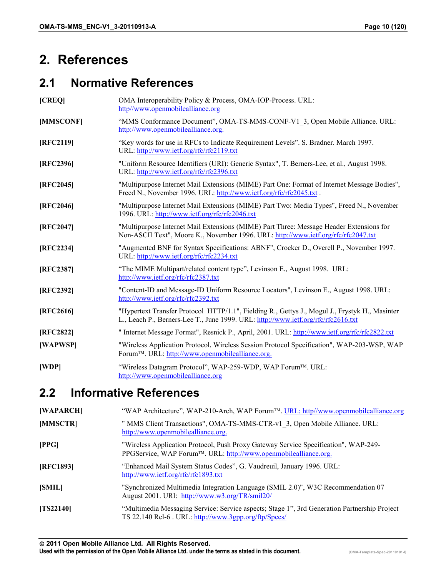# <span id="page-9-0"></span>**2. References**

## **2.1 Normative References**

| [CREQ]    | OMA Interoperability Policy & Process, OMA-IOP-Process. URL:<br>http//www.openmobilealliance.org                                                                                    |
|-----------|-------------------------------------------------------------------------------------------------------------------------------------------------------------------------------------|
| [MMSCONF] | "MMS Conformance Document", OMA-TS-MMS-CONF-V1 3, Open Mobile Alliance. URL:<br>http://www.openmobilealliance.org.                                                                  |
| [RFC2119] | "Key words for use in RFCs to Indicate Requirement Levels". S. Bradner. March 1997.<br>URL: http://www.ietf.org/rfc/rfc2119.txt                                                     |
| [RFC2396] | "Uniform Resource Identifiers (URI): Generic Syntax", T. Berners-Lee, et al., August 1998.<br>URL: http://www.ietf.org/rfc/rfc2396.txt                                              |
| [RFC2045] | "Multipurpose Internet Mail Extensions (MIME) Part One: Format of Internet Message Bodies",<br>Freed N., November 1996. URL: http://www.ietf.org/rfc/rfc2045.txt.                   |
| [RFC2046] | "Multipurpose Internet Mail Extensions (MIME) Part Two: Media Types", Freed N., November<br>1996. URL: http://www.ietf.org/rfc/rfc2046.txt                                          |
| [RFC2047] | "Multipurpose Internet Mail Extensions (MIME) Part Three: Message Header Extensions for<br>Non-ASCII Text", Moore K., November 1996. URL: http://www.ietf.org/rfc/rfc2047.txt       |
| [RFC2234] | "Augmented BNF for Syntax Specifications: ABNF", Crocker D., Overell P., November 1997.<br>URL: http://www.ietf.org/rfc/rfc2234.txt                                                 |
| [RFC2387] | "The MIME Multipart/related content type", Levinson E., August 1998. URL:<br>http://www.ietf.org/rfc/rfc2387.txt                                                                    |
| [RFC2392] | "Content-ID and Message-ID Uniform Resource Locators", Levinson E., August 1998. URL:<br>http://www.ietf.org/rfc/rfc2392.txt                                                        |
| [RFC2616] | "Hypertext Transfer Protocol HTTP/1.1", Fielding R., Gettys J., Mogul J., Frystyk H., Masinter<br>L., Leach P., Berners-Lee T., June 1999. URL: http://www.ietf.org/rfc/rfc2616.txt |
| [RFC2822] | " Internet Message Format", Resnick P., April, 2001. URL: http://www.ietf.org/rfc/rfc2822.txt                                                                                       |
| [WAPWSP]  | "Wireless Application Protocol, Wireless Session Protocol Specification", WAP-203-WSP, WAP<br>Forum™. URL: http://www.openmobilealliance.org.                                       |
| [WDP]     | "Wireless Datagram Protocol", WAP-259-WDP, WAP Forum™. URL:<br>http://www.openmobilealliance.org                                                                                    |

## **2.2 Informative References**

| [WAPARCH]   | "WAP Architecture", WAP-210-Arch, WAP Forum <sup>TM</sup> . URL: http//www.openmobilealliance.org                                                      |
|-------------|--------------------------------------------------------------------------------------------------------------------------------------------------------|
| [MMSCTR]    | " MMS Client Transactions", OMA-TS-MMS-CTR-v1 3, Open Mobile Alliance. URL:<br>http://www.openmobilealliance.org.                                      |
| [PPG]       | "Wireless Application Protocol, Push Proxy Gateway Service Specification", WAP-249-<br>PPGService, WAP Forum™. URL: http://www.openmobilealliance.org. |
| [RFC1893]   | "Enhanced Mail System Status Codes", G. Vaudreuil, January 1996. URL:<br>http://www.ietf.org/rfc/rfc1893.txt                                           |
| [SMIL]      | "Synchronized Multimedia Integration Language (SMIL 2.0)", W3C Recommendation 07<br>August 2001. URI: http://www.w3.org/TR/smil20/                     |
| $[TS22140]$ | "Multimedia Messaging Service: Service aspects; Stage 1", 3rd Generation Partnership Project<br>TS 22.140 Rel-6. URL: http://www.3gpp.org/ftp/Specs/   |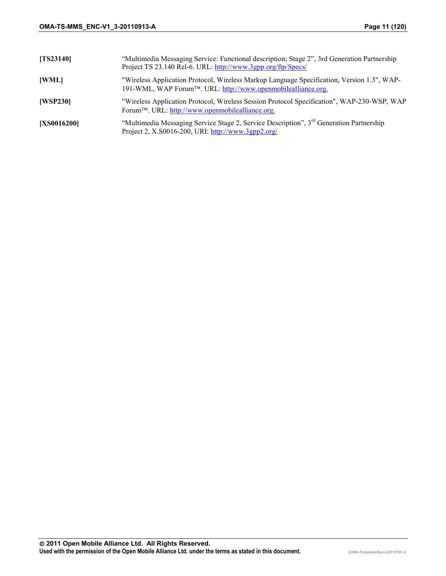| [TS23140]          | "Multimedia Messaging Service: Functional description; Stage 2", 3rd Generation Partnership<br>Project TS 23.140 Rel-6. URL: http://www.3gpp.org/ftp/Specs/ |
|--------------------|-------------------------------------------------------------------------------------------------------------------------------------------------------------|
| [WML]              | "Wireless Application Protocol, Wireless Markup Language Specification, Version 1.3", WAP-<br>191-WML, WAP Forum™. URL: http://www.openmobilealliance.org.  |
| [WSP230]           | "Wireless Application Protocol, Wireless Session Protocol Specification", WAP-230-WSP, WAP<br>Forum <sup>™</sup> . URL: http://www.openmobilealliance.org.  |
| <b>[XS0016200]</b> | "Multimedia Messaging Service Stage 2, Service Description", 3 <sup>rd</sup> Generation Partnership<br>Project 2, X.S0016-200, URI: http://www.3gpp2.org/   |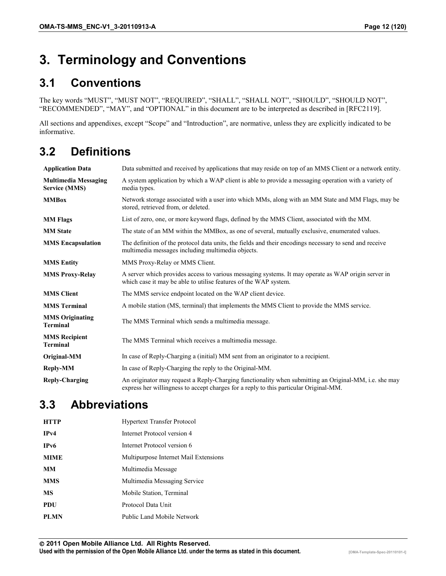# <span id="page-11-0"></span>**3. Terminology and Conventions**

## **3.1 Conventions**

The key words "MUST", "MUST NOT", "REQUIRED", "SHALL", "SHALL NOT", "SHOULD", "SHOULD NOT", "RECOMMENDED", "MAY", and "OPTIONAL" in this document are to be interpreted as described in [RFC2119].

All sections and appendixes, except "Scope" and "Introduction", are normative, unless they are explicitly indicated to be informative.

## **3.2 Definitions**

| <b>Application Data</b>                             | Data submitted and received by applications that may reside on top of an MMS Client or a network entity.                                                                                       |
|-----------------------------------------------------|------------------------------------------------------------------------------------------------------------------------------------------------------------------------------------------------|
| <b>Multimedia Messaging</b><br><b>Service (MMS)</b> | A system application by which a WAP client is able to provide a messaging operation with a variety of<br>media types.                                                                          |
| <b>MMBox</b>                                        | Network storage associated with a user into which MMs, along with an MM State and MM Flags, may be<br>stored, retrieved from, or deleted.                                                      |
| <b>MM Flags</b>                                     | List of zero, one, or more keyword flags, defined by the MMS Client, associated with the MM.                                                                                                   |
| <b>MM</b> State                                     | The state of an MM within the MMBox, as one of several, mutually exclusive, enumerated values.                                                                                                 |
| <b>MMS</b> Encapsulation                            | The definition of the protocol data units, the fields and their encodings necessary to send and receive<br>multimedia messages including multimedia objects.                                   |
| <b>MMS Entity</b>                                   | MMS Proxy-Relay or MMS Client.                                                                                                                                                                 |
| <b>MMS Proxy-Relay</b>                              | A server which provides access to various messaging systems. It may operate as WAP origin server in<br>which case it may be able to utilise features of the WAP system.                        |
| <b>MMS Client</b>                                   | The MMS service endpoint located on the WAP client device.                                                                                                                                     |
| <b>MMS</b> Terminal                                 | A mobile station (MS, terminal) that implements the MMS Client to provide the MMS service.                                                                                                     |
| <b>MMS</b> Originating<br>Terminal                  | The MMS Terminal which sends a multimedia message.                                                                                                                                             |
| <b>MMS</b> Recipient<br><b>Terminal</b>             | The MMS Terminal which receives a multimedia message.                                                                                                                                          |
| Original-MM                                         | In case of Reply-Charging a (initial) MM sent from an originator to a recipient.                                                                                                               |
| <b>Reply-MM</b>                                     | In case of Reply-Charging the reply to the Original-MM.                                                                                                                                        |
| <b>Reply-Charging</b>                               | An originator may request a Reply-Charging functionality when submitting an Original-MM, i.e. she may<br>express her willingness to accept charges for a reply to this particular Original-MM. |

## **3.3 Abbreviations**

| <b>HTTP</b>       | <b>Hypertext Transfer Protocol</b>    |
|-------------------|---------------------------------------|
| IPv4              | Internet Protocol version 4           |
| IP <sub>v</sub> 6 | Internet Protocol version 6           |
| <b>MIME</b>       | Multipurpose Internet Mail Extensions |
| <b>MM</b>         | Multimedia Message                    |
| <b>MMS</b>        | Multimedia Messaging Service          |
| MS                | Mobile Station, Terminal              |
| <b>PDU</b>        | Protocol Data Unit                    |
| <b>PLMN</b>       | Public Land Mobile Network            |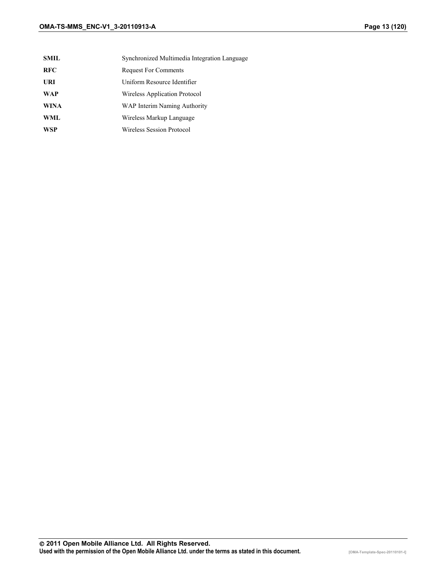- **SMIL** Synchronized Multimedia Integration Language
- **RFC** Request For Comments
- **URI** Uniform Resource Identifier
- **WAP** Wireless Application Protocol
- **WINA** WAP Interim Naming Authority
- **WML** Wireless Markup Language
- **WSP** Wireless Session Protocol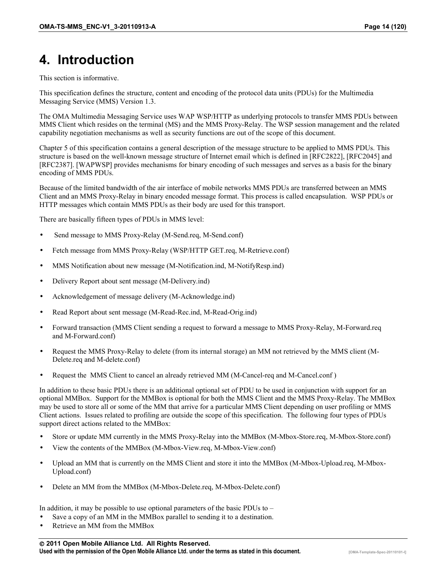# <span id="page-13-0"></span>**4. Introduction**

This section is informative.

This specification defines the structure, content and encoding of the protocol data units (PDUs) for the Multimedia Messaging Service (MMS) Version 1.3.

The OMA Multimedia Messaging Service uses WAP WSP/HTTP as underlying protocols to transfer MMS PDUs between MMS Client which resides on the terminal (MS) and the MMS Proxy-Relay. The WSP session management and the related capability negotiation mechanisms as well as security functions are out of the scope of this document.

Chapter 5 of this specification contains a general description of the message structure to be applied to MMS PDUs. This structure is based on the well-known message structure of Internet email which is defined in [RFC2822], [RFC2045] and [RFC2387]. [WAPWSP] provides mechanisms for binary encoding of such messages and serves as a basis for the binary encoding of MMS PDUs.

Because of the limited bandwidth of the air interface of mobile networks MMS PDUs are transferred between an MMS Client and an MMS Proxy-Relay in binary encoded message format. This process is called encapsulation. WSP PDUs or HTTP messages which contain MMS PDUs as their body are used for this transport.

There are basically fifteen types of PDUs in MMS level:

- Send message to MMS Proxy-Relay (M-Send.req, M-Send.conf)
- Fetch message from MMS Proxy-Relay (WSP/HTTP GET.req, M-Retrieve.conf)
- MMS Notification about new message (M-Notification.ind, M-NotifyResp.ind)
- Delivery Report about sent message (M-Delivery.ind)
- Acknowledgement of message delivery (M-Acknowledge.ind)
- Read Report about sent message (M-Read-Rec.ind, M-Read-Orig.ind)
- Forward transaction (MMS Client sending a request to forward a message to MMS Proxy-Relay, M-Forward.req and M-Forward.conf)
- Request the MMS Proxy-Relay to delete (from its internal storage) an MM not retrieved by the MMS client (M-Delete.req and M-delete.conf)
- Request the MMS Client to cancel an already retrieved MM (M-Cancel-req and M-Cancel.conf )

In addition to these basic PDUs there is an additional optional set of PDU to be used in conjunction with support for an optional MMBox. Support for the MMBox is optional for both the MMS Client and the MMS Proxy-Relay. The MMBox may be used to store all or some of the MM that arrive for a particular MMS Client depending on user profiling or MMS Client actions. Issues related to profiling are outside the scope of this specification. The following four types of PDUs support direct actions related to the MMBox:

- Store or update MM currently in the MMS Proxy-Relay into the MMBox (M-Mbox-Store.req, M-Mbox-Store.conf)
- View the contents of the MMBox (M-Mbox-View.req, M-Mbox-View.conf)
- Upload an MM that is currently on the MMS Client and store it into the MMBox (M-Mbox-Upload.req, M-Mbox-Upload.conf)
- Delete an MM from the MMBox (M-Mbox-Delete.req, M-Mbox-Delete.conf)

In addition, it may be possible to use optional parameters of the basic PDUs to  $-$ 

- Save a copy of an MM in the MMBox parallel to sending it to a destination.
- Retrieve an MM from the MMBox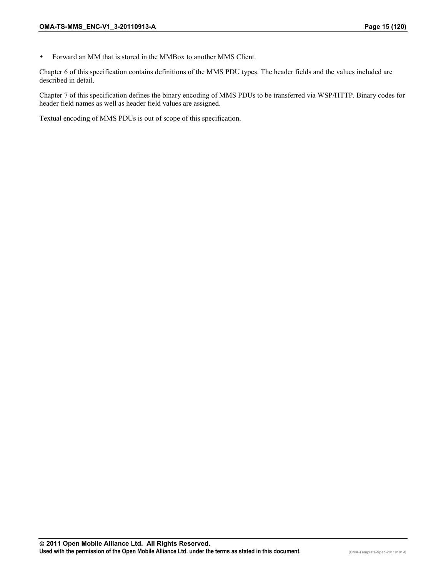• Forward an MM that is stored in the MMBox to another MMS Client.

Chapter 6 of this specification contains definitions of the MMS PDU types. The header fields and the values included are described in detail.

Chapter 7 of this specification defines the binary encoding of MMS PDUs to be transferred via WSP/HTTP. Binary codes for header field names as well as header field values are assigned.

Textual encoding of MMS PDUs is out of scope of this specification.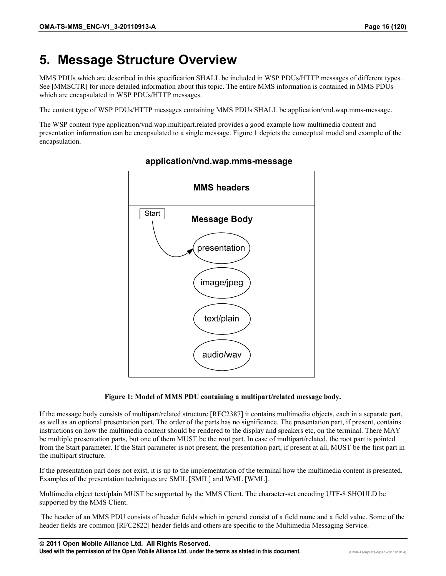# <span id="page-15-0"></span>**5. Message Structure Overview**

MMS PDUs which are described in this specification SHALL be included in WSP PDUs/HTTP messages of different types. See [MMSCTR] for more detailed information about this topic. The entire MMS information is contained in MMS PDUs which are encapsulated in WSP PDUs/HTTP messages.

The content type of WSP PDUs/HTTP messages containing MMS PDUs SHALL be application/vnd.wap.mms-message.

The WSP content type application/vnd.wap.multipart.related provides a good example how multimedia content and presentation information can be encapsulated to a single message. Figure 1 depicts the conceptual model and example of the encapsulation.



#### **application/vnd.wap.mms-message**

**Figure 1: Model of MMS PDU containing a multipart/related message body.** 

If the message body consists of multipart/related structure [RFC2387] it contains multimedia objects, each in a separate part, as well as an optional presentation part. The order of the parts has no significance. The presentation part, if present, contains instructions on how the multimedia content should be rendered to the display and speakers etc, on the terminal. There MAY be multiple presentation parts, but one of them MUST be the root part. In case of multipart/related, the root part is pointed from the Start parameter. If the Start parameter is not present, the presentation part, if present at all, MUST be the first part in the multipart structure.

If the presentation part does not exist, it is up to the implementation of the terminal how the multimedia content is presented. Examples of the presentation techniques are SMIL [SMIL] and WML [WML].

Multimedia object text/plain MUST be supported by the MMS Client. The character-set encoding UTF-8 SHOULD be supported by the MMS Client.

 The header of an MMS PDU consists of header fields which in general consist of a field name and a field value. Some of the header fields are common [RFC2822] header fields and others are specific to the Multimedia Messaging Service.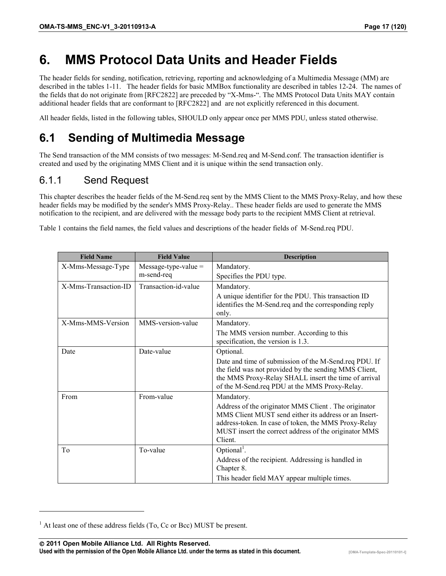## <span id="page-16-0"></span>**6. MMS Protocol Data Units and Header Fields**

The header fields for sending, notification, retrieving, reporting and acknowledging of a Multimedia Message (MM) are described in the tables 1-11. The header fields for basic MMBox functionality are described in tables 12-24. The names of the fields that do not originate from [RFC2822] are preceded by "X-Mms-". The MMS Protocol Data Units MAY contain additional header fields that are conformant to [RFC2822] and are not explicitly referenced in this document.

All header fields, listed in the following tables, SHOULD only appear once per MMS PDU, unless stated otherwise.

## **6.1 Sending of Multimedia Message**

The Send transaction of the MM consists of two messages: M-Send.req and M-Send.conf. The transaction identifier is created and used by the originating MMS Client and it is unique within the send transaction only.

#### 6.1.1 Send Request

This chapter describes the header fields of the M-Send.req sent by the MMS Client to the MMS Proxy-Relay, and how these header fields may be modified by the sender's MMS Proxy-Relay.. These header fields are used to generate the MMS notification to the recipient, and are delivered with the message body parts to the recipient MMS Client at retrieval.

Table 1 contains the field names, the field values and descriptions of the header fields of M-Send.req PDU.

| <b>Field Name</b>    | <b>Field Value</b>     | <b>Description</b>                                                                                                                                                                                                                       |
|----------------------|------------------------|------------------------------------------------------------------------------------------------------------------------------------------------------------------------------------------------------------------------------------------|
| X-Mms-Message-Type   | $Message-type-value =$ | Mandatory.                                                                                                                                                                                                                               |
|                      | m-send-req             | Specifies the PDU type.                                                                                                                                                                                                                  |
| X-Mms-Transaction-ID | Transaction-id-value   | Mandatory.                                                                                                                                                                                                                               |
|                      |                        | A unique identifier for the PDU. This transaction ID<br>identifies the M-Send.req and the corresponding reply<br>only.                                                                                                                   |
| X-Mms-MMS-Version    | MMS-version-value      | Mandatory.                                                                                                                                                                                                                               |
|                      |                        | The MMS version number. According to this<br>specification, the version is 1.3.                                                                                                                                                          |
| Date                 | Date-value             | Optional.                                                                                                                                                                                                                                |
|                      |                        | Date and time of submission of the M-Send.req PDU. If<br>the field was not provided by the sending MMS Client,<br>the MMS Proxy-Relay SHALL insert the time of arrival<br>of the M-Send.req PDU at the MMS Proxy-Relay.                  |
| From                 | From-value             | Mandatory.                                                                                                                                                                                                                               |
|                      |                        | Address of the originator MMS Client. The originator<br>MMS Client MUST send either its address or an Insert-<br>address-token. In case of token, the MMS Proxy-Relay<br>MUST insert the correct address of the originator MMS<br>Client |
| To                   | To-value               | Optional <sup>1</sup> .                                                                                                                                                                                                                  |
|                      |                        | Address of the recipient. Addressing is handled in<br>Chapter 8.                                                                                                                                                                         |
|                      |                        | This header field MAY appear multiple times.                                                                                                                                                                                             |

 **2011 Open Mobile Alliance Ltd. All Rights Reserved. Used with the permission of the Open Mobile Alliance Ltd. under the terms as stated in this document. [OMA-Template-Spec-20110101-I]**

 $<sup>1</sup>$  At least one of these address fields (To, Cc or Bcc) MUST be present.</sup>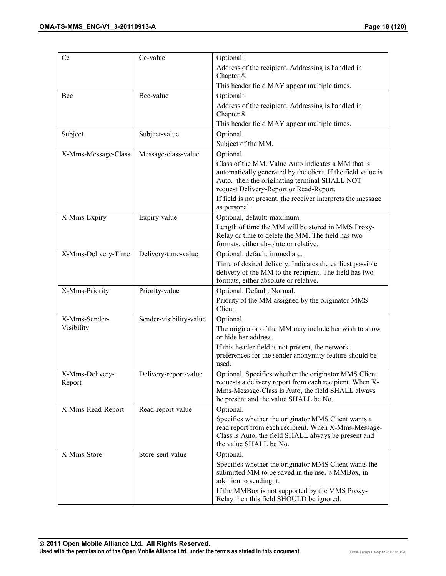| Cc                  | Cc-value                | Optional <sup>1</sup> .                                                                         |
|---------------------|-------------------------|-------------------------------------------------------------------------------------------------|
|                     |                         | Address of the recipient. Addressing is handled in                                              |
|                     |                         | Chapter 8.                                                                                      |
|                     |                         | This header field MAY appear multiple times.                                                    |
| Bcc                 | Bcc-value               | Optional <sup>1</sup> .                                                                         |
|                     |                         | Address of the recipient. Addressing is handled in                                              |
|                     |                         | Chapter 8.                                                                                      |
|                     |                         | This header field MAY appear multiple times.                                                    |
| Subject             | Subject-value           | Optional.                                                                                       |
|                     |                         | Subject of the MM.                                                                              |
| X-Mms-Message-Class | Message-class-value     | Optional.                                                                                       |
|                     |                         | Class of the MM. Value Auto indicates a MM that is                                              |
|                     |                         | automatically generated by the client. If the field value is                                    |
|                     |                         | Auto, then the originating terminal SHALL NOT                                                   |
|                     |                         | request Delivery-Report or Read-Report.                                                         |
|                     |                         | If field is not present, the receiver interprets the message<br>as personal.                    |
| X-Mms-Expiry        | Expiry-value            | Optional, default: maximum.                                                                     |
|                     |                         | Length of time the MM will be stored in MMS Proxy-                                              |
|                     |                         | Relay or time to delete the MM. The field has two                                               |
|                     |                         | formats, either absolute or relative.                                                           |
| X-Mms-Delivery-Time | Delivery-time-value     | Optional: default: immediate.                                                                   |
|                     |                         | Time of desired delivery. Indicates the earliest possible                                       |
|                     |                         | delivery of the MM to the recipient. The field has two<br>formats, either absolute or relative. |
| X-Mms-Priority      | Priority-value          | Optional. Default: Normal.                                                                      |
|                     |                         | Priority of the MM assigned by the originator MMS                                               |
|                     |                         | Client.                                                                                         |
| X-Mms-Sender-       | Sender-visibility-value | Optional.                                                                                       |
| Visibility          |                         | The originator of the MM may include her wish to show                                           |
|                     |                         | or hide her address.                                                                            |
|                     |                         | If this header field is not present, the network                                                |
|                     |                         | preferences for the sender anonymity feature should be                                          |
|                     |                         | used.                                                                                           |
| X-Mms-Delivery-     | Delivery-report-value   | Optional. Specifies whether the originator MMS Client                                           |
| Report              |                         | requests a delivery report from each recipient. When X-                                         |
|                     |                         | Mms-Message-Class is Auto, the field SHALL always<br>be present and the value SHALL be No.      |
| X-Mms-Read-Report   | Read-report-value       | Optional.                                                                                       |
|                     |                         | Specifies whether the originator MMS Client wants a                                             |
|                     |                         | read report from each recipient. When X-Mms-Message-                                            |
|                     |                         | Class is Auto, the field SHALL always be present and                                            |
|                     |                         | the value SHALL be No.                                                                          |
| X-Mms-Store         | Store-sent-value        | Optional.                                                                                       |
|                     |                         | Specifies whether the originator MMS Client wants the                                           |
|                     |                         | submitted MM to be saved in the user's MMBox, in                                                |
|                     |                         | addition to sending it.                                                                         |
|                     |                         | If the MMBox is not supported by the MMS Proxy-                                                 |
|                     |                         | Relay then this field SHOULD be ignored.                                                        |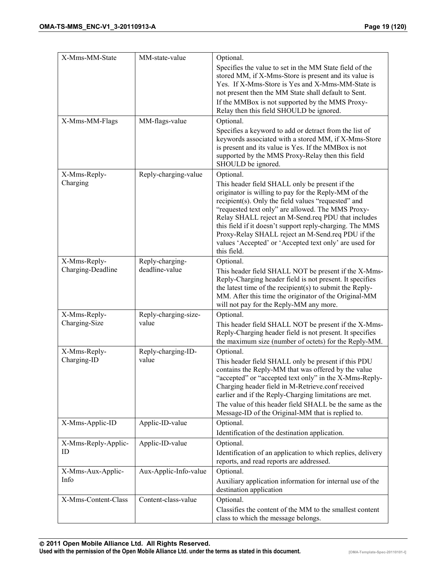| X-Mms-MM-State                    | MM-state-value                    | Optional.                                                                                                                                                                                                                                                                                                                                                                                                                                                          |
|-----------------------------------|-----------------------------------|--------------------------------------------------------------------------------------------------------------------------------------------------------------------------------------------------------------------------------------------------------------------------------------------------------------------------------------------------------------------------------------------------------------------------------------------------------------------|
|                                   |                                   | Specifies the value to set in the MM State field of the<br>stored MM, if X-Mms-Store is present and its value is<br>Yes. If X-Mms-Store is Yes and X-Mms-MM-State is<br>not present then the MM State shall default to Sent.<br>If the MMBox is not supported by the MMS Proxy-<br>Relay then this field SHOULD be ignored.                                                                                                                                        |
| X-Mms-MM-Flags                    | MM-flags-value                    | Optional.                                                                                                                                                                                                                                                                                                                                                                                                                                                          |
|                                   |                                   | Specifies a keyword to add or detract from the list of<br>keywords associated with a stored MM, if X-Mms-Store<br>is present and its value is Yes. If the MMBox is not<br>supported by the MMS Proxy-Relay then this field<br>SHOULD be ignored.                                                                                                                                                                                                                   |
| X-Mms-Reply-                      | Reply-charging-value              | Optional.                                                                                                                                                                                                                                                                                                                                                                                                                                                          |
| Charging                          |                                   | This header field SHALL only be present if the<br>originator is willing to pay for the Reply-MM of the<br>recipient(s). Only the field values "requested" and<br>"requested text only" are allowed. The MMS Proxy-<br>Relay SHALL reject an M-Send.req PDU that includes<br>this field if it doesn't support reply-charging. The MMS<br>Proxy-Relay SHALL reject an M-Send.req PDU if the<br>values 'Accepted' or 'Accepted text only' are used for<br>this field. |
| X-Mms-Reply-<br>Charging-Deadline | Reply-charging-<br>deadline-value | Optional.<br>This header field SHALL NOT be present if the X-Mms-                                                                                                                                                                                                                                                                                                                                                                                                  |
|                                   |                                   | Reply-Charging header field is not present. It specifies<br>the latest time of the recipient(s) to submit the Reply-<br>MM. After this time the originator of the Original-MM<br>will not pay for the Reply-MM any more.                                                                                                                                                                                                                                           |
| X-Mms-Reply-                      | Reply-charging-size-              | Optional.                                                                                                                                                                                                                                                                                                                                                                                                                                                          |
| Charging-Size                     | value                             | This header field SHALL NOT be present if the X-Mms-<br>Reply-Charging header field is not present. It specifies<br>the maximum size (number of octets) for the Reply-MM.                                                                                                                                                                                                                                                                                          |
| X-Mms-Reply-<br>Charging-ID       | Reply-charging-ID-<br>value       | Optional.<br>This header field SHALL only be present if this PDU<br>contains the Reply-MM that was offered by the value<br>"accepted" or "accepted text only" in the X-Mms-Reply-<br>Charging header field in M-Retrieve.conf received<br>earlier and if the Reply-Charging limitations are met.<br>The value of this header field SHALL be the same as the                                                                                                        |
| X-Mms-Applic-ID                   | Applic-ID-value                   | Message-ID of the Original-MM that is replied to.<br>Optional.                                                                                                                                                                                                                                                                                                                                                                                                     |
|                                   |                                   | Identification of the destination application.                                                                                                                                                                                                                                                                                                                                                                                                                     |
| X-Mms-Reply-Applic-               | Applic-ID-value                   | Optional.                                                                                                                                                                                                                                                                                                                                                                                                                                                          |
| ID                                |                                   | Identification of an application to which replies, delivery<br>reports, and read reports are addressed.                                                                                                                                                                                                                                                                                                                                                            |
| X-Mms-Aux-Applic-<br>Info         | Aux-Applic-Info-value             | Optional.<br>Auxiliary application information for internal use of the<br>destination application                                                                                                                                                                                                                                                                                                                                                                  |
| X-Mms-Content-Class               | Content-class-value               | Optional.                                                                                                                                                                                                                                                                                                                                                                                                                                                          |
|                                   |                                   | Classifies the content of the MM to the smallest content<br>class to which the message belongs.                                                                                                                                                                                                                                                                                                                                                                    |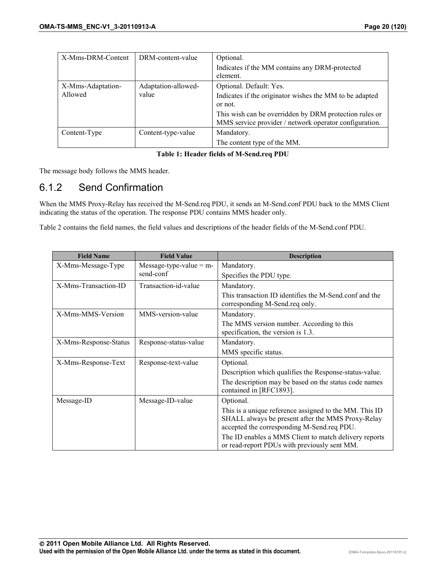<span id="page-19-0"></span>

| X-Mms-DRM-Content | DRM-content-value   | Optional.                                               |
|-------------------|---------------------|---------------------------------------------------------|
|                   |                     | Indicates if the MM contains any DRM-protected          |
|                   |                     | element.                                                |
| X-Mms-Adaptation- | Adaptation-allowed- | Optional. Default: Yes.                                 |
| Allowed           | value               | Indicates if the originator wishes the MM to be adapted |
|                   |                     | or not.                                                 |
|                   |                     | This wish can be overridden by DRM protection rules or  |
|                   |                     | MMS service provider / network operator configuration.  |
| Content-Type      | Content-type-value  | Mandatory.                                              |
|                   |                     | The content type of the MM.                             |

**Table 1: Header fields of M-Send.req PDU** 

The message body follows the MMS header.

#### 6.1.2 Send Confirmation

When the MMS Proxy-Relay has received the M-Send.req PDU, it sends an M-Send.conf PDU back to the MMS Client indicating the status of the operation. The response PDU contains MMS header only.

Table 2 contains the field names, the field values and descriptions of the header fields of the M-Send.conf PDU.

| <b>Field Name</b>     | <b>Field Value</b>        | <b>Description</b>                                                                                                                                        |
|-----------------------|---------------------------|-----------------------------------------------------------------------------------------------------------------------------------------------------------|
| X-Mms-Message-Type    | Message-type-value = $m-$ | Mandatory.                                                                                                                                                |
|                       | send-conf                 | Specifies the PDU type.                                                                                                                                   |
| X-Mms-Transaction-ID  | Transaction-id-value      | Mandatory.                                                                                                                                                |
|                       |                           | This transaction ID identifies the M-Send.conf and the<br>corresponding M-Send.req only.                                                                  |
| X-Mms-MMS-Version     | MMS-version-value         | Mandatory.                                                                                                                                                |
|                       |                           | The MMS version number. According to this<br>specification, the version is 1.3.                                                                           |
| X-Mms-Response-Status | Response-status-value     | Mandatory.                                                                                                                                                |
|                       |                           | MMS specific status.                                                                                                                                      |
| X-Mms-Response-Text   | Response-text-value       | Optional.                                                                                                                                                 |
|                       |                           | Description which qualifies the Response-status-value.                                                                                                    |
|                       |                           | The description may be based on the status code names<br>contained in [RFC1893].                                                                          |
| Message-ID            | Message-ID-value          | Optional.                                                                                                                                                 |
|                       |                           | This is a unique reference assigned to the MM. This ID<br>SHALL always be present after the MMS Proxy-Relay<br>accepted the corresponding M-Send.req PDU. |
|                       |                           | The ID enables a MMS Client to match delivery reports<br>or read-report PDUs with previously sent MM.                                                     |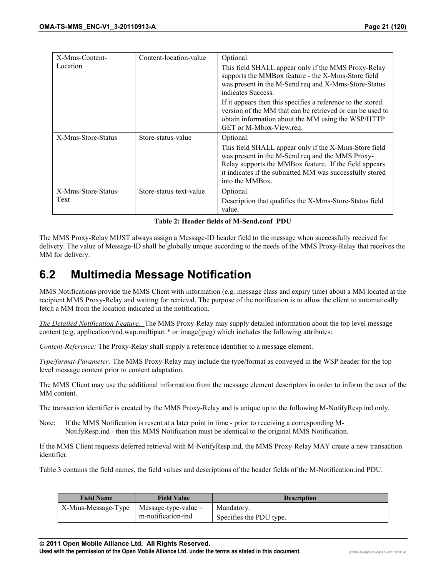<span id="page-20-0"></span>

| X-Mms-Content-      | Content-location-value  | Optional.                                                                                                                                                                                                                                          |
|---------------------|-------------------------|----------------------------------------------------------------------------------------------------------------------------------------------------------------------------------------------------------------------------------------------------|
| Location            |                         | This field SHALL appear only if the MMS Proxy-Relay<br>supports the MMBox feature - the X-Mms-Store field<br>was present in the M-Send.req and X-Mms-Store-Status<br>indicates Success.                                                            |
|                     |                         | If it appears then this specifies a reference to the stored<br>version of the MM that can be retrieved or can be used to<br>obtain information about the MM using the WSP/HTTP<br>GET or M-Mbox-View.req.                                          |
| X-Mms-Store-Status  | Store-status-value      | Optional.                                                                                                                                                                                                                                          |
|                     |                         | This field SHALL appear only if the X-Mms-Store field<br>was present in the M-Send.req and the MMS Proxy-<br>Relay supports the MMBox feature. If the field appears<br>it indicates if the submitted MM was successfully stored<br>into the MMBox. |
| X-Mms-Store-Status- | Store-status-text-value | Optional.                                                                                                                                                                                                                                          |
| Text                |                         | Description that qualifies the X-Mms-Store-Status field<br>value.                                                                                                                                                                                  |

The MMS Proxy-Relay MUST always assign a Message-ID header field to the message when successfully received for delivery. The value of Message-ID shall be globally unique according to the needs of the MMS Proxy-Relay that receives the MM for delivery.

## **6.2 Multimedia Message Notification**

MMS Notifications provide the MMS Client with information (e.g. message class and expiry time) about a MM located at the recipient MMS Proxy-Relay and waiting for retrieval. The purpose of the notification is to allow the client to automatically fetch a MM from the location indicated in the notification.

*The Detailed Notification Feature:* The MMS Proxy-Relay may supply detailed information about the top level message content (e.g. application/vnd.wap.multipart.\* or image/jpeg) which includes the following attributes:

*Content-Reference:* The Proxy-Relay shall supply a reference identifier to a message element.

*Type/format-Parameter:* The MMS Proxy-Relay may include the type/format as conveyed in the WSP header for the top level message content prior to content adaptation.

The MMS Client may use the additional information from the message element descriptors in order to inform the user of the MM content.

The transaction identifier is created by the MMS Proxy-Relay and is unique up to the following M-NotifyResp.ind only.

Note: If the MMS Notification is resent at a later point in time - prior to receiving a corresponding M-NotifyResp.ind - then this MMS Notification must be identical to the original MMS Notification.

If the MMS Client requests deferred retrieval with M-NotifyResp.ind, the MMS Proxy-Relay MAY create a new transaction identifier.

Table 3 contains the field names, the field values and descriptions of the header fields of the M-Notification.ind PDU.

| <b>Field Name</b>  | <b>Field Value</b>      | <b>Description</b>      |
|--------------------|-------------------------|-------------------------|
| X-Mms-Message-Type | $M$ essage-type-value = | Mandatory.              |
|                    | m-notification-ind      | Specifies the PDU type. |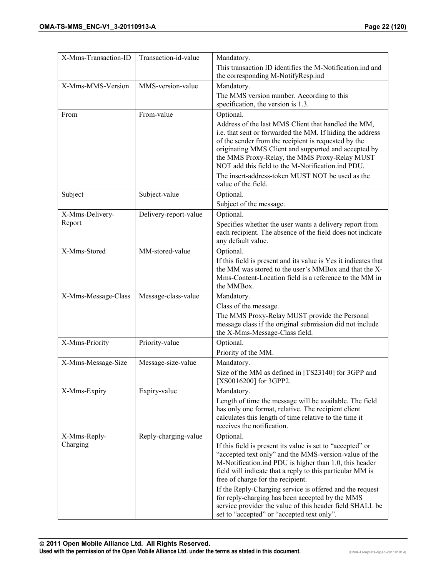| X-Mms-Transaction-ID | Transaction-id-value  | Mandatory.                                                                                                                                                                                                                                                                                                                                                                                                        |
|----------------------|-----------------------|-------------------------------------------------------------------------------------------------------------------------------------------------------------------------------------------------------------------------------------------------------------------------------------------------------------------------------------------------------------------------------------------------------------------|
|                      |                       | This transaction ID identifies the M-Notification.ind and                                                                                                                                                                                                                                                                                                                                                         |
|                      |                       | the corresponding M-NotifyResp.ind                                                                                                                                                                                                                                                                                                                                                                                |
| X-Mms-MMS-Version    | MMS-version-value     | Mandatory.                                                                                                                                                                                                                                                                                                                                                                                                        |
|                      |                       | The MMS version number. According to this<br>specification, the version is 1.3.                                                                                                                                                                                                                                                                                                                                   |
| From                 | From-value            | Optional.                                                                                                                                                                                                                                                                                                                                                                                                         |
|                      |                       | Address of the last MMS Client that handled the MM,<br>i.e. that sent or forwarded the MM. If hiding the address<br>of the sender from the recipient is requested by the<br>originating MMS Client and supported and accepted by<br>the MMS Proxy-Relay, the MMS Proxy-Relay MUST<br>NOT add this field to the M-Notification.ind PDU.<br>The insert-address-token MUST NOT be used as the<br>value of the field. |
| Subject              | Subject-value         | Optional.                                                                                                                                                                                                                                                                                                                                                                                                         |
|                      |                       | Subject of the message.                                                                                                                                                                                                                                                                                                                                                                                           |
| X-Mms-Delivery-      | Delivery-report-value | Optional.                                                                                                                                                                                                                                                                                                                                                                                                         |
| Report               |                       | Specifies whether the user wants a delivery report from<br>each recipient. The absence of the field does not indicate<br>any default value.                                                                                                                                                                                                                                                                       |
| X-Mms-Stored         | MM-stored-value       | Optional.                                                                                                                                                                                                                                                                                                                                                                                                         |
|                      |                       | If this field is present and its value is Yes it indicates that<br>the MM was stored to the user's MMBox and that the X-<br>Mms-Content-Location field is a reference to the MM in<br>the MMBox.                                                                                                                                                                                                                  |
| X-Mms-Message-Class  | Message-class-value   | Mandatory.                                                                                                                                                                                                                                                                                                                                                                                                        |
|                      |                       | Class of the message.                                                                                                                                                                                                                                                                                                                                                                                             |
|                      |                       | The MMS Proxy-Relay MUST provide the Personal<br>message class if the original submission did not include<br>the X-Mms-Message-Class field.                                                                                                                                                                                                                                                                       |
| X-Mms-Priority       | Priority-value        | Optional.                                                                                                                                                                                                                                                                                                                                                                                                         |
|                      |                       | Priority of the MM.                                                                                                                                                                                                                                                                                                                                                                                               |
| X-Mms-Message-Size   | Message-size-value    | Mandatory.                                                                                                                                                                                                                                                                                                                                                                                                        |
|                      |                       | Size of the MM as defined in [TS23140] for 3GPP and<br>[XS0016200] for 3GPP2.                                                                                                                                                                                                                                                                                                                                     |
| X-Mms-Expiry         | Expiry-value          | Mandatory.                                                                                                                                                                                                                                                                                                                                                                                                        |
|                      |                       | Length of time the message will be available. The field<br>has only one format, relative. The recipient client<br>calculates this length of time relative to the time it<br>receives the notification.                                                                                                                                                                                                            |
| X-Mms-Reply-         | Reply-charging-value  | Optional.                                                                                                                                                                                                                                                                                                                                                                                                         |
| Charging             |                       | If this field is present its value is set to "accepted" or<br>"accepted text only" and the MMS-version-value of the<br>M-Notification.ind PDU is higher than 1.0, this header<br>field will indicate that a reply to this particular MM is<br>free of charge for the recipient.                                                                                                                                   |
|                      |                       | If the Reply-Charging service is offered and the request<br>for reply-charging has been accepted by the MMS<br>service provider the value of this header field SHALL be<br>set to "accepted" or "accepted text only".                                                                                                                                                                                             |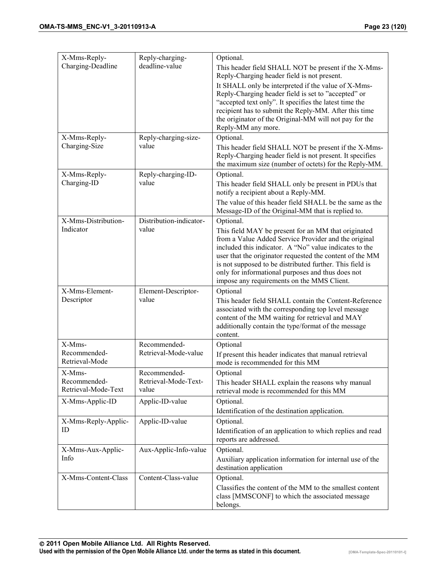| X-Mms-Reply-                                  | Reply-charging-                               | Optional.                                                                                                                                                                                                                                                                                                                                                                                                            |
|-----------------------------------------------|-----------------------------------------------|----------------------------------------------------------------------------------------------------------------------------------------------------------------------------------------------------------------------------------------------------------------------------------------------------------------------------------------------------------------------------------------------------------------------|
| Charging-Deadline                             | deadline-value                                | This header field SHALL NOT be present if the X-Mms-<br>Reply-Charging header field is not present.<br>It SHALL only be interpreted if the value of X-Mms-<br>Reply-Charging header field is set to "accepted" or<br>"accepted text only". It specifies the latest time the<br>recipient has to submit the Reply-MM. After this time<br>the originator of the Original-MM will not pay for the<br>Reply-MM any more. |
| X-Mms-Reply-<br>Charging-Size                 | Reply-charging-size-<br>value                 | Optional.<br>This header field SHALL NOT be present if the X-Mms-<br>Reply-Charging header field is not present. It specifies<br>the maximum size (number of octets) for the Reply-MM.                                                                                                                                                                                                                               |
| X-Mms-Reply-<br>Charging-ID                   | Reply-charging-ID-<br>value                   | Optional.<br>This header field SHALL only be present in PDUs that<br>notify a recipient about a Reply-MM.<br>The value of this header field SHALL be the same as the<br>Message-ID of the Original-MM that is replied to.                                                                                                                                                                                            |
| X-Mms-Distribution-<br>Indicator              | Distribution-indicator-<br>value              | Optional.<br>This field MAY be present for an MM that originated<br>from a Value Added Service Provider and the original<br>included this indicator. A "No" value indicates to the<br>user that the originator requested the content of the MM<br>is not supposed to be distributed further. This field is<br>only for informational purposes and thus does not<br>impose any requirements on the MMS Client.        |
| X-Mms-Element-<br>Descriptor                  | Element-Descriptor-<br>value                  | Optional<br>This header field SHALL contain the Content-Reference<br>associated with the corresponding top level message<br>content of the MM waiting for retrieval and MAY<br>additionally contain the type/format of the message<br>content.                                                                                                                                                                       |
| X-Mms-<br>Recommended-<br>Retrieval-Mode      | Recommended-<br>Retrieval-Mode-value          | Optional<br>If present this header indicates that manual retrieval<br>mode is recommended for this MM                                                                                                                                                                                                                                                                                                                |
| X-Mms-<br>Recommended-<br>Retrieval-Mode-Text | Recommended-<br>Retrieval-Mode-Text-<br>value | Optional<br>This header SHALL explain the reasons why manual<br>retrieval mode is recommended for this MM                                                                                                                                                                                                                                                                                                            |
| X-Mms-Applic-ID                               | Applic-ID-value                               | Optional.<br>Identification of the destination application.                                                                                                                                                                                                                                                                                                                                                          |
| X-Mms-Reply-Applic-<br>ID                     | Applic-ID-value                               | Optional.<br>Identification of an application to which replies and read<br>reports are addressed.                                                                                                                                                                                                                                                                                                                    |
| X-Mms-Aux-Applic-<br>Info                     | Aux-Applic-Info-value                         | Optional.<br>Auxiliary application information for internal use of the<br>destination application                                                                                                                                                                                                                                                                                                                    |
| X-Mms-Content-Class                           | Content-Class-value                           | Optional.<br>Classifies the content of the MM to the smallest content<br>class [MMSCONF] to which the associated message<br>belongs.                                                                                                                                                                                                                                                                                 |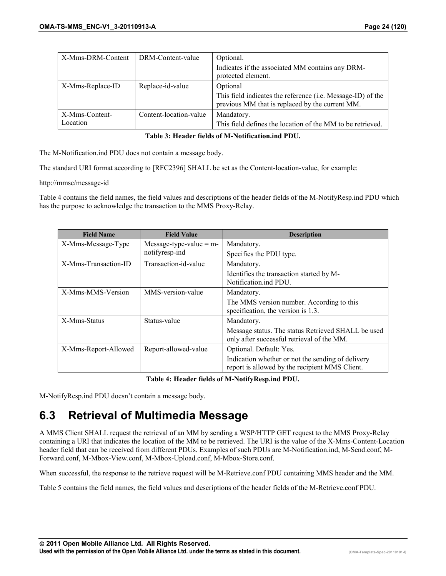<span id="page-23-0"></span>

| X-Mms-DRM-Content | DRM-Content-value      | Optional.                                                                                                      |
|-------------------|------------------------|----------------------------------------------------------------------------------------------------------------|
|                   |                        | Indicates if the associated MM contains any DRM-<br>protected element.                                         |
| X-Mms-Replace-ID  | Replace-id-value       | Optional                                                                                                       |
|                   |                        | This field indicates the reference (i.e. Message-ID) of the<br>previous MM that is replaced by the current MM. |
| X-Mms-Content-    | Content-location-value | Mandatory.                                                                                                     |
| Location          |                        | This field defines the location of the MM to be retrieved.                                                     |

#### **Table 3: Header fields of M-Notification.ind PDU.**

The M-Notification.ind PDU does not contain a message body.

The standard URI format according to [RFC2396] SHALL be set as the Content-location-value, for example:

http://mmsc/message-id

Table 4 contains the field names, the field values and descriptions of the header fields of the M-NotifyResp.ind PDU which has the purpose to acknowledge the transaction to the MMS Proxy-Relay.

| <b>Field Name</b>    | <b>Field Value</b>        | <b>Description</b>                                 |
|----------------------|---------------------------|----------------------------------------------------|
| X-Mms-Message-Type   | Message-type-value $=$ m- | Mandatory.                                         |
|                      | notifyresp-ind            | Specifies the PDU type.                            |
| X-Mms-Transaction-ID | Transaction-id-value      | Mandatory.                                         |
|                      |                           | Identifies the transaction started by M-           |
|                      |                           | Notification.ind PDU.                              |
| X-Mms-MMS-Version    | MMS-version-value         | Mandatory.                                         |
|                      |                           | The MMS version number. According to this          |
|                      |                           | specification, the version is 1.3.                 |
| X-Mms-Status         | Status-value              | Mandatory.                                         |
|                      |                           | Message status. The status Retrieved SHALL be used |
|                      |                           | only after successful retrieval of the MM.         |
| X-Mms-Report-Allowed | Report-allowed-value      | Optional. Default: Yes.                            |
|                      |                           | Indication whether or not the sending of delivery  |
|                      |                           | report is allowed by the recipient MMS Client.     |

#### **Table 4: Header fields of M-NotifyResp.ind PDU.**

M-NotifyResp.ind PDU doesn't contain a message body.

### **6.3 Retrieval of Multimedia Message**

A MMS Client SHALL request the retrieval of an MM by sending a WSP/HTTP GET request to the MMS Proxy-Relay containing a URI that indicates the location of the MM to be retrieved. The URI is the value of the X-Mms-Content-Location header field that can be received from different PDUs. Examples of such PDUs are M-Notification.ind, M-Send.conf, M-Forward.conf, M-Mbox-View.conf, M-Mbox-Upload.conf, M-Mbox-Store.conf.

When successful, the response to the retrieve request will be M-Retrieve.conf PDU containing MMS header and the MM.

Table 5 contains the field names, the field values and descriptions of the header fields of the M-Retrieve.conf PDU.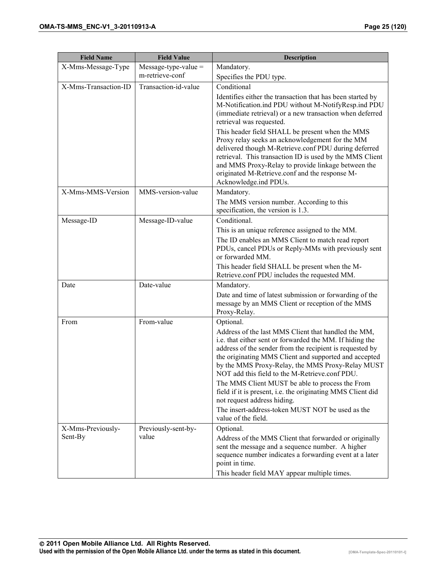| <b>Field Name</b>    | <b>Field Value</b>     | <b>Description</b>                                                                                                                                                                                                                                                                                                                                                                                                                                                                                                                                                     |
|----------------------|------------------------|------------------------------------------------------------------------------------------------------------------------------------------------------------------------------------------------------------------------------------------------------------------------------------------------------------------------------------------------------------------------------------------------------------------------------------------------------------------------------------------------------------------------------------------------------------------------|
| X-Mms-Message-Type   | $Message-type-value =$ | Mandatory.                                                                                                                                                                                                                                                                                                                                                                                                                                                                                                                                                             |
|                      | m-retrieve-conf        | Specifies the PDU type.                                                                                                                                                                                                                                                                                                                                                                                                                                                                                                                                                |
| X-Mms-Transaction-ID | Transaction-id-value   | Conditional                                                                                                                                                                                                                                                                                                                                                                                                                                                                                                                                                            |
|                      |                        | Identifies either the transaction that has been started by<br>M-Notification.ind PDU without M-NotifyResp.ind PDU<br>(immediate retrieval) or a new transaction when deferred<br>retrieval was requested.                                                                                                                                                                                                                                                                                                                                                              |
|                      |                        | This header field SHALL be present when the MMS<br>Proxy relay seeks an acknowledgement for the MM<br>delivered though M-Retrieve.conf PDU during deferred<br>retrieval. This transaction ID is used by the MMS Client<br>and MMS Proxy-Relay to provide linkage between the<br>originated M-Retrieve.conf and the response M-<br>Acknowledge.ind PDUs.                                                                                                                                                                                                                |
| X-Mms-MMS-Version    | MMS-version-value      | Mandatory.                                                                                                                                                                                                                                                                                                                                                                                                                                                                                                                                                             |
|                      |                        | The MMS version number. According to this<br>specification, the version is 1.3.                                                                                                                                                                                                                                                                                                                                                                                                                                                                                        |
| Message-ID           | Message-ID-value       | Conditional.                                                                                                                                                                                                                                                                                                                                                                                                                                                                                                                                                           |
|                      |                        | This is an unique reference assigned to the MM.                                                                                                                                                                                                                                                                                                                                                                                                                                                                                                                        |
|                      |                        | The ID enables an MMS Client to match read report<br>PDUs, cancel PDUs or Reply-MMs with previously sent<br>or forwarded MM.                                                                                                                                                                                                                                                                                                                                                                                                                                           |
|                      |                        | This header field SHALL be present when the M-<br>Retrieve.conf PDU includes the requested MM.                                                                                                                                                                                                                                                                                                                                                                                                                                                                         |
| Date                 | Date-value             | Mandatory.                                                                                                                                                                                                                                                                                                                                                                                                                                                                                                                                                             |
|                      |                        | Date and time of latest submission or forwarding of the<br>message by an MMS Client or reception of the MMS<br>Proxy-Relay.                                                                                                                                                                                                                                                                                                                                                                                                                                            |
| From                 | From-value             | Optional.                                                                                                                                                                                                                                                                                                                                                                                                                                                                                                                                                              |
|                      |                        | Address of the last MMS Client that handled the MM,<br>i.e. that either sent or forwarded the MM. If hiding the<br>address of the sender from the recipient is requested by<br>the originating MMS Client and supported and accepted<br>by the MMS Proxy-Relay, the MMS Proxy-Relay MUST<br>NOT add this field to the M-Retrieve.conf PDU.<br>The MMS Client MUST be able to process the From<br>field if it is present, i.e. the originating MMS Client did<br>not request address hiding.<br>The insert-address-token MUST NOT be used as the<br>value of the field. |
| X-Mms-Previously-    | Previously-sent-by-    | Optional.                                                                                                                                                                                                                                                                                                                                                                                                                                                                                                                                                              |
| Sent-By              | value                  | Address of the MMS Client that forwarded or originally<br>sent the message and a sequence number. A higher<br>sequence number indicates a forwarding event at a later<br>point in time.<br>This header field MAY appear multiple times.                                                                                                                                                                                                                                                                                                                                |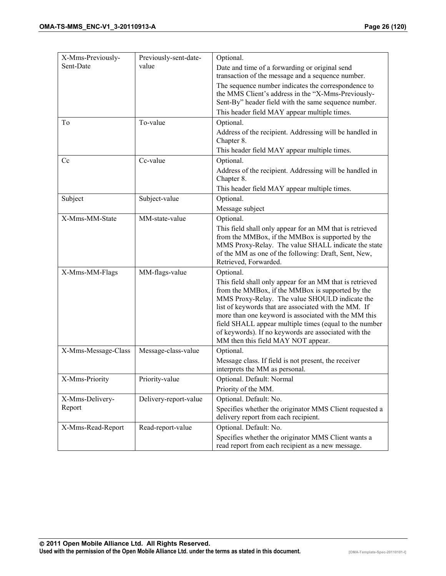| X-Mms-Previously-   | Previously-sent-date- | Optional.                                                                                                      |
|---------------------|-----------------------|----------------------------------------------------------------------------------------------------------------|
| Sent-Date           | value                 | Date and time of a forwarding or original send                                                                 |
|                     |                       | transaction of the message and a sequence number.                                                              |
|                     |                       | The sequence number indicates the correspondence to                                                            |
|                     |                       | the MMS Client's address in the "X-Mms-Previously-                                                             |
|                     |                       | Sent-By" header field with the same sequence number.                                                           |
|                     |                       | This header field MAY appear multiple times.                                                                   |
| To                  | To-value              | Optional.                                                                                                      |
|                     |                       | Address of the recipient. Addressing will be handled in<br>Chapter 8.                                          |
|                     |                       |                                                                                                                |
|                     |                       | This header field MAY appear multiple times.                                                                   |
| Cc                  | Cc-value              | Optional.                                                                                                      |
|                     |                       | Address of the recipient. Addressing will be handled in<br>Chapter 8.                                          |
|                     |                       | This header field MAY appear multiple times.                                                                   |
| Subject             | Subject-value         | Optional.                                                                                                      |
|                     |                       | Message subject                                                                                                |
| X-Mms-MM-State      | MM-state-value        | Optional.                                                                                                      |
|                     |                       | This field shall only appear for an MM that is retrieved                                                       |
|                     |                       | from the MMBox, if the MMBox is supported by the                                                               |
|                     |                       | MMS Proxy-Relay. The value SHALL indicate the state<br>of the MM as one of the following: Draft, Sent, New,    |
|                     |                       | Retrieved, Forwarded.                                                                                          |
| X-Mms-MM-Flags      | MM-flags-value        | Optional.                                                                                                      |
|                     |                       | This field shall only appear for an MM that is retrieved                                                       |
|                     |                       | from the MMBox, if the MMBox is supported by the                                                               |
|                     |                       | MMS Proxy-Relay. The value SHOULD indicate the                                                                 |
|                     |                       | list of keywords that are associated with the MM. If                                                           |
|                     |                       | more than one keyword is associated with the MM this                                                           |
|                     |                       | field SHALL appear multiple times (equal to the number<br>of keywords). If no keywords are associated with the |
|                     |                       | MM then this field MAY NOT appear.                                                                             |
| X-Mms-Message-Class | Message-class-value   | Optional.                                                                                                      |
|                     |                       | Message class. If field is not present, the receiver                                                           |
|                     |                       | interprets the MM as personal.                                                                                 |
| X-Mms-Priority      | Priority-value        | Optional. Default: Normal                                                                                      |
|                     |                       | Priority of the MM.                                                                                            |
| X-Mms-Delivery-     | Delivery-report-value | Optional. Default: No.                                                                                         |
| Report              |                       | Specifies whether the originator MMS Client requested a                                                        |
|                     |                       | delivery report from each recipient.                                                                           |
| X-Mms-Read-Report   | Read-report-value     | Optional. Default: No.                                                                                         |
|                     |                       | Specifies whether the originator MMS Client wants a                                                            |
|                     |                       | read report from each recipient as a new message.                                                              |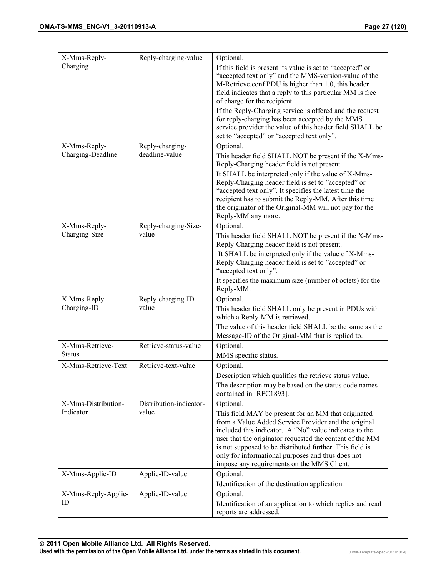| X-Mms-Reply-                      | Reply-charging-value              | Optional.                                                                                                          |
|-----------------------------------|-----------------------------------|--------------------------------------------------------------------------------------------------------------------|
| Charging                          |                                   | If this field is present its value is set to "accepted" or                                                         |
|                                   |                                   | "accepted text only" and the MMS-version-value of the<br>M-Retrieve.conf PDU is higher than 1.0, this header       |
|                                   |                                   | field indicates that a reply to this particular MM is free<br>of charge for the recipient.                         |
|                                   |                                   | If the Reply-Charging service is offered and the request<br>for reply-charging has been accepted by the MMS        |
|                                   |                                   | service provider the value of this header field SHALL be                                                           |
|                                   |                                   | set to "accepted" or "accepted text only".<br>Optional.                                                            |
| X-Mms-Reply-<br>Charging-Deadline | Reply-charging-<br>deadline-value | This header field SHALL NOT be present if the X-Mms-                                                               |
|                                   |                                   | Reply-Charging header field is not present.                                                                        |
|                                   |                                   | It SHALL be interpreted only if the value of X-Mms-<br>Reply-Charging header field is set to "accepted" or         |
|                                   |                                   | "accepted text only". It specifies the latest time the<br>recipient has to submit the Reply-MM. After this time    |
|                                   |                                   | the originator of the Original-MM will not pay for the                                                             |
| X-Mms-Reply-                      | Reply-charging-Size-              | Reply-MM any more.<br>Optional.                                                                                    |
| Charging-Size                     | value                             | This header field SHALL NOT be present if the X-Mms-                                                               |
|                                   |                                   | Reply-Charging header field is not present.                                                                        |
|                                   |                                   | It SHALL be interpreted only if the value of X-Mms-<br>Reply-Charging header field is set to "accepted" or         |
|                                   |                                   | "accepted text only".                                                                                              |
|                                   |                                   | It specifies the maximum size (number of octets) for the<br>Reply-MM.                                              |
| X-Mms-Reply-                      | Reply-charging-ID-                | Optional.                                                                                                          |
| Charging-ID                       | value                             | This header field SHALL only be present in PDUs with<br>which a Reply-MM is retrieved.                             |
|                                   |                                   | The value of this header field SHALL be the same as the<br>Message-ID of the Original-MM that is replied to.       |
| X-Mms-Retrieve-<br><b>Status</b>  | Retrieve-status-value             | Optional.                                                                                                          |
| X-Mms-Retrieve-Text               | Retrieve-text-value               | MMS specific status.<br>Optional.                                                                                  |
|                                   |                                   | Description which qualifies the retrieve status value.                                                             |
|                                   |                                   | The description may be based on the status code names                                                              |
| X-Mms-Distribution-               | Distribution-indicator-           | contained in [RFC1893].<br>Optional.                                                                               |
| Indicator                         | value                             | This field MAY be present for an MM that originated                                                                |
|                                   |                                   | from a Value Added Service Provider and the original                                                               |
|                                   |                                   | included this indicator. A "No" value indicates to the<br>user that the originator requested the content of the MM |
|                                   |                                   | is not supposed to be distributed further. This field is                                                           |
|                                   |                                   | only for informational purposes and thus does not<br>impose any requirements on the MMS Client.                    |
| X-Mms-Applic-ID                   | Applic-ID-value                   | Optional.                                                                                                          |
|                                   |                                   | Identification of the destination application.                                                                     |
| X-Mms-Reply-Applic-<br>ID         | Applic-ID-value                   | Optional.                                                                                                          |
|                                   |                                   | Identification of an application to which replies and read<br>reports are addressed.                               |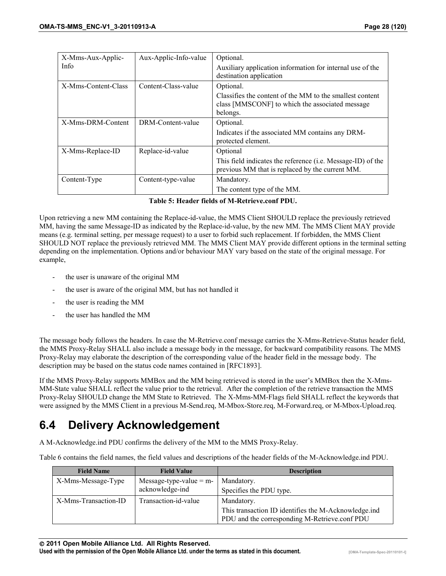<span id="page-27-0"></span>

| X-Mms-Aux-Applic-   | Aux-Applic-Info-value | Optional.                                                                                                               |
|---------------------|-----------------------|-------------------------------------------------------------------------------------------------------------------------|
| Info                |                       | Auxiliary application information for internal use of the                                                               |
|                     |                       | destination application                                                                                                 |
| X-Mms-Content-Class | Content-Class-value   | Optional.                                                                                                               |
|                     |                       | Classifies the content of the MM to the smallest content<br>class [MMSCONF] to which the associated message<br>belongs. |
| X-Mms-DRM-Content   | DRM-Content-value     | Optional.                                                                                                               |
|                     |                       | Indicates if the associated MM contains any DRM-                                                                        |
|                     |                       | protected element.                                                                                                      |
| X-Mms-Replace-ID    | Replace-id-value      | Optional                                                                                                                |
|                     |                       | This field indicates the reference (i.e. Message-ID) of the<br>previous MM that is replaced by the current MM.          |
| Content-Type        | Content-type-value    | Mandatory.                                                                                                              |
|                     |                       | The content type of the MM.                                                                                             |

|  | Table 5: Header fields of M-Retrieve.conf PDU. |  |
|--|------------------------------------------------|--|
|  |                                                |  |

Upon retrieving a new MM containing the Replace-id-value, the MMS Client SHOULD replace the previously retrieved MM, having the same Message-ID as indicated by the Replace-id-value, by the new MM. The MMS Client MAY provide means (e.g. terminal setting, per message request) to a user to forbid such replacement. If forbidden, the MMS Client SHOULD NOT replace the previously retrieved MM. The MMS Client MAY provide different options in the terminal setting depending on the implementation. Options and/or behaviour MAY vary based on the state of the original message. For example,

- the user is unaware of the original MM
- the user is aware of the original MM, but has not handled it
- the user is reading the MM
- the user has handled the MM

The message body follows the headers. In case the M-Retrieve.conf message carries the X-Mms-Retrieve-Status header field, the MMS Proxy-Relay SHALL also include a message body in the message, for backward compatibility reasons. The MMS Proxy-Relay may elaborate the description of the corresponding value of the header field in the message body. The description may be based on the status code names contained in [RFC1893].

If the MMS Proxy-Relay supports MMBox and the MM being retrieved is stored in the user's MMBox then the X-Mms-MM-State value SHALL reflect the value prior to the retrieval. After the completion of the retrieve transaction the MMS Proxy-Relay SHOULD change the MM State to Retrieved. The X-Mms-MM-Flags field SHALL reflect the keywords that were assigned by the MMS Client in a previous M-Send.req, M-Mbox-Store.req, M-Forward.req, or M-Mbox-Upload.req.

## **6.4 Delivery Acknowledgement**

A M-Acknowledge.ind PDU confirms the delivery of the MM to the MMS Proxy-Relay.

Table 6 contains the field names, the field values and descriptions of the header fields of the M-Acknowledge.ind PDU.

| <b>Field Name</b>    | <b>Field Value</b>        | <b>Description</b>                                   |
|----------------------|---------------------------|------------------------------------------------------|
| X-Mms-Message-Type   | Message-type-value $=$ m- | Mandatory.                                           |
|                      | acknowledge-ind           | Specifies the PDU type.                              |
| X-Mms-Transaction-ID | Transaction-id-value      | Mandatory.                                           |
|                      |                           | This transaction ID identifies the M-Acknowledge.ind |
|                      |                           | PDU and the corresponding M-Retrieve.conf PDU        |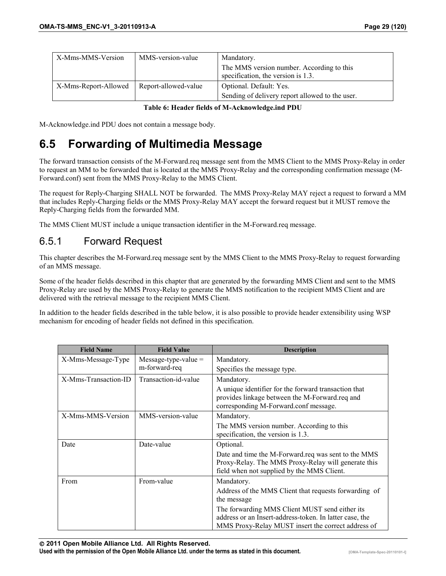<span id="page-28-0"></span>

| X-Mms-MMS-Version    | MMS-version-value    | Mandatory.                                                                      |
|----------------------|----------------------|---------------------------------------------------------------------------------|
|                      |                      | The MMS version number. According to this<br>specification, the version is 1.3. |
| X-Mms-Report-Allowed | Report-allowed-value | Optional. Default: Yes.                                                         |
|                      |                      | Sending of delivery report allowed to the user.                                 |

**Table 6: Header fields of M-Acknowledge.ind PDU** 

M-Acknowledge.ind PDU does not contain a message body.

## **6.5 Forwarding of Multimedia Message**

The forward transaction consists of the M-Forward.req message sent from the MMS Client to the MMS Proxy-Relay in order to request an MM to be forwarded that is located at the MMS Proxy-Relay and the corresponding confirmation message (M-Forward.conf) sent from the MMS Proxy-Relay to the MMS Client.

The request for Reply-Charging SHALL NOT be forwarded. The MMS Proxy-Relay MAY reject a request to forward a MM that includes Reply-Charging fields or the MMS Proxy-Relay MAY accept the forward request but it MUST remove the Reply-Charging fields from the forwarded MM.

The MMS Client MUST include a unique transaction identifier in the M-Forward.req message.

#### 6.5.1 Forward Request

This chapter describes the M-Forward.req message sent by the MMS Client to the MMS Proxy-Relay to request forwarding of an MMS message.

Some of the header fields described in this chapter that are generated by the forwarding MMS Client and sent to the MMS Proxy-Relay are used by the MMS Proxy-Relay to generate the MMS notification to the recipient MMS Client and are delivered with the retrieval message to the recipient MMS Client.

In addition to the header fields described in the table below, it is also possible to provide header extensibility using WSP mechanism for encoding of header fields not defined in this specification.

| <b>Field Name</b>    | <b>Field Value</b>     | <b>Description</b>                                                                                                                              |
|----------------------|------------------------|-------------------------------------------------------------------------------------------------------------------------------------------------|
| X-Mms-Message-Type   | $Message-type-value =$ | Mandatory.                                                                                                                                      |
|                      | m-forward-req          | Specifies the message type.                                                                                                                     |
| X-Mms-Transaction-ID | Transaction-id-value   | Mandatory.                                                                                                                                      |
|                      |                        | A unique identifier for the forward transaction that<br>provides linkage between the M-Forward.req and<br>corresponding M-Forward.conf message. |
| X-Mms-MMS-Version    | MMS-version-value      | Mandatory.                                                                                                                                      |
|                      |                        | The MMS version number. According to this<br>specification, the version is 1.3.                                                                 |
| Date                 | Date-value             | Optional.                                                                                                                                       |
|                      |                        | Date and time the M-Forward.req was sent to the MMS                                                                                             |
|                      |                        | Proxy-Relay. The MMS Proxy-Relay will generate this                                                                                             |
|                      |                        | field when not supplied by the MMS Client.                                                                                                      |
| From                 | From-value             | Mandatory.                                                                                                                                      |
|                      |                        | Address of the MMS Client that requests forwarding of                                                                                           |
|                      |                        | the message                                                                                                                                     |
|                      |                        | The forwarding MMS Client MUST send either its                                                                                                  |
|                      |                        | address or an Insert-address-token. In latter case, the                                                                                         |
|                      |                        | MMS Proxy-Relay MUST insert the correct address of                                                                                              |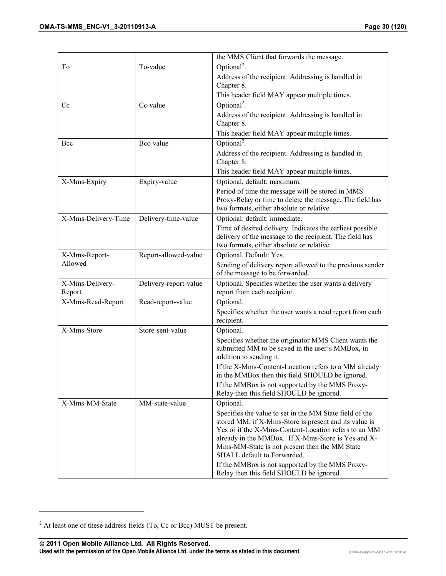|                           |                       | the MMS Client that forwards the message.                                                                                                                                                                                                                                                                      |
|---------------------------|-----------------------|----------------------------------------------------------------------------------------------------------------------------------------------------------------------------------------------------------------------------------------------------------------------------------------------------------------|
| To                        | To-value              | Optional <sup>2</sup> .                                                                                                                                                                                                                                                                                        |
|                           |                       | Address of the recipient. Addressing is handled in<br>Chapter 8.                                                                                                                                                                                                                                               |
|                           |                       | This header field MAY appear multiple times.                                                                                                                                                                                                                                                                   |
| Cc                        | Cc-value              | Optional <sup>2</sup> .                                                                                                                                                                                                                                                                                        |
|                           |                       | Address of the recipient. Addressing is handled in<br>Chapter 8.                                                                                                                                                                                                                                               |
|                           |                       | This header field MAY appear multiple times.                                                                                                                                                                                                                                                                   |
| Bcc                       | Bcc-value             | Optional <sup>2</sup> .                                                                                                                                                                                                                                                                                        |
|                           |                       | Address of the recipient. Addressing is handled in<br>Chapter 8.                                                                                                                                                                                                                                               |
|                           |                       | This header field MAY appear multiple times.                                                                                                                                                                                                                                                                   |
| X-Mms-Expiry              | Expiry-value          | Optional, default: maximum.                                                                                                                                                                                                                                                                                    |
|                           |                       | Period of time the message will be stored in MMS<br>Proxy-Relay or time to delete the message. The field has<br>two formats, either absolute or relative.                                                                                                                                                      |
| X-Mms-Delivery-Time       | Delivery-time-value   | Optional: default: immediate.                                                                                                                                                                                                                                                                                  |
|                           |                       | Time of desired delivery. Indicates the earliest possible<br>delivery of the message to the recipient. The field has<br>two formats, either absolute or relative.                                                                                                                                              |
| X-Mms-Report-             | Report-allowed-value  | Optional. Default: Yes.                                                                                                                                                                                                                                                                                        |
| Allowed                   |                       | Sending of delivery report allowed to the previous sender<br>of the message to be forwarded.                                                                                                                                                                                                                   |
| X-Mms-Delivery-<br>Report | Delivery-report-value | Optional. Specifies whether the user wants a delivery<br>report from each recipient.                                                                                                                                                                                                                           |
| X-Mms-Read-Report         | Read-report-value     | Optional.                                                                                                                                                                                                                                                                                                      |
|                           |                       | Specifies whether the user wants a read report from each<br>recipient.                                                                                                                                                                                                                                         |
| X-Mms-Store               | Store-sent-value      | Optional.                                                                                                                                                                                                                                                                                                      |
|                           |                       | Specifies whether the originator MMS Client wants the<br>submitted MM to be saved in the user's MMBox, in<br>addition to sending it.                                                                                                                                                                           |
|                           |                       | If the X-Mms-Content-Location refers to a MM already<br>in the MMBox then this field SHOULD be ignored.                                                                                                                                                                                                        |
|                           |                       | If the MMBox is not supported by the MMS Proxy-<br>Relay then this field SHOULD be ignored.                                                                                                                                                                                                                    |
| X-Mms-MM-State            | MM-state-value        | Optional.                                                                                                                                                                                                                                                                                                      |
|                           |                       | Specifies the value to set in the MM State field of the<br>stored MM, if X-Mms-Store is present and its value is<br>Yes or if the X-Mms-Content-Location refers to an MM<br>already in the MMBox. If X-Mms-Store is Yes and X-<br>Mms-MM-State is not present then the MM State<br>SHALL default to Forwarded. |
|                           |                       | If the MMBox is not supported by the MMS Proxy-<br>Relay then this field SHOULD be ignored.                                                                                                                                                                                                                    |

 **2011 Open Mobile Alliance Ltd. All Rights Reserved.** Used with the permission of the Open Mobile Alliance Ltd. under the terms as stated in this document. *IOMA-Template-Spec-20110101-I* 

 $2$  At least one of these address fields (To, Cc or Bcc) MUST be present.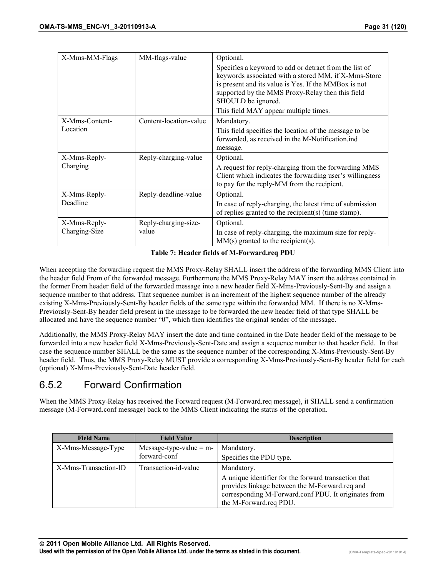<span id="page-30-0"></span>

| X-Mms-MM-Flags | MM-flags-value         | Optional.                                                                                                                                                                                                                                                                                 |
|----------------|------------------------|-------------------------------------------------------------------------------------------------------------------------------------------------------------------------------------------------------------------------------------------------------------------------------------------|
|                |                        | Specifies a keyword to add or detract from the list of<br>keywords associated with a stored MM, if X-Mms-Store<br>is present and its value is Yes. If the MMBox is not<br>supported by the MMS Proxy-Relay then this field<br>SHOULD be ignored.<br>This field MAY appear multiple times. |
| X-Mms-Content- | Content-location-value | Mandatory.                                                                                                                                                                                                                                                                                |
| Location       |                        | This field specifies the location of the message to be<br>forwarded, as received in the M-Notification.ind<br>message.                                                                                                                                                                    |
| X-Mms-Reply-   | Reply-charging-value   | Optional.                                                                                                                                                                                                                                                                                 |
| Charging       |                        | A request for reply-charging from the forwarding MMS<br>Client which indicates the forwarding user's willingness<br>to pay for the reply-MM from the recipient.                                                                                                                           |
| X-Mms-Reply-   | Reply-deadline-value   | Optional.                                                                                                                                                                                                                                                                                 |
| Deadline       |                        | In case of reply-charging, the latest time of submission<br>of replies granted to the recipient(s) (time stamp).                                                                                                                                                                          |
| X-Mms-Reply-   | Reply-charging-size-   | Optional.                                                                                                                                                                                                                                                                                 |
| Charging-Size  | value                  | In case of reply-charging, the maximum size for reply-<br>$MM(s)$ granted to the recipient(s).                                                                                                                                                                                            |

**Table 7: Header fields of M-Forward.req PDU** 

When accepting the forwarding request the MMS Proxy-Relay SHALL insert the address of the forwarding MMS Client into the header field From of the forwarded message. Furthermore the MMS Proxy-Relay MAY insert the address contained in the former From header field of the forwarded message into a new header field X-Mms-Previously-Sent-By and assign a sequence number to that address. That sequence number is an increment of the highest sequence number of the already existing X-Mms-Previously-Sent-By header fields of the same type within the forwarded MM. If there is no X-Mms-Previously-Sent-By header field present in the message to be forwarded the new header field of that type SHALL be allocated and have the sequence number "0", which then identifies the original sender of the message.

Additionally, the MMS Proxy-Relay MAY insert the date and time contained in the Date header field of the message to be forwarded into a new header field X-Mms-Previously-Sent-Date and assign a sequence number to that header field. In that case the sequence number SHALL be the same as the sequence number of the corresponding X-Mms-Previously-Sent-By header field. Thus, the MMS Proxy-Relay MUST provide a corresponding X-Mms-Previously-Sent-By header field for each (optional) X-Mms-Previously-Sent-Date header field.

#### 6.5.2 Forward Confirmation

When the MMS Proxy-Relay has received the Forward request (M-Forward.req message), it SHALL send a confirmation message (M-Forward.conf message) back to the MMS Client indicating the status of the operation.

| <b>Field Name</b>    | <b>Field Value</b>        | <b>Description</b>                                                                                                                                                                       |
|----------------------|---------------------------|------------------------------------------------------------------------------------------------------------------------------------------------------------------------------------------|
| X-Mms-Message-Type   | Message-type-value $=$ m- | Mandatory.                                                                                                                                                                               |
|                      | forward-conf              | Specifies the PDU type.                                                                                                                                                                  |
| X-Mms-Transaction-ID | Transaction-id-value      | Mandatory.                                                                                                                                                                               |
|                      |                           | A unique identifier for the forward transaction that<br>provides linkage between the M-Forward.req and<br>corresponding M-Forward.conf PDU. It originates from<br>the M-Forward.req PDU. |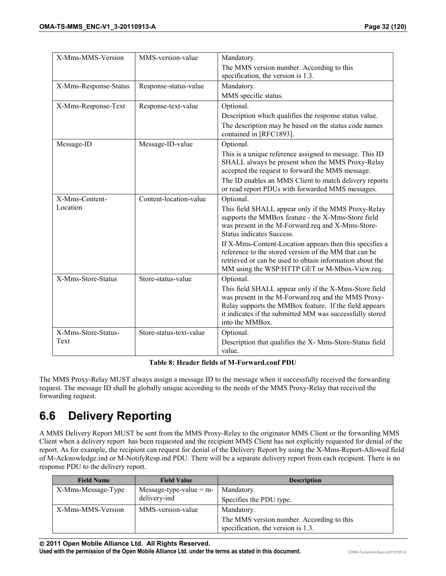<span id="page-31-0"></span>

| X-Mms-MMS-Version     | MMS-version-value       | Mandatory.                                                                                                                                                                                                                                            |
|-----------------------|-------------------------|-------------------------------------------------------------------------------------------------------------------------------------------------------------------------------------------------------------------------------------------------------|
|                       |                         | The MMS version number. According to this                                                                                                                                                                                                             |
|                       |                         | specification, the version is 1.3.                                                                                                                                                                                                                    |
| X-Mms-Response-Status | Response-status-value   | Mandatory.                                                                                                                                                                                                                                            |
|                       |                         | MMS specific status.                                                                                                                                                                                                                                  |
| X-Mms-Response-Text   | Response-text-value     | Optional.                                                                                                                                                                                                                                             |
|                       |                         | Description which qualifies the response status value.                                                                                                                                                                                                |
|                       |                         | The description may be based on the status code names<br>contained in [RFC1893].                                                                                                                                                                      |
| Message-ID            | Message-ID-value        | Optional.                                                                                                                                                                                                                                             |
|                       |                         | This is a unique reference assigned to message. This ID<br>SHALL always be present when the MMS Proxy-Relay<br>accepted the request to forward the MMS message.                                                                                       |
|                       |                         | The ID enables an MMS Client to match delivery reports<br>or read report PDUs with forwarded MMS messages.                                                                                                                                            |
| X-Mms-Content-        | Content-location-value  | Optional.                                                                                                                                                                                                                                             |
| Location              |                         | This field SHALL appear only if the MMS Proxy-Relay<br>supports the MMBox feature - the X-Mms-Store field<br>was present in the M-Forward.req and X-Mms-Store-<br><b>Status indicates Success.</b>                                                    |
|                       |                         | If X-Mms-Content-Location appears then this specifies a<br>reference to the stored version of the MM that can be<br>retrieved or can be used to obtain information about the<br>MM using the WSP/HTTP GET or M-Mbox-View.req.                         |
| X-Mms-Store-Status    | Store-status-value      | Optional.                                                                                                                                                                                                                                             |
|                       |                         | This field SHALL appear only if the X-Mms-Store field<br>was present in the M-Forward.req and the MMS Proxy-<br>Relay supports the MMBox feature. If the field appears<br>it indicates if the submitted MM was successfully stored<br>into the MMBox. |
| X-Mms-Store-Status-   | Store-status-text-value | Optional.                                                                                                                                                                                                                                             |
| Text                  |                         | Description that qualifies the X- Mms-Store-Status field<br>value.                                                                                                                                                                                    |

#### **Table 8: Header fields of M-Forward.conf PDU**

The MMS Proxy-Relay MUST always assign a message ID to the message when it successfully received the forwarding request. The message ID shall be globally unique according to the needs of the MMS Proxy-Relay that received the forwarding request.

## **6.6 Delivery Reporting**

A MMS Delivery Report MUST be sent from the MMS Proxy-Relay to the originator MMS Client or the forwarding MMS Client when a delivery report has been requested and the recipient MMS Client has not explicitly requested for denial of the report. As for example, the recipient can request for denial of the Delivery Report by using the X-Mms-Report-Allowed field of M-Acknowledge.ind or M-NotifyResp.ind PDU. There will be a separate delivery report from each recipient. There is no response PDU to the delivery report.

| <b>Field Name</b>  | <b>Field Value</b>        | <b>Description</b>                                                              |
|--------------------|---------------------------|---------------------------------------------------------------------------------|
| X-Mms-Message-Type | Message-type-value = $m-$ | Mandatory.                                                                      |
|                    | delivery-ind              | Specifies the PDU type.                                                         |
| X-Mms-MMS-Version  | MMS-version-value         | Mandatory.                                                                      |
|                    |                           | The MMS version number. According to this<br>specification, the version is 1.3. |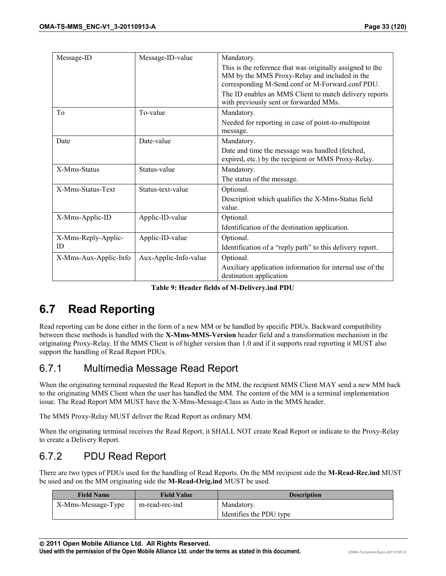<span id="page-32-0"></span>

| Message-ID            | Message-ID-value      | Mandatory.                                                                                                                                                     |
|-----------------------|-----------------------|----------------------------------------------------------------------------------------------------------------------------------------------------------------|
|                       |                       | This is the reference that was originally assigned to the<br>MM by the MMS Proxy-Relay and included in the<br>corresponding M-Send.conf or M-Forward.conf PDU. |
|                       |                       | The ID enables an MMS Client to match delivery reports<br>with previously sent or forwarded MMs.                                                               |
| To                    | To-value              | Mandatory.                                                                                                                                                     |
|                       |                       | Needed for reporting in case of point-to-multipoint<br>message.                                                                                                |
| Date                  | Date-value            | Mandatory.                                                                                                                                                     |
|                       |                       | Date and time the message was handled (fetched,<br>expired, etc.) by the recipient or MMS Proxy-Relay.                                                         |
| X-Mms-Status          | Status-value          | Mandatory.                                                                                                                                                     |
|                       |                       | The status of the message.                                                                                                                                     |
| X-Mms-Status-Text     | Status-text-value     | Optional.                                                                                                                                                      |
|                       |                       | Description which qualifies the X-Mms-Status field<br>value.                                                                                                   |
| X-Mms-Applic-ID       | Applic-ID-value       | Optional.                                                                                                                                                      |
|                       |                       | Identification of the destination application.                                                                                                                 |
| X-Mms-Reply-Applic-   | Applic-ID-value       | Optional.                                                                                                                                                      |
| ID                    |                       | Identification of a "reply path" to this delivery report.                                                                                                      |
| X-Mms-Aux-Applic-Info | Aux-Applic-Info-value | Optional.                                                                                                                                                      |
|                       |                       | Auxiliary application information for internal use of the<br>destination application                                                                           |

**Table 9: Header fields of M-Delivery.ind PDU** 

## **6.7 Read Reporting**

Read reporting can be done either in the form of a new MM or be handled by specific PDUs. Backward compatibility between these methods is handled with the **X-Mms-MMS-Version** header field and a transformation mechanism in the originating Proxy-Relay. If the MMS Client is of higher version than 1.0 and if it supports read reporting it MUST also support the handling of Read Report PDUs.

#### 6.7.1 Multimedia Message Read Report

When the originating terminal requested the Read Report in the MM, the recipient MMS Client MAY send a new MM back to the originating MMS Client when the user has handled the MM. The content of the MM is a terminal implementation issue. The Read Report MM MUST have the X-Mms-Message-Class as Auto in the MMS header.

The MMS Proxy-Relay MUST deliver the Read Report as ordinary MM.

When the originating terminal receives the Read Report, it SHALL NOT create Read Report or indicate to the Proxy-Relay to create a Delivery Report.

#### 6.7.2 PDU Read Report

There are two types of PDUs used for the handling of Read Reports. On the MM recipient side the **M-Read-Rec.ind** MUST be used and on the MM originating side the **M-Read-Orig.ind** MUST be used.

| <b>Field Name</b>  | <b>Field Value</b> | <b>Description</b>      |
|--------------------|--------------------|-------------------------|
| X-Mms-Message-Type | m-read-rec-ind     | Mandatory.              |
|                    |                    | Identifies the PDU type |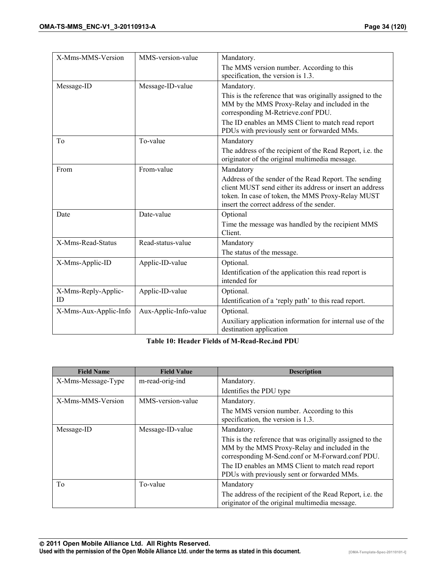<span id="page-33-0"></span>

| X-Mms-MMS-Version     | MMS-version-value     | Mandatory.                                                                                                                                                                                                          |
|-----------------------|-----------------------|---------------------------------------------------------------------------------------------------------------------------------------------------------------------------------------------------------------------|
|                       |                       | The MMS version number. According to this                                                                                                                                                                           |
|                       |                       | specification, the version is 1.3.                                                                                                                                                                                  |
| Message-ID            | Message-ID-value      | Mandatory.                                                                                                                                                                                                          |
|                       |                       | This is the reference that was originally assigned to the<br>MM by the MMS Proxy-Relay and included in the<br>corresponding M-Retrieve.conf PDU.                                                                    |
|                       |                       | The ID enables an MMS Client to match read report<br>PDUs with previously sent or forwarded MMs.                                                                                                                    |
| T <sub>0</sub>        | To-value              | Mandatory                                                                                                                                                                                                           |
|                       |                       | The address of the recipient of the Read Report, i.e. the<br>originator of the original multimedia message.                                                                                                         |
| From                  | From-value            | Mandatory                                                                                                                                                                                                           |
|                       |                       | Address of the sender of the Read Report. The sending<br>client MUST send either its address or insert an address<br>token. In case of token, the MMS Proxy-Relay MUST<br>insert the correct address of the sender. |
| Date                  | Date-value            | Optional                                                                                                                                                                                                            |
|                       |                       | Time the message was handled by the recipient MMS<br>Client.                                                                                                                                                        |
| X-Mms-Read-Status     | Read-status-value     | Mandatory                                                                                                                                                                                                           |
|                       |                       | The status of the message.                                                                                                                                                                                          |
| X-Mms-Applic-ID       | Applic-ID-value       | Optional.                                                                                                                                                                                                           |
|                       |                       | Identification of the application this read report is<br>intended for                                                                                                                                               |
| X-Mms-Reply-Applic-   | Applic-ID-value       | Optional.                                                                                                                                                                                                           |
| ID                    |                       | Identification of a 'reply path' to this read report.                                                                                                                                                               |
| X-Mms-Aux-Applic-Info | Aux-Applic-Info-value | Optional.                                                                                                                                                                                                           |
|                       |                       | Auxiliary application information for internal use of the<br>destination application                                                                                                                                |

**Table 10: Header Fields of M-Read-Rec.ind PDU** 

| <b>Field Name</b>  | <b>Field Value</b> | <b>Description</b>                                                                                                                                             |
|--------------------|--------------------|----------------------------------------------------------------------------------------------------------------------------------------------------------------|
| X-Mms-Message-Type | m-read-orig-ind    | Mandatory.                                                                                                                                                     |
|                    |                    | Identifies the PDU type                                                                                                                                        |
| X-Mms-MMS-Version  | MMS-version-value  | Mandatory.                                                                                                                                                     |
|                    |                    | The MMS version number. According to this<br>specification, the version is 1.3.                                                                                |
| Message-ID         | Message-ID-value   | Mandatory.                                                                                                                                                     |
|                    |                    | This is the reference that was originally assigned to the<br>MM by the MMS Proxy-Relay and included in the<br>corresponding M-Send.conf or M-Forward.conf PDU. |
|                    |                    | The ID enables an MMS Client to match read report<br>PDUs with previously sent or forwarded MMs.                                                               |
| To                 | To-value           | Mandatory                                                                                                                                                      |
|                    |                    | The address of the recipient of the Read Report, <i>i.e.</i> the<br>originator of the original multimedia message.                                             |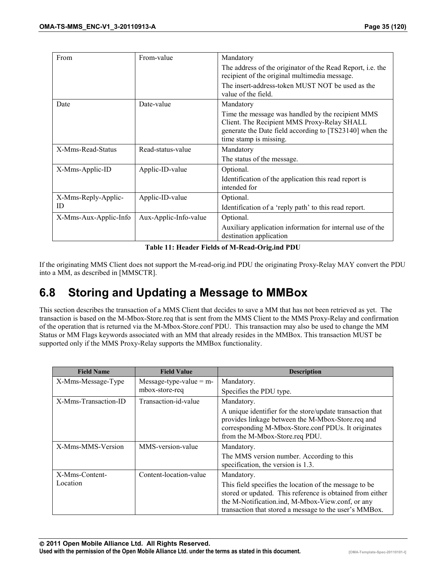<span id="page-34-0"></span>

| From                  | From-value            | Mandatory                                                                                                                                                                             |
|-----------------------|-----------------------|---------------------------------------------------------------------------------------------------------------------------------------------------------------------------------------|
|                       |                       | The address of the originator of the Read Report, <i>i.e.</i> the<br>recipient of the original multimedia message.                                                                    |
|                       |                       | The insert-address-token MUST NOT be used as the<br>value of the field.                                                                                                               |
| Date                  | Date-value            | Mandatory                                                                                                                                                                             |
|                       |                       | Time the message was handled by the recipient MMS<br>Client. The Recipient MMS Proxy-Relay SHALL<br>generate the Date field according to [TS23140] when the<br>time stamp is missing. |
| X-Mms-Read-Status     | Read-status-value     | Mandatory                                                                                                                                                                             |
|                       |                       | The status of the message.                                                                                                                                                            |
| X-Mms-Applic-ID       | Applic-ID-value       | Optional.                                                                                                                                                                             |
|                       |                       | Identification of the application this read report is<br>intended for                                                                                                                 |
| X-Mms-Reply-Applic-   | Applic-ID-value       | Optional.                                                                                                                                                                             |
| ID                    |                       | Identification of a 'reply path' to this read report.                                                                                                                                 |
| X-Mms-Aux-Applic-Info | Aux-Applic-Info-value | Optional.                                                                                                                                                                             |
|                       |                       | Auxiliary application information for internal use of the<br>destination application                                                                                                  |

**Table 11: Header Fields of M-Read-Orig.ind PDU** 

If the originating MMS Client does not support the M-read-orig.ind PDU the originating Proxy-Relay MAY convert the PDU into a MM, as described in [MMSCTR].

## **6.8 Storing and Updating a Message to MMBox**

This section describes the transaction of a MMS Client that decides to save a MM that has not been retrieved as yet. The transaction is based on the M-Mbox-Store.req that is sent from the MMS Client to the MMS Proxy-Relay and confirmation of the operation that is returned via the M-Mbox-Store.conf PDU. This transaction may also be used to change the MM Status or MM Flags keywords associated with an MM that already resides in the MMBox. This transaction MUST be supported only if the MMS Proxy-Relay supports the MMBox functionality.

| <b>Field Name</b>    | <b>Field Value</b>        | <b>Description</b>                                                                                                                                                                                                                 |
|----------------------|---------------------------|------------------------------------------------------------------------------------------------------------------------------------------------------------------------------------------------------------------------------------|
| X-Mms-Message-Type   | Message-type-value = $m-$ | Mandatory.                                                                                                                                                                                                                         |
|                      | mbox-store-req            | Specifies the PDU type.                                                                                                                                                                                                            |
| X-Mms-Transaction-ID | Transaction-id-value      | Mandatory.                                                                                                                                                                                                                         |
|                      |                           | A unique identifier for the store/update transaction that<br>provides linkage between the M-Mbox-Store.req and<br>corresponding M-Mbox-Store.conf PDUs. It originates<br>from the M-Mbox-Store.reg PDU.                            |
| X-Mms-MMS-Version    | MMS-version-value         | Mandatory.                                                                                                                                                                                                                         |
|                      |                           | The MMS version number. According to this<br>specification, the version is 1.3.                                                                                                                                                    |
| X-Mms-Content-       | Content-location-value    | Mandatory.                                                                                                                                                                                                                         |
| Location             |                           | This field specifies the location of the message to be.<br>stored or updated. This reference is obtained from either<br>the M-Notification.ind, M-Mbox-View.conf, or any<br>transaction that stored a message to the user's MMBox. |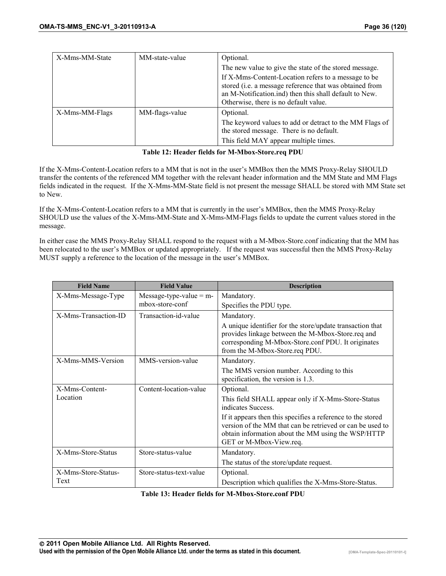<span id="page-35-0"></span>

| X-Mms-MM-State | MM-state-value | Optional.                                                                                                                                                                                                         |
|----------------|----------------|-------------------------------------------------------------------------------------------------------------------------------------------------------------------------------------------------------------------|
|                |                | The new value to give the state of the stored message.                                                                                                                                                            |
|                |                | If X-Mms-Content-Location refers to a message to be<br>stored (i.e. a message reference that was obtained from<br>an M-Notification.ind) then this shall default to New.<br>Otherwise, there is no default value. |
| X-Mms-MM-Flags | MM-flags-value | Optional.                                                                                                                                                                                                         |
|                |                | The keyword values to add or detract to the MM Flags of<br>the stored message. There is no default.                                                                                                               |
|                |                | This field MAY appear multiple times.                                                                                                                                                                             |

#### **Table 12: Header fields for M-Mbox-Store.req PDU**

If the X-Mms-Content-Location refers to a MM that is not in the user's MMBox then the MMS Proxy-Relay SHOULD transfer the contents of the referenced MM together with the relevant header information and the MM State and MM Flags fields indicated in the request. If the X-Mms-MM-State field is not present the message SHALL be stored with MM State set to New.

If the X-Mms-Content-Location refers to a MM that is currently in the user's MMBox, then the MMS Proxy-Relay SHOULD use the values of the X-Mms-MM-State and X-Mms-MM-Flags fields to update the current values stored in the message.

In either case the MMS Proxy-Relay SHALL respond to the request with a M-Mbox-Store.conf indicating that the MM has been relocated to the user's MMBox or updated appropriately. If the request was successful then the MMS Proxy-Relay MUST supply a reference to the location of the message in the user's MMBox.

| <b>Field Name</b>    | <b>Field Value</b>        | <b>Description</b>                                                                                                                                                                                        |
|----------------------|---------------------------|-----------------------------------------------------------------------------------------------------------------------------------------------------------------------------------------------------------|
| X-Mms-Message-Type   | Message-type-value = $m-$ | Mandatory.                                                                                                                                                                                                |
|                      | mbox-store-conf           | Specifies the PDU type.                                                                                                                                                                                   |
| X-Mms-Transaction-ID | Transaction-id-value      | Mandatory.                                                                                                                                                                                                |
|                      |                           | A unique identifier for the store/update transaction that<br>provides linkage between the M-Mbox-Store.req and<br>corresponding M-Mbox-Store.conf PDU. It originates<br>from the M-Mbox-Store.req PDU.    |
| X-Mms-MMS-Version    | MMS-version-value         | Mandatory.                                                                                                                                                                                                |
|                      |                           | The MMS version number. According to this<br>specification, the version is 1.3.                                                                                                                           |
| X-Mms-Content-       | Content-location-value    | Optional.                                                                                                                                                                                                 |
| Location             |                           | This field SHALL appear only if X-Mms-Store-Status<br>indicates Success.                                                                                                                                  |
|                      |                           | If it appears then this specifies a reference to the stored<br>version of the MM that can be retrieved or can be used to<br>obtain information about the MM using the WSP/HTTP<br>GET or M-Mbox-View.req. |
| X-Mms-Store-Status   | Store-status-value        | Mandatory.                                                                                                                                                                                                |
|                      |                           | The status of the store/update request.                                                                                                                                                                   |
| X-Mms-Store-Status-  | Store-status-text-value   | Optional.                                                                                                                                                                                                 |
| Text                 |                           | Description which qualifies the X-Mms-Store-Status.                                                                                                                                                       |

#### **Table 13: Header fields for M-Mbox-Store.conf PDU**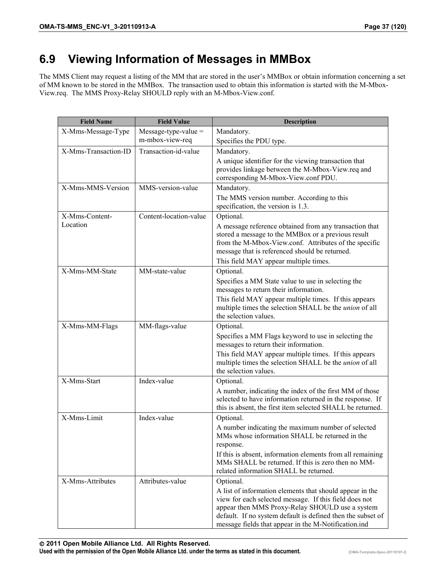# **6.9 Viewing Information of Messages in MMBox**

The MMS Client may request a listing of the MM that are stored in the user's MMBox or obtain information concerning a set of MM known to be stored in the MMBox. The transaction used to obtain this information is started with the M-Mbox-View.req. The MMS Proxy-Relay SHOULD reply with an M-Mbox-View.conf.

| <b>Field Name</b>    | <b>Field Value</b>     | <b>Description</b>                                                                                                                                                                                                                                                                                        |
|----------------------|------------------------|-----------------------------------------------------------------------------------------------------------------------------------------------------------------------------------------------------------------------------------------------------------------------------------------------------------|
| X-Mms-Message-Type   | $Message-type-value =$ | Mandatory.                                                                                                                                                                                                                                                                                                |
|                      | m-mbox-view-req        | Specifies the PDU type.                                                                                                                                                                                                                                                                                   |
| X-Mms-Transaction-ID | Transaction-id-value   | Mandatory.                                                                                                                                                                                                                                                                                                |
|                      |                        | A unique identifier for the viewing transaction that<br>provides linkage between the M-Mbox-View.req and<br>corresponding M-Mbox-View.conf PDU.                                                                                                                                                           |
| X-Mms-MMS-Version    | MMS-version-value      | Mandatory.                                                                                                                                                                                                                                                                                                |
|                      |                        | The MMS version number. According to this<br>specification, the version is 1.3.                                                                                                                                                                                                                           |
| X-Mms-Content-       | Content-location-value | Optional.                                                                                                                                                                                                                                                                                                 |
| Location             |                        | A message reference obtained from any transaction that<br>stored a message to the MMBox or a previous result<br>from the M-Mbox-View.conf. Attributes of the specific<br>message that is referenced should be returned.                                                                                   |
|                      |                        | This field MAY appear multiple times.                                                                                                                                                                                                                                                                     |
| X-Mms-MM-State       | MM-state-value         | Optional.<br>Specifies a MM State value to use in selecting the<br>messages to return their information.<br>This field MAY appear multiple times. If this appears<br>multiple times the selection SHALL be the union of all<br>the selection values.                                                      |
| X-Mms-MM-Flags       | MM-flags-value         | Optional.                                                                                                                                                                                                                                                                                                 |
|                      |                        | Specifies a MM Flags keyword to use in selecting the<br>messages to return their information.<br>This field MAY appear multiple times. If this appears<br>multiple times the selection SHALL be the <i>union</i> of all<br>the selection values.                                                          |
| X-Mms-Start          | Index-value            | Optional.                                                                                                                                                                                                                                                                                                 |
|                      |                        | A number, indicating the index of the first MM of those<br>selected to have information returned in the response. If<br>this is absent, the first item selected SHALL be returned.                                                                                                                        |
| X-Mms-Limit          | Index-value            | Optional.                                                                                                                                                                                                                                                                                                 |
|                      |                        | A number indicating the maximum number of selected<br>MMs whose information SHALL be returned in the<br>response.<br>If this is absent, information elements from all remaining<br>MMs SHALL be returned. If this is zero then no MM-                                                                     |
|                      |                        | related information SHALL be returned.                                                                                                                                                                                                                                                                    |
| X-Mms-Attributes     | Attributes-value       | Optional.<br>A list of information elements that should appear in the<br>view for each selected message. If this field does not<br>appear then MMS Proxy-Relay SHOULD use a system<br>default. If no system default is defined then the subset of<br>message fields that appear in the M-Notification.ind |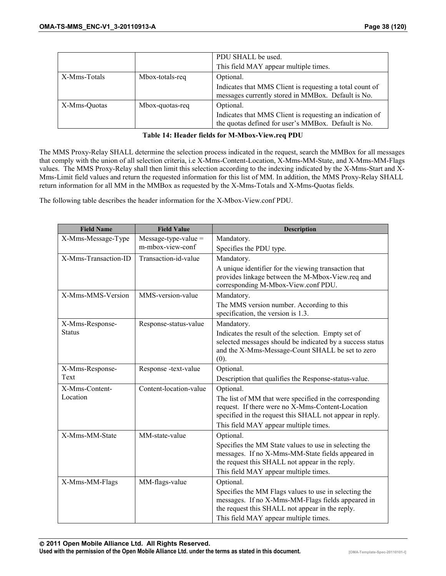|              |                 | PDU SHALL be used.                                                                                              |
|--------------|-----------------|-----------------------------------------------------------------------------------------------------------------|
|              |                 | This field MAY appear multiple times.                                                                           |
| X-Mms-Totals | Mbox-totals-req | Optional.                                                                                                       |
|              |                 | Indicates that MMS Client is requesting a total count of<br>messages currently stored in MMBox. Default is No.  |
| X-Mms-Ouotas | Mbox-quotas-req | Optional.                                                                                                       |
|              |                 | Indicates that MMS Client is requesting an indication of<br>the quotas defined for user's MMBox. Default is No. |

|  |  | Table 14: Header fields for M-Mbox-View.req PDU |  |
|--|--|-------------------------------------------------|--|
|  |  |                                                 |  |

The MMS Proxy-Relay SHALL determine the selection process indicated in the request, search the MMBox for all messages that comply with the union of all selection criteria, i.e X-Mms-Content-Location, X-Mms-MM-State, and X-Mms-MM-Flags values. The MMS Proxy-Relay shall then limit this selection according to the indexing indicated by the X-Mms-Start and X-Mms-Limit field values and return the requested information for this list of MM. In addition, the MMS Proxy-Relay SHALL return information for all MM in the MMBox as requested by the X-Mms-Totals and X-Mms-Quotas fields.

The following table describes the header information for the X-Mbox-View.conf PDU.

| <b>Field Name</b>    | <b>Field Value</b>     | <b>Description</b>                                                                                                                                                                                     |
|----------------------|------------------------|--------------------------------------------------------------------------------------------------------------------------------------------------------------------------------------------------------|
| X-Mms-Message-Type   | $Message-type-value =$ | Mandatory.                                                                                                                                                                                             |
|                      | m-mbox-view-conf       | Specifies the PDU type.                                                                                                                                                                                |
| X-Mms-Transaction-ID | Transaction-id-value   | Mandatory.                                                                                                                                                                                             |
|                      |                        | A unique identifier for the viewing transaction that<br>provides linkage between the M-Mbox-View.req and<br>corresponding M-Mbox-View.conf PDU.                                                        |
| X-Mms-MMS-Version    | MMS-version-value      | Mandatory.                                                                                                                                                                                             |
|                      |                        | The MMS version number. According to this<br>specification, the version is 1.3.                                                                                                                        |
| X-Mms-Response-      | Response-status-value  | Mandatory.                                                                                                                                                                                             |
| <b>Status</b>        |                        | Indicates the result of the selection. Empty set of<br>selected messages should be indicated by a success status<br>and the X-Mms-Message-Count SHALL be set to zero<br>(0).                           |
| X-Mms-Response-      | Response -text-value   | Optional.                                                                                                                                                                                              |
| Text                 |                        | Description that qualifies the Response-status-value.                                                                                                                                                  |
| X-Mms-Content-       | Content-location-value | Optional.                                                                                                                                                                                              |
| Location             |                        | The list of MM that were specified in the corresponding<br>request. If there were no X-Mms-Content-Location<br>specified in the request this SHALL not appear in reply.                                |
|                      |                        | This field MAY appear multiple times.                                                                                                                                                                  |
| X-Mms-MM-State       | MM-state-value         | Optional.                                                                                                                                                                                              |
|                      |                        | Specifies the MM State values to use in selecting the<br>messages. If no X-Mms-MM-State fields appeared in<br>the request this SHALL not appear in the reply.<br>This field MAY appear multiple times. |
| X-Mms-MM-Flags       | MM-flags-value         | Optional.                                                                                                                                                                                              |
|                      |                        | Specifies the MM Flags values to use in selecting the<br>messages. If no X-Mms-MM-Flags fields appeared in<br>the request this SHALL not appear in the reply.                                          |
|                      |                        | This field MAY appear multiple times.                                                                                                                                                                  |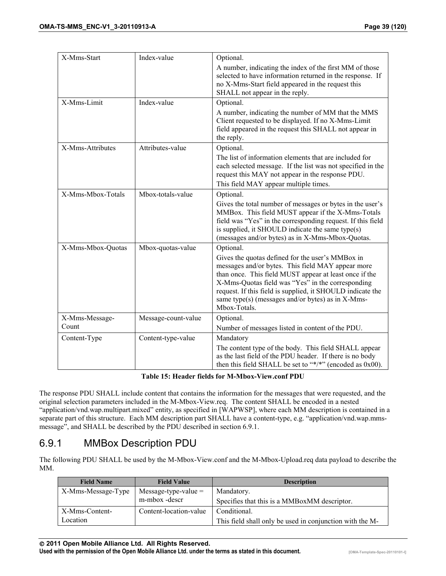| X-Mms-Start       | Index-value         | Optional.                                                                                                       |
|-------------------|---------------------|-----------------------------------------------------------------------------------------------------------------|
|                   |                     | A number, indicating the index of the first MM of those                                                         |
|                   |                     | selected to have information returned in the response. If                                                       |
|                   |                     | no X-Mms-Start field appeared in the request this                                                               |
|                   |                     | SHALL not appear in the reply.                                                                                  |
| X-Mms-Limit       | Index-value         | Optional.                                                                                                       |
|                   |                     | A number, indicating the number of MM that the MMS                                                              |
|                   |                     | Client requested to be displayed. If no X-Mms-Limit                                                             |
|                   |                     | field appeared in the request this SHALL not appear in                                                          |
|                   |                     | the reply.                                                                                                      |
| X-Mms-Attributes  | Attributes-value    | Optional.                                                                                                       |
|                   |                     | The list of information elements that are included for                                                          |
|                   |                     | each selected message. If the list was not specified in the                                                     |
|                   |                     | request this MAY not appear in the response PDU.                                                                |
|                   |                     | This field MAY appear multiple times.                                                                           |
| X-Mms-Mbox-Totals | Mbox-totals-value   | Optional.                                                                                                       |
|                   |                     | Gives the total number of messages or bytes in the user's                                                       |
|                   |                     | MMBox. This field MUST appear if the X-Mms-Totals                                                               |
|                   |                     | field was "Yes" in the corresponding request. If this field<br>is supplied, it SHOULD indicate the same type(s) |
|                   |                     | (messages and/or bytes) as in X-Mms-Mbox-Quotas.                                                                |
| X-Mms-Mbox-Quotas | Mbox-quotas-value   | Optional.                                                                                                       |
|                   |                     | Gives the quotas defined for the user's MMBox in                                                                |
|                   |                     | messages and/or bytes. This field MAY appear more                                                               |
|                   |                     | than once. This field MUST appear at least once if the                                                          |
|                   |                     | X-Mms-Quotas field was "Yes" in the corresponding                                                               |
|                   |                     | request. If this field is supplied, it SHOULD indicate the                                                      |
|                   |                     | same type(s) (messages and/or bytes) as in X-Mms-                                                               |
|                   |                     | Mbox-Totals.                                                                                                    |
| X-Mms-Message-    | Message-count-value | Optional.                                                                                                       |
| Count             |                     | Number of messages listed in content of the PDU.                                                                |
| Content-Type      | Content-type-value  | Mandatory                                                                                                       |
|                   |                     | The content type of the body. This field SHALL appear                                                           |
|                   |                     | as the last field of the PDU header. If there is no body                                                        |
|                   |                     | then this field SHALL be set to "*/*" (encoded as $0x00$ ).                                                     |

**Table 15: Header fields for M-Mbox-View.conf PDU** 

The response PDU SHALL include content that contains the information for the messages that were requested, and the original selection parameters included in the M-Mbox-View.req. The content SHALL be encoded in a nested "application/vnd.wap.multipart.mixed" entity, as specified in [WAPWSP], where each MM description is contained in a separate part of this structure. Each MM description part SHALL have a content-type, e.g. "application/vnd.wap.mmsmessage", and SHALL be described by the PDU described in section 6.9.1.

## 6.9.1 MMBox Description PDU

The following PDU SHALL be used by the M-Mbox-View.conf and the M-Mbox-Upload.req data payload to describe the MM.

| <b>Field Name</b>  | <b>Field Value</b>     | <b>Description</b>                                       |
|--------------------|------------------------|----------------------------------------------------------|
| X-Mms-Message-Type | $Message-type-value =$ | Mandatory.                                               |
|                    | m-mbox-descr           | Specifies that this is a MMBoxMM descriptor.             |
| X-Mms-Content-     | Content-location-value | Conditional.                                             |
| Location           |                        | This field shall only be used in conjunction with the M- |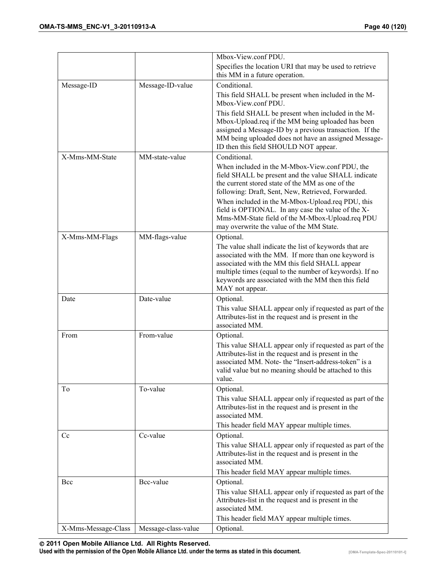|                     |                     | Mbox-View.conf PDU.                                                                                              |
|---------------------|---------------------|------------------------------------------------------------------------------------------------------------------|
|                     |                     | Specifies the location URI that may be used to retrieve                                                          |
|                     |                     | this MM in a future operation.                                                                                   |
| Message-ID          | Message-ID-value    | Conditional.                                                                                                     |
|                     |                     | This field SHALL be present when included in the M-<br>Mbox-View.conf PDU.                                       |
|                     |                     | This field SHALL be present when included in the M-                                                              |
|                     |                     | Mbox-Upload.req if the MM being uploaded has been                                                                |
|                     |                     | assigned a Message-ID by a previous transaction. If the                                                          |
|                     |                     | MM being uploaded does not have an assigned Message-<br>ID then this field SHOULD NOT appear.                    |
| X-Mms-MM-State      | MM-state-value      | Conditional.                                                                                                     |
|                     |                     | When included in the M-Mbox-View.conf PDU, the                                                                   |
|                     |                     | field SHALL be present and the value SHALL indicate<br>the current stored state of the MM as one of the          |
|                     |                     | following: Draft, Sent, New, Retrieved, Forwarded.                                                               |
|                     |                     | When included in the M-Mbox-Upload.req PDU, this                                                                 |
|                     |                     | field is OPTIONAL. In any case the value of the X-                                                               |
|                     |                     | Mms-MM-State field of the M-Mbox-Upload.req PDU                                                                  |
|                     |                     | may overwrite the value of the MM State.                                                                         |
| X-Mms-MM-Flags      | MM-flags-value      | Optional.<br>The value shall indicate the list of keywords that are                                              |
|                     |                     | associated with the MM. If more than one keyword is                                                              |
|                     |                     | associated with the MM this field SHALL appear                                                                   |
|                     |                     | multiple times (equal to the number of keywords). If no                                                          |
|                     |                     | keywords are associated with the MM then this field                                                              |
| Date                | Date-value          | MAY not appear.<br>Optional.                                                                                     |
|                     |                     | This value SHALL appear only if requested as part of the                                                         |
|                     |                     | Attributes-list in the request and is present in the                                                             |
|                     |                     | associated MM.                                                                                                   |
| From                | From-value          | Optional.                                                                                                        |
|                     |                     | This value SHALL appear only if requested as part of the                                                         |
|                     |                     | Attributes-list in the request and is present in the<br>associated MM. Note- the "Insert-address-token" is a     |
|                     |                     | valid value but no meaning should be attached to this                                                            |
|                     |                     | value.                                                                                                           |
| To                  | To-value            | Optional.                                                                                                        |
|                     |                     | This value SHALL appear only if requested as part of the                                                         |
|                     |                     | Attributes-list in the request and is present in the<br>associated MM.                                           |
|                     |                     | This header field MAY appear multiple times.                                                                     |
| Cc                  | Cc-value            | Optional.                                                                                                        |
|                     |                     | This value SHALL appear only if requested as part of the                                                         |
|                     |                     | Attributes-list in the request and is present in the                                                             |
|                     |                     | associated MM.                                                                                                   |
|                     |                     | This header field MAY appear multiple times.                                                                     |
| Bcc                 | Bcc-value           | Optional.                                                                                                        |
|                     |                     | This value SHALL appear only if requested as part of the<br>Attributes-list in the request and is present in the |
|                     |                     | associated MM.                                                                                                   |
|                     |                     | This header field MAY appear multiple times.                                                                     |
| X-Mms-Message-Class | Message-class-value | Optional.                                                                                                        |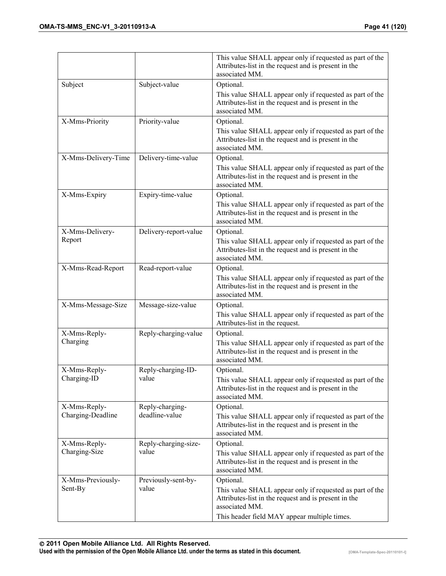|                                   |                                   | This value SHALL appear only if requested as part of the<br>Attributes-list in the request and is present in the<br>associated MM.                                                              |
|-----------------------------------|-----------------------------------|-------------------------------------------------------------------------------------------------------------------------------------------------------------------------------------------------|
| Subject                           | Subject-value                     | Optional.<br>This value SHALL appear only if requested as part of the<br>Attributes-list in the request and is present in the<br>associated MM.                                                 |
| X-Mms-Priority                    | Priority-value                    | Optional.<br>This value SHALL appear only if requested as part of the<br>Attributes-list in the request and is present in the<br>associated MM.                                                 |
| X-Mms-Delivery-Time               | Delivery-time-value               | Optional.<br>This value SHALL appear only if requested as part of the<br>Attributes-list in the request and is present in the<br>associated MM.                                                 |
| X-Mms-Expiry                      | Expiry-time-value                 | Optional.<br>This value SHALL appear only if requested as part of the<br>Attributes-list in the request and is present in the<br>associated MM.                                                 |
| X-Mms-Delivery-<br>Report         | Delivery-report-value             | Optional.<br>This value SHALL appear only if requested as part of the<br>Attributes-list in the request and is present in the<br>associated MM.                                                 |
| X-Mms-Read-Report                 | Read-report-value                 | Optional.<br>This value SHALL appear only if requested as part of the<br>Attributes-list in the request and is present in the<br>associated MM.                                                 |
| X-Mms-Message-Size                | Message-size-value                | Optional.<br>This value SHALL appear only if requested as part of the<br>Attributes-list in the request.                                                                                        |
| X-Mms-Reply-<br>Charging          | Reply-charging-value              | Optional.<br>This value SHALL appear only if requested as part of the<br>Attributes-list in the request and is present in the<br>associated MM.                                                 |
| X-Mms-Reply-<br>Charging-ID       | Reply-charging-ID-<br>value       | Optional.<br>This value SHALL appear only if requested as part of the<br>Attributes-list in the request and is present in the<br>associated MM.                                                 |
| X-Mms-Reply-<br>Charging-Deadline | Reply-charging-<br>deadline-value | Optional.<br>This value SHALL appear only if requested as part of the<br>Attributes-list in the request and is present in the<br>associated MM.                                                 |
| X-Mms-Reply-<br>Charging-Size     | Reply-charging-size-<br>value     | Optional.<br>This value SHALL appear only if requested as part of the<br>Attributes-list in the request and is present in the<br>associated MM.                                                 |
| X-Mms-Previously-<br>Sent-By      | Previously-sent-by-<br>value      | Optional.<br>This value SHALL appear only if requested as part of the<br>Attributes-list in the request and is present in the<br>associated MM.<br>This header field MAY appear multiple times. |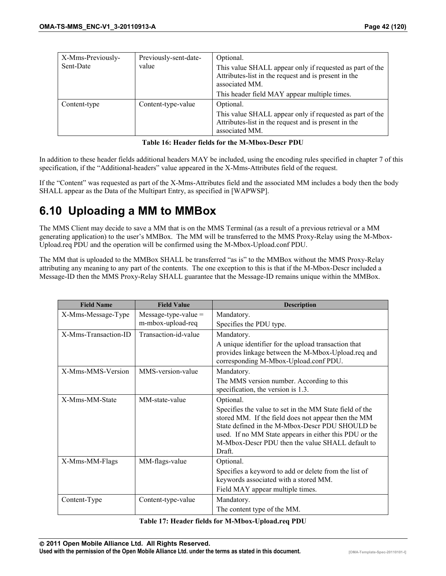| X-Mms-Previously- | Previously-sent-date- | Optional.                                                                                                                          |
|-------------------|-----------------------|------------------------------------------------------------------------------------------------------------------------------------|
| Sent-Date         | value                 | This value SHALL appear only if requested as part of the<br>Attributes-list in the request and is present in the<br>associated MM. |
|                   |                       | This header field MAY appear multiple times.                                                                                       |
| Content-type      | Content-type-value    | Optional.                                                                                                                          |
|                   |                       | This value SHALL appear only if requested as part of the<br>Attributes-list in the request and is present in the<br>associated MM. |

**Table 16: Header fields for the M-Mbox-Descr PDU** 

In addition to these header fields additional headers MAY be included, using the encoding rules specified in chapter 7 of this specification, if the "Additional-headers" value appeared in the X-Mms-Attributes field of the request.

If the "Content" was requested as part of the X-Mms-Attributes field and the associated MM includes a body then the body SHALL appear as the Data of the Multipart Entry, as specified in [WAPWSP].

# **6.10 Uploading a MM to MMBox**

The MMS Client may decide to save a MM that is on the MMS Terminal (as a result of a previous retrieval or a MM generating application) to the user's MMBox. The MM will be transferred to the MMS Proxy-Relay using the M-Mbox-Upload.req PDU and the operation will be confirmed using the M-Mbox-Upload.conf PDU.

The MM that is uploaded to the MMBox SHALL be transferred "as is" to the MMBox without the MMS Proxy-Relay attributing any meaning to any part of the contents. The one exception to this is that if the M-Mbox-Descr included a Message-ID then the MMS Proxy-Relay SHALL guarantee that the Message-ID remains unique within the MMBox.

| <b>Field Name</b>    | <b>Field Value</b>     | <b>Description</b>                                                                                                                                                                                                                                                                        |
|----------------------|------------------------|-------------------------------------------------------------------------------------------------------------------------------------------------------------------------------------------------------------------------------------------------------------------------------------------|
| X-Mms-Message-Type   | Message-type-value $=$ | Mandatory.                                                                                                                                                                                                                                                                                |
|                      | m-mbox-upload-req      | Specifies the PDU type.                                                                                                                                                                                                                                                                   |
| X-Mms-Transaction-ID | Transaction-id-value   | Mandatory.                                                                                                                                                                                                                                                                                |
|                      |                        | A unique identifier for the upload transaction that<br>provides linkage between the M-Mbox-Upload.req and<br>corresponding M-Mbox-Upload.conf PDU.                                                                                                                                        |
| X-Mms-MMS-Version    | MMS-version-value      | Mandatory.                                                                                                                                                                                                                                                                                |
|                      |                        | The MMS version number. According to this<br>specification, the version is 1.3.                                                                                                                                                                                                           |
| X-Mms-MM-State       | MM-state-value         | Optional.                                                                                                                                                                                                                                                                                 |
|                      |                        | Specifies the value to set in the MM State field of the<br>stored MM. If the field does not appear then the MM<br>State defined in the M-Mbox-Descr PDU SHOULD be<br>used. If no MM State appears in either this PDU or the<br>M-Mbox-Descr PDU then the value SHALL default to<br>Draft. |
| X-Mms-MM-Flags       | MM-flags-value         | Optional.                                                                                                                                                                                                                                                                                 |
|                      |                        | Specifies a keyword to add or delete from the list of<br>keywords associated with a stored MM.<br>Field MAY appear multiple times.                                                                                                                                                        |
| Content-Type         | Content-type-value     | Mandatory.                                                                                                                                                                                                                                                                                |
|                      |                        | The content type of the MM.                                                                                                                                                                                                                                                               |

#### **Table 17: Header fields for M-Mbox-Upload.req PDU**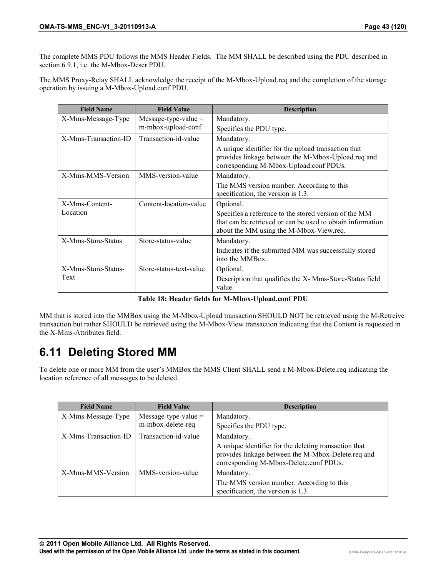The complete MMS PDU follows the MMS Header Fields. The MM SHALL be described using the PDU described in section 6.9.1, i.e. the M-Mbox-Descr PDU.

The MMS Proxy-Relay SHALL acknowledge the receipt of the M-Mbox-Upload.req and the completion of the storage operation by issuing a M-Mbox-Upload.conf PDU.

| <b>Field Name</b>    | <b>Field Value</b>      | <b>Description</b>                                                                                                                                             |
|----------------------|-------------------------|----------------------------------------------------------------------------------------------------------------------------------------------------------------|
| X-Mms-Message-Type   | $Message-type-value =$  | Mandatory.                                                                                                                                                     |
|                      | m-mbox-upload-conf      | Specifies the PDU type.                                                                                                                                        |
| X-Mms-Transaction-ID | Transaction-id-value    | Mandatory.                                                                                                                                                     |
|                      |                         | A unique identifier for the upload transaction that<br>provides linkage between the M-Mbox-Upload.req and<br>corresponding M-Mbox-Upload.conf PDUs.            |
| X-Mms-MMS-Version    | MMS-version-value       | Mandatory.                                                                                                                                                     |
|                      |                         | The MMS version number. According to this<br>specification, the version is 1.3.                                                                                |
| X-Mms-Content-       | Content-location-value  | Optional.                                                                                                                                                      |
| Location             |                         | Specifies a reference to the stored version of the MM<br>that can be retrieved or can be used to obtain information<br>about the MM using the M-Mbox-View.req. |
| X-Mms-Store-Status   | Store-status-value      | Mandatory.                                                                                                                                                     |
|                      |                         | Indicates if the submitted MM was successfully stored<br>into the MMBox.                                                                                       |
| X-Mms-Store-Status-  | Store-status-text-value | Optional.                                                                                                                                                      |
| Text                 |                         | Description that qualifies the X-Mms-Store-Status field<br>value.                                                                                              |

**Table 18: Header fields for M-Mbox-Upload.conf PDU** 

MM that is stored into the MMBox using the M-Mbox-Upload transaction SHOULD NOT be retrieved using the M-Retreive transaction but rather SHOULD be retrieved using the M-Mbox-View transaction indicating that the Content is requested in the X-Mms-Attributes field.

# **6.11 Deleting Stored MM**

To delete one or more MM from the user's MMBox the MMS Client SHALL send a M-Mbox-Delete.req indicating the location reference of all messages to be deleted.

| <b>Field Name</b>    | <b>Field Value</b>     | <b>Description</b>                                                                                                                                    |
|----------------------|------------------------|-------------------------------------------------------------------------------------------------------------------------------------------------------|
| X-Mms-Message-Type   | $Message-type-value =$ | Mandatory.                                                                                                                                            |
|                      | m-mbox-delete-req      | Specifies the PDU type.                                                                                                                               |
| X-Mms-Transaction-ID | Transaction-id-value   | Mandatory.                                                                                                                                            |
|                      |                        | A unique identifier for the deleting transaction that<br>provides linkage between the M-Mbox-Delete.req and<br>corresponding M-Mbox-Delete.conf PDUs. |
| X-Mms-MMS-Version    | MMS-version-value      | Mandatory.                                                                                                                                            |
|                      |                        | The MMS version number. According to this<br>specification, the version is 1.3.                                                                       |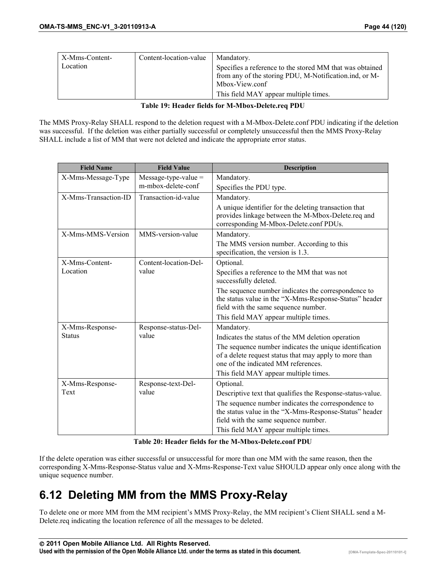| X-Mms-Content- | Content-location-value | Mandatory.                                               |
|----------------|------------------------|----------------------------------------------------------|
| Location       |                        | Specifies a reference to the stored MM that was obtained |
|                |                        | from any of the storing PDU, M-Notification.ind, or M-   |
|                |                        | Mbox-View.conf                                           |
|                |                        | This field MAY appear multiple times.                    |

#### **Table 19: Header fields for M-Mbox-Delete.req PDU**

The MMS Proxy-Relay SHALL respond to the deletion request with a M-Mbox-Delete.conf PDU indicating if the deletion was successful. If the deletion was either partially successful or completely unsuccessful then the MMS Proxy-Relay SHALL include a list of MM that were not deleted and indicate the appropriate error status.

| <b>Field Name</b>    | <b>Field Value</b>     | <b>Description</b>                                                                                                                                       |
|----------------------|------------------------|----------------------------------------------------------------------------------------------------------------------------------------------------------|
| X-Mms-Message-Type   | $Message-type-value =$ | Mandatory.                                                                                                                                               |
|                      | m-mbox-delete-conf     | Specifies the PDU type.                                                                                                                                  |
| X-Mms-Transaction-ID | Transaction-id-value   | Mandatory.                                                                                                                                               |
|                      |                        | A unique identifier for the deleting transaction that<br>provides linkage between the M-Mbox-Delete.req and<br>corresponding M-Mbox-Delete.conf PDUs.    |
| X-Mms-MMS-Version    | MMS-version-value      | Mandatory.                                                                                                                                               |
|                      |                        | The MMS version number. According to this<br>specification, the version is 1.3.                                                                          |
| X-Mms-Content-       | Content-location-Del-  | Optional.                                                                                                                                                |
| Location             | value                  | Specifies a reference to the MM that was not<br>successfully deleted.                                                                                    |
|                      |                        | The sequence number indicates the correspondence to<br>the status value in the "X-Mms-Response-Status" header<br>field with the same sequence number.    |
|                      |                        | This field MAY appear multiple times.                                                                                                                    |
| X-Mms-Response-      | Response-status-Del-   | Mandatory.                                                                                                                                               |
| <b>Status</b>        | value                  | Indicates the status of the MM deletion operation                                                                                                        |
|                      |                        | The sequence number indicates the unique identification<br>of a delete request status that may apply to more than<br>one of the indicated MM references. |
|                      |                        | This field MAY appear multiple times.                                                                                                                    |
| X-Mms-Response-      | Response-text-Del-     | Optional.                                                                                                                                                |
| Text                 | value                  | Descriptive text that qualifies the Response-status-value.                                                                                               |
|                      |                        | The sequence number indicates the correspondence to<br>the status value in the "X-Mms-Response-Status" header                                            |
|                      |                        | field with the same sequence number.                                                                                                                     |
|                      |                        | This field MAY appear multiple times.                                                                                                                    |

**Table 20: Header fields for the M-Mbox-Delete.conf PDU** 

If the delete operation was either successful or unsuccessful for more than one MM with the same reason, then the corresponding X-Mms-Response-Status value and X-Mms-Response-Text value SHOULD appear only once along with the unique sequence number.

# **6.12 Deleting MM from the MMS Proxy-Relay**

To delete one or more MM from the MM recipient's MMS Proxy-Relay, the MM recipient's Client SHALL send a M-Delete.req indicating the location reference of all the messages to be deleted.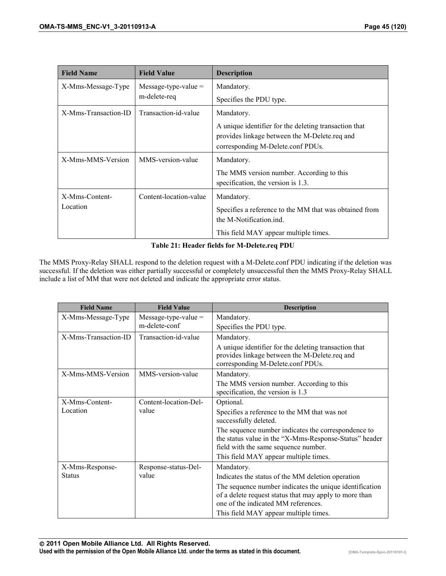| <b>Field Name</b>    | <b>Field Value</b>     | <b>Description</b>                                                                                                                          |
|----------------------|------------------------|---------------------------------------------------------------------------------------------------------------------------------------------|
| X-Mms-Message-Type   | Message-type-value $=$ | Mandatory.                                                                                                                                  |
|                      | m-delete-req           | Specifies the PDU type.                                                                                                                     |
| X-Mms-Transaction-ID | Transaction-id-value   | Mandatory.                                                                                                                                  |
|                      |                        | A unique identifier for the deleting transaction that<br>provides linkage between the M-Delete.req and<br>corresponding M-Delete.conf PDUs. |
| X-Mms-MMS-Version    | MMS-version-value      | Mandatory.                                                                                                                                  |
|                      |                        | The MMS version number. According to this<br>specification, the version is 1.3.                                                             |
| X-Mms-Content-       | Content-location-value | Mandatory.                                                                                                                                  |
| Location             |                        | Specifies a reference to the MM that was obtained from<br>the M-Notification ind.                                                           |
|                      |                        | This field MAY appear multiple times.                                                                                                       |

#### **Table 21: Header fields for M-Delete.req PDU**

The MMS Proxy-Relay SHALL respond to the deletion request with a M-Delete.conf PDU indicating if the deletion was successful. If the deletion was either partially successful or completely unsuccessful then the MMS Proxy-Relay SHALL include a list of MM that were not deleted and indicate the appropriate error status.

| <b>Field Name</b>    | <b>Field Value</b>     | <b>Description</b>                                                                                                                                       |
|----------------------|------------------------|----------------------------------------------------------------------------------------------------------------------------------------------------------|
| X-Mms-Message-Type   | $Message-type-value =$ | Mandatory.                                                                                                                                               |
|                      | m-delete-conf          | Specifies the PDU type.                                                                                                                                  |
| X-Mms-Transaction-ID | Transaction-id-value   | Mandatory.                                                                                                                                               |
|                      |                        | A unique identifier for the deleting transaction that<br>provides linkage between the M-Delete.req and<br>corresponding M-Delete.conf PDUs.              |
| X-Mms-MMS-Version    | MMS-version-value      | Mandatory.                                                                                                                                               |
|                      |                        | The MMS version number. According to this<br>specification, the version is 1.3                                                                           |
| X-Mms-Content-       | Content-location-Del-  | Optional.                                                                                                                                                |
| Location             | value                  | Specifies a reference to the MM that was not<br>successfully deleted.                                                                                    |
|                      |                        | The sequence number indicates the correspondence to<br>the status value in the "X-Mms-Response-Status" header<br>field with the same sequence number.    |
|                      |                        | This field MAY appear multiple times.                                                                                                                    |
| X-Mms-Response-      | Response-status-Del-   | Mandatory.                                                                                                                                               |
| <b>Status</b>        | value                  | Indicates the status of the MM deletion operation                                                                                                        |
|                      |                        | The sequence number indicates the unique identification<br>of a delete request status that may apply to more than<br>one of the indicated MM references. |
|                      |                        | This field MAY appear multiple times.                                                                                                                    |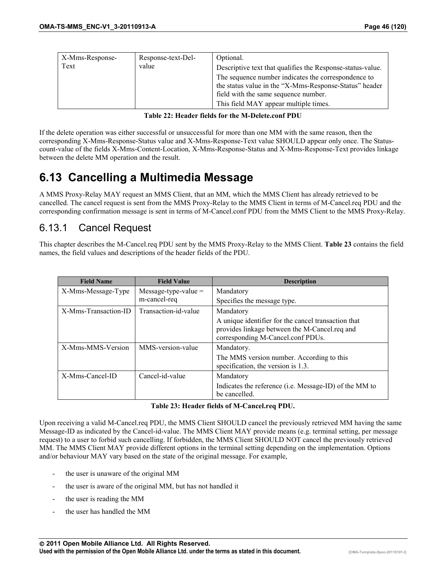| X-Mms-Response- | Response-text-Del- | Optional.                                                  |
|-----------------|--------------------|------------------------------------------------------------|
| Text            | value              | Descriptive text that qualifies the Response-status-value. |
|                 |                    | The sequence number indicates the correspondence to        |
|                 |                    | the status value in the "X-Mms-Response-Status" header     |
|                 |                    | field with the same sequence number.                       |
|                 |                    | This field MAY appear multiple times.                      |

|  | Table 22: Header fields for the M-Delete.conf PDU |  |  |  |  |
|--|---------------------------------------------------|--|--|--|--|
|  |                                                   |  |  |  |  |

If the delete operation was either successful or unsuccessful for more than one MM with the same reason, then the corresponding X-Mms-Response-Status value and X-Mms-Response-Text value SHOULD appear only once. The Statuscount-value of the fields X-Mms-Content-Location, X-Mms-Response-Status and X-Mms-Response-Text provides linkage between the delete MM operation and the result.

## **6.13 Cancelling a Multimedia Message**

A MMS Proxy-Relay MAY request an MMS Client, that an MM, which the MMS Client has already retrieved to be cancelled. The cancel request is sent from the MMS Proxy-Relay to the MMS Client in terms of M-Cancel.req PDU and the corresponding confirmation message is sent in terms of M-Cancel.conf PDU from the MMS Client to the MMS Proxy-Relay.

## 6.13.1 Cancel Request

This chapter describes the M-Cancel.req PDU sent by the MMS Proxy-Relay to the MMS Client. **Table 23** contains the field names, the field values and descriptions of the header fields of the PDU.

| <b>Field Name</b>    | <b>Field Value</b>     | <b>Description</b>                                                                                                                        |
|----------------------|------------------------|-------------------------------------------------------------------------------------------------------------------------------------------|
| X-Mms-Message-Type   | Message-type-value $=$ | Mandatory                                                                                                                                 |
|                      | m-cancel-req           | Specifies the message type.                                                                                                               |
| X-Mms-Transaction-ID | Transaction-id-value   | Mandatory                                                                                                                                 |
|                      |                        | A unique identifier for the cancel transaction that<br>provides linkage between the M-Cancel.req and<br>corresponding M-Cancel.conf PDUs. |
| X-Mms-MMS-Version    | MMS-version-value      | Mandatory.                                                                                                                                |
|                      |                        | The MMS version number. According to this<br>specification, the version is 1.3.                                                           |
| X-Mms-Cancel-ID      | Cancel-id-value        | Mandatory                                                                                                                                 |
|                      |                        | Indicates the reference (i.e. Message-ID) of the MM to<br>be cancelled.                                                                   |

#### **Table 23: Header fields of M-Cancel.req PDU.**

Upon receiving a valid M-Cancel.req PDU, the MMS Client SHOULD cancel the previously retrieved MM having the same Message-ID as indicated by the Cancel-id-value. The MMS Client MAY provide means (e.g. terminal setting, per message request) to a user to forbid such cancelling. If forbidden, the MMS Client SHOULD NOT cancel the previously retrieved MM. The MMS Client MAY provide different options in the terminal setting depending on the implementation. Options and/or behaviour MAY vary based on the state of the original message. For example,

- the user is unaware of the original MM
- the user is aware of the original MM, but has not handled it
- the user is reading the MM
- the user has handled the MM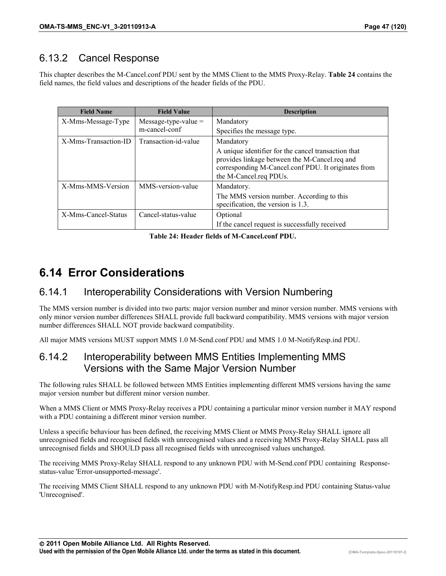## 6.13.2 Cancel Response

This chapter describes the M-Cancel.conf PDU sent by the MMS Client to the MMS Proxy-Relay. **Table 24** contains the field names, the field values and descriptions of the header fields of the PDU.

| <b>Field Name</b>    | <b>Field Value</b>     | <b>Description</b>                                                                                                                                                                    |
|----------------------|------------------------|---------------------------------------------------------------------------------------------------------------------------------------------------------------------------------------|
| X-Mms-Message-Type   | Message-type-value $=$ | Mandatory                                                                                                                                                                             |
|                      | m-cancel-conf          | Specifies the message type.                                                                                                                                                           |
| X-Mms-Transaction-ID | Transaction-id-value   | Mandatory                                                                                                                                                                             |
|                      |                        | A unique identifier for the cancel transaction that<br>provides linkage between the M-Cancel.req and<br>corresponding M-Cancel.conf PDU. It originates from<br>the M-Cancel.req PDUs. |
| X-Mms-MMS-Version    | MMS-version-value      | Mandatory.                                                                                                                                                                            |
|                      |                        | The MMS version number. According to this<br>specification, the version is 1.3.                                                                                                       |
| X-Mms-Cancel-Status  | Cancel-status-value    | Optional                                                                                                                                                                              |
|                      |                        | If the cancel request is successfully received                                                                                                                                        |

**Table 24: Header fields of M-Cancel.conf PDU.** 

# **6.14 Error Considerations**

## 6.14.1 Interoperability Considerations with Version Numbering

The MMS version number is divided into two parts: major version number and minor version number. MMS versions with only minor version number differences SHALL provide full backward compatibility. MMS versions with major version number differences SHALL NOT provide backward compatibility.

All major MMS versions MUST support MMS 1.0 M-Send.conf PDU and MMS 1.0 M-NotifyResp.ind PDU.

## 6.14.2 Interoperability between MMS Entities Implementing MMS Versions with the Same Major Version Number

The following rules SHALL be followed between MMS Entities implementing different MMS versions having the same major version number but different minor version number.

When a MMS Client or MMS Proxy-Relay receives a PDU containing a particular minor version number it MAY respond with a PDU containing a different minor version number.

Unless a specific behaviour has been defined, the receiving MMS Client or MMS Proxy-Relay SHALL ignore all unrecognised fields and recognised fields with unrecognised values and a receiving MMS Proxy-Relay SHALL pass all unrecognised fields and SHOULD pass all recognised fields with unrecognised values unchanged.

The receiving MMS Proxy-Relay SHALL respond to any unknown PDU with M-Send.conf PDU containing Responsestatus-value 'Error-unsupported-message'.

The receiving MMS Client SHALL respond to any unknown PDU with M-NotifyResp.ind PDU containing Status-value 'Unrecognised'.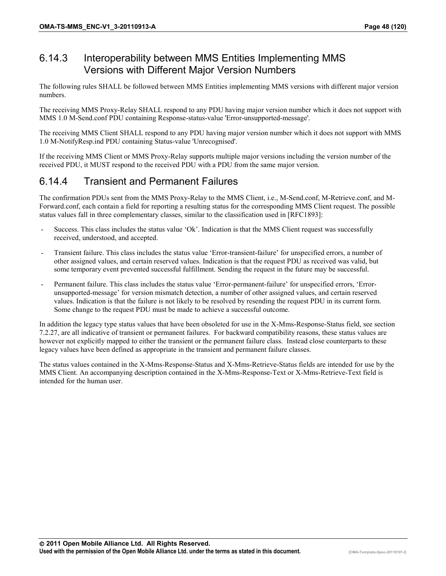## 6.14.3 Interoperability between MMS Entities Implementing MMS Versions with Different Major Version Numbers

The following rules SHALL be followed between MMS Entities implementing MMS versions with different major version numbers.

The receiving MMS Proxy-Relay SHALL respond to any PDU having major version number which it does not support with MMS 1.0 M-Send.conf PDU containing Response-status-value 'Error-unsupported-message'.

The receiving MMS Client SHALL respond to any PDU having major version number which it does not support with MMS 1.0 M-NotifyResp.ind PDU containing Status-value 'Unrecognised'.

If the receiving MMS Client or MMS Proxy-Relay supports multiple major versions including the version number of the received PDU, it MUST respond to the received PDU with a PDU from the same major version.

## 6.14.4 Transient and Permanent Failures

The confirmation PDUs sent from the MMS Proxy-Relay to the MMS Client, i.e., M-Send.conf, M-Retrieve.conf, and M-Forward.conf, each contain a field for reporting a resulting status for the corresponding MMS Client request. The possible status values fall in three complementary classes, similar to the classification used in [RFC1893]:

- Success. This class includes the status value 'Ok'. Indication is that the MMS Client request was successfully received, understood, and accepted.
- Transient failure. This class includes the status value 'Error-transient-failure' for unspecified errors, a number of other assigned values, and certain reserved values. Indication is that the request PDU as received was valid, but some temporary event prevented successful fulfillment. Sending the request in the future may be successful.
- Permanent failure. This class includes the status value 'Error-permanent-failure' for unspecified errors, 'Errorunsupported-message' for version mismatch detection, a number of other assigned values, and certain reserved values. Indication is that the failure is not likely to be resolved by resending the request PDU in its current form. Some change to the request PDU must be made to achieve a successful outcome.

In addition the legacy type status values that have been obsoleted for use in the X-Mms-Response-Status field, see section 7.2.27, are all indicative of transient or permanent failures. For backward compatibility reasons, these status values are however not explicitly mapped to either the transient or the permanent failure class. Instead close counterparts to these legacy values have been defined as appropriate in the transient and permanent failure classes.

The status values contained in the X-Mms-Response-Status and X-Mms-Retrieve-Status fields are intended for use by the MMS Client. An accompanying description contained in the X-Mms-Response-Text or X-Mms-Retrieve-Text field is intended for the human user.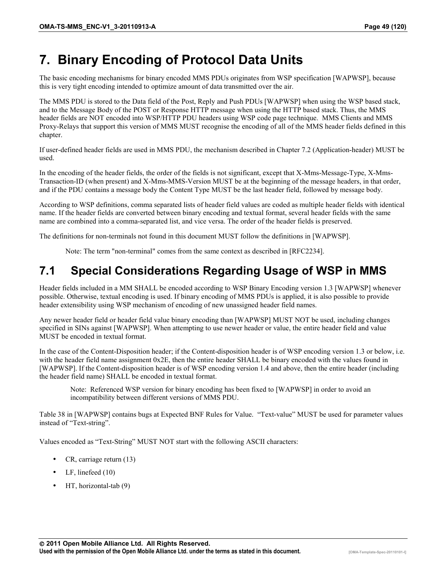# **7. Binary Encoding of Protocol Data Units**

The basic encoding mechanisms for binary encoded MMS PDUs originates from WSP specification [WAPWSP], because this is very tight encoding intended to optimize amount of data transmitted over the air.

The MMS PDU is stored to the Data field of the Post, Reply and Push PDUs [WAPWSP] when using the WSP based stack, and to the Message Body of the POST or Response HTTP message when using the HTTP based stack. Thus, the MMS header fields are NOT encoded into WSP/HTTP PDU headers using WSP code page technique. MMS Clients and MMS Proxy-Relays that support this version of MMS MUST recognise the encoding of all of the MMS header fields defined in this chapter.

If user-defined header fields are used in MMS PDU, the mechanism described in Chapter 7.2 (Application-header) MUST be used.

In the encoding of the header fields, the order of the fields is not significant, except that X-Mms-Message-Type, X-Mms-Transaction-ID (when present) and X-Mms-MMS-Version MUST be at the beginning of the message headers, in that order, and if the PDU contains a message body the Content Type MUST be the last header field, followed by message body.

According to WSP definitions, comma separated lists of header field values are coded as multiple header fields with identical name. If the header fields are converted between binary encoding and textual format, several header fields with the same name are combined into a comma-separated list, and vice versa. The order of the header fields is preserved.

The definitions for non-terminals not found in this document MUST follow the definitions in [WAPWSP].

Note: The term "non-terminal" comes from the same context as described in [RFC2234].

# **7.1 Special Considerations Regarding Usage of WSP in MMS**

Header fields included in a MM SHALL be encoded according to WSP Binary Encoding version 1.3 [WAPWSP] whenever possible. Otherwise, textual encoding is used. If binary encoding of MMS PDUs is applied, it is also possible to provide header extensibility using WSP mechanism of encoding of new unassigned header field names.

Any newer header field or header field value binary encoding than [WAPWSP] MUST NOT be used, including changes specified in SINs against [WAPWSP]. When attempting to use newer header or value, the entire header field and value MUST be encoded in textual format.

In the case of the Content-Disposition header; if the Content-disposition header is of WSP encoding version 1.3 or below, i.e. with the header field name assignment 0x2E, then the entire header SHALL be binary encoded with the values found in [WAPWSP]. If the Content-disposition header is of WSP encoding version 1.4 and above, then the entire header (including the header field name) SHALL be encoded in textual format.

Note: Referenced WSP version for binary encoding has been fixed to [WAPWSP] in order to avoid an incompatibility between different versions of MMS PDU.

Table 38 in [WAPWSP] contains bugs at Expected BNF Rules for Value. "Text-value" MUST be used for parameter values instead of "Text-string".

Values encoded as "Text-String" MUST NOT start with the following ASCII characters:

- CR, carriage return (13)
- LF, linefeed (10)
- HT, horizontal-tab (9)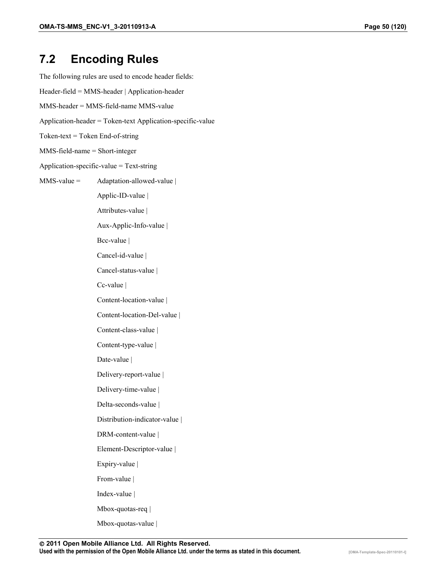## **7.2 Encoding Rules**

The following rules are used to encode header fields: Header-field = MMS-header | Application-header MMS-header = MMS-field-name MMS-value Application-header = Token-text Application-specific-value Token-text = Token End-of-string MMS-field-name = Short-integer Application-specific-value = Text-string  $MMS-value =$  Adaptation-allowed-value | Applic-ID-value | Attributes-value | Aux-Applic-Info-value | Bcc-value | Cancel-id-value | Cancel-status-value | Cc-value | Content-location-value | Content-location-Del-value | Content-class-value | Content-type-value | Date-value | Delivery-report-value | Delivery-time-value | Delta-seconds-value | Distribution-indicator-value | DRM-content-value | Element-Descriptor-value | Expiry-value | From-value | Index-value | Mbox-quotas-req | Mbox-quotas-value |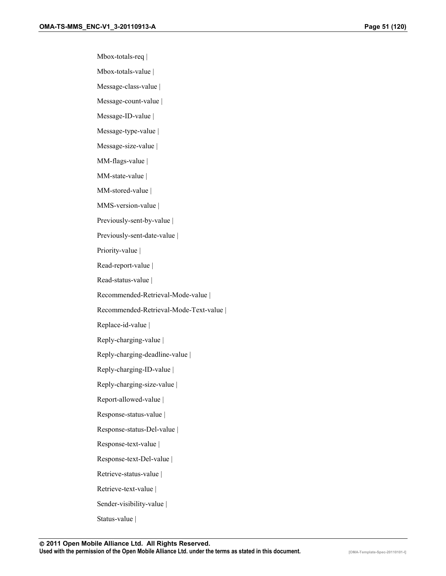Mbox-totals-req |

Mbox-totals-value |

Message-class-value |

Message-count-value |

Message-ID-value |

Message-type-value |

Message-size-value |

MM-flags-value |

MM-state-value |

MM-stored-value |

MMS-version-value |

Previously-sent-by-value |

Previously-sent-date-value |

Priority-value |

Read-report-value |

Read-status-value |

Recommended-Retrieval-Mode-value |

Recommended-Retrieval-Mode-Text-value |

Replace-id-value |

Reply-charging-value |

Reply-charging-deadline-value |

Reply-charging-ID-value |

Reply-charging-size-value |

Report-allowed-value |

Response-status-value |

Response-status-Del-value |

Response-text-value |

Response-text-Del-value |

Retrieve-status-value |

Retrieve-text-value |

Sender-visibility-value |

Status-value |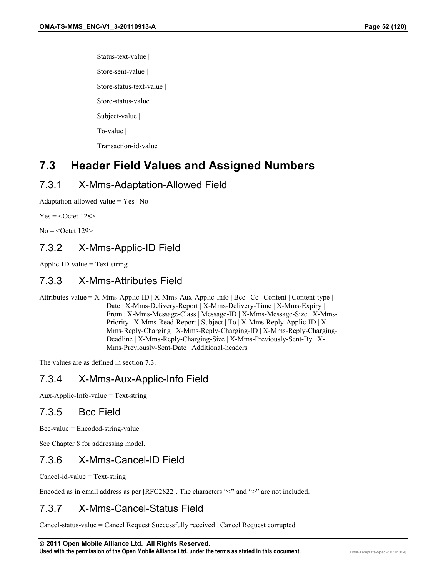Status-text-value |

Store-sent-value |

Store-status-text-value |

Store-status-value |

Subject-value |

To-value |

Transaction-id-value

## **7.3 Header Field Values and Assigned Numbers**

## 7.3.1 X-Mms-Adaptation-Allowed Field

Adaptation-allowed-value  $=$  Yes | No

 $Yes =$ 

 $No = <$ Octet 129>

## 7.3.2 X-Mms-Applic-ID Field

Applic-ID-value = Text-string

## 7.3.3 X-Mms-Attributes Field

Attributes-value = X-Mms-Applic-ID | X-Mms-Aux-Applic-Info | Bcc | Cc | Content | Content-type | Date | X-Mms-Delivery-Report | X-Mms-Delivery-Time | X-Mms-Expiry | From | X-Mms-Message-Class | Message-ID | X-Mms-Message-Size | X-Mms-Priority | X-Mms-Read-Report | Subject | To | X-Mms-Reply-Applic-ID | X-Mms-Reply-Charging | X-Mms-Reply-Charging-ID | X-Mms-Reply-Charging-Deadline | X-Mms-Reply-Charging-Size | X-Mms-Previously-Sent-By | X-Mms-Previously-Sent-Date | Additional-headers

The values are as defined in section 7.3.

## 7.3.4 X-Mms-Aux-Applic-Info Field

Aux-Applic-Info-value = Text-string

## 7.3.5 Bcc Field

Bcc-value = Encoded-string-value

See Chapter [8](#page-66-0) for addressing model.

## 7.3.6 X-Mms-Cancel-ID Field

Cancel-id-value = Text-string

Encoded as in email address as per [RFC2822]. The characters "<" and ">" are not included.

## 7.3.7 X-Mms-Cancel-Status Field

Cancel-status-value = Cancel Request Successfully received | Cancel Request corrupted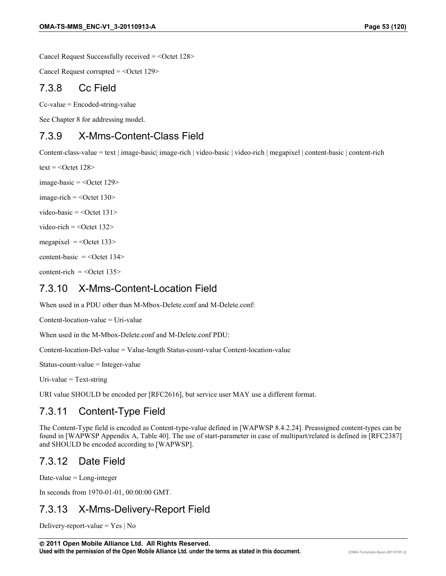Cancel Request Successfully received = < Octet 128>

Cancel Request corrupted  $=$  <Octet 129>

#### 7.3.8 Cc Field

Cc-value = Encoded-string-value

See Chapter [8](#page-66-0) for addressing model.

### 7.3.9 X-Mms-Content-Class Field

Content-class-value = text | image-basic| image-rich | video-basic | video-rich | megapixel | content-basic | content-rich

text =  $<$ Octet 128 $>$ 

image-basic  $=$  <Octet 129>

 $image$ -rich =  $<$ Octet 130 $>$ 

video-basic =  $\leq$ Octet 131>

video-rich =  $\leq$ Octet 132>

megapixel  $=$  <0 ctet 133>

content-basic  $=$  <0 ctet 134>

 $content-rich =$ 

### 7.3.10 X-Mms-Content-Location Field

When used in a PDU other than M-Mbox-Delete.conf and M-Delete.conf:

Content-location-value = Uri-value

When used in the M-Mbox-Delete.conf and M-Delete.conf PDU:

Content-location-Del-value = Value-length Status-count-value Content-location-value

Status-count-value = Integer-value

Uri-value  $=$  Text-string

URI value SHOULD be encoded per [RFC2616], but service user MAY use a different format.

## 7.3.11 Content-Type Field

The Content-Type field is encoded as Content-type-value defined in [WAPWSP 8.4.2.24]. Preassigned content-types can be found in [WAPWSP Appendix A, Table 40]. The use of start-parameter in case of multipart/related is defined in [RFC2387] and SHOULD be encoded according to [WAPWSP].

## 7.3.12 Date Field

Date-value  $=$  Long-integer

In seconds from 1970-01-01, 00:00:00 GMT.

## 7.3.13 X-Mms-Delivery-Report Field

Delivery-report-value  $=$  Yes | No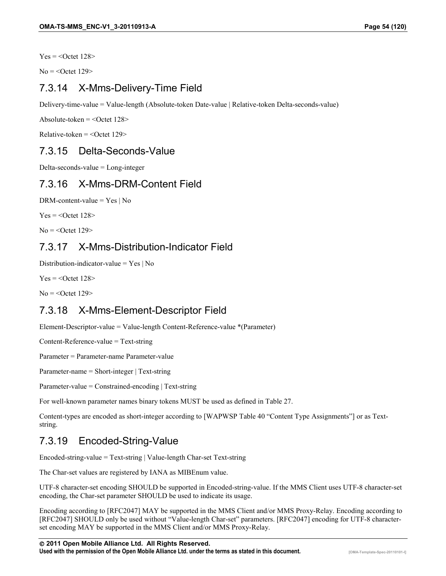$Yes =$ 

 $No = <$ Octet 129>

## 7.3.14 X-Mms-Delivery-Time Field

Delivery-time-value = Value-length (Absolute-token Date-value | Relative-token Delta-seconds-value)

Absolute-token  $=$  <Octet 128>

 $Relative-token =$ 

## 7.3.15 Delta-Seconds-Value

Delta-seconds-value = Long-integer

### 7.3.16 X-Mms-DRM-Content Field

DRM-content-value = Yes | No

 $Yes =$ 

 $No = <$ Octet 129>

## 7.3.17 X-Mms-Distribution-Indicator Field

Distribution-indicator-value = Yes | No

 $Yes =$ 

 $No = <$ Octet 129>

## 7.3.18 X-Mms-Element-Descriptor Field

Element-Descriptor-value = Value-length Content-Reference-value \*(Parameter)

Content-Reference-value = Text-string

Parameter = Parameter-name Parameter-value

Parameter-name = Short-integer | Text-string

Parameter-value = Constrained-encoding | Text-string

For well-known parameter names binary tokens MUST be used as defined in Table 27.

Content-types are encoded as short-integer according to [WAPWSP Table 40 "Content Type Assignments"] or as Textstring.

## 7.3.19 Encoded-String-Value

Encoded-string-value = Text-string | Value-length Char-set Text-string

The Char-set values are registered by IANA as MIBEnum value.

UTF-8 character-set encoding SHOULD be supported in Encoded-string-value. If the MMS Client uses UTF-8 character-set encoding, the Char-set parameter SHOULD be used to indicate its usage.

Encoding according to [RFC2047] MAY be supported in the MMS Client and/or MMS Proxy-Relay. Encoding according to [RFC2047] SHOULD only be used without "Value-length Char-set" parameters. [RFC2047] encoding for UTF-8 characterset encoding MAY be supported in the MMS Client and/or MMS Proxy-Relay.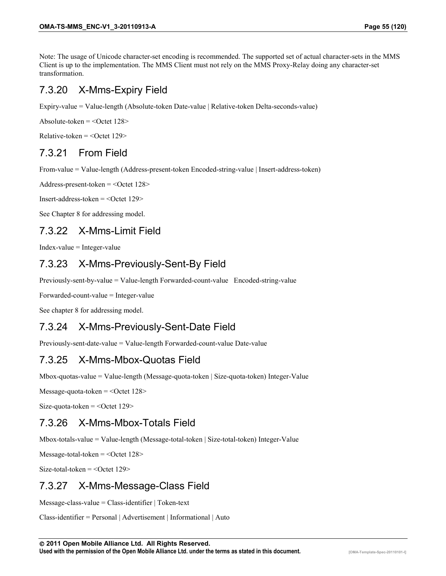Note: The usage of Unicode character-set encoding is recommended. The supported set of actual character-sets in the MMS Client is up to the implementation. The MMS Client must not rely on the MMS Proxy-Relay doing any character-set transformation.

## 7.3.20 X-Mms-Expiry Field

Expiry-value = Value-length (Absolute-token Date-value | Relative-token Delta-seconds-value)

Absolute-token  $=$  <Octet 128>

 $Relative-token =$ 

## 7.3.21 From Field

From-value = Value-length (Address-present-token Encoded-string-value | Insert-address-token)

Address-present-token = <Octet 128>

Insert-address-token = <Octet 129>

See Chapter [8](#page-66-0) for addressing model.

### 7.3.22 X-Mms-Limit Field

Index-value = Integer-value

## 7.3.23 X-Mms-Previously-Sent-By Field

Previously-sent-by-value = Value-length Forwarded-count-value Encoded-string-value

Forwarded-count-value = Integer-value

See chapter 8 for addressing model.

### 7.3.24 X-Mms-Previously-Sent-Date Field

Previously-sent-date-value = Value-length Forwarded-count-value Date-value

### 7.3.25 X-Mms-Mbox-Quotas Field

Mbox-quotas-value = Value-length (Message-quota-token | Size-quota-token) Integer-Value

Message-quota-token = < Octet 128>

Size-quota-token  $=$  <Octet 129>

### 7.3.26 X-Mms-Mbox-Totals Field

Mbox-totals-value = Value-length (Message-total-token | Size-total-token) Integer-Value

 $Message-total-token =$ 

Size-total-token  $=$  <Octet 129>

### 7.3.27 X-Mms-Message-Class Field

Message-class-value = Class-identifier | Token-text

Class-identifier = Personal | Advertisement | Informational | Auto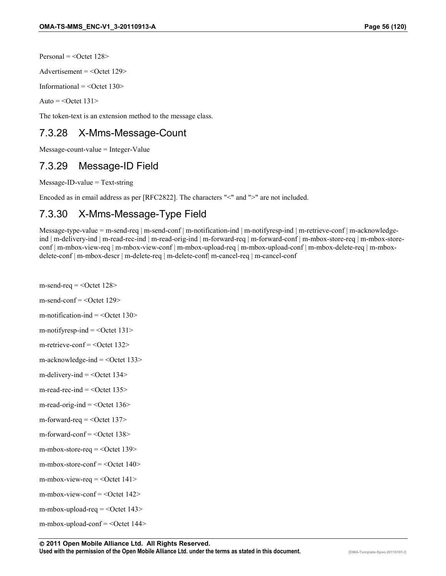Personal  $=$  <Octet 128>

Advertisement  $=$  <0ctet 129>

Informational  $=$  <0ctet 130>

Auto =  $\leq$ Octet 131>

The token-text is an extension method to the message class.

## 7.3.28 X-Mms-Message-Count

Message-count-value = Integer-Value

### 7.3.29 Message-ID Field

Message-ID-value = Text-string

Encoded as in email address as per [RFC2822]. The characters "<" and ">" are not included.

## 7.3.30 X-Mms-Message-Type Field

Message-type-value = m-send-req | m-send-conf | m-notification-ind | m-notifyresp-ind | m-retrieve-conf | m-acknowledgeind | m-delivery-ind | m-read-rec-ind | m-read-orig-ind | m-forward-req | m-forward-conf | m-mbox-store-req | m-mbox-storeconf | m-mbox-view-req | m-mbox-view-conf | m-mbox-upload-req | m-mbox-upload-conf | m-mbox-delete-req | m-mboxdelete-conf | m-mbox-descr | m-delete-req | m-delete-conf| m-cancel-req | m-cancel-conf

- m-send-req  $=$  <Octet 128>
- m-send-conf  $=$  <Octet 129>
- m-notification-ind  $=$  <Octet 130>
- m-notifyresp-ind  $=$  <Octet 131>
- m-retrieve-conf  $=$  <0ctet 132>
- $m$ -acknowledge-ind  $=$  <Octet 133>
- m-delivery-ind  $=$  <Octet 134>
- m-read-rec-ind  $=$  <0 ctet 135>
- m-read-orig-ind  $=$  <Octet 136>
- m-forward-req  $=$  <Octet 137>
- m-forward-conf  $=$  <Octet 138>
- m-mbox-store-req  $=$  <Octet 139>
- m-mbox-store-conf = <Octet 140>
- m-mbox-view-req  $=$  <0ctet 141>
- m-mbox-view-conf =  $<$ Octet 142>
- m-mbox-upload-req  $=$  <Octet 143>
- m-mbox-upload-conf = <Octet 144>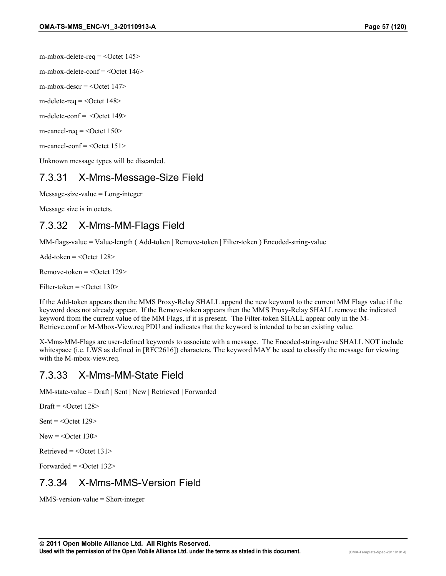m-mbox-delete-req = <Octet 145>

m-mbox-delete-conf  $=$  <0 ctet 146 $>$ 

m-mbox-descr  $=$  <Octet 147>

m-delete-req  $=$  <0 ctet 148>

m-delete-conf = <Octet 149>

 $m$ -cancel-req = < $Octet 150$ 

m-cancel-conf = <Octet 151>

Unknown message types will be discarded.

## 7.3.31 X-Mms-Message-Size Field

Message-size-value = Long-integer

Message size is in octets.

## 7.3.32 X-Mms-MM-Flags Field

MM-flags-value = Value-length ( Add-token | Remove-token | Filter-token ) Encoded-string-value

Add-token  $=$  <Octet 128>

 $Remember the  $=$  < Octet 129>$ 

Filter-token  $=$  <Octet 130>

If the Add-token appears then the MMS Proxy-Relay SHALL append the new keyword to the current MM Flags value if the keyword does not already appear. If the Remove-token appears then the MMS Proxy-Relay SHALL remove the indicated keyword from the current value of the MM Flags, if it is present. The Filter-token SHALL appear only in the M-Retrieve.conf or M-Mbox-View.req PDU and indicates that the keyword is intended to be an existing value.

X-Mms-MM-Flags are user-defined keywords to associate with a message. The Encoded-string-value SHALL NOT include whitespace (i.e. LWS as defined in [RFC2616]) characters. The keyword MAY be used to classify the message for viewing with the M-mbox-view.req.

### 7.3.33 X-Mms-MM-State Field

MM-state-value = Draft | Sent | New | Retrieved | Forwarded

Draft  $=$  <Octet 128>

Sent  $=$  <Octet 129>

 $New = <$ Octet 130 $>$ 

Retrieved  $=$  <Octet 131>

Forwarded  $=$  <Octet 132>

### 7.3.34 X-Mms-MMS-Version Field

MMS-version-value = Short-integer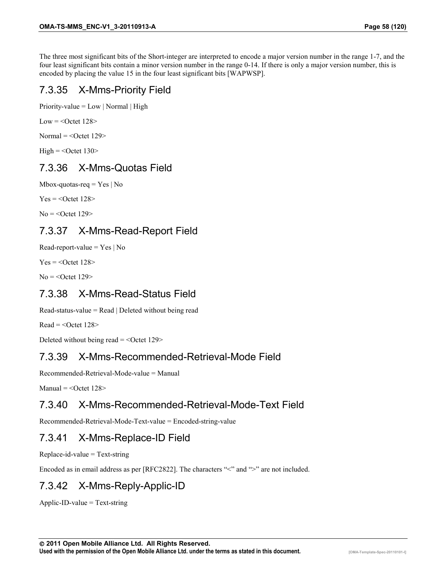The three most significant bits of the Short-integer are interpreted to encode a major version number in the range 1-7, and the four least significant bits contain a minor version number in the range 0-14. If there is only a major version number, this is encoded by placing the value 15 in the four least significant bits [WAPWSP].

## 7.3.35 X-Mms-Priority Field

Priority-value =  $Low$  | Normal | High

Low  $=$  < Octet 128>

 $Normal = <$ Octet 129>

High  $=$  <Octet 130>

## 7.3.36 X-Mms-Quotas Field

Mbox-quotas-req  $=$  Yes | No

 $Yes =$ 

 $No = <$ Octet 129>

## 7.3.37 X-Mms-Read-Report Field

Read-report-value =  $Yes \mid No$ 

 $Yes =$ 

 $No = <$ Octet 129>

## 7.3.38 X-Mms-Read-Status Field

Read-status-value =  $Read | Delete$  without being read

 $Read = <$ Octet 128 $>$ 

Deleted without being read  $=$  <Octet 129>

## 7.3.39 X-Mms-Recommended-Retrieval-Mode Field

Recommended-Retrieval-Mode-value = Manual

 $M$ anual = < $Octet 128>$ 

## 7.3.40 X-Mms-Recommended-Retrieval-Mode-Text Field

Recommended-Retrieval-Mode-Text-value = Encoded-string-value

## 7.3.41 X-Mms-Replace-ID Field

Replace-id-value = Text-string

Encoded as in email address as per [RFC2822]. The characters "<" and ">" are not included.

## 7.3.42 X-Mms-Reply-Applic-ID

Applic-ID-value = Text-string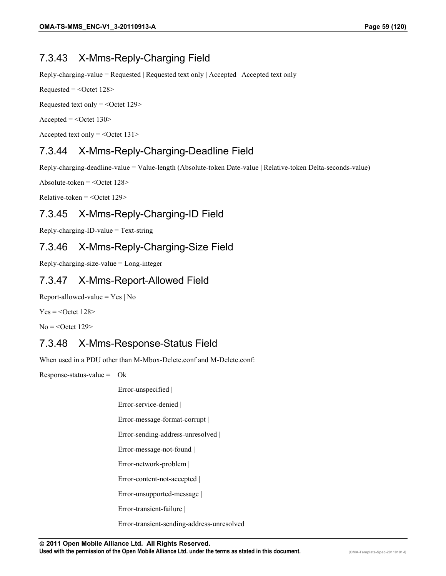## 7.3.43 X-Mms-Reply-Charging Field

Reply-charging-value = Requested | Requested text only | Accepted | Accepted text only

 $Required = <$ Octet 128>

Requested text only  $=$  <Octet 129 $>$ 

 $Accepted = <$ Octet 130 $>$ 

Accepted text only  $=$  <Octet 131>

## 7.3.44 X-Mms-Reply-Charging-Deadline Field

Reply-charging-deadline-value = Value-length (Absolute-token Date-value | Relative-token Delta-seconds-value)

Absolute-token  $=$  <0ctet 128>

 $Relative-token =$ 

## 7.3.45 X-Mms-Reply-Charging-ID Field

Reply-charging-ID-value = Text-string

## 7.3.46 X-Mms-Reply-Charging-Size Field

Reply-charging-size-value = Long-integer

## 7.3.47 X-Mms-Report-Allowed Field

Report-allowed-value  $=$  Yes | No

 $Yes =$ 

 $No = <$ Octet 129>

## 7.3.48 X-Mms-Response-Status Field

When used in a PDU other than M-Mbox-Delete.conf and M-Delete.conf:

Response-status-value =  $Ok$  |

Error-unspecified |

Error-service-denied |

Error-message-format-corrupt |

Error-sending-address-unresolved |

Error-message-not-found |

Error-network-problem |

Error-content-not-accepted |

Error-unsupported-message |

Error-transient-failure |

Error-transient-sending-address-unresolved |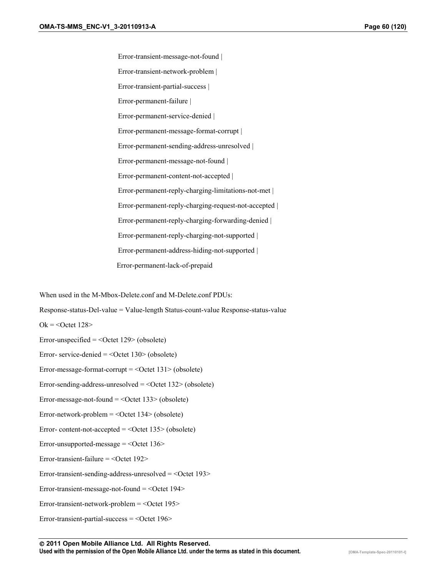Error-transient-message-not-found | Error-transient-network-problem | Error-transient-partial-success | Error-permanent-failure | Error-permanent-service-denied | Error-permanent-message-format-corrupt | Error-permanent-sending-address-unresolved | Error-permanent-message-not-found | Error-permanent-content-not-accepted | Error-permanent-reply-charging-limitations-not-met | Error-permanent-reply-charging-request-not-accepted | Error-permanent-reply-charging-forwarding-denied | Error-permanent-reply-charging-not-supported | Error-permanent-address-hiding-not-supported | Error-permanent-lack-of-prepaid

When used in the M-Mbox-Delete.conf and M-Delete.conf PDUs:

Response-status-Del-value = Value-length Status-count-value Response-status-value

 $Ok = <$ Octet 128>

Error-unspecified  $=$  <Octet 129> (obsolete)

Error- service-denied  $=$  <Octet 130> (obsolete)

Error-message-format-corrupt  $=$  <Octet 131> (obsolete)

Error-sending-address-unresolved = <Octet 132> (obsolete)

Error-message-not-found = <Octet 133> (obsolete)

Error-network-problem = <Octet 134> (obsolete)

Error-content-not-accepted  $=$  <Octet 135 > (obsolete)

Error-unsupported-message = < Octet 136>

Error-transient-failure  $=$  <Octet 192>

Error-transient-sending-address-unresolved = < Octet 193>

Error-transient-message-not-found  $=$  <0ctet 194 $>$ 

Error-transient-network-problem = <Octet 195>

Error-transient-partial-success = <Octet 196>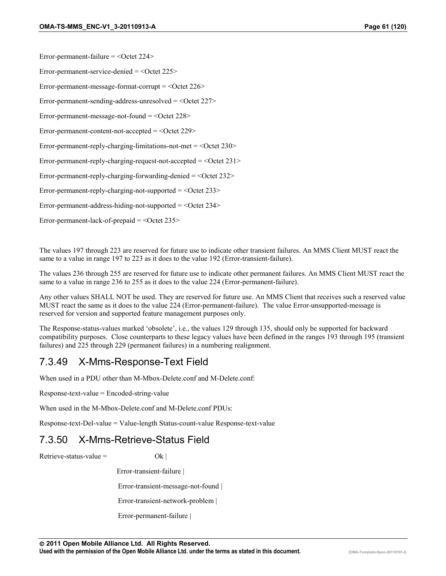Error-permanent-failure = < Octet 224>

Error-permanent-service-denied  $=$  <Octet 225>

Error-permanent-message-format-corrupt = < Octet 226>

Error-permanent-sending-address-unresolved = < Octet 227>

Error-permanent-message-not-found  $=$  <Octet 228>

Error-permanent-content-not-accepted  $=$  <Octet 229>

Error-permanent-reply-charging-limitations-not-met  $=$  <Octet 230>

Error-permanent-reply-charging-request-not-accepted  $=$  <Octet 231>

Error-permanent-reply-charging-forwarding-denied = < Octet 232>

Error-permanent-reply-charging-not-supported = < Octet 233>

Error-permanent-address-hiding-not-supported  $=$  <0 ctet 234>

Error-permanent-lack-of-prepaid = < Octet 235>

The values 197 through 223 are reserved for future use to indicate other transient failures. An MMS Client MUST react the same to a value in range 197 to 223 as it does to the value 192 (Error-transient-failure).

The values 236 through 255 are reserved for future use to indicate other permanent failures. An MMS Client MUST react the same to a value in range 236 to 255 as it does to the value 224 (Error-permanent-failure).

Any other values SHALL NOT be used. They are reserved for future use. An MMS Client that receives such a reserved value MUST react the same as it does to the value 224 (Error-permanent-failure). The value Error-unsupported-message is reserved for version and supported feature management purposes only.

The Response-status-values marked 'obsolete', i.e., the values 129 through 135, should only be supported for backward compatibility purposes. Close counterparts to these legacy values have been defined in the ranges 193 through 195 (transient failures) and 225 through 229 (permanent failures) in a numbering realignment.

#### 7.3.49 X-Mms-Response-Text Field

When used in a PDU other than M-Mbox-Delete.conf and M-Delete.conf:

Response-text-value = Encoded-string-value

When used in the M-Mbox-Delete.conf and M-Delete.conf PDUs:

Response-text-Del-value = Value-length Status-count-value Response-text-value

#### 7.3.50 X-Mms-Retrieve-Status Field

Retrieve-status-value =  $Qk$  |

Error-transient-failure |

Error-transient-message-not-found |

Error-transient-network-problem |

Error-permanent-failure |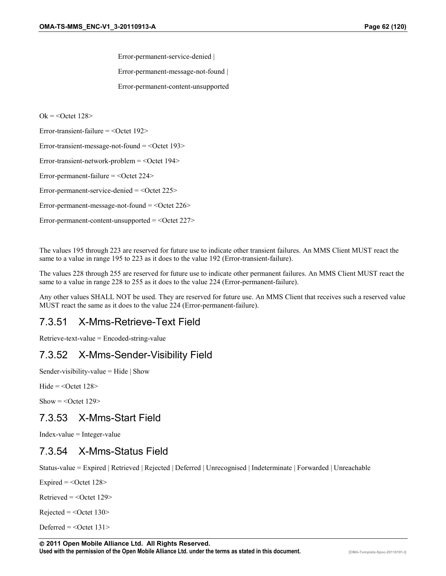Error-permanent-service-denied |

Error-permanent-message-not-found |

Error-permanent-content-unsupported

 $Ok = <$ Octet 128>

Error-transient-failure = < Octet 192>

Error-transient-message-not-found  $=$  <Octet 193>

Error-transient-network-problem = < Octet 194>

Error-permanent-failure = < Octet 224>

Error-permanent-service-denied = <Octet 225>

Error-permanent-message-not-found  $=$  <Octet 226>

Error-permanent-content-unsupported  $=$  <Octet 227>

The values 195 through 223 are reserved for future use to indicate other transient failures. An MMS Client MUST react the same to a value in range 195 to 223 as it does to the value 192 (Error-transient-failure).

The values 228 through 255 are reserved for future use to indicate other permanent failures. An MMS Client MUST react the same to a value in range 228 to 255 as it does to the value 224 (Error-permanent-failure).

Any other values SHALL NOT be used. They are reserved for future use. An MMS Client that receives such a reserved value MUST react the same as it does to the value 224 (Error-permanent-failure).

### 7.3.51 X-Mms-Retrieve-Text Field

Retrieve-text-value = Encoded-string-value

## 7.3.52 X-Mms-Sender-Visibility Field

Sender-visibility-value  $=$  Hide  $\vert$  Show

Hide  $=$  < $\text{Octet}$  128>

Show  $=$  <Octet 129>

### 7.3.53 X-Mms-Start Field

Index-value = Integer-value

### 7.3.54 X-Mms-Status Field

Status-value = Expired | Retrieved | Rejected | Deferred | Unrecognised | Indeterminate | Forwarded | Unreachable

Expired  $=$  < Octet 128>

Retrieved  $=$  <0ctet 129>

 $Rejected = <$ Octet 130 $>$ 

Deferred  $=$  <Octet 131>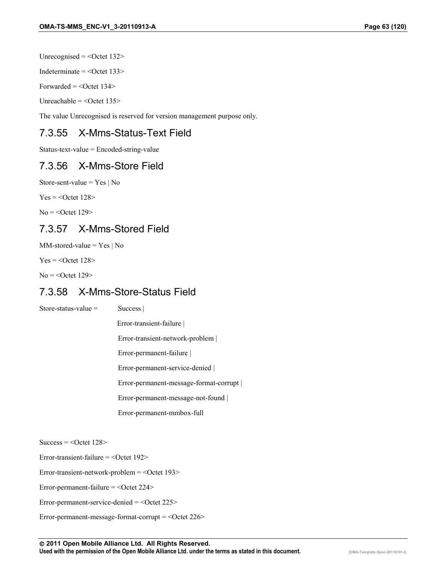Unrecognised =  $\leq$ Octet 132>

Indeterminate  $=$  <Octet 133>

Forwarded  $=$  <Octet 134 $>$ 

Unreachable  $=$  <Octet 135>

The value Unrecognised is reserved for version management purpose only.

## 7.3.55 X-Mms-Status-Text Field

Status-text-value = Encoded-string-value

#### 7.3.56 X-Mms-Store Field

Store-sent-value =  $Yes \mid No$ 

 $Yes =$ 

 $No =$  < Octet 129>

## 7.3.57 X-Mms-Stored Field

 $MM\text{-stored-value} = Yes \mid No$ 

 $Yes =$ 

 $No = <$ Octet 129>

#### 7.3.58 X-Mms-Store-Status Field

Store-status-value = Success |

Error-transient-failure |

Error-transient-network-problem |

Error-permanent-failure |

Error-permanent-service-denied |

Error-permanent-message-format-corrupt |

Error-permanent-message-not-found |

Error-permanent-mmbox-full

 $Success = <$ Octet 128>

Error-transient-failure  $=$  <Octet 192>

Error-transient-network-problem = <Octet 193>

Error-permanent-failure = < Octet 224>

Error-permanent-service-denied = <Octet 225>

Error-permanent-message-format-corrupt = < Octet 226>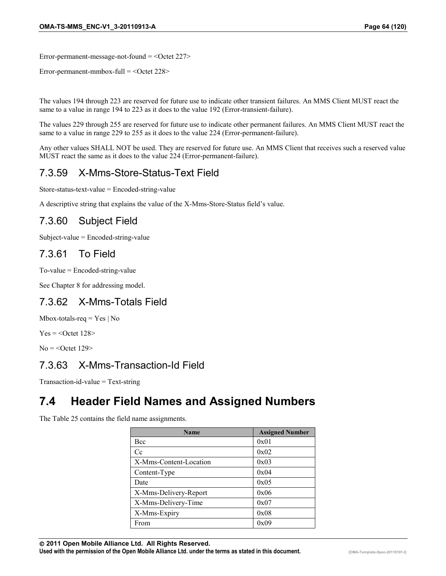Error-permanent-message-not-found  $=$  <Octet 227>

Error-permanent-mmbox-full  $=$  <Octet 228>

The values 194 through 223 are reserved for future use to indicate other transient failures. An MMS Client MUST react the same to a value in range 194 to 223 as it does to the value 192 (Error-transient-failure).

The values 229 through 255 are reserved for future use to indicate other permanent failures. An MMS Client MUST react the same to a value in range 229 to 255 as it does to the value 224 (Error-permanent-failure).

Any other values SHALL NOT be used. They are reserved for future use. An MMS Client that receives such a reserved value MUST react the same as it does to the value 224 (Error-permanent-failure).

## 7.3.59 X-Mms-Store-Status-Text Field

Store-status-text-value = Encoded-string-value

A descriptive string that explains the value of the X-Mms-Store-Status field's value.

## 7.3.60 Subject Field

Subject-value = Encoded-string-value

### 7.3.61 To Field

To-value = Encoded-string-value

See Chapter [8](#page-66-0) for addressing model.

### 7.3.62 X-Mms-Totals Field

Mbox-totals-req  $=$  Yes  $\vert$  No

 $Yes =$ 

 $No = <$ Octet 129>

## 7.3.63 X-Mms-Transaction-Id Field

Transaction-id-value = Text-string

## **7.4 Header Field Names and Assigned Numbers**

The Table 25 contains the field name assignments.

| <b>Name</b>            | <b>Assigned Number</b> |
|------------------------|------------------------|
| Bcc                    | 0x01                   |
| Cc                     | 0x02                   |
| X-Mms-Content-Location | 0x03                   |
| Content-Type           | 0x04                   |
| Date                   | 0x05                   |
| X-Mms-Delivery-Report  | 0x06                   |
| X-Mms-Delivery-Time    | 0x07                   |
| X-Mms-Expiry           | 0x08                   |
| From                   | 0x09                   |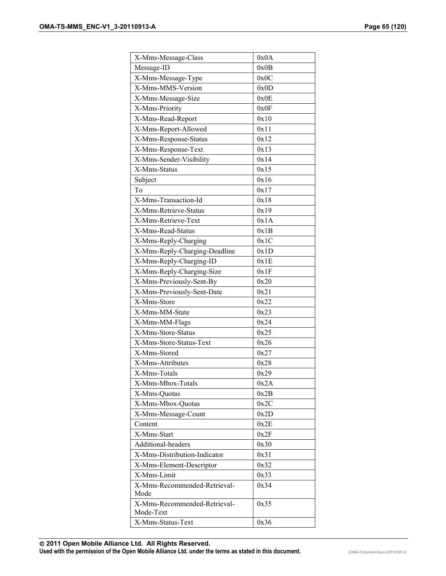| X-Mms-Message-Class                  | 0x0A |
|--------------------------------------|------|
| Message-ID                           | 0x0B |
| X-Mms-Message-Type                   | 0x0C |
| X-Mms-MMS-Version                    | 0x0D |
| X-Mms-Message-Size                   | 0x0E |
| X-Mms-Priority                       | 0x0F |
| X-Mms-Read-Report                    | 0x10 |
| X-Mms-Report-Allowed                 | 0x11 |
| X-Mms-Response-Status                | 0x12 |
| X-Mms-Response-Text                  | 0x13 |
| X-Mms-Sender-Visibility              | 0x14 |
| X-Mms-Status                         | 0x15 |
| Subject                              | 0x16 |
| To                                   | 0x17 |
| X-Mms-Transaction-Id                 | 0x18 |
| X-Mms-Retrieve-Status                | 0x19 |
| X-Mms-Retrieve-Text                  | 0x1A |
| X-Mms-Read-Status                    | 0x1B |
| X-Mms-Reply-Charging                 | 0x1C |
| X-Mms-Reply-Charging-Deadline        | 0x1D |
| X-Mms-Reply-Charging-ID              | 0x1E |
| X-Mms-Reply-Charging-Size            | 0x1F |
| X-Mms-Previously-Sent-By             | 0x20 |
| X-Mms-Previously-Sent-Date           | 0x21 |
| X-Mms-Store                          | 0x22 |
| X-Mms-MM-State                       | 0x23 |
| X-Mms-MM-Flags                       | 0x24 |
| X-Mms-Store-Status                   | 0x25 |
| X-Mms-Store-Status-Text              | 0x26 |
| X-Mms-Stored                         | 0x27 |
| X-Mms-Attributes                     | 0x28 |
| X-Mms-Totals                         | 0x29 |
| X-Mms-Mbox-Totals                    | 0x2A |
| X-Mms-Quotas                         | 0x2B |
| X-Mms-Mbox-Quotas                    | 0x2C |
| X-Mms-Message-Count                  | 0x2D |
| Content                              | 0x2E |
| X-Mms-Start                          | 0x2F |
| Additional-headers                   | 0x30 |
| X-Mms-Distribution-Indicator         | 0x31 |
| X-Mms-Element-Descriptor             | 0x32 |
| X-Mms-Limit                          | 0x33 |
| X-Mms-Recommended-Retrieval-         | 0x34 |
| Mode<br>X-Mms-Recommended-Retrieval- |      |
| Mode-Text                            | 0x35 |
| X-Mms-Status-Text                    | 0x36 |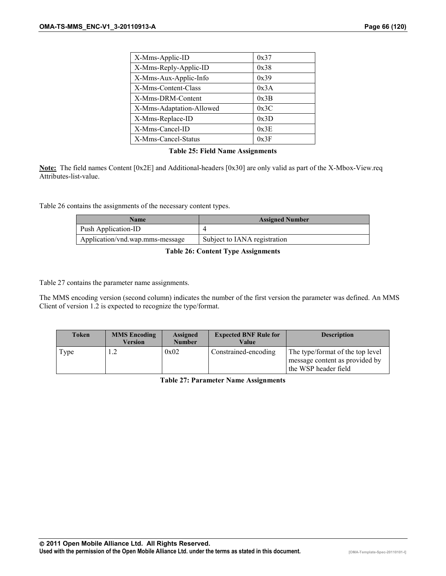| X-Mms-Applic-ID          | 0x37 |
|--------------------------|------|
| X-Mms-Reply-Applic-ID    | 0x38 |
| X-Mms-Aux-Applic-Info    | 0x39 |
| X-Mms-Content-Class      | 0x3A |
| X-Mms-DRM-Content        | 0x3B |
| X-Mms-Adaptation-Allowed | 0x3C |
| X-Mms-Replace-ID         | 0x3D |
| X-Mms-Cancel-ID          | 0x3E |
| X-Mms-Cancel-Status      | 0x3F |

#### **Table 25: Field Name Assignments**

**Note:** The field names Content [0x2E] and Additional-headers [0x30] are only valid as part of the X-Mbox-View.req Attributes-list-value.

Table 26 contains the assignments of the necessary content types.

| <b>Name</b>                     | <b>Assigned Number</b>       |
|---------------------------------|------------------------------|
| Push Application-ID             |                              |
| Application/vnd.wap.mms-message | Subject to IANA registration |

**Table 26: Content Type Assignments** 

Table 27 contains the parameter name assignments.

The MMS encoding version (second column) indicates the number of the first version the parameter was defined. An MMS Client of version 1.2 is expected to recognize the type/format.

| Token | <b>MMS Encoding</b><br>Version | <b>Assigned</b><br><b>Number</b> | <b>Expected BNF Rule for</b><br>Value | <b>Description</b>                                                                         |
|-------|--------------------------------|----------------------------------|---------------------------------------|--------------------------------------------------------------------------------------------|
| Type  |                                | 0x02                             | Constrained-encoding                  | The type/format of the top level<br>message content as provided by<br>the WSP header field |

**Table 27: Parameter Name Assignments**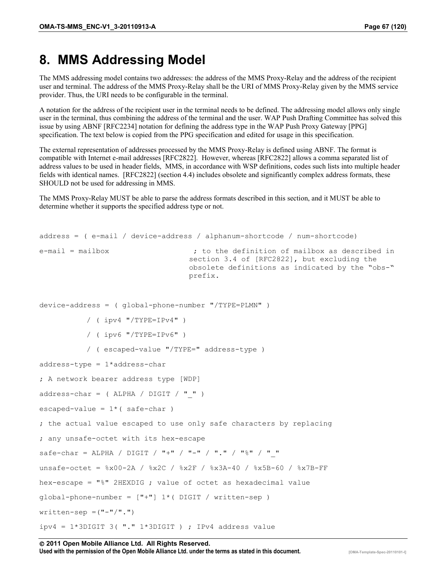# <span id="page-66-0"></span>**8. MMS Addressing Model**

The MMS addressing model contains two addresses: the address of the MMS Proxy-Relay and the address of the recipient user and terminal. The address of the MMS Proxy-Relay shall be the URI of MMS Proxy-Relay given by the MMS service provider. Thus, the URI needs to be configurable in the terminal.

A notation for the address of the recipient user in the terminal needs to be defined. The addressing model allows only single user in the terminal, thus combining the address of the terminal and the user. WAP Push Drafting Committee has solved this issue by using ABNF [RFC2234] notation for defining the address type in the WAP Push Proxy Gateway [PPG] specification. The text below is copied from the PPG specification and edited for usage in this specification.

The external representation of addresses processed by the MMS Proxy-Relay is defined using ABNF. The format is compatible with Internet e-mail addresses [RFC2822]. However, whereas [RFC2822] allows a comma separated list of address values to be used in header fields, MMS, in accordance with WSP definitions, codes such lists into multiple header fields with identical names. [RFC2822] (section 4.4) includes obsolete and significantly complex address formats, these SHOULD not be used for addressing in MMS.

The MMS Proxy-Relay MUST be able to parse the address formats described in this section, and it MUST be able to determine whether it supports the specified address type or not.

```
address = ( e-mail / device-address / alphanum-shortcode / num-shortcode) 
e-mail = mailbox \qquad \qquad ; to the definition of mailbox as described in
                                   section 3.4 of [RFC2822], but excluding the 
                                   obsolete definitions as indicated by the "obs-" 
                                   prefix. 
device-address = ( global-phone-number "/TYPE=PLMN" ) 
           / ( ipv4 "/TYPE=IPv4" ) 
           / ( ipv6 "/TYPE=IPv6" ) 
           / ( escaped-value "/TYPE=" address-type ) 
address-type = 1*address-char 
; A network bearer address type [WDP] 
address-char = ( ALPHA / DIGIT / " " )
escaped-value = 1*( safe-char )
; the actual value escaped to use only safe characters by replacing 
; any unsafe-octet with its hex-escape 
safe-char = ALPHA / DIGIT / "+" / "-" / "." / "%" / " "
unsafe-octet = %x00-2A / %x2C / %x2F / %x3A-40 / %x5B-60 / %x7B-FF 
hex-escape = "%" 2HEXDIG ; value of octet as hexadecimal value 
qlobal-phone-number = ["+"] 1*( DIGIT / written-sep )
written-sep = ("-"/"."')ipv4 = 1*3DIGIT 3( "." 1*3DIGIT ) ; IPv4 address value
```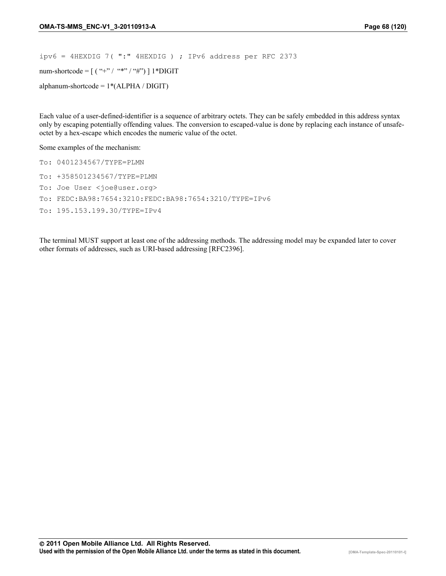ipv6 = 4HEXDIG 7( ":" 4HEXDIG ) ; IPv6 address per RFC 2373 num-shortcode =  $[($  "+" / "\*" / "#"') ] 1\*DIGIT alphanum-shortcode =  $1*(ALPHA / DIGIT)$ 

Each value of a user-defined-identifier is a sequence of arbitrary octets. They can be safely embedded in this address syntax only by escaping potentially offending values. The conversion to escaped-value is done by replacing each instance of unsafeoctet by a hex-escape which encodes the numeric value of the octet.

Some examples of the mechanism:

To: 0401234567/TYPE=PLMN To: +358501234567/TYPE=PLMN To: Joe User <joe@user.org> To: FEDC:BA98:7654:3210:FEDC:BA98:7654:3210/TYPE=IPv6 To: 195.153.199.30/TYPE=IPv4

The terminal MUST support at least one of the addressing methods. The addressing model may be expanded later to cover other formats of addresses, such as URI-based addressing [RFC2396].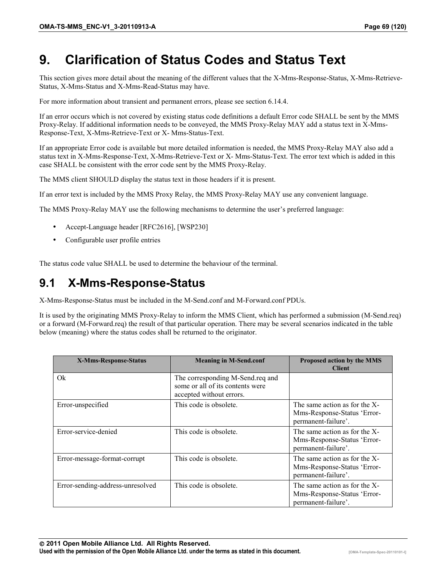# **9. Clarification of Status Codes and Status Text**

This section gives more detail about the meaning of the different values that the X-Mms-Response-Status, X-Mms-Retrieve-Status, X-Mms-Status and X-Mms-Read-Status may have.

For more information about transient and permanent errors, please see section 6.14.4.

If an error occurs which is not covered by existing status code definitions a default Error code SHALL be sent by the MMS Proxy-Relay. If additional information needs to be conveyed, the MMS Proxy-Relay MAY add a status text in X-Mms-Response-Text, X-Mms-Retrieve-Text or X- Mms-Status-Text.

If an appropriate Error code is available but more detailed information is needed, the MMS Proxy-Relay MAY also add a status text in X-Mms-Response-Text, X-Mms-Retrieve-Text or X- Mms-Status-Text. The error text which is added in this case SHALL be consistent with the error code sent by the MMS Proxy-Relay.

The MMS client SHOULD display the status text in those headers if it is present.

If an error text is included by the MMS Proxy Relay, the MMS Proxy-Relay MAY use any convenient language.

The MMS Proxy-Relay MAY use the following mechanisms to determine the user's preferred language:

- Accept-Language header [RFC2616], [WSP230]
- Configurable user profile entries

The status code value SHALL be used to determine the behaviour of the terminal.

## **9.1 X-Mms-Response-Status**

X-Mms-Response-Status must be included in the M-Send.conf and M-Forward.conf PDUs.

It is used by the originating MMS Proxy-Relay to inform the MMS Client, which has performed a submission (M-Send.req) or a forward (M-Forward.req) the result of that particular operation. There may be several scenarios indicated in the table below (meaning) where the status codes shall be returned to the originator.

| X-Mms-Response-Status            | <b>Meaning in M-Send.conf</b>                                                                    | Proposed action by the MMS<br><b>Client</b>                                         |
|----------------------------------|--------------------------------------------------------------------------------------------------|-------------------------------------------------------------------------------------|
| Ok                               | The corresponding M-Send.req and<br>some or all of its contents were<br>accepted without errors. |                                                                                     |
| Error-unspecified                | This code is obsolete.                                                                           | The same action as for the X-<br>Mms-Response-Status 'Error-<br>permanent-failure'. |
| Error-service-denied             | This code is obsolete.                                                                           | The same action as for the X-<br>Mms-Response-Status 'Error-<br>permanent-failure'. |
| Error-message-format-corrupt     | This code is obsolete.                                                                           | The same action as for the X-<br>Mms-Response-Status 'Error-<br>permanent-failure'. |
| Error-sending-address-unresolved | This code is obsolete.                                                                           | The same action as for the X-<br>Mms-Response-Status 'Error-<br>permanent-failure'. |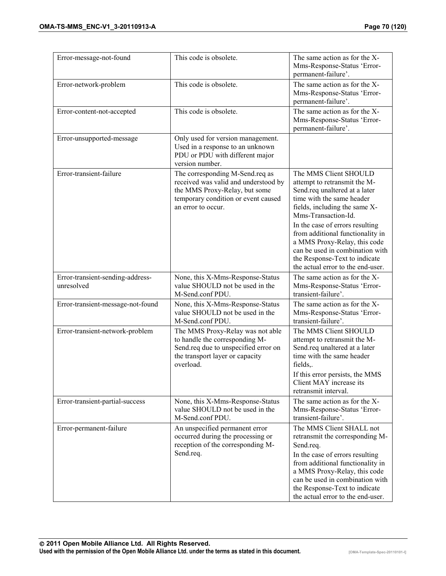| Error-message-not-found                        | This code is obsolete.                                                                                                                                                | The same action as for the X-<br>Mms-Response-Status 'Error-<br>permanent-failure'.                                                                                                                                                                                                                                                                                                         |
|------------------------------------------------|-----------------------------------------------------------------------------------------------------------------------------------------------------------------------|---------------------------------------------------------------------------------------------------------------------------------------------------------------------------------------------------------------------------------------------------------------------------------------------------------------------------------------------------------------------------------------------|
| Error-network-problem                          | This code is obsolete.                                                                                                                                                | The same action as for the X-<br>Mms-Response-Status 'Error-<br>permanent-failure'.                                                                                                                                                                                                                                                                                                         |
| Error-content-not-accepted                     | This code is obsolete.                                                                                                                                                | The same action as for the X-<br>Mms-Response-Status 'Error-<br>permanent-failure'.                                                                                                                                                                                                                                                                                                         |
| Error-unsupported-message                      | Only used for version management.<br>Used in a response to an unknown<br>PDU or PDU with different major<br>version number.                                           |                                                                                                                                                                                                                                                                                                                                                                                             |
| Error-transient-failure                        | The corresponding M-Send.req as<br>received was valid and understood by<br>the MMS Proxy-Relay, but some<br>temporary condition or event caused<br>an error to occur. | The MMS Client SHOULD<br>attempt to retransmit the M-<br>Send.req unaltered at a later<br>time with the same header<br>fields, including the same X-<br>Mms-Transaction-Id.<br>In the case of errors resulting<br>from additional functionality in<br>a MMS Proxy-Relay, this code<br>can be used in combination with<br>the Response-Text to indicate<br>the actual error to the end-user. |
| Error-transient-sending-address-<br>unresolved | None, this X-Mms-Response-Status<br>value SHOULD not be used in the<br>M-Send.conf PDU.                                                                               | The same action as for the X-<br>Mms-Response-Status 'Error-<br>transient-failure'.                                                                                                                                                                                                                                                                                                         |
| Error-transient-message-not-found              | None, this X-Mms-Response-Status<br>value SHOULD not be used in the<br>M-Send.conf PDU.                                                                               | The same action as for the X-<br>Mms-Response-Status 'Error-<br>transient-failure'.                                                                                                                                                                                                                                                                                                         |
| Error-transient-network-problem                | The MMS Proxy-Relay was not able<br>to handle the corresponding M-<br>Send.req due to unspecified error on<br>the transport layer or capacity<br>overload.            | The MMS Client SHOULD<br>attempt to retransmit the M-<br>Send.req unaltered at a later<br>time with the same header<br>fields,.<br>If this error persists, the MMS<br>Client MAY increase its<br>retransmit interval.                                                                                                                                                                       |
| Error-transient-partial-success                | None, this X-Mms-Response-Status<br>value SHOULD not be used in the<br>M-Send.conf PDU.                                                                               | The same action as for the X-<br>Mms-Response-Status 'Error-<br>transient-failure'.                                                                                                                                                                                                                                                                                                         |
| Error-permanent-failure                        | An unspecified permanent error<br>occurred during the processing or<br>reception of the corresponding M-<br>Send.req.                                                 | The MMS Client SHALL not<br>retransmit the corresponding M-<br>Send.req.<br>In the case of errors resulting<br>from additional functionality in<br>a MMS Proxy-Relay, this code<br>can be used in combination with<br>the Response-Text to indicate<br>the actual error to the end-user.                                                                                                    |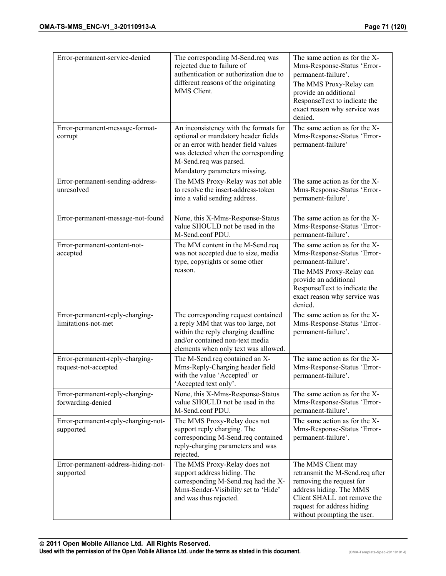| Error-permanent-service-denied                          | The corresponding M-Send.req was<br>rejected due to failure of<br>authentication or authorization due to<br>different reasons of the originating<br>MMS Client.                            | The same action as for the X-<br>Mms-Response-Status 'Error-<br>permanent-failure'.<br>The MMS Proxy-Relay can<br>provide an additional<br>ResponseText to indicate the<br>exact reason why service was<br>denied. |
|---------------------------------------------------------|--------------------------------------------------------------------------------------------------------------------------------------------------------------------------------------------|--------------------------------------------------------------------------------------------------------------------------------------------------------------------------------------------------------------------|
| Error-permanent-message-format-<br>corrupt              | An inconsistency with the formats for<br>optional or mandatory header fields<br>or an error with header field values<br>was detected when the corresponding<br>M-Send.req was parsed.      | The same action as for the X-<br>Mms-Response-Status 'Error-<br>permanent-failure'                                                                                                                                 |
| Error-permanent-sending-address-<br>unresolved          | Mandatory parameters missing.<br>The MMS Proxy-Relay was not able<br>to resolve the insert-address-token<br>into a valid sending address.                                                  | The same action as for the X-<br>Mms-Response-Status 'Error-<br>permanent-failure'.                                                                                                                                |
| Error-permanent-message-not-found                       | None, this X-Mms-Response-Status<br>value SHOULD not be used in the<br>M-Send.conf PDU.                                                                                                    | The same action as for the X-<br>Mms-Response-Status 'Error-<br>permanent-failure'.                                                                                                                                |
| Error-permanent-content-not-<br>accepted                | The MM content in the M-Send.req<br>was not accepted due to size, media<br>type, copyrights or some other<br>reason.                                                                       | The same action as for the X-<br>Mms-Response-Status 'Error-<br>permanent-failure'.<br>The MMS Proxy-Relay can<br>provide an additional<br>ResponseText to indicate the<br>exact reason why service was<br>denied. |
| Error-permanent-reply-charging-<br>limitations-not-met  | The corresponding request contained<br>a reply MM that was too large, not<br>within the reply charging deadline<br>and/or contained non-text media<br>elements when only text was allowed. | The same action as for the X-<br>Mms-Response-Status 'Error-<br>permanent-failure'.                                                                                                                                |
| Error-permanent-reply-charging-<br>request-not-accepted | The M-Send.req contained an X-<br>Mms-Reply-Charging header field<br>with the value 'Accepted' or<br>'Accepted text only'.                                                                 | The same action as for the X-<br>Mms-Response-Status 'Error-<br>permanent-failure'.                                                                                                                                |
| Error-permanent-reply-charging-<br>forwarding-denied    | None, this X-Mms-Response-Status<br>value SHOULD not be used in the<br>M-Send.conf PDU.                                                                                                    | The same action as for the X-<br>Mms-Response-Status 'Error-<br>permanent-failure'.                                                                                                                                |
| Error-permanent-reply-charging-not-<br>supported        | The MMS Proxy-Relay does not<br>support reply charging. The<br>corresponding M-Send.req contained<br>reply-charging parameters and was<br>rejected.                                        | The same action as for the X-<br>Mms-Response-Status 'Error-<br>permanent-failure'.                                                                                                                                |
| Error-permanent-address-hiding-not-<br>supported        | The MMS Proxy-Relay does not<br>support address hiding. The<br>corresponding M-Send.req had the X-<br>Mms-Sender-Visibility set to 'Hide'<br>and was thus rejected.                        | The MMS Client may<br>retransmit the M-Send.req after<br>removing the request for<br>address hiding. The MMS<br>Client SHALL not remove the<br>request for address hiding<br>without prompting the user.           |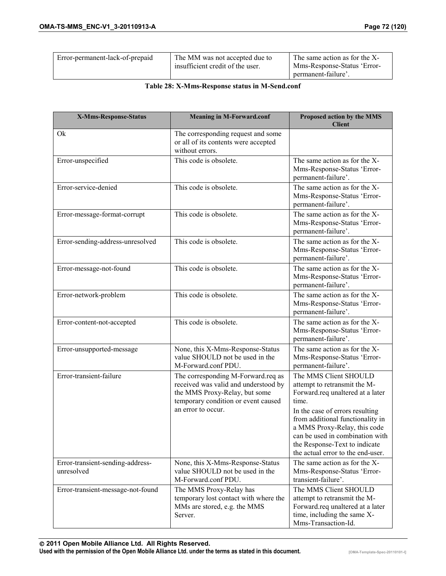| insufficient credit of the user.<br>Mms-Response-Status 'Error-<br>permanent-failure'. | Error-permanent-lack-of-prepaid | The MM was not accepted due to | The same action as for the X- |
|----------------------------------------------------------------------------------------|---------------------------------|--------------------------------|-------------------------------|
|----------------------------------------------------------------------------------------|---------------------------------|--------------------------------|-------------------------------|

#### **Table 28: X-Mms-Response status in M-Send.conf**

| X-Mms-Response-Status                          | <b>Meaning in M-Forward.conf</b>                                                                                                                   | Proposed action by the MMS<br><b>Client</b>                                                                                                                                                                  |
|------------------------------------------------|----------------------------------------------------------------------------------------------------------------------------------------------------|--------------------------------------------------------------------------------------------------------------------------------------------------------------------------------------------------------------|
| Qk                                             | The corresponding request and some<br>or all of its contents were accepted<br>without errors.                                                      |                                                                                                                                                                                                              |
| Error-unspecified                              | This code is obsolete.                                                                                                                             | The same action as for the X-<br>Mms-Response-Status 'Error-<br>permanent-failure'.                                                                                                                          |
| Error-service-denied                           | This code is obsolete.                                                                                                                             | The same action as for the X-<br>Mms-Response-Status 'Error-<br>permanent-failure'.                                                                                                                          |
| Error-message-format-corrupt                   | This code is obsolete.                                                                                                                             | The same action as for the X-<br>Mms-Response-Status 'Error-<br>permanent-failure'.                                                                                                                          |
| Error-sending-address-unresolved               | This code is obsolete.                                                                                                                             | The same action as for the X-<br>Mms-Response-Status 'Error-<br>permanent-failure'.                                                                                                                          |
| Error-message-not-found                        | This code is obsolete.                                                                                                                             | The same action as for the X-<br>Mms-Response-Status 'Error-<br>permanent-failure'.                                                                                                                          |
| Error-network-problem                          | This code is obsolete.                                                                                                                             | The same action as for the X-<br>Mms-Response-Status 'Error-<br>permanent-failure'.                                                                                                                          |
| Error-content-not-accepted                     | This code is obsolete.                                                                                                                             | The same action as for the X-<br>Mms-Response-Status 'Error-<br>permanent-failure'.                                                                                                                          |
| Error-unsupported-message                      | None, this X-Mms-Response-Status<br>value SHOULD not be used in the<br>M-Forward.conf PDU.                                                         | The same action as for the X-<br>Mms-Response-Status 'Error-<br>permanent-failure'.                                                                                                                          |
| Error-transient-failure                        | The corresponding M-Forward.req as<br>received was valid and understood by<br>the MMS Proxy-Relay, but some<br>temporary condition or event caused | The MMS Client SHOULD<br>attempt to retransmit the M-<br>Forward.req unaltered at a later<br>time.                                                                                                           |
|                                                | an error to occur.                                                                                                                                 | In the case of errors resulting<br>from additional functionality in<br>a MMS Proxy-Relay, this code<br>can be used in combination with<br>the Response-Text to indicate<br>the actual error to the end-user. |
| Error-transient-sending-address-<br>unresolved | None, this X-Mms-Response-Status<br>value SHOULD not be used in the<br>M-Forward.conf PDU.                                                         | The same action as for the X-<br>Mms-Response-Status 'Error-<br>transient-failure'.                                                                                                                          |
| Error-transient-message-not-found              | The MMS Proxy-Relay has<br>temporary lost contact with where the<br>MMs are stored, e.g. the MMS<br>Server.                                        | The MMS Client SHOULD<br>attempt to retransmit the M-<br>Forward.req unaltered at a later<br>time, including the same X-<br>Mms-Transaction-Id.                                                              |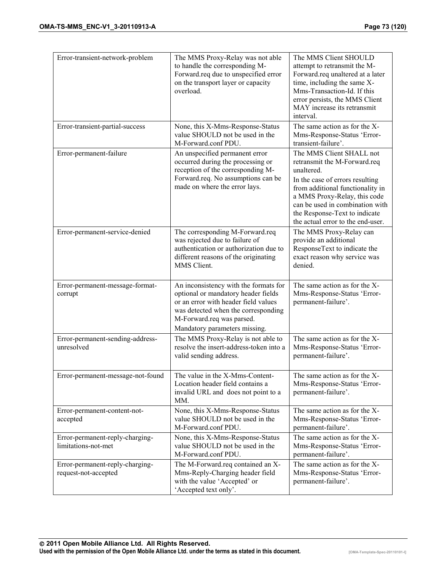| Error-transient-network-problem                         | The MMS Proxy-Relay was not able<br>to handle the corresponding M-<br>Forward.req due to unspecified error<br>on the transport layer or capacity<br>overload.                                                             | The MMS Client SHOULD<br>attempt to retransmit the M-<br>Forward.req unaltered at a later<br>time, including the same X-<br>Mms-Transaction-Id. If this<br>error persists, the MMS Client<br>MAY increase its retransmit<br>interval.                                                  |
|---------------------------------------------------------|---------------------------------------------------------------------------------------------------------------------------------------------------------------------------------------------------------------------------|----------------------------------------------------------------------------------------------------------------------------------------------------------------------------------------------------------------------------------------------------------------------------------------|
| Error-transient-partial-success                         | None, this X-Mms-Response-Status<br>value SHOULD not be used in the<br>M-Forward.conf PDU.                                                                                                                                | The same action as for the X-<br>Mms-Response-Status 'Error-<br>transient-failure'.                                                                                                                                                                                                    |
| Error-permanent-failure                                 | An unspecified permanent error<br>occurred during the processing or<br>reception of the corresponding M-<br>Forward.req. No assumptions can be<br>made on where the error lays.                                           | The MMS Client SHALL not<br>retransmit the M-Forward.req<br>unaltered.<br>In the case of errors resulting<br>from additional functionality in<br>a MMS Proxy-Relay, this code<br>can be used in combination with<br>the Response-Text to indicate<br>the actual error to the end-user. |
| Error-permanent-service-denied                          | The corresponding M-Forward.req<br>was rejected due to failure of<br>authentication or authorization due to<br>different reasons of the originating<br>MMS Client.                                                        | The MMS Proxy-Relay can<br>provide an additional<br>ResponseText to indicate the<br>exact reason why service was<br>denied.                                                                                                                                                            |
| Error-permanent-message-format-<br>corrupt              | An inconsistency with the formats for<br>optional or mandatory header fields<br>or an error with header field values<br>was detected when the corresponding<br>M-Forward.req was parsed.<br>Mandatory parameters missing. | The same action as for the X-<br>Mms-Response-Status 'Error-<br>permanent-failure'.                                                                                                                                                                                                    |
| Error-permanent-sending-address-<br>unresolved          | The MMS Proxy-Relay is not able to<br>resolve the insert-address-token into a<br>valid sending address.                                                                                                                   | The same action as for the X-<br>Mms-Response-Status 'Error-<br>permanent-failure'.                                                                                                                                                                                                    |
| Error-permanent-message-not-found                       | The value in the X-Mms-Content-<br>Location header field contains a<br>invalid URL and does not point to a<br>MM.                                                                                                         | The same action as for the X-<br>Mms-Response-Status 'Error-<br>permanent-failure'.                                                                                                                                                                                                    |
| Error-permanent-content-not-<br>accepted                | None, this X-Mms-Response-Status<br>value SHOULD not be used in the<br>M-Forward.conf PDU.                                                                                                                                | The same action as for the X-<br>Mms-Response-Status 'Error-<br>permanent-failure'.                                                                                                                                                                                                    |
| Error-permanent-reply-charging-<br>limitations-not-met  | None, this X-Mms-Response-Status<br>value SHOULD not be used in the<br>M-Forward.conf PDU.                                                                                                                                | The same action as for the X-<br>Mms-Response-Status 'Error-<br>permanent-failure'.                                                                                                                                                                                                    |
| Error-permanent-reply-charging-<br>request-not-accepted | The M-Forward.req contained an X-<br>Mms-Reply-Charging header field<br>with the value 'Accepted' or<br>'Accepted text only'.                                                                                             | The same action as for the X-<br>Mms-Response-Status 'Error-<br>permanent-failure'.                                                                                                                                                                                                    |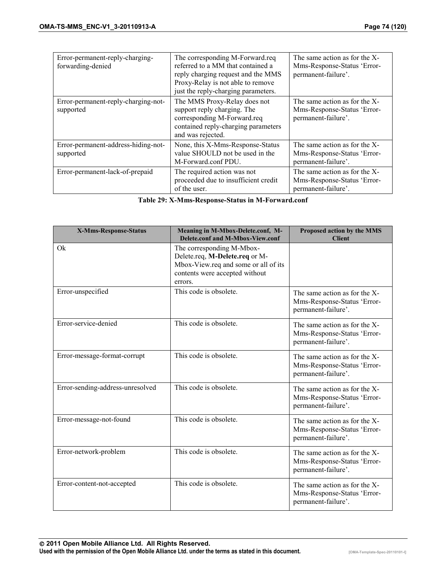| Error-permanent-reply-charging-<br>forwarding-denied | The corresponding M-Forward.req<br>referred to a MM that contained a<br>reply charging request and the MMS<br>Proxy-Relay is not able to remove<br>just the reply-charging parameters. | The same action as for the X-<br>Mms-Response-Status 'Error-<br>permanent-failure'. |
|------------------------------------------------------|----------------------------------------------------------------------------------------------------------------------------------------------------------------------------------------|-------------------------------------------------------------------------------------|
| Error-permanent-reply-charging-not-<br>supported     | The MMS Proxy-Relay does not<br>support reply charging. The<br>corresponding M-Forward.req<br>contained reply-charging parameters<br>and was rejected.                                 | The same action as for the X-<br>Mms-Response-Status 'Error-<br>permanent-failure'. |
| Error-permanent-address-hiding-not-<br>supported     | None, this X-Mms-Response-Status<br>value SHOULD not be used in the<br>M-Forward.conf PDU.                                                                                             | The same action as for the X-<br>Mms-Response-Status 'Error-<br>permanent-failure'. |
| Error-permanent-lack-of-prepaid                      | The required action was not<br>proceeded due to insufficient credit<br>of the user.                                                                                                    | The same action as for the X-<br>Mms-Response-Status 'Error-<br>permanent-failure'. |

**Table 29: X-Mms-Response-Status in M-Forward.conf** 

| <b>X-Mms-Response-Status</b>     | Meaning in M-Mbox-Delete.conf, M-<br>Delete.conf and M-Mbox-View.conf                                                                            | Proposed action by the MMS<br><b>Client</b>                                         |
|----------------------------------|--------------------------------------------------------------------------------------------------------------------------------------------------|-------------------------------------------------------------------------------------|
| Qk                               | The corresponding M-Mbox-<br>Delete.req, M-Delete.req or M-<br>Mbox-View.req and some or all of its<br>contents were accepted without<br>errors. |                                                                                     |
| Error-unspecified                | This code is obsolete.                                                                                                                           | The same action as for the X-<br>Mms-Response-Status 'Error-<br>permanent-failure'. |
| Error-service-denied             | This code is obsolete.                                                                                                                           | The same action as for the X-<br>Mms-Response-Status 'Error-<br>permanent-failure'. |
| Error-message-format-corrupt     | This code is obsolete.                                                                                                                           | The same action as for the X-<br>Mms-Response-Status 'Error-<br>permanent-failure'. |
| Error-sending-address-unresolved | This code is obsolete.                                                                                                                           | The same action as for the X-<br>Mms-Response-Status 'Error-<br>permanent-failure'. |
| Error-message-not-found          | This code is obsolete.                                                                                                                           | The same action as for the X-<br>Mms-Response-Status 'Error-<br>permanent-failure'. |
| Error-network-problem            | This code is obsolete.                                                                                                                           | The same action as for the X-<br>Mms-Response-Status 'Error-<br>permanent-failure'. |
| Error-content-not-accepted       | This code is obsolete.                                                                                                                           | The same action as for the X-<br>Mms-Response-Status 'Error-<br>permanent-failure'. |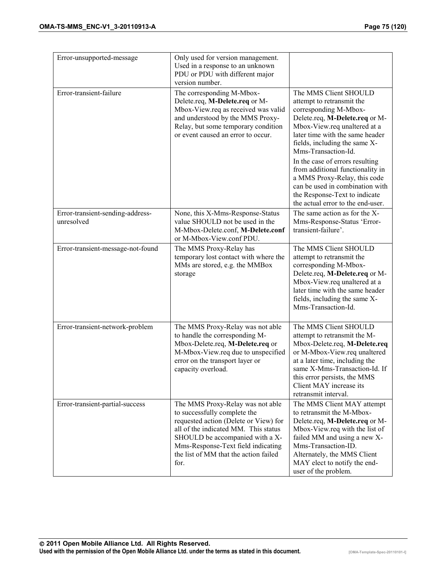| Error-unsupported-message                      | Only used for version management.<br>Used in a response to an unknown<br>PDU or PDU with different major                                                                                                                                                                    |                                                                                                                                                                                                                                                                                                                                                                                                                                                          |
|------------------------------------------------|-----------------------------------------------------------------------------------------------------------------------------------------------------------------------------------------------------------------------------------------------------------------------------|----------------------------------------------------------------------------------------------------------------------------------------------------------------------------------------------------------------------------------------------------------------------------------------------------------------------------------------------------------------------------------------------------------------------------------------------------------|
| Error-transient-failure                        | version number.<br>The corresponding M-Mbox-<br>Delete.req, M-Delete.req or M-<br>Mbox-View.req as received was valid<br>and understood by the MMS Proxy-<br>Relay, but some temporary condition<br>or event caused an error to occur.                                      | The MMS Client SHOULD<br>attempt to retransmit the<br>corresponding M-Mbox-<br>Delete.req, M-Delete.req or M-<br>Mbox-View.req unaltered at a<br>later time with the same header<br>fields, including the same X-<br>Mms-Transaction-Id.<br>In the case of errors resulting<br>from additional functionality in<br>a MMS Proxy-Relay, this code<br>can be used in combination with<br>the Response-Text to indicate<br>the actual error to the end-user. |
| Error-transient-sending-address-<br>unresolved | None, this X-Mms-Response-Status<br>value SHOULD not be used in the<br>M-Mbox-Delete.conf, M-Delete.conf<br>or M-Mbox-View.conf PDU.                                                                                                                                        | The same action as for the X-<br>Mms-Response-Status 'Error-<br>transient-failure'.                                                                                                                                                                                                                                                                                                                                                                      |
| Error-transient-message-not-found              | The MMS Proxy-Relay has<br>temporary lost contact with where the<br>MMs are stored, e.g. the MMBox<br>storage                                                                                                                                                               | The MMS Client SHOULD<br>attempt to retransmit the<br>corresponding M-Mbox-<br>Delete.req, M-Delete.req or M-<br>Mbox-View.req unaltered at a<br>later time with the same header<br>fields, including the same X-<br>Mms-Transaction-Id.                                                                                                                                                                                                                 |
| Error-transient-network-problem                | The MMS Proxy-Relay was not able<br>to handle the corresponding M-<br>Mbox-Delete.req, M-Delete.req or<br>M-Mbox-View.req due to unspecified<br>error on the transport layer or<br>capacity overload.                                                                       | The MMS Client SHOULD<br>attempt to retransmit the M-<br>Mbox-Delete.req, M-Delete.req<br>or M-Mbox-View.req unaltered<br>at a later time, including the<br>same X-Mms-Transaction-Id. If<br>this error persists, the MMS<br>Client MAY increase its<br>retransmit interval.                                                                                                                                                                             |
| Error-transient-partial-success                | The MMS Proxy-Relay was not able<br>to successfully complete the<br>requested action (Delete or View) for<br>all of the indicated MM. This status<br>SHOULD be accompanied with a X-<br>Mms-Response-Text field indicating<br>the list of MM that the action failed<br>for. | The MMS Client MAY attempt<br>to retransmit the M-Mbox-<br>Delete.req, M-Delete.req or M-<br>Mbox-View.req with the list of<br>failed MM and using a new X-<br>Mms-Transaction-ID.<br>Alternately, the MMS Client<br>MAY elect to notify the end-<br>user of the problem.                                                                                                                                                                                |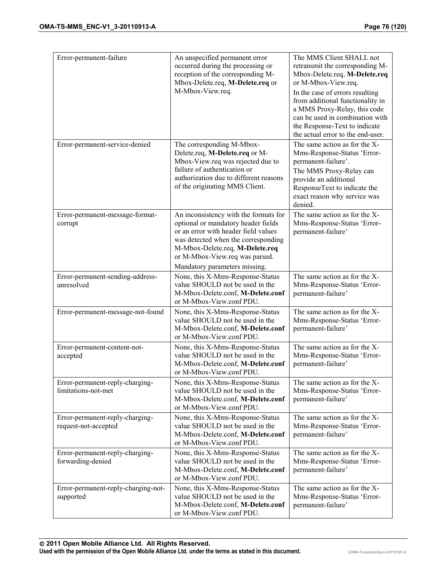| Error-permanent-failure                                 | An unspecified permanent error<br>occurred during the processing or<br>reception of the corresponding M-<br>Mbox-Delete.req, M-Delete.req or<br>M-Mbox-View.req.                                                                                                  | The MMS Client SHALL not<br>retransmit the corresponding M-<br>Mbox-Delete.req, M-Delete.req<br>or M-Mbox-View.req.<br>In the case of errors resulting<br>from additional functionality in<br>a MMS Proxy-Relay, this code<br>can be used in combination with<br>the Response-Text to indicate<br>the actual error to the end-user. |
|---------------------------------------------------------|-------------------------------------------------------------------------------------------------------------------------------------------------------------------------------------------------------------------------------------------------------------------|-------------------------------------------------------------------------------------------------------------------------------------------------------------------------------------------------------------------------------------------------------------------------------------------------------------------------------------|
| Error-permanent-service-denied                          | The corresponding M-Mbox-<br>Delete.req, M-Delete.req or M-<br>Mbox-View.req was rejected due to<br>failure of authentication or<br>authorization due to different reasons<br>of the originating MMS Client.                                                      | The same action as for the X-<br>Mms-Response-Status 'Error-<br>permanent-failure'.<br>The MMS Proxy-Relay can<br>provide an additional<br>ResponseText to indicate the<br>exact reason why service was<br>denied.                                                                                                                  |
| Error-permanent-message-format-<br>corrupt              | An inconsistency with the formats for<br>optional or mandatory header fields<br>or an error with header field values<br>was detected when the corresponding<br>M-Mbox-Delete.req, M-Delete.req<br>or M-Mbox-View.req was parsed.<br>Mandatory parameters missing. | The same action as for the X-<br>Mms-Response-Status 'Error-<br>permanent-failure'                                                                                                                                                                                                                                                  |
| Error-permanent-sending-address-<br>unresolved          | None, this X-Mms-Response-Status<br>value SHOULD not be used in the<br>M-Mbox-Delete.conf, M-Delete.conf<br>or M-Mbox-View.conf PDU.                                                                                                                              | The same action as for the X-<br>Mms-Response-Status 'Error-<br>permanent-failure'                                                                                                                                                                                                                                                  |
| Error-permanent-message-not-found                       | None, this X-Mms-Response-Status<br>value SHOULD not be used in the<br>M-Mbox-Delete.conf, M-Delete.conf<br>or M-Mbox-View.conf PDU.                                                                                                                              | The same action as for the X-<br>Mms-Response-Status 'Error-<br>permanent-failure'                                                                                                                                                                                                                                                  |
| Error-permanent-content-not-<br>accepted                | None, this X-Mms-Response-Status<br>value SHOULD not be used in the<br>M-Mbox-Delete.conf, M-Delete.conf<br>or M-Mbox-View.conf PDU.                                                                                                                              | The same action as for the X-<br>Mms-Response-Status 'Error-<br>permanent-failure'                                                                                                                                                                                                                                                  |
| Error-permanent-reply-charging-<br>limitations-not-met  | None, this X-Mms-Response-Status<br>value SHOULD not be used in the<br>M-Mbox-Delete.conf, M-Delete.conf<br>or M-Mbox-View.conf PDU.                                                                                                                              | The same action as for the X-<br>Mms-Response-Status 'Error-<br>permanent-failure'                                                                                                                                                                                                                                                  |
| Error-permanent-reply-charging-<br>request-not-accepted | None, this X-Mms-Response-Status<br>value SHOULD not be used in the<br>M-Mbox-Delete.conf, M-Delete.conf<br>or M-Mbox-View.conf PDU.                                                                                                                              | The same action as for the X-<br>Mms-Response-Status 'Error-<br>permanent-failure'                                                                                                                                                                                                                                                  |
| Error-permanent-reply-charging-<br>forwarding-denied    | None, this X-Mms-Response-Status<br>value SHOULD not be used in the<br>M-Mbox-Delete.conf, M-Delete.conf<br>or M-Mbox-View.conf PDU.                                                                                                                              | The same action as for the X-<br>Mms-Response-Status 'Error-<br>permanent-failure'                                                                                                                                                                                                                                                  |
| Error-permanent-reply-charging-not-<br>supported        | None, this X-Mms-Response-Status<br>value SHOULD not be used in the<br>M-Mbox-Delete.conf, M-Delete.conf<br>or M-Mbox-View.conf PDU.                                                                                                                              | The same action as for the X-<br>Mms-Response-Status 'Error-<br>permanent-failure'                                                                                                                                                                                                                                                  |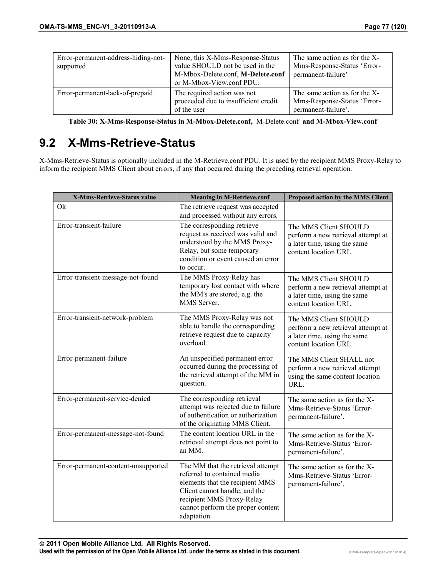| Error-permanent-address-hiding-not-<br>supported | None, this X-Mms-Response-Status<br>value SHOULD not be used in the<br>M-Mbox-Delete.conf, M-Delete.conf<br>or M-Mbox-View.conf PDU. | The same action as for the X-<br>Mms-Response-Status 'Error-<br>permanent-failure'  |
|--------------------------------------------------|--------------------------------------------------------------------------------------------------------------------------------------|-------------------------------------------------------------------------------------|
| Error-permanent-lack-of-prepaid                  | The required action was not<br>proceeded due to insufficient credit<br>of the user                                                   | The same action as for the X-<br>Mms-Response-Status 'Error-<br>permanent-failure'. |

**Table 30: X-Mms-Response-Status in M-Mbox-Delete.conf,** M-Delete.conf **and M-Mbox-View.conf** 

# **9.2 X-Mms-Retrieve-Status**

X-Mms-Retrieve-Status is optionally included in the M-Retrieve.conf PDU. It is used by the recipient MMS Proxy-Relay to inform the recipient MMS Client about errors, if any that occurred during the preceding retrieval operation.

| X-Mms-Retrieve-Status value         | <b>Meaning in M-Retrieve.conf</b>                                                                                                                                                                                     | Proposed action by the MMS Client                                                                                    |
|-------------------------------------|-----------------------------------------------------------------------------------------------------------------------------------------------------------------------------------------------------------------------|----------------------------------------------------------------------------------------------------------------------|
| Ok                                  | The retrieve request was accepted<br>and processed without any errors.                                                                                                                                                |                                                                                                                      |
| Error-transient-failure             | The corresponding retrieve<br>request as received was valid and<br>understood by the MMS Proxy-<br>Relay, but some temporary<br>condition or event caused an error<br>to occur.                                       | The MMS Client SHOULD<br>perform a new retrieval attempt at<br>a later time, using the same<br>content location URL. |
| Error-transient-message-not-found   | The MMS Proxy-Relay has<br>temporary lost contact with where<br>the MM's are stored, e.g. the<br>MMS Server.                                                                                                          | The MMS Client SHOULD<br>perform a new retrieval attempt at<br>a later time, using the same<br>content location URL. |
| Error-transient-network-problem     | The MMS Proxy-Relay was not<br>able to handle the corresponding<br>retrieve request due to capacity<br>overload.                                                                                                      | The MMS Client SHOULD<br>perform a new retrieval attempt at<br>a later time, using the same<br>content location URL. |
| Error-permanent-failure             | An unspecified permanent error<br>occurred during the processing of<br>the retrieval attempt of the MM in<br>question.                                                                                                | The MMS Client SHALL not<br>perform a new retrieval attempt<br>using the same content location<br>URL.               |
| Error-permanent-service-denied      | The corresponding retrieval<br>attempt was rejected due to failure<br>of authentication or authorization<br>of the originating MMS Client.                                                                            | The same action as for the X-<br>Mms-Retrieve-Status 'Error-<br>permanent-failure'.                                  |
| Error-permanent-message-not-found   | The content location URL in the<br>retrieval attempt does not point to<br>an MM.                                                                                                                                      | The same action as for the X-<br>Mms-Retrieve-Status 'Error-<br>permanent-failure'.                                  |
| Error-permanent-content-unsupported | The MM that the retrieval attempt<br>referred to contained media<br>elements that the recipient MMS<br>Client cannot handle, and the<br>recipient MMS Proxy-Relay<br>cannot perform the proper content<br>adaptation. | The same action as for the X-<br>Mms-Retrieve-Status 'Error-<br>permanent-failure'.                                  |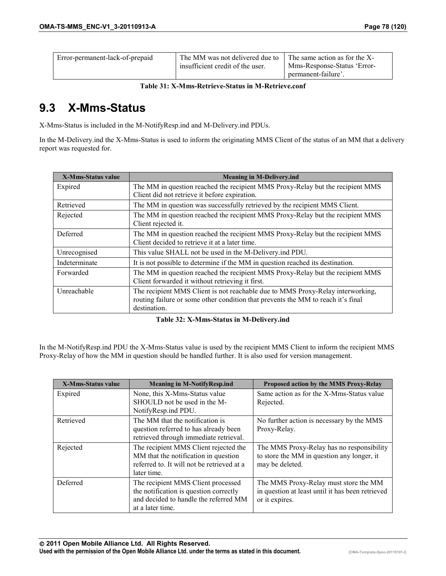**Table 31: X-Mms-Retrieve-Status in M-Retrieve.conf** 

# **9.3 X-Mms-Status**

X-Mms-Status is included in the M-NotifyResp.ind and M-Delivery.ind PDUs.

In the M-Delivery.ind the X-Mms-Status is used to inform the originating MMS Client of the status of an MM that a delivery report was requested for.

| <b>X-Mms-Status value</b> | <b>Meaning in M-Delivery.ind</b>                                                                                                                                                   |
|---------------------------|------------------------------------------------------------------------------------------------------------------------------------------------------------------------------------|
| Expired                   | The MM in question reached the recipient MMS Proxy-Relay but the recipient MMS<br>Client did not retrieve it before expiration.                                                    |
| Retrieved                 | The MM in question was successfully retrieved by the recipient MMS Client.                                                                                                         |
| Rejected                  | The MM in question reached the recipient MMS Proxy-Relay but the recipient MMS<br>Client rejected it.                                                                              |
| Deferred                  | The MM in question reached the recipient MMS Proxy-Relay but the recipient MMS<br>Client decided to retrieve it at a later time.                                                   |
| Unrecognised              | This value SHALL not be used in the M-Delivery ind PDU.                                                                                                                            |
| Indeterminate             | It is not possible to determine if the MM in question reached its destination.                                                                                                     |
| Forwarded                 | The MM in question reached the recipient MMS Proxy-Relay but the recipient MMS<br>Client forwarded it without retrieving it first.                                                 |
| Unreachable               | The recipient MMS Client is not reachable due to MMS Proxy-Relay interworking,<br>routing failure or some other condition that prevents the MM to reach it's final<br>destination. |

#### **Table 32: X-Mms-Status in M-Delivery.ind**

In the M-NotifyResp.ind PDU the X-Mms-Status value is used by the recipient MMS Client to inform the recipient MMS Proxy-Relay of how the MM in question should be handled further. It is also used for version management.

| <b>X-Mms-Status value</b> | <b>Meaning in M-NotifyResp.ind</b>                                                                                                         | Proposed action by the MMS Proxy-Relay                                                                      |
|---------------------------|--------------------------------------------------------------------------------------------------------------------------------------------|-------------------------------------------------------------------------------------------------------------|
| Expired                   | None, this X-Mms-Status value<br>SHOULD not be used in the M-<br>NotifyResp.ind PDU.                                                       | Same action as for the X-Mms-Status value<br>Rejected.                                                      |
| Retrieved                 | The MM that the notification is<br>question referred to has already been<br>retrieved through immediate retrieval.                         | No further action is necessary by the MMS<br>Proxy-Relay.                                                   |
| Rejected                  | The recipient MMS Client rejected the<br>MM that the notification in question<br>referred to. It will not be retrieved at a<br>later time. | The MMS Proxy-Relay has no responsibility<br>to store the MM in question any longer, it<br>may be deleted.  |
| Deferred                  | The recipient MMS Client processed<br>the notification is question correctly<br>and decided to handle the referred MM<br>at a later time.  | The MMS Proxy-Relay must store the MM<br>in question at least until it has been retrieved<br>or it expires. |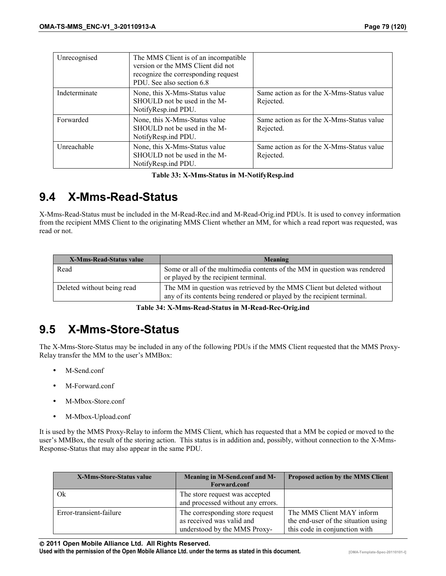| Unrecognised  | The MMS Client is of an incompatible<br>version or the MMS Client did not<br>recognize the corresponding request<br>PDU. See also section 6.8 |                                                        |
|---------------|-----------------------------------------------------------------------------------------------------------------------------------------------|--------------------------------------------------------|
| Indeterminate | None, this X-Mms-Status value<br>SHOULD not be used in the M-<br>NotifyResp.ind PDU.                                                          | Same action as for the X-Mms-Status value<br>Rejected. |
| Forwarded     | None, this X-Mms-Status value<br>SHOULD not be used in the M-<br>NotifyResp.ind PDU.                                                          | Same action as for the X-Mms-Status value<br>Rejected. |
| Unreachable   | None, this X-Mms-Status value<br>SHOULD not be used in the M-<br>NotifyResp.ind PDU.                                                          | Same action as for the X-Mms-Status value<br>Rejected. |

**Table 33: X-Mms-Status in M-NotifyResp.ind**

# **9.4 X-Mms-Read-Status**

X-Mms-Read-Status must be included in the M-Read-Rec.ind and M-Read-Orig.ind PDUs. It is used to convey information from the recipient MMS Client to the originating MMS Client whether an MM, for which a read report was requested, was read or not.

| X-Mms-Read-Status value    | Meaning                                                                                                                                           |
|----------------------------|---------------------------------------------------------------------------------------------------------------------------------------------------|
| Read                       | Some or all of the multimedia contents of the MM in question was rendered<br>or played by the recipient terminal.                                 |
| Deleted without being read | The MM in question was retrieved by the MMS Client but deleted without<br>any of its contents being rendered or played by the recipient terminal. |

**Table 34: X-Mms-Read-Status in M-Read-Rec-Orig.ind**

# **9.5 X-Mms-Store-Status**

The X-Mms-Store-Status may be included in any of the following PDUs if the MMS Client requested that the MMS Proxy-Relay transfer the MM to the user's MMBox:

- M-Send.conf
- M-Forward.conf
- M-Mbox-Store.conf
- M-Mbox-Upload.conf

It is used by the MMS Proxy-Relay to inform the MMS Client, which has requested that a MM be copied or moved to the user's MMBox, the result of the storing action. This status is in addition and, possibly, without connection to the X-Mms-Response-Status that may also appear in the same PDU.

| X-Mms-Store-Status value | Meaning in M-Send.conf and M-<br>Forward.conf                                                | Proposed action by the MMS Client                                                                 |
|--------------------------|----------------------------------------------------------------------------------------------|---------------------------------------------------------------------------------------------------|
| Ok                       | The store request was accepted<br>and processed without any errors.                          |                                                                                                   |
| Error-transient-failure  | The corresponding store request<br>as received was valid and<br>understood by the MMS Proxy- | The MMS Client MAY inform<br>the end-user of the situation using<br>this code in conjunction with |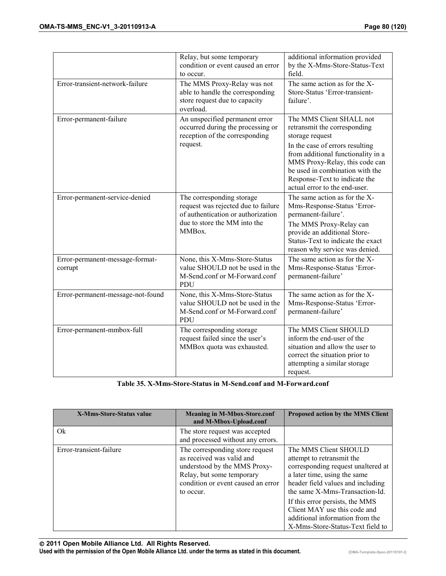|                                            | Relay, but some temporary<br>condition or event caused an error<br>to occur.                                                                     | additional information provided<br>by the X-Mms-Store-Status-Text<br>field                                                                                                                                                                                                                  |
|--------------------------------------------|--------------------------------------------------------------------------------------------------------------------------------------------------|---------------------------------------------------------------------------------------------------------------------------------------------------------------------------------------------------------------------------------------------------------------------------------------------|
| Error-transient-network-failure            | The MMS Proxy-Relay was not<br>able to handle the corresponding<br>store request due to capacity<br>overload.                                    | The same action as for the X-<br>Store-Status 'Error-transient-<br>failure'.                                                                                                                                                                                                                |
| Error-permanent-failure                    | An unspecified permanent error<br>occurred during the processing or<br>reception of the corresponding<br>request.                                | The MMS Client SHALL not<br>retransmit the corresponding<br>storage request<br>In the case of errors resulting<br>from additional functionality in a<br>MMS Proxy-Relay, this code can<br>be used in combination with the<br>Response-Text to indicate the<br>actual error to the end-user. |
| Error-permanent-service-denied             | The corresponding storage<br>request was rejected due to failure<br>of authentication or authorization<br>due to store the MM into the<br>MMBox. | The same action as for the X-<br>Mms-Response-Status 'Error-<br>permanent-failure'.<br>The MMS Proxy-Relay can<br>provide an additional Store-<br>Status-Text to indicate the exact<br>reason why service was denied.                                                                       |
| Error-permanent-message-format-<br>corrupt | None, this X-Mms-Store-Status<br>value SHOULD not be used in the<br>M-Send.conf or M-Forward.conf<br>PDU                                         | The same action as for the X-<br>Mms-Response-Status 'Error-<br>permanent-failure'                                                                                                                                                                                                          |
| Error-permanent-message-not-found          | None, this X-Mms-Store-Status<br>value SHOULD not be used in the<br>M-Send.conf or M-Forward.conf<br>PDU                                         | The same action as for the X-<br>Mms-Response-Status 'Error-<br>permanent-failure'                                                                                                                                                                                                          |
| Error-permanent-mmbox-full                 | The corresponding storage<br>request failed since the user's<br>MMBox quota was exhausted.                                                       | The MMS Client SHOULD<br>inform the end-user of the<br>situation and allow the user to<br>correct the situation prior to<br>attempting a similar storage<br>request.                                                                                                                        |

**Table 35. X-Mms-Store-Status in M-Send.conf and M-Forward.conf** 

| X-Mms-Store-Status value | <b>Meaning in M-Mbox-Store.conf</b><br>and M-Mbox-Upload.conf                                                                                                                | Proposed action by the MMS Client                                                                                                                                                                                                                                                                                                         |
|--------------------------|------------------------------------------------------------------------------------------------------------------------------------------------------------------------------|-------------------------------------------------------------------------------------------------------------------------------------------------------------------------------------------------------------------------------------------------------------------------------------------------------------------------------------------|
| $Q_{\rm k}$              | The store request was accepted<br>and processed without any errors.                                                                                                          |                                                                                                                                                                                                                                                                                                                                           |
| Error-transient-failure  | The corresponding store request<br>as received was valid and<br>understood by the MMS Proxy-<br>Relay, but some temporary<br>condition or event caused an error<br>to occur. | The MMS Client SHOULD<br>attempt to retransmit the<br>corresponding request unaltered at<br>a later time, using the same<br>header field values and including<br>the same X-Mms-Transaction-Id.<br>If this error persists, the MMS<br>Client MAY use this code and<br>additional information from the<br>X-Mms-Store-Status-Text field to |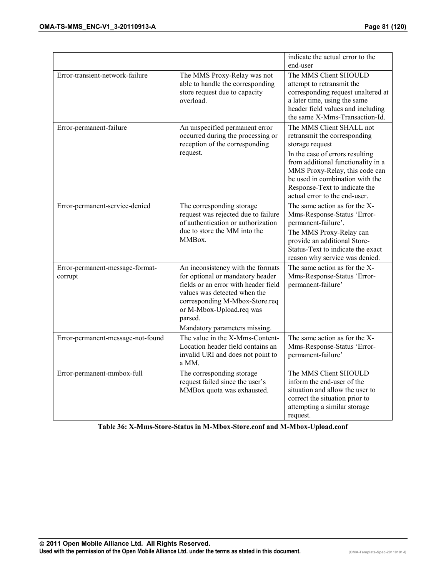|                                            |                                                                                                                                                                                                                                                         | indicate the actual error to the<br>end-user                                                                                                                                                                                                                                                |
|--------------------------------------------|---------------------------------------------------------------------------------------------------------------------------------------------------------------------------------------------------------------------------------------------------------|---------------------------------------------------------------------------------------------------------------------------------------------------------------------------------------------------------------------------------------------------------------------------------------------|
| Error-transient-network-failure            | The MMS Proxy-Relay was not<br>able to handle the corresponding<br>store request due to capacity<br>overload.                                                                                                                                           | The MMS Client SHOULD<br>attempt to retransmit the<br>corresponding request unaltered at<br>a later time, using the same<br>header field values and including<br>the same X-Mms-Transaction-Id.                                                                                             |
| Error-permanent-failure                    | An unspecified permanent error<br>occurred during the processing or<br>reception of the corresponding<br>request.                                                                                                                                       | The MMS Client SHALL not<br>retransmit the corresponding<br>storage request<br>In the case of errors resulting<br>from additional functionality in a<br>MMS Proxy-Relay, this code can<br>be used in combination with the<br>Response-Text to indicate the<br>actual error to the end-user. |
| Error-permanent-service-denied             | The corresponding storage<br>request was rejected due to failure<br>of authentication or authorization<br>due to store the MM into the<br>MMBox.                                                                                                        | The same action as for the X-<br>Mms-Response-Status 'Error-<br>permanent-failure'.<br>The MMS Proxy-Relay can<br>provide an additional Store-<br>Status-Text to indicate the exact<br>reason why service was denied.                                                                       |
| Error-permanent-message-format-<br>corrupt | An inconsistency with the formats<br>for optional or mandatory header<br>fields or an error with header field<br>values was detected when the<br>corresponding M-Mbox-Store.req<br>or M-Mbox-Upload.req was<br>parsed.<br>Mandatory parameters missing. | The same action as for the X-<br>Mms-Response-Status 'Error-<br>permanent-failure'                                                                                                                                                                                                          |
| Error-permanent-message-not-found          | The value in the X-Mms-Content-<br>Location header field contains an<br>invalid URI and does not point to<br>a MM.                                                                                                                                      | The same action as for the X-<br>Mms-Response-Status 'Error-<br>permanent-failure'                                                                                                                                                                                                          |
| Error-permanent-mmbox-full                 | The corresponding storage<br>request failed since the user's<br>MMBox quota was exhausted.                                                                                                                                                              | The MMS Client SHOULD<br>inform the end-user of the<br>situation and allow the user to<br>correct the situation prior to<br>attempting a similar storage<br>request.                                                                                                                        |

**Table 36: X-Mms-Store-Status in M-Mbox-Store.conf and M-Mbox-Upload.conf**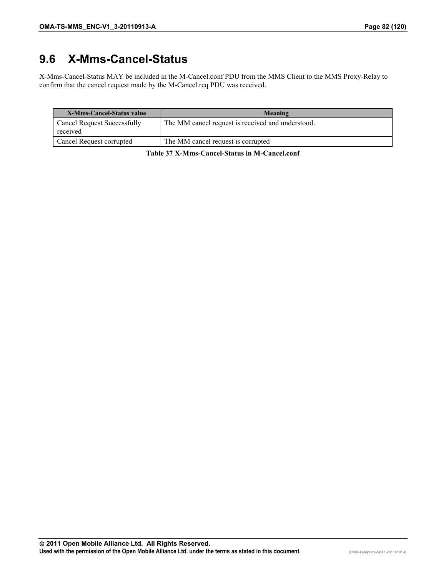# **9.6 X-Mms-Cancel-Status**

X-Mms-Cancel-Status MAY be included in the M-Cancel.conf PDU from the MMS Client to the MMS Proxy-Relay to confirm that the cancel request made by the M-Cancel.req PDU was received.

| <b>X-Mms-Cancel-Status value</b>               | Meaning                                           |
|------------------------------------------------|---------------------------------------------------|
| <b>Cancel Request Successfully</b><br>received | The MM cancel request is received and understood. |
| Cancel Request corrupted                       | The MM cancel request is corrupted                |

**Table 37 X-Mms-Cancel-Status in M-Cancel.conf**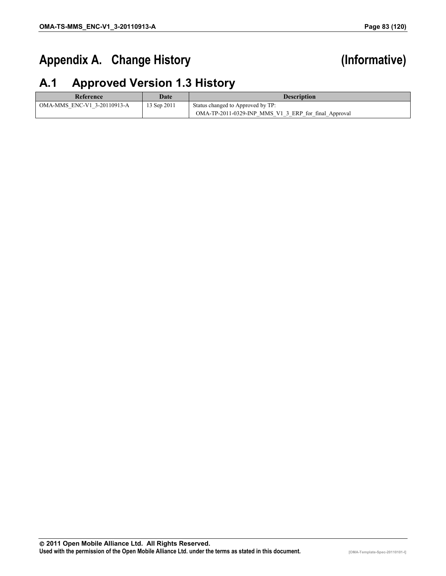# Appendix A. Change History **(Informative)**

# **A.1 Approved Version 1.3 History**

| Reference                   | Date        | <b>Description</b>                                   |
|-----------------------------|-------------|------------------------------------------------------|
| OMA-MMS ENC-V1 3-20110913-A | 13 Sep 2011 | Status changed to Approved by TP:                    |
|                             |             | OMA-TP-2011-0329-INP MMS V1 3 ERP for final Approval |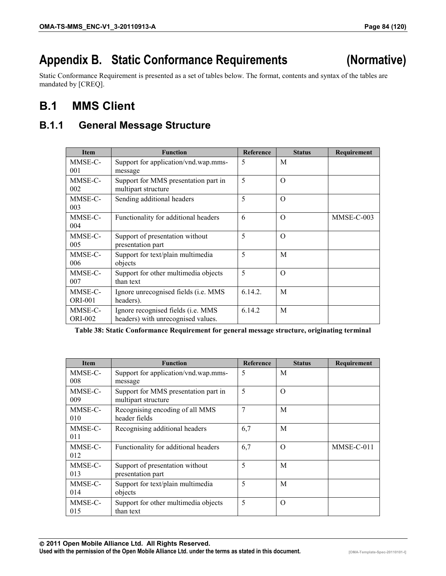# **Appendix B. Static Conformance Requirements (Normative)**

Static Conformance Requirement is presented as a set of tables below. The format, contents and syntax of the tables are mandated by [CREQ].

# **B.1 MMS Client**

## **B.1.1 General Message Structure**

| <b>Item</b>    | <b>Function</b>                              | <b>Reference</b> | <b>Status</b> | Requirement |
|----------------|----------------------------------------------|------------------|---------------|-------------|
| MMSE-C-        | Support for application/vnd.wap.mms-         | 5                | M             |             |
| 001            | message                                      |                  |               |             |
| MMSE-C-        | Support for MMS presentation part in         | 5                | $\Omega$      |             |
| 002            | multipart structure                          |                  |               |             |
| MMSE-C-        | Sending additional headers                   | 5                | $\Omega$      |             |
| 003            |                                              |                  |               |             |
| MMSE-C-        | Functionality for additional headers         | 6                | $\Omega$      | MMSE-C-003  |
| 004            |                                              |                  |               |             |
| MMSE-C-        | Support of presentation without              | 5                | $\Omega$      |             |
| 005            | presentation part                            |                  |               |             |
| MMSE-C-        | Support for text/plain multimedia            | 5                | M             |             |
| 006            | objects                                      |                  |               |             |
| MMSE-C-        | Support for other multimedia objects         | 5                | $\Omega$      |             |
| 007            | than text                                    |                  |               |             |
| MMSE-C-        | Ignore unrecognised fields ( <i>i.e. MMS</i> | 6.14.2.          | M             |             |
| <b>ORI-001</b> | headers).                                    |                  |               |             |
| MMSE-C-        | Ignore recognised fields (i.e. MMS           | 6.14.2           | M             |             |
| <b>ORI-002</b> | headers) with unrecognised values.           |                  |               |             |

**Table 38: Static Conformance Requirement for general message structure, originating terminal** 

| <b>Item</b>    | <b>Function</b>                                             | Reference | <b>Status</b> | Requirement |
|----------------|-------------------------------------------------------------|-----------|---------------|-------------|
| MMSE-C-<br>008 | Support for application/vnd.wap.mms-<br>message             | 5         | M             |             |
| MMSE-C-<br>009 | Support for MMS presentation part in<br>multipart structure | 5         | $\Omega$      |             |
| MMSE-C-<br>010 | Recognising encoding of all MMS<br>header fields            | 7         | M             |             |
| MMSE-C-<br>011 | Recognising additional headers                              | 6,7       | M             |             |
| MMSE-C-<br>012 | Functionality for additional headers                        | 6,7       | $\Omega$      | MMSE-C-011  |
| MMSE-C-<br>013 | Support of presentation without<br>presentation part        | 5         | M             |             |
| MMSE-C-<br>014 | Support for text/plain multimedia<br>objects                | 5         | M             |             |
| MMSE-C-<br>015 | Support for other multimedia objects<br>than text           | 5         | $\Omega$      |             |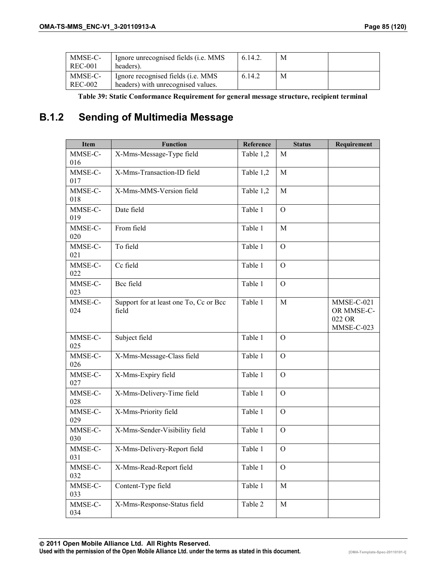| MMSE-C-<br>REC-001 | Ignore unrecognised fields ( <i>i.e.</i> MMS<br>headers).                        | 6.14.2. | M |  |
|--------------------|----------------------------------------------------------------------------------|---------|---|--|
| MMSE-C-<br>REC-002 | Ignore recognised fields ( <i>i.e.</i> MMS<br>headers) with unrecognised values. | 6.14.2  | M |  |

**Table 39: Static Conformance Requirement for general message structure, recipient terminal** 

## **B.1.2 Sending of Multimedia Message**

| <b>Item</b>    | <b>Function</b>                                 | Reference | <b>Status</b>  | Requirement                                      |
|----------------|-------------------------------------------------|-----------|----------------|--------------------------------------------------|
| MMSE-C-<br>016 | X-Mms-Message-Type field                        | Table 1,2 | M              |                                                  |
| MMSE-C-<br>017 | X-Mms-Transaction-ID field                      | Table 1,2 | $\mathbf{M}$   |                                                  |
| MMSE-C-<br>018 | X-Mms-MMS-Version field                         | Table 1,2 | $\mathbf M$    |                                                  |
| MMSE-C-<br>019 | Date field                                      | Table 1   | $\overline{O}$ |                                                  |
| MMSE-C-<br>020 | From field                                      | Table 1   | M              |                                                  |
| MMSE-C-<br>021 | To field                                        | Table 1   | $\mathcal{O}$  |                                                  |
| MMSE-C-<br>022 | Cc field                                        | Table 1   | $\overline{O}$ |                                                  |
| MMSE-C-<br>023 | Bcc field                                       | Table 1   | $\overline{O}$ |                                                  |
| MMSE-C-<br>024 | Support for at least one To, Cc or Bcc<br>field | Table 1   | M              | MMSE-C-021<br>OR MMSE-C-<br>022 OR<br>MMSE-C-023 |
| MMSE-C-<br>025 | Subject field                                   | Table 1   | $\Omega$       |                                                  |
| MMSE-C-<br>026 | X-Mms-Message-Class field                       | Table 1   | $\overline{O}$ |                                                  |
| MMSE-C-<br>027 | X-Mms-Expiry field                              | Table 1   | $\overline{O}$ |                                                  |
| MMSE-C-<br>028 | X-Mms-Delivery-Time field                       | Table 1   | $\mathbf{O}$   |                                                  |
| MMSE-C-<br>029 | X-Mms-Priority field                            | Table 1   | $\overline{O}$ |                                                  |
| MMSE-C-<br>030 | X-Mms-Sender-Visibility field                   | Table 1   | $\Omega$       |                                                  |
| MMSE-C-<br>031 | X-Mms-Delivery-Report field                     | Table 1   | $\overline{O}$ |                                                  |
| MMSE-C-<br>032 | X-Mms-Read-Report field                         | Table 1   | $\overline{O}$ |                                                  |
| MMSE-C-<br>033 | Content-Type field                              | Table 1   | $\mathbf M$    |                                                  |
| MMSE-C-<br>034 | X-Mms-Response-Status field                     | Table 2   | M              |                                                  |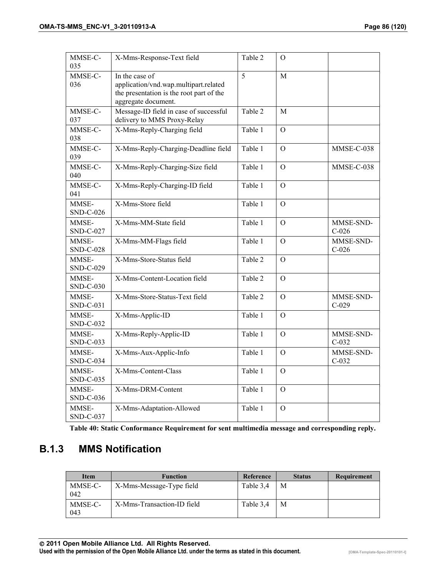| MMSE-C-<br>035            | X-Mms-Response-Text field                                                                                                  | Table 2 | $\Omega$       |                      |
|---------------------------|----------------------------------------------------------------------------------------------------------------------------|---------|----------------|----------------------|
| MMSE-C-<br>036            | In the case of<br>application/vnd.wap.multipart.related<br>the presentation is the root part of the<br>aggregate document. | 5       | $\mathbf{M}$   |                      |
| MMSE-C-<br>037            | Message-ID field in case of successful<br>delivery to MMS Proxy-Relay                                                      | Table 2 | M              |                      |
| MMSE-C-<br>038            | X-Mms-Reply-Charging field                                                                                                 | Table 1 | $\overline{O}$ |                      |
| MMSE-C-<br>039            | X-Mms-Reply-Charging-Deadline field                                                                                        | Table 1 | $\Omega$       | MMSE-C-038           |
| MMSE-C-<br>040            | X-Mms-Reply-Charging-Size field                                                                                            | Table 1 | $\Omega$       | MMSE-C-038           |
| MMSE-C-<br>041            | X-Mms-Reply-Charging-ID field                                                                                              | Table 1 | $\mathbf{O}$   |                      |
| MMSE-<br>SND-C-026        | X-Mms-Store field                                                                                                          | Table 1 | $\Omega$       |                      |
| MMSE-<br><b>SND-C-027</b> | X-Mms-MM-State field                                                                                                       | Table 1 | $\overline{O}$ | MMSE-SND-<br>$C-026$ |
| MMSE-<br><b>SND-C-028</b> | X-Mms-MM-Flags field                                                                                                       | Table 1 | $\overline{O}$ | MMSE-SND-<br>$C-026$ |
| MMSE-<br>SND-C-029        | X-Mms-Store-Status field                                                                                                   | Table 2 | $\mathbf{O}$   |                      |
| MMSE-<br>SND-C-030        | X-Mms-Content-Location field                                                                                               | Table 2 | $\Omega$       |                      |
| MMSE-<br>SND-C-031        | X-Mms-Store-Status-Text field                                                                                              | Table 2 | $\overline{O}$ | MMSE-SND-<br>$C-029$ |
| MMSE-<br>SND-C-032        | X-Mms-Applic-ID                                                                                                            | Table 1 | $\mathbf{O}$   |                      |
| MMSE-<br>SND-C-033        | X-Mms-Reply-Applic-ID                                                                                                      | Table 1 | $\Omega$       | MMSE-SND-<br>$C-032$ |
| MMSE-<br>SND-C-034        | X-Mms-Aux-Applic-Info                                                                                                      | Table 1 | $\Omega$       | MMSE-SND-<br>$C-032$ |
| MMSE-<br>SND-C-035        | X-Mms-Content-Class                                                                                                        | Table 1 | $\overline{O}$ |                      |
| MMSE-<br>SND-C-036        | X-Mms-DRM-Content                                                                                                          | Table 1 | $\overline{O}$ |                      |
| MMSE-<br>SND-C-037        | X-Mms-Adaptation-Allowed                                                                                                   | Table 1 | $\mathcal{O}$  |                      |

**Table 40: Static Conformance Requirement for sent multimedia message and corresponding reply.** 

## **B.1.3 MMS Notification**

| Item           | <b>Function</b>            | Reference | <b>Status</b> | Requirement |
|----------------|----------------------------|-----------|---------------|-------------|
| MMSE-C-<br>042 | X-Mms-Message-Type field   | Table 3.4 | М             |             |
| MMSE-C-<br>043 | X-Mms-Transaction-ID field | Table 3.4 | М             |             |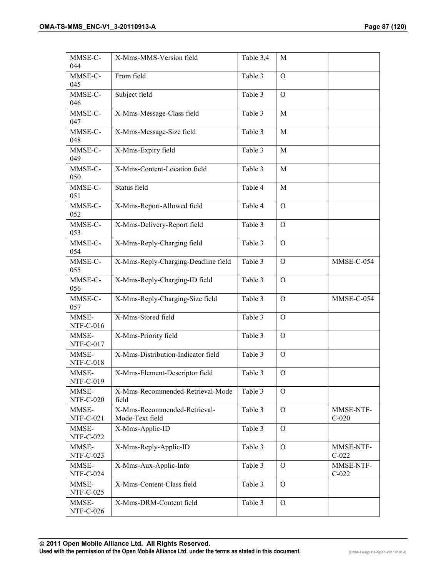| MMSE-C-<br>044            | X-Mms-MMS-Version field                         | Table 3,4 | M              |                      |
|---------------------------|-------------------------------------------------|-----------|----------------|----------------------|
| MMSE-C-<br>045            | From field                                      | Table 3   | $\mathcal{O}$  |                      |
| MMSE-C-<br>046            | Subject field                                   | Table 3   | $\mathcal{O}$  |                      |
| MMSE-C-<br>047            | X-Mms-Message-Class field                       | Table 3   | M              |                      |
| MMSE-C-<br>048            | X-Mms-Message-Size field                        | Table 3   | M              |                      |
| MMSE-C-<br>049            | X-Mms-Expiry field                              | Table 3   | M              |                      |
| MMSE-C-<br>050            | X-Mms-Content-Location field                    | Table 3   | M              |                      |
| MMSE-C-<br>051            | Status field                                    | Table 4   | M              |                      |
| MMSE-C-<br>052            | X-Mms-Report-Allowed field                      | Table 4   | $\mathcal{O}$  |                      |
| MMSE-C-<br>053            | X-Mms-Delivery-Report field                     | Table 3   | $\mathcal{O}$  |                      |
| MMSE-C-<br>054            | X-Mms-Reply-Charging field                      | Table 3   | $\mathcal{O}$  |                      |
| MMSE-C-<br>055            | X-Mms-Reply-Charging-Deadline field             | Table 3   | $\mathbf{O}$   | MMSE-C-054           |
| MMSE-C-<br>056            | X-Mms-Reply-Charging-ID field                   | Table 3   | $\mathcal{O}$  |                      |
| MMSE-C-<br>057            | X-Mms-Reply-Charging-Size field                 | Table 3   | $\mathbf{O}$   | MMSE-C-054           |
| MMSE-<br>NTF-C-016        | X-Mms-Stored field                              | Table 3   | $\mathcal{O}$  |                      |
| MMSE-<br>NTF-C-017        | X-Mms-Priority field                            | Table 3   | $\Omega$       |                      |
| MMSE-<br><b>NTF-C-018</b> | X-Mms-Distribution-Indicator field              | Table 3   | $\mathcal{O}$  |                      |
| MMSE-<br>NTF-C-019        | X-Mms-Element-Descriptor field                  | Table 3   | $\mathbf{O}$   |                      |
| MMSE-<br><b>NTF-C-020</b> | X-Mms-Recommended-Retrieval-Mode<br>field       | Table 3   | $\mathcal{O}$  |                      |
| MMSE-<br><b>NTF-C-021</b> | X-Mms-Recommended-Retrieval-<br>Mode-Text field | Table 3   | $\Omega$       | MMSE-NTF-<br>$C-020$ |
| MMSE-<br><b>NTF-C-022</b> | X-Mms-Applic-ID                                 | Table 3   | $\mathcal{O}$  |                      |
| MMSE-<br>NTF-C-023        | X-Mms-Reply-Applic-ID                           | Table 3   | $\mathcal{O}$  | MMSE-NTF-<br>$C-022$ |
| MMSE-<br>NTF-C-024        | X-Mms-Aux-Applic-Info                           | Table 3   | $\mathcal{O}$  | MMSE-NTF-<br>$C-022$ |
| MMSE-<br>NTF-C-025        | X-Mms-Content-Class field                       | Table 3   | $\Omega$       |                      |
| MMSE-<br><b>NTF-C-026</b> | X-Mms-DRM-Content field                         | Table 3   | $\overline{O}$ |                      |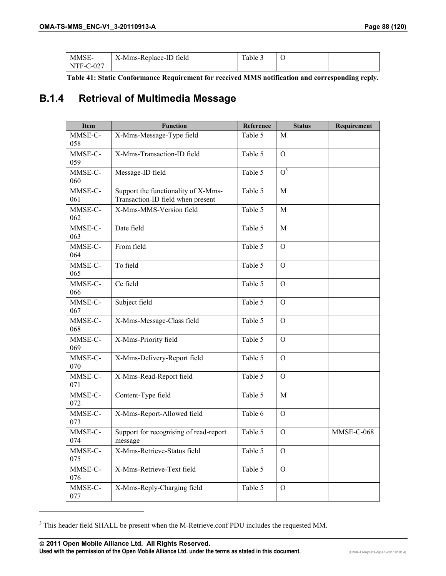| MMSE-       | X-Mms-Replace-ID field | Table 5 |  |
|-------------|------------------------|---------|--|
| $NTF-C-027$ |                        |         |  |

**Table 41: Static Conformance Requirement for received MMS notification and corresponding reply.** 

## **B.1.4 Retrieval of Multimedia Message**

| <b>Item</b>    | <b>Function</b>                                                          | Reference | <b>Status</b>    | Requirement |
|----------------|--------------------------------------------------------------------------|-----------|------------------|-------------|
| MMSE-C-<br>058 | X-Mms-Message-Type field                                                 | Table 5   | M                |             |
| MMSE-C-<br>059 | X-Mms-Transaction-ID field                                               | Table 5   | $\mathbf{O}$     |             |
| MMSE-C-<br>060 | Message-ID field                                                         | Table 5   | $\overline{O}^3$ |             |
| MMSE-C-<br>061 | Support the functionality of X-Mms-<br>Transaction-ID field when present | Table 5   | M                |             |
| MMSE-C-<br>062 | X-Mms-MMS-Version field                                                  | Table 5   | M                |             |
| MMSE-C-<br>063 | Date field                                                               | Table 5   | M                |             |
| MMSE-C-<br>064 | From field                                                               | Table 5   | $\mathbf{O}$     |             |
| MMSE-C-<br>065 | To field                                                                 | Table 5   | $\Omega$         |             |
| MMSE-C-<br>066 | Cc field                                                                 | Table 5   | $\Omega$         |             |
| MMSE-C-<br>067 | Subject field                                                            | Table 5   | $\mathbf{O}$     |             |
| MMSE-C-<br>068 | X-Mms-Message-Class field                                                | Table 5   | $\mathbf{O}$     |             |
| MMSE-C-<br>069 | X-Mms-Priority field                                                     | Table 5   | $\Omega$         |             |
| MMSE-C-<br>070 | X-Mms-Delivery-Report field                                              | Table 5   | $\Omega$         |             |
| MMSE-C-<br>071 | X-Mms-Read-Report field                                                  | Table 5   | $\mathbf{O}$     |             |
| MMSE-C-<br>072 | Content-Type field                                                       | Table 5   | M                |             |
| MMSE-C-<br>073 | X-Mms-Report-Allowed field                                               | Table 6   | $\mathbf{O}$     |             |
| MMSE-C-<br>074 | Support for recognising of read-report<br>message                        | Table 5   | $\mathcal{O}$    | MMSE-C-068  |
| MMSE-C-<br>075 | X-Mms-Retrieve-Status field                                              | Table 5   | $\mathcal{O}$    |             |
| MMSE-C-<br>076 | X-Mms-Retrieve-Text field                                                | Table 5   | $\overline{O}$   |             |
| MMSE-C-<br>077 | X-Mms-Reply-Charging field                                               | Table 5   | $\mathbf{O}$     |             |

<sup>&</sup>lt;sup>3</sup> This header field SHALL be present when the M-Retrieve.conf PDU includes the requested MM.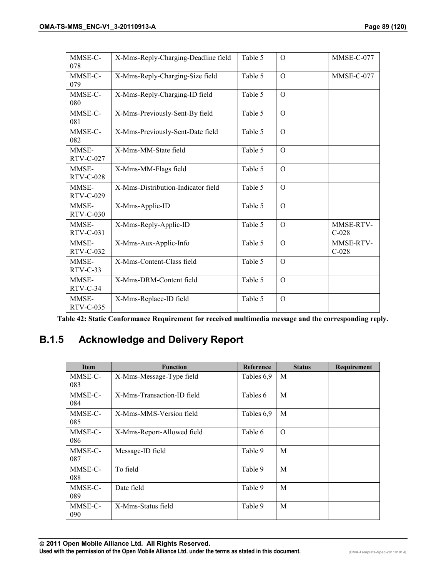| MMSE-C-<br>078            | X-Mms-Reply-Charging-Deadline field | Table 5 | $\Omega$       | MMSE-C-077           |
|---------------------------|-------------------------------------|---------|----------------|----------------------|
| MMSE-C-<br>079            | X-Mms-Reply-Charging-Size field     | Table 5 | $\Omega$       | MMSE-C-077           |
| MMSE-C-<br>080            | X-Mms-Reply-Charging-ID field       | Table 5 | $\overline{O}$ |                      |
| MMSE-C-<br>081            | X-Mms-Previously-Sent-By field      | Table 5 | $\Omega$       |                      |
| MMSE-C-<br>082            | X-Mms-Previously-Sent-Date field    | Table 5 | $\Omega$       |                      |
| MMSE-<br>RTV-C-027        | X-Mms-MM-State field                | Table 5 | $\overline{O}$ |                      |
| MMSE-<br><b>RTV-C-028</b> | X-Mms-MM-Flags field                | Table 5 | $\Omega$       |                      |
| MMSE-<br>RTV-C-029        | X-Mms-Distribution-Indicator field  | Table 5 | $\Omega$       |                      |
| MMSE-<br>RTV-C-030        | X-Mms-Applic-ID                     | Table 5 | $\Omega$       |                      |
| MMSE-<br>$RTV-C-031$      | X-Mms-Reply-Applic-ID               | Table 5 | $\Omega$       | MMSE-RTV-<br>$C-028$ |
| MMSE-<br>RTV-C-032        | X-Mms-Aux-Applic-Info               | Table 5 | $\Omega$       | MMSE-RTV-<br>$C-028$ |
| MMSE-<br>$RTV-C-33$       | X-Mms-Content-Class field           | Table 5 | $\Omega$       |                      |
| MMSE-<br>$RTV-C-34$       | X-Mms-DRM-Content field             | Table 5 | $\Omega$       |                      |
| MMSE-<br>RTV-C-035        | X-Mms-Replace-ID field              | Table 5 | $\Omega$       |                      |

**Table 42: Static Conformance Requirement for received multimedia message and the corresponding reply.** 

## **B.1.5 Acknowledge and Delivery Report**

| <b>Item</b> | <b>Function</b>            | <b>Reference</b> | <b>Status</b> | Requirement |
|-------------|----------------------------|------------------|---------------|-------------|
| MMSE-C-     | X-Mms-Message-Type field   | Tables 6,9       | M             |             |
| 083         |                            |                  |               |             |
| MMSE-C-     | X-Mms-Transaction-ID field | Tables 6         | M             |             |
| 084         |                            |                  |               |             |
| MMSE-C-     | X-Mms-MMS-Version field    | Tables 6,9       | M             |             |
| 085         |                            |                  |               |             |
| MMSE-C-     | X-Mms-Report-Allowed field | Table 6          | $\Omega$      |             |
| 086         |                            |                  |               |             |
| MMSE-C-     | Message-ID field           | Table 9          | M             |             |
| 087         |                            |                  |               |             |
| MMSE-C-     | To field                   | Table 9          | M             |             |
| 088         |                            |                  |               |             |
| MMSE-C-     | Date field                 | Table 9          | M             |             |
| 089         |                            |                  |               |             |
| MMSE-C-     | X-Mms-Status field         | Table 9          | M             |             |
| 090         |                            |                  |               |             |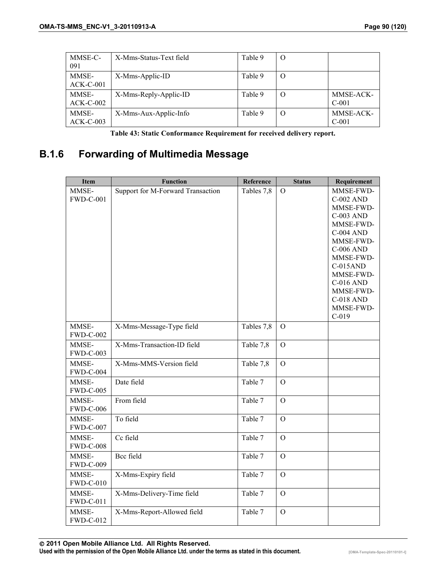| MMSE-C-<br>091       | X-Mms-Status-Text field | Table 9 | O |                      |
|----------------------|-------------------------|---------|---|----------------------|
| MMSE-<br>$ACK-C-001$ | X-Mms-Applic-ID         | Table 9 | O |                      |
| MMSE-<br>$ACK-C-002$ | X-Mms-Reply-Applic-ID   | Table 9 | O | MMSE-ACK-<br>$C-001$ |
| MMSE-<br>$ACK-C-003$ | X-Mms-Aux-Applic-Info   | Table 9 | O | MMSE-ACK-<br>$C-001$ |

**Table 43: Static Conformance Requirement for received delivery report.** 

# **B.1.6 Forwarding of Multimedia Message**

| <b>Item</b>               | <b>Function</b>                   | Reference  | <b>Status</b>  | Requirement                                                                                                                                                                                                                                    |
|---------------------------|-----------------------------------|------------|----------------|------------------------------------------------------------------------------------------------------------------------------------------------------------------------------------------------------------------------------------------------|
| MMSE-<br><b>FWD-C-001</b> | Support for M-Forward Transaction | Tables 7,8 | $\Omega$       | MMSE-FWD-<br><b>C-002 AND</b><br>MMSE-FWD-<br><b>C-003 AND</b><br>MMSE-FWD-<br><b>C-004 AND</b><br>MMSE-FWD-<br><b>C-006 AND</b><br>MMSE-FWD-<br>$C-015AND$<br>MMSE-FWD-<br>C-016 AND<br>MMSE-FWD-<br><b>C-018 AND</b><br>MMSE-FWD-<br>$C-019$ |
| MMSE-<br><b>FWD-C-002</b> | X-Mms-Message-Type field          | Tables 7,8 | $\mathbf{O}$   |                                                                                                                                                                                                                                                |
| MMSE-<br><b>FWD-C-003</b> | X-Mms-Transaction-ID field        | Table 7,8  | $\mathcal{O}$  |                                                                                                                                                                                                                                                |
| MMSE-<br><b>FWD-C-004</b> | X-Mms-MMS-Version field           | Table 7,8  | $\mathbf{O}$   |                                                                                                                                                                                                                                                |
| MMSE-<br><b>FWD-C-005</b> | Date field                        | Table 7    | $\overline{O}$ |                                                                                                                                                                                                                                                |
| MMSE-<br><b>FWD-C-006</b> | From field                        | Table 7    | $\Omega$       |                                                                                                                                                                                                                                                |
| MMSE-<br><b>FWD-C-007</b> | To field                          | Table 7    | $\overline{O}$ |                                                                                                                                                                                                                                                |
| MMSE-<br><b>FWD-C-008</b> | Cc field                          | Table 7    | $\overline{O}$ |                                                                                                                                                                                                                                                |
| MMSE-<br><b>FWD-C-009</b> | Bcc field                         | Table 7    | $\overline{O}$ |                                                                                                                                                                                                                                                |
| MMSE-<br><b>FWD-C-010</b> | X-Mms-Expiry field                | Table 7    | $\overline{O}$ |                                                                                                                                                                                                                                                |
| MMSE-<br><b>FWD-C-011</b> | X-Mms-Delivery-Time field         | Table 7    | $\mathbf{O}$   |                                                                                                                                                                                                                                                |
| MMSE-<br><b>FWD-C-012</b> | X-Mms-Report-Allowed field        | Table 7    | $\mathbf{O}$   |                                                                                                                                                                                                                                                |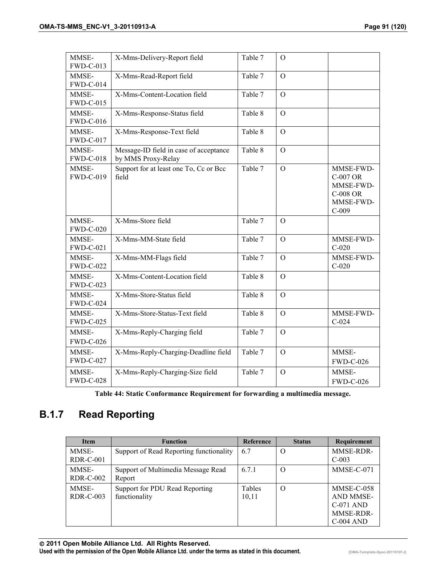| MMSE-<br><b>FWD-C-013</b> | X-Mms-Delivery-Report field                                  | Table 7 | $\Omega$       |                                                                               |
|---------------------------|--------------------------------------------------------------|---------|----------------|-------------------------------------------------------------------------------|
| MMSE-<br><b>FWD-C-014</b> | X-Mms-Read-Report field                                      | Table 7 | $\mathbf{O}$   |                                                                               |
| MMSE-<br><b>FWD-C-015</b> | X-Mms-Content-Location field                                 | Table 7 | $\overline{O}$ |                                                                               |
| MMSE-<br><b>FWD-C-016</b> | X-Mms-Response-Status field                                  | Table 8 | $\overline{O}$ |                                                                               |
| MMSE-<br><b>FWD-C-017</b> | X-Mms-Response-Text field                                    | Table 8 | $\Omega$       |                                                                               |
| MMSE-<br><b>FWD-C-018</b> | Message-ID field in case of acceptance<br>by MMS Proxy-Relay | Table 8 | $\overline{O}$ |                                                                               |
| MMSE-<br><b>FWD-C-019</b> | Support for at least one To, Cc or Bcc<br>field              | Table 7 | $\mathcal{O}$  | MMSE-FWD-<br>C-007 OR<br>MMSE-FWD-<br><b>C-008 OR</b><br>MMSE-FWD-<br>$C-009$ |
| MMSE-<br><b>FWD-C-020</b> | X-Mms-Store field                                            | Table 7 | $\Omega$       |                                                                               |
| MMSE-<br>FWD-C-021        | X-Mms-MM-State field                                         | Table 7 | $\mathbf{O}$   | MMSE-FWD-<br>$C-020$                                                          |
| MMSE-<br><b>FWD-C-022</b> | X-Mms-MM-Flags field                                         | Table 7 | $\overline{O}$ | MMSE-FWD-<br>$C-020$                                                          |
| MMSE-<br><b>FWD-C-023</b> | X-Mms-Content-Location field                                 | Table 8 | $\mathcal{O}$  |                                                                               |
| MMSE-<br><b>FWD-C-024</b> | X-Mms-Store-Status field                                     | Table 8 | $\Omega$       |                                                                               |
| MMSE-<br><b>FWD-C-025</b> | X-Mms-Store-Status-Text field                                | Table 8 | $\Omega$       | MMSE-FWD-<br>$C-024$                                                          |
| MMSE-<br><b>FWD-C-026</b> | X-Mms-Reply-Charging field                                   | Table 7 | $\mathbf{O}$   |                                                                               |
| MMSE-<br><b>FWD-C-027</b> | X-Mms-Reply-Charging-Deadline field                          | Table 7 | $\mathcal{O}$  | MMSE-<br><b>FWD-C-026</b>                                                     |
| MMSE-<br><b>FWD-C-028</b> | X-Mms-Reply-Charging-Size field                              | Table 7 | $\mathbf{O}$   | MMSE-<br><b>FWD-C-026</b>                                                     |

**Table 44: Static Conformance Requirement for forwarding a multimedia message.** 

## **B.1.7 Read Reporting**

| <b>Item</b>               | <b>Function</b>                                 | <b>Reference</b> | <b>Status</b> | <b>Requirement</b>                                                 |
|---------------------------|-------------------------------------------------|------------------|---------------|--------------------------------------------------------------------|
| MMSE-<br>$RDR-C-001$      | Support of Read Reporting functionality         | 6.7              | $\Omega$      | <b>MMSE-RDR-</b><br>$C-003$                                        |
| MMSE-<br><b>RDR-C-002</b> | Support of Multimedia Message Read<br>Report    | 6.7.1            | $\Omega$      | MMSE-C-071                                                         |
| MMSE-<br>$RDR-C-003$      | Support for PDU Read Reporting<br>functionality | Tables<br>10,11  | $\Omega$      | MMSE-C-058<br>AND MMSE-<br>$C-071$ AND<br>MMSE-RDR-<br>$C-004$ AND |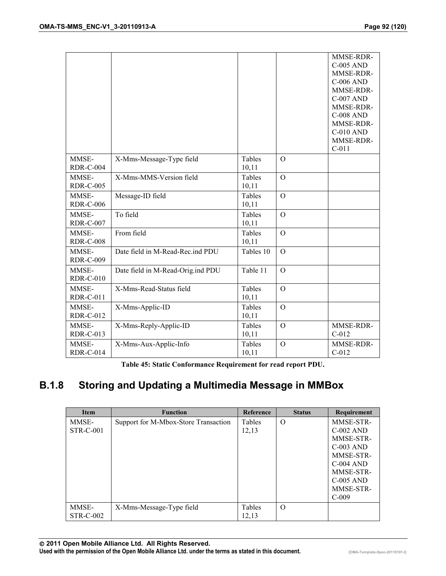|                           |                                   |                 |                | MMSE-RDR-<br><b>C-005 AND</b><br>MMSE-RDR-<br><b>C-006 AND</b><br>MMSE-RDR-<br><b>C-007 AND</b><br>MMSE-RDR-<br><b>C-008 AND</b><br>MMSE-RDR-<br><b>C-010 AND</b><br>MMSE-RDR-<br>$C-011$ |
|---------------------------|-----------------------------------|-----------------|----------------|-------------------------------------------------------------------------------------------------------------------------------------------------------------------------------------------|
| MMSE-<br><b>RDR-C-004</b> | X-Mms-Message-Type field          | Tables<br>10,11 | $\Omega$       |                                                                                                                                                                                           |
| MMSE-<br><b>RDR-C-005</b> | X-Mms-MMS-Version field           | Tables<br>10,11 | $\Omega$       |                                                                                                                                                                                           |
| MMSE-<br><b>RDR-C-006</b> | Message-ID field                  | Tables<br>10,11 | $\Omega$       |                                                                                                                                                                                           |
| MMSE-<br><b>RDR-C-007</b> | To field                          | Tables<br>10,11 | $\Omega$       |                                                                                                                                                                                           |
| MMSE-<br><b>RDR-C-008</b> | From field                        | Tables<br>10,11 | $\mathbf{O}$   |                                                                                                                                                                                           |
| MMSE-<br><b>RDR-C-009</b> | Date field in M-Read-Rec.ind PDU  | Tables 10       | $\Omega$       |                                                                                                                                                                                           |
| MMSE-<br><b>RDR-C-010</b> | Date field in M-Read-Orig.ind PDU | Table 11        | $\Omega$       |                                                                                                                                                                                           |
| MMSE-<br><b>RDR-C-011</b> | X-Mms-Read-Status field           | Tables<br>10,11 | $\overline{O}$ |                                                                                                                                                                                           |
| MMSE-<br><b>RDR-C-012</b> | X-Mms-Applic-ID                   | Tables<br>10,11 | $\mathbf{O}$   |                                                                                                                                                                                           |
| MMSE-<br><b>RDR-C-013</b> | X-Mms-Reply-Applic-ID             | Tables<br>10,11 | $\Omega$       | MMSE-RDR-<br>$C-012$                                                                                                                                                                      |
| MMSE-<br><b>RDR-C-014</b> | X-Mms-Aux-Applic-Info             | Tables<br>10,11 | $\mathbf{O}$   | MMSE-RDR-<br>$C-012$                                                                                                                                                                      |

**Table 45: Static Conformance Requirement for read report PDU.** 

# **B.1.8 Storing and Updating a Multimedia Message in MMBox**

| <b>Item</b>      | <b>Function</b>                      | Reference | <b>Status</b> | Requirement |
|------------------|--------------------------------------|-----------|---------------|-------------|
| MMSE-            | Support for M-Mbox-Store Transaction | Tables    | $\Omega$      | MMSE-STR-   |
| <b>STR-C-001</b> |                                      | 12,13     |               | $C-002$ AND |
|                  |                                      |           |               | MMSE-STR-   |
|                  |                                      |           |               | $C-003$ AND |
|                  |                                      |           |               | MMSE-STR-   |
|                  |                                      |           |               | $C-004$ AND |
|                  |                                      |           |               | MMSE-STR-   |
|                  |                                      |           |               | $C-005$ AND |
|                  |                                      |           |               | MMSE-STR-   |
|                  |                                      |           |               | $C-009$     |
| MMSE-            | X-Mms-Message-Type field             | Tables    | $\Omega$      |             |
| STR-C-002        |                                      | 12,13     |               |             |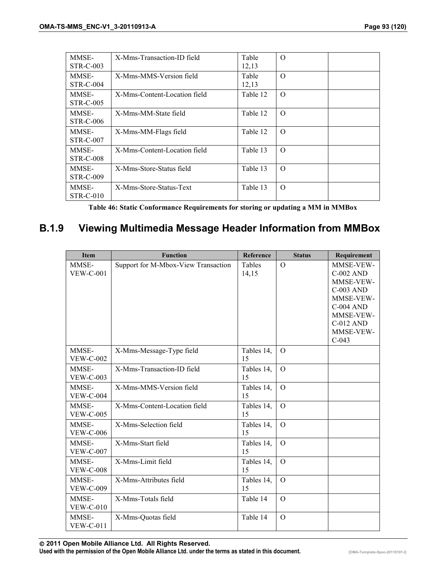| MMSE-            | X-Mms-Transaction-ID field   | Table    | $\Omega$ |  |
|------------------|------------------------------|----------|----------|--|
| STR-C-003        |                              | 12,13    |          |  |
| MMSE-            | X-Mms-MMS-Version field      | Table    | $\Omega$ |  |
| <b>STR-C-004</b> |                              | 12,13    |          |  |
| MMSE-            | X-Mms-Content-Location field | Table 12 | $\Omega$ |  |
| <b>STR-C-005</b> |                              |          |          |  |
| MMSE-            | X-Mms-MM-State field         | Table 12 | $\Omega$ |  |
| <b>STR-C-006</b> |                              |          |          |  |
| MMSE-            | X-Mms-MM-Flags field         | Table 12 | $\Omega$ |  |
| STR-C-007        |                              |          |          |  |
| MMSE-            | X-Mms-Content-Location field | Table 13 | $\Omega$ |  |
| <b>STR-C-008</b> |                              |          |          |  |
| MMSE-            | X-Mms-Store-Status field     | Table 13 | $\Omega$ |  |
| STR-C-009        |                              |          |          |  |
| MMSE-            | X-Mms-Store-Status-Text      | Table 13 | $\Omega$ |  |
| $STR-C-010$      |                              |          |          |  |

**Table 46: Static Conformance Requirements for storing or updating a MM in MMBox** 

#### **B.1.9 Viewing Multimedia Message Header Information from MMBox**

| Item                      | <b>Function</b>                     | Reference        | <b>Status</b>  | Requirement                                                                                                                                       |
|---------------------------|-------------------------------------|------------------|----------------|---------------------------------------------------------------------------------------------------------------------------------------------------|
| MMSE-<br><b>VEW-C-001</b> | Support for M-Mbox-View Transaction | Tables<br>14,15  | $\Omega$       | MMSE-VEW-<br><b>C-002 AND</b><br>MMSE-VEW-<br><b>C-003 AND</b><br>MMSE-VEW-<br><b>C-004 AND</b><br>MMSE-VEW-<br>C-012 AND<br>MMSE-VEW-<br>$C-043$ |
| MMSE-<br><b>VEW-C-002</b> | X-Mms-Message-Type field            | Tables 14,<br>15 | $\mathbf{O}$   |                                                                                                                                                   |
| MMSE-<br><b>VEW-C-003</b> | X-Mms-Transaction-ID field          | Tables 14,<br>15 | $\Omega$       |                                                                                                                                                   |
| MMSE-<br><b>VEW-C-004</b> | X-Mms-MMS-Version field             | Tables 14,<br>15 | $\Omega$       |                                                                                                                                                   |
| MMSE-<br><b>VEW-C-005</b> | X-Mms-Content-Location field        | Tables 14,<br>15 | $\Omega$       |                                                                                                                                                   |
| MMSE-<br><b>VEW-C-006</b> | X-Mms-Selection field               | Tables 14,<br>15 | $\overline{O}$ |                                                                                                                                                   |
| MMSE-<br><b>VEW-C-007</b> | X-Mms-Start field                   | Tables 14,<br>15 | $\overline{O}$ |                                                                                                                                                   |
| MMSE-<br><b>VEW-C-008</b> | X-Mms-Limit field                   | Tables 14,<br>15 | $\Omega$       |                                                                                                                                                   |
| MMSE-<br><b>VEW-C-009</b> | X-Mms-Attributes field              | Tables 14,<br>15 | $\Omega$       |                                                                                                                                                   |
| MMSE-<br>$VEW-C-010$      | X-Mms-Totals field                  | Table 14         | $\Omega$       |                                                                                                                                                   |
| MMSE-<br><b>VEW-C-011</b> | X-Mms-Quotas field                  | Table 14         | $\Omega$       |                                                                                                                                                   |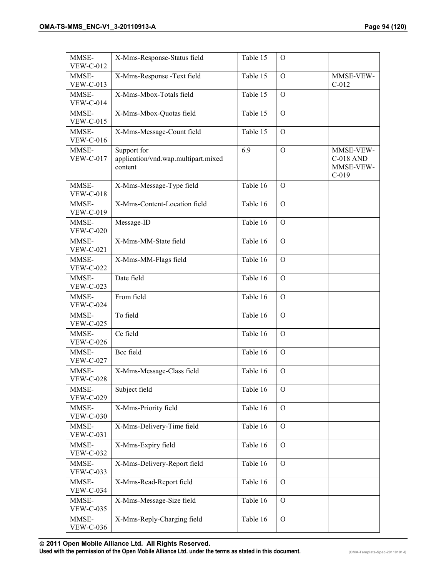| MMSE-<br><b>VEW-C-012</b> | X-Mms-Response-Status field                                   | Table 15 | $\Omega$      |                                                       |
|---------------------------|---------------------------------------------------------------|----------|---------------|-------------------------------------------------------|
| MMSE-<br><b>VEW-C-013</b> | X-Mms-Response -Text field                                    | Table 15 | $\Omega$      | MMSE-VEW-<br>$C-012$                                  |
| MMSE-<br><b>VEW-C-014</b> | X-Mms-Mbox-Totals field                                       | Table 15 | $\mathcal{O}$ |                                                       |
| MMSE-<br><b>VEW-C-015</b> | X-Mms-Mbox-Quotas field                                       | Table 15 | $\Omega$      |                                                       |
| MMSE-<br><b>VEW-C-016</b> | X-Mms-Message-Count field                                     | Table 15 | $\mathbf{O}$  |                                                       |
| MMSE-<br><b>VEW-C-017</b> | Support for<br>application/vnd.wap.multipart.mixed<br>content | 6.9      | $\Omega$      | MMSE-VEW-<br><b>C-018 AND</b><br>MMSE-VEW-<br>$C-019$ |
| MMSE-<br><b>VEW-C-018</b> | X-Mms-Message-Type field                                      | Table 16 | $\mathbf{O}$  |                                                       |
| MMSE-<br><b>VEW-C-019</b> | X-Mms-Content-Location field                                  | Table 16 | $\mathbf{O}$  |                                                       |
| MMSE-<br><b>VEW-C-020</b> | Message-ID                                                    | Table 16 | $\mathbf{O}$  |                                                       |
| MMSE-<br><b>VEW-C-021</b> | X-Mms-MM-State field                                          | Table 16 | $\mathbf{O}$  |                                                       |
| MMSE-<br><b>VEW-C-022</b> | X-Mms-MM-Flags field                                          | Table 16 | $\mathbf{O}$  |                                                       |
| MMSE-<br><b>VEW-C-023</b> | Date field                                                    | Table 16 | $\mathcal{O}$ |                                                       |
| MMSE-<br><b>VEW-C-024</b> | From field                                                    | Table 16 | $\mathbf{O}$  |                                                       |
| MMSE-<br><b>VEW-C-025</b> | To field                                                      | Table 16 | $\mathbf{O}$  |                                                       |
| MMSE-<br><b>VEW-C-026</b> | Cc field                                                      | Table 16 | $\mathbf{O}$  |                                                       |
| MMSE-<br><b>VEW-C-027</b> | Bcc field                                                     | Table 16 | $\mathcal{O}$ |                                                       |
| MMSE-<br><b>VEW-C-028</b> | X-Mms-Message-Class field                                     | Table 16 | $\mathbf{O}$  |                                                       |
| MMSE-<br><b>VEW-C-029</b> | Subject field                                                 | Table 16 | $\Omega$      |                                                       |
| MMSE-<br><b>VEW-C-030</b> | X-Mms-Priority field                                          | Table 16 | $\mathcal{O}$ |                                                       |
| MMSE-<br><b>VEW-C-031</b> | X-Mms-Delivery-Time field                                     | Table 16 | $\mathbf{O}$  |                                                       |
| MMSE-<br><b>VEW-C-032</b> | X-Mms-Expiry field                                            | Table 16 | $\mathbf{O}$  |                                                       |
| MMSE-<br><b>VEW-C-033</b> | X-Mms-Delivery-Report field                                   | Table 16 | $\mathbf{O}$  |                                                       |
| MMSE-<br><b>VEW-C-034</b> | X-Mms-Read-Report field                                       | Table 16 | $\mathbf{O}$  |                                                       |
| MMSE-<br><b>VEW-C-035</b> | X-Mms-Message-Size field                                      | Table 16 | $\mathcal{O}$ |                                                       |
| MMSE-<br><b>VEW-C-036</b> | X-Mms-Reply-Charging field                                    | Table 16 | $\mathbf{O}$  |                                                       |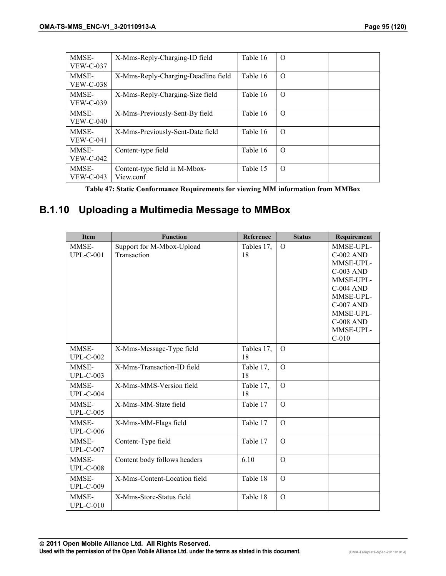| MMSE-<br>$VEW-C-037$      | X-Mms-Reply-Charging-ID field              | Table 16 | $\Omega$ |  |
|---------------------------|--------------------------------------------|----------|----------|--|
| MMSE-<br><b>VEW-C-038</b> | X-Mms-Reply-Charging-Deadline field        | Table 16 | $\Omega$ |  |
| MMSE-<br><b>VEW-C-039</b> | X-Mms-Reply-Charging-Size field            | Table 16 | $\Omega$ |  |
| MMSE-<br><b>VEW-C-040</b> | X-Mms-Previously-Sent-By field             | Table 16 | $\Omega$ |  |
| MMSE-<br>$VEW-C-041$      | X-Mms-Previously-Sent-Date field           | Table 16 | $\Omega$ |  |
| MMSE-<br><b>VEW-C-042</b> | Content-type field                         | Table 16 | $\Omega$ |  |
| MMSE-<br><b>VEW-C-043</b> | Content-type field in M-Mbox-<br>View.conf | Table 15 | $\Omega$ |  |

**Table 47: Static Conformance Requirements for viewing MM information from MMBox** 

# **B.1.10 Uploading a Multimedia Message to MMBox**

| <b>Item</b>               | <b>Function</b>                          | Reference        | <b>Status</b>  | Requirement                                                                                                                                                                               |
|---------------------------|------------------------------------------|------------------|----------------|-------------------------------------------------------------------------------------------------------------------------------------------------------------------------------------------|
| MMSE-<br>$UPL-C-001$      | Support for M-Mbox-Upload<br>Transaction | Tables 17,<br>18 | $\Omega$       | MMSE-UPL-<br><b>C-002 AND</b><br>MMSE-UPL-<br><b>C-003 AND</b><br>MMSE-UPL-<br><b>C-004 AND</b><br>MMSE-UPL-<br><b>C-007 AND</b><br>MMSE-UPL-<br><b>C-008 AND</b><br>MMSE-UPL-<br>$C-010$ |
| MMSE-<br>$UPL-C-002$      | X-Mms-Message-Type field                 | Tables 17,<br>18 | $\Omega$       |                                                                                                                                                                                           |
| MMSE-<br><b>UPL-C-003</b> | X-Mms-Transaction-ID field               | Table 17,<br>18  | $\Omega$       |                                                                                                                                                                                           |
| MMSE-<br>$UPL-C-004$      | X-Mms-MMS-Version field                  | Table 17,<br>18  | $\Omega$       |                                                                                                                                                                                           |
| MMSE-<br><b>UPL-C-005</b> | X-Mms-MM-State field                     | Table 17         | $\Omega$       |                                                                                                                                                                                           |
| MMSE-<br><b>UPL-C-006</b> | X-Mms-MM-Flags field                     | Table 17         | $\Omega$       |                                                                                                                                                                                           |
| MMSE-<br><b>UPL-C-007</b> | Content-Type field                       | Table 17         | $\Omega$       |                                                                                                                                                                                           |
| MMSE-<br><b>UPL-C-008</b> | Content body follows headers             | 6.10             | $\overline{O}$ |                                                                                                                                                                                           |
| MMSE-<br><b>UPL-C-009</b> | X-Mms-Content-Location field             | Table 18         | $\overline{O}$ |                                                                                                                                                                                           |
| MMSE-<br>$UPL-C-010$      | X-Mms-Store-Status field                 | Table 18         | $\Omega$       |                                                                                                                                                                                           |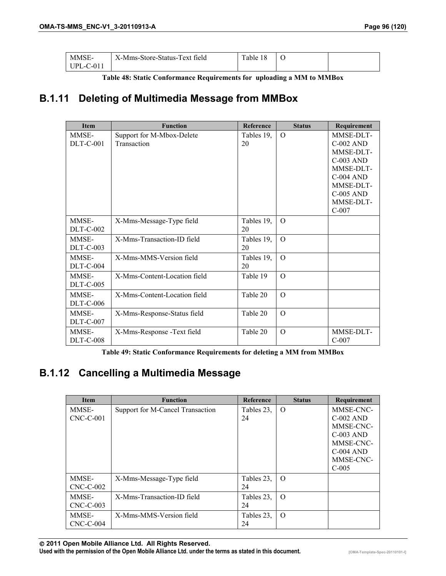| MMSE-       | X-Mms-Store-Status-Text field | Table 18 |  |
|-------------|-------------------------------|----------|--|
| $UPL-C-011$ |                               |          |  |

**Table 48: Static Conformance Requirements for uploading a MM to MMBox** 

## **B.1.11 Deleting of Multimedia Message from MMBox**

| <b>Item</b>      | <b>Function</b>              | <b>Reference</b> | <b>Status</b> | Requirement      |
|------------------|------------------------------|------------------|---------------|------------------|
| MMSE-            | Support for M-Mbox-Delete    | Tables 19,       | $\Omega$      | MMSE-DLT-        |
| $DLT-C-001$      | Transaction                  | 20               |               | <b>C-002 AND</b> |
|                  |                              |                  |               | MMSE-DLT-        |
|                  |                              |                  |               | <b>C-003 AND</b> |
|                  |                              |                  |               | MMSE-DLT-        |
|                  |                              |                  |               | <b>C-004 AND</b> |
|                  |                              |                  |               | MMSE-DLT-        |
|                  |                              |                  |               | <b>C-005 AND</b> |
|                  |                              |                  |               | MMSE-DLT-        |
|                  |                              |                  |               | $C-007$          |
| MMSE-            | X-Mms-Message-Type field     | Tables 19,       | $\Omega$      |                  |
| $DLT-C-002$      |                              | 20               |               |                  |
| MMSE-            | X-Mms-Transaction-ID field   | Tables 19,       | $\Omega$      |                  |
| $DLT-C-003$      |                              | 20               |               |                  |
| MMSE-            | X-Mms-MMS-Version field      | Tables 19,       | $\Omega$      |                  |
| <b>DLT-C-004</b> |                              | 20               |               |                  |
| MMSE-            | X-Mms-Content-Location field | Table 19         | $\Omega$      |                  |
| <b>DLT-C-005</b> |                              |                  |               |                  |
| MMSE-            | X-Mms-Content-Location field | Table 20         | $\Omega$      |                  |
| <b>DLT-C-006</b> |                              |                  |               |                  |
| MMSE-            | X-Mms-Response-Status field  | Table 20         | $\Omega$      |                  |
| <b>DLT-C-007</b> |                              |                  |               |                  |
| MMSE-            | X-Mms-Response -Text field   | Table 20         | $\Omega$      | MMSE-DLT-        |
| $DLT-C-008$      |                              |                  |               | $C-007$          |

**Table 49: Static Conformance Requirements for deleting a MM from MMBox** 

### **B.1.12 Cancelling a Multimedia Message**

| <b>Item</b>          | <b>Function</b>                  | <b>Reference</b> | <b>Status</b> | Requirement                                                                                              |
|----------------------|----------------------------------|------------------|---------------|----------------------------------------------------------------------------------------------------------|
| MMSE-<br>$CNC-C-001$ | Support for M-Cancel Transaction | Tables 23,<br>24 | $\Omega$      | MMSE-CNC-<br>$C-002$ AND<br>MMSE-CNC-<br>$C-003$ AND<br>MMSE-CNC-<br>$C-004$ AND<br>MMSE-CNC-<br>$C-005$ |
| MMSE-<br>$CNC-C-002$ | X-Mms-Message-Type field         | Tables 23,<br>24 | $\Omega$      |                                                                                                          |
| MMSE-<br>$CNC-C-003$ | X-Mms-Transaction-ID field       | Tables 23,<br>24 | $\Omega$      |                                                                                                          |
| MMSE-<br>$CNC-C-004$ | X-Mms-MMS-Version field          | Tables 23,<br>24 | $\Omega$      |                                                                                                          |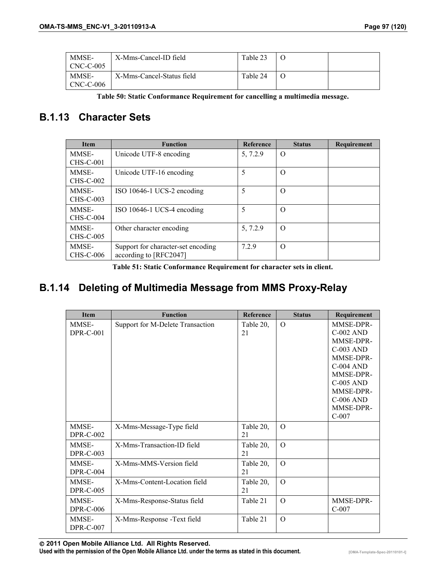| MMSE-<br>CNC-C-005 | X-Mms-Cancel-ID field     | Table 23 |  |
|--------------------|---------------------------|----------|--|
| MMSE-<br>CNC-C-006 | X-Mms-Cancel-Status field | Table 24 |  |

**Table 50: Static Conformance Requirement for cancelling a multimedia message.** 

### **B.1.13 Character Sets**

| <b>Item</b>      | <b>Function</b>                    | Reference | <b>Status</b> | Requirement |
|------------------|------------------------------------|-----------|---------------|-------------|
| MMSE-            | Unicode UTF-8 encoding             | 5, 7.2.9  | $\Omega$      |             |
| $CHS-C-001$      |                                    |           |               |             |
| MMSE-            | Unicode UTF-16 encoding            | 5         | O             |             |
| CHS-C-002        |                                    |           |               |             |
| MMSE-            | ISO 10646-1 UCS-2 encoding         | 5         | $\Omega$      |             |
| CHS-C-003        |                                    |           |               |             |
| MMSE-            | ISO 10646-1 UCS-4 encoding         | 5         | $\Omega$      |             |
| <b>CHS-C-004</b> |                                    |           |               |             |
| MMSE-            | Other character encoding           | 5, 7.2.9  | $\Omega$      |             |
| CHS-C-005        |                                    |           |               |             |
| MMSE-            | Support for character-set encoding | 7.2.9     | $\Omega$      |             |
| CHS-C-006        | according to [RFC2047]             |           |               |             |

**Table 51: Static Conformance Requirement for character sets in client.** 

### **B.1.14 Deleting of Multimedia Message from MMS Proxy-Relay**

| <b>Item</b>               | <b>Function</b>                  | <b>Reference</b> | <b>Status</b> | Requirement                                                                                                                                                           |
|---------------------------|----------------------------------|------------------|---------------|-----------------------------------------------------------------------------------------------------------------------------------------------------------------------|
| MMSE-<br><b>DPR-C-001</b> | Support for M-Delete Transaction | Table 20,<br>21  | $\Omega$      | MMSE-DPR-<br>$C-002$ AND<br>MMSE-DPR-<br>$C-003$ AND<br>MMSE-DPR-<br>$C-004$ AND<br>MMSE-DPR-<br><b>C-005 AND</b><br>MMSE-DPR-<br>$C-006$ AND<br>MMSE-DPR-<br>$C-007$ |
| MMSE-<br><b>DPR-C-002</b> | X-Mms-Message-Type field         | Table 20,<br>21  | $\Omega$      |                                                                                                                                                                       |
| MMSE-<br><b>DPR-C-003</b> | X-Mms-Transaction-ID field       | Table 20,<br>21  | $\Omega$      |                                                                                                                                                                       |
| MMSE-<br>DPR-C-004        | X-Mms-MMS-Version field          | Table 20,<br>21  | $\Omega$      |                                                                                                                                                                       |
| MMSE-<br><b>DPR-C-005</b> | X-Mms-Content-Location field     | Table 20,<br>21  | $\Omega$      |                                                                                                                                                                       |
| MMSE-<br><b>DPR-C-006</b> | X-Mms-Response-Status field      | Table 21         | $\Omega$      | MMSE-DPR-<br>$C-007$                                                                                                                                                  |
| MMSE-<br><b>DPR-C-007</b> | X-Mms-Response -Text field       | Table 21         | $\Omega$      |                                                                                                                                                                       |

 **2011 Open Mobile Alliance Ltd. All Rights Reserved.** Used with the permission of the Open Mobile Alliance Ltd. under the terms as stated in this document. *IOMA-Template-Spec-20110101-I*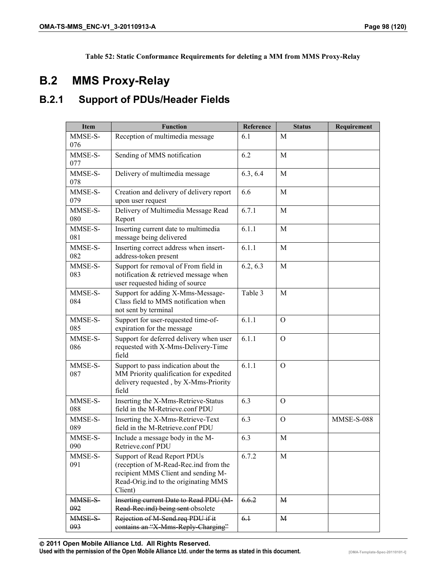**Table 52: Static Conformance Requirements for deleting a MM from MMS Proxy-Relay** 

# **B.2 MMS Proxy-Relay**

## **B.2.1 Support of PDUs/Header Fields**

| <b>Item</b>          | <b>Function</b>                                                                                                                                                | Reference | <b>Status</b> | Requirement       |
|----------------------|----------------------------------------------------------------------------------------------------------------------------------------------------------------|-----------|---------------|-------------------|
| MMSE-S-<br>076       | Reception of multimedia message                                                                                                                                | 6.1       | М             |                   |
| MMSE-S-<br>077       | Sending of MMS notification                                                                                                                                    | 6.2       | M             |                   |
| MMSE-S-<br>078       | Delivery of multimedia message                                                                                                                                 | 6.3, 6.4  | M             |                   |
| MMSE-S-<br>079       | Creation and delivery of delivery report<br>upon user request                                                                                                  | 6.6       | M             |                   |
| MMSE-S-<br>080       | Delivery of Multimedia Message Read<br>Report                                                                                                                  | 6.7.1     | M             |                   |
| MMSE-S-<br>081       | Inserting current date to multimedia<br>message being delivered                                                                                                | 6.1.1     | M             |                   |
| MMSE-S-<br>082       | Inserting correct address when insert-<br>address-token present                                                                                                | 6.1.1     | M             |                   |
| MMSE-S-<br>083       | Support for removal of From field in<br>notification & retrieved message when<br>user requested hiding of source                                               | 6.2, 6.3  | M             |                   |
| MMSE-S-<br>084       | Support for adding X-Mms-Message-<br>Class field to MMS notification when<br>not sent by terminal                                                              | Table 3   | M             |                   |
| MMSE-S-<br>085       | Support for user-requested time-of-<br>expiration for the message                                                                                              | 6.1.1     | $\Omega$      |                   |
| MMSE-S-<br>086       | Support for deferred delivery when user<br>requested with X-Mms-Delivery-Time<br>field                                                                         | 6.1.1     | O             |                   |
| MMSE-S-<br>087       | Support to pass indication about the<br>MM Priority qualification for expedited<br>delivery requested, by X-Mms-Priority<br>field                              | 6.1.1     | $\mathbf{O}$  |                   |
| MMSE-S-<br>088       | Inserting the X-Mms-Retrieve-Status<br>field in the M-Retrieve.conf PDU                                                                                        | 6.3       | $\Omega$      |                   |
| MMSE-S-<br>089       | Inserting the X-Mms-Retrieve-Text<br>field in the M-Retrieve.conf PDU                                                                                          | 6.3       | O             | <b>MMSE-S-088</b> |
| MMSE-S-<br>090       | Include a message body in the M-<br>Retrieve.conf PDU                                                                                                          | 6.3       | M             |                   |
| MMSE-S-<br>091       | Support of Read Report PDUs<br>(reception of M-Read-Rec.ind from the<br>recipient MMS Client and sending M-<br>Read-Orig.ind to the originating MMS<br>Client) | 6.7.2     | M             |                   |
| <b>MMSE S</b><br>092 | Inserting current Date to Read PDU (M-<br>Read Rec.ind) being sent obsolete                                                                                    | 6.6.2     | М             |                   |
| MMSE S-<br>093       | Rejection of M Send.req PDU if it<br>contains an "X Mms Reply Charging"                                                                                        | 6.1       | M             |                   |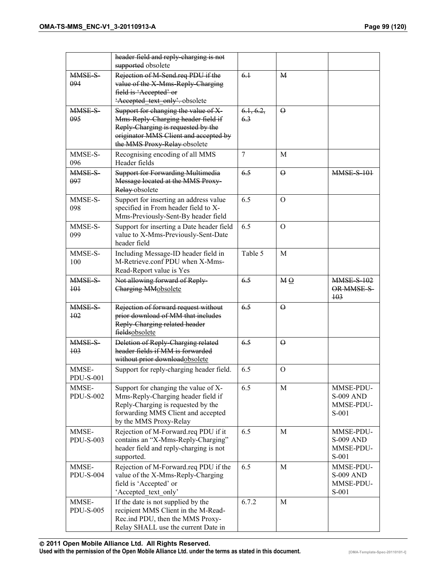|                           | header field and reply charging is not<br>supported obsolete                                                                                                                              |                  |              |                                                       |
|---------------------------|-------------------------------------------------------------------------------------------------------------------------------------------------------------------------------------------|------------------|--------------|-------------------------------------------------------|
| MMSE-S-<br>094            | Rejection of M Send.req PDU if the<br>value of the X Mms Reply Charging<br>field is 'Accepted' or<br>Accepted text only' obsolete                                                         | 6.1              | $\mathbf{M}$ |                                                       |
| MMSE-S-<br>095            | Support for changing the value of X-<br>Mms Reply Charging header field if<br>Reply Charging is requested by the<br>originator MMS Client and accepted by<br>the MMS Proxy Relay obsolete | 6.1, 6.2,<br>6.3 | $\Theta$     |                                                       |
| MMSE-S-<br>096            | Recognising encoding of all MMS<br>Header fields                                                                                                                                          | 7                | M            |                                                       |
| MMSE-S-<br>097            | <b>Support for Forwarding Multimedia</b><br>Message located at the MMS Proxy-<br>Relay-obsolete                                                                                           | 6.5              | $\Theta$     | <b>MMSE-S-101</b>                                     |
| MMSE-S-<br>098            | Support for inserting an address value<br>specified in From header field to X-<br>Mms-Previously-Sent-By header field                                                                     | 6.5              | $\mathbf{O}$ |                                                       |
| MMSE-S-<br>099            | Support for inserting a Date header field<br>value to X-Mms-Previously-Sent-Date<br>header field                                                                                          | 6.5              | $\Omega$     |                                                       |
| MMSE-S-<br>100            | Including Message-ID header field in<br>M-Retrieve.conf PDU when X-Mms-<br>Read-Report value is Yes                                                                                       | Table 5          | M            |                                                       |
| MMSE-S-<br>$+01$          | Not allowing forward of Reply-<br>Charging MMobsolete                                                                                                                                     | 6.5              | MQ           | <b>MMSE S 102</b><br>OR MMSE-S-<br>$+03$              |
| <b>MMSE S</b><br>102      | Rejection of forward request without<br>prior download of MM that includes<br>Reply Charging related header<br>fieldsobsolete                                                             | 6.5              | $\Theta$     |                                                       |
| <b>MMSE S</b><br>$+03$    | Deletion of Reply Charging related<br>header fields if MM is forwarded<br>without prior downloadobsolete                                                                                  | 6.5              | $\Theta$     |                                                       |
| MMSE-<br><b>PDU-S-001</b> | Support for reply-charging header field.                                                                                                                                                  | 6.5              | $\mathbf{O}$ |                                                       |
| MMSE-<br><b>PDU-S-002</b> | Support for changing the value of X-<br>Mms-Reply-Charging header field if<br>Reply-Charging is requested by the<br>forwarding MMS Client and accepted<br>by the MMS Proxy-Relay          | 6.5              | M            | MMSE-PDU-<br><b>S-009 AND</b><br>MMSE-PDU-<br>S-001   |
| MMSE-<br><b>PDU-S-003</b> | Rejection of M-Forward.req PDU if it<br>contains an "X-Mms-Reply-Charging"<br>header field and reply-charging is not<br>supported.                                                        | 6.5              | M            | MMSE-PDU-<br><b>S-009 AND</b><br>MMSE-PDU-<br>$S-001$ |
| MMSE-<br><b>PDU-S-004</b> | Rejection of M-Forward.req PDU if the<br>value of the X-Mms-Reply-Charging<br>field is 'Accepted' or<br>'Accepted text only'                                                              | 6.5              | M            | MMSE-PDU-<br><b>S-009 AND</b><br>MMSE-PDU-<br>S-001   |
| MMSE-<br><b>PDU-S-005</b> | If the date is not supplied by the<br>recipient MMS Client in the M-Read-<br>Rec.ind PDU, then the MMS Proxy-<br>Relay SHALL use the current Date in                                      | 6.7.2            | M            |                                                       |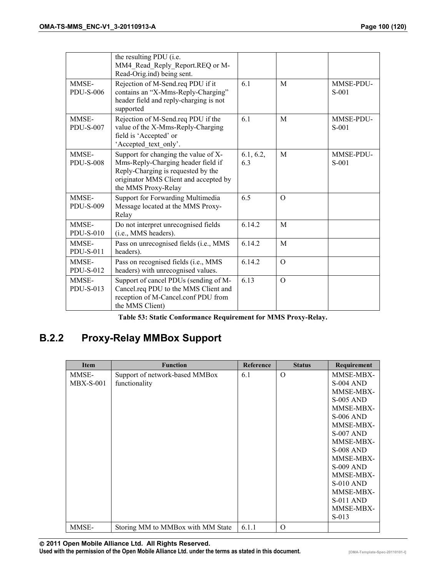|                           | the resulting PDU (i.e.<br>MM4 Read Reply Report.REQ or M-<br>Read-Orig.ind) being sent.                                                                                         |                  |          |                      |
|---------------------------|----------------------------------------------------------------------------------------------------------------------------------------------------------------------------------|------------------|----------|----------------------|
| MMSE-<br><b>PDU-S-006</b> | Rejection of M-Send.req PDU if it<br>contains an "X-Mms-Reply-Charging"<br>header field and reply-charging is not<br>supported                                                   | 6.1              | M        | MMSE-PDU-<br>$S-001$ |
| MMSE-<br><b>PDU-S-007</b> | Rejection of M-Send.req PDU if the<br>value of the X-Mms-Reply-Charging<br>field is 'Accepted' or<br>'Accepted_text_only'.                                                       | 6.1              | M        | MMSE-PDU-<br>$S-001$ |
| MMSE-<br><b>PDU-S-008</b> | Support for changing the value of X-<br>Mms-Reply-Charging header field if<br>Reply-Charging is requested by the<br>originator MMS Client and accepted by<br>the MMS Proxy-Relay | 6.1, 6.2,<br>6.3 | M        | MMSE-PDU-<br>$S-001$ |
| MMSE-<br><b>PDU-S-009</b> | Support for Forwarding Multimedia<br>Message located at the MMS Proxy-<br>Relay                                                                                                  | 6.5              | $\Omega$ |                      |
| MMSE-<br>$PDU-S-010$      | Do not interpret unrecognised fields<br>(i.e., MMS headers).                                                                                                                     | 6.14.2           | M        |                      |
| MMSE-<br><b>PDU-S-011</b> | Pass on unrecognised fields (i.e., MMS<br>headers).                                                                                                                              | 6.14.2           | M        |                      |
| MMSE-<br><b>PDU-S-012</b> | Pass on recognised fields (i.e., MMS<br>headers) with unrecognised values.                                                                                                       | 6.14.2           | $\Omega$ |                      |
| MMSE-<br><b>PDU-S-013</b> | Support of cancel PDUs (sending of M-<br>Cancel.req PDU to the MMS Client and<br>reception of M-Cancel.conf PDU from<br>the MMS Client)                                          | 6.13             | $\Omega$ |                      |

**Table 53: Static Conformance Requirement for MMS Proxy-Relay.** 

# **B.2.2 Proxy-Relay MMBox Support**

| <b>Item</b> | <b>Function</b>                   | <b>Reference</b> | <b>Status</b> | Requirement      |
|-------------|-----------------------------------|------------------|---------------|------------------|
| MMSE-       | Support of network-based MMBox    | 6.1              | $\Omega$      | MMSE-MBX-        |
| $MBX-S-001$ | functionality                     |                  |               | <b>S-004 AND</b> |
|             |                                   |                  |               | MMSE-MBX-        |
|             |                                   |                  |               | <b>S-005 AND</b> |
|             |                                   |                  |               | MMSE-MBX-        |
|             |                                   |                  |               | <b>S-006 AND</b> |
|             |                                   |                  |               | MMSE-MBX-        |
|             |                                   |                  |               | <b>S-007 AND</b> |
|             |                                   |                  |               | MMSE-MBX-        |
|             |                                   |                  |               | <b>S-008 AND</b> |
|             |                                   |                  |               | MMSE-MBX-        |
|             |                                   |                  |               | <b>S-009 AND</b> |
|             |                                   |                  |               | MMSE-MBX-        |
|             |                                   |                  |               | $S-010$ AND      |
|             |                                   |                  |               | MMSE-MBX-        |
|             |                                   |                  |               | $S-011$ AND      |
|             |                                   |                  |               | MMSE-MBX-        |
|             |                                   |                  |               | $S-013$          |
| MMSE-       | Storing MM to MMBox with MM State | 6.1.1            | $\Omega$      |                  |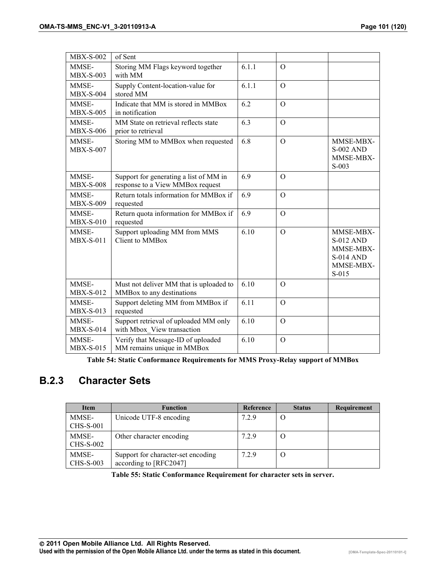| $MBX-S-002$               | of Sent                                                                    |       |              |                                                                                        |
|---------------------------|----------------------------------------------------------------------------|-------|--------------|----------------------------------------------------------------------------------------|
| MMSE-<br><b>MBX-S-003</b> | Storing MM Flags keyword together<br>with MM                               | 6.1.1 | $\mathbf{O}$ |                                                                                        |
| MMSE-<br>$MBX-S-004$      | Supply Content-location-value for<br>stored MM                             | 6.1.1 | $\mathbf{O}$ |                                                                                        |
| MMSE-<br><b>MBX-S-005</b> | Indicate that MM is stored in MMBox<br>in notification                     | 6.2   | $\mathbf{O}$ |                                                                                        |
| MMSE-<br><b>MBX-S-006</b> | MM State on retrieval reflects state<br>prior to retrieval                 | 6.3   | $\Omega$     |                                                                                        |
| MMSE-<br><b>MBX-S-007</b> | Storing MM to MMBox when requested                                         | 6.8   | $\Omega$     | MMSE-MBX-<br><b>S-002 AND</b><br>MMSE-MBX-<br>$S-003$                                  |
| MMSE-<br><b>MBX-S-008</b> | Support for generating a list of MM in<br>response to a View MMBox request | 6.9   | $\Omega$     |                                                                                        |
| MMSE-<br><b>MBX-S-009</b> | Return totals information for MMBox if<br>requested                        | 6.9   | $\Omega$     |                                                                                        |
| MMSE-<br>$MBX-S-010$      | Return quota information for MMBox if<br>requested                         | 6.9   | $\Omega$     |                                                                                        |
| MMSE-<br><b>MBX-S-011</b> | Support uploading MM from MMS<br>Client to MMBox                           | 6.10  | $\mathbf{O}$ | MMSE-MBX-<br><b>S-012 AND</b><br>MMSE-MBX-<br><b>S-014 AND</b><br>MMSE-MBX-<br>$S-015$ |
| MMSE-<br><b>MBX-S-012</b> | Must not deliver MM that is uploaded to<br>MMBox to any destinations       | 6.10  | $\Omega$     |                                                                                        |
| MMSE-<br><b>MBX-S-013</b> | Support deleting MM from MMBox if<br>requested                             | 6.11  | $\Omega$     |                                                                                        |
| MMSE-<br>$MBX-S-014$      | Support retrieval of uploaded MM only<br>with Mbox View transaction        | 6.10  | $\Omega$     |                                                                                        |
| MMSE-<br>$MBX-S-015$      | Verify that Message-ID of uploaded<br>MM remains unique in MMBox           | 6.10  | $\mathbf{O}$ |                                                                                        |

**Table 54: Static Conformance Requirements for MMS Proxy-Relay support of MMBox** 

## **B.2.3 Character Sets**

| <b>Item</b>               | <b>Function</b>                                              | Reference | <b>Status</b> | Requirement |
|---------------------------|--------------------------------------------------------------|-----------|---------------|-------------|
| MMSE-<br>CHS-S-001        | Unicode UTF-8 encoding                                       | 7.2.9     |               |             |
| MMSE-<br><b>CHS-S-002</b> | Other character encoding                                     | 7.2.9     |               |             |
| MMSE-<br>CHS-S-003        | Support for character-set encoding<br>according to [RFC2047] | 7.2.9     |               |             |

**Table 55: Static Conformance Requirement for character sets in server.**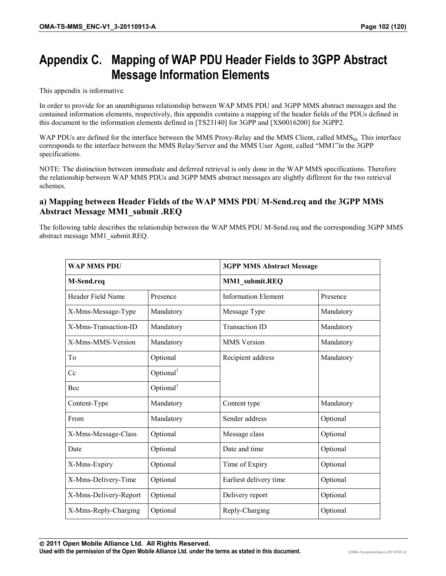# **Appendix C. Mapping of WAP PDU Header Fields to 3GPP Abstract Message Information Elements**

This appendix is informative.

In order to provide for an unambiguous relationship between WAP MMS PDU and 3GPP MMS abstract messages and the contained information elements, respectively, this appendix contains a mapping of the header fields of the PDUs defined in this document to the information elements defined in [TS23140] for 3GPP and [XS0016200] for 3GPP2.

WAP PDUs are defined for the interface between the MMS Proxy-Relay and the MMS Client, called MMS<sub>M</sub>. This interface corresponds to the interface between the MMS Relay/Server and the MMS User Agent, called "MM1"in the 3GPP specifications.

NOTE: The distinction between immediate and deferred retrieval is only done in the WAP MMS specifications. Therefore the relationship between WAP MMS PDUs and 3GPP MMS abstract messages are slightly different for the two retrieval schemes.

#### **a) Mapping between Header Fields of the WAP MMS PDU M-Send.req and the 3GPP MMS Abstract Message MM1\_submit .REQ**

The following table describes the relationship between the WAP MMS PDU M-Send.req and the corresponding 3GPP MMS abstract message MM1\_submit.REQ.

| <b>WAP MMS PDU</b>    |                       | <b>3GPP MMS Abstract Message</b> |           |  |
|-----------------------|-----------------------|----------------------------------|-----------|--|
| M-Send.req            |                       | MM1_submit.REQ                   |           |  |
| Header Field Name     | Presence              | <b>Information Element</b>       | Presence  |  |
| X-Mms-Message-Type    | Mandatory             | Message Type                     | Mandatory |  |
| X-Mms-Transaction-ID  | Mandatory             | <b>Transaction ID</b>            | Mandatory |  |
| X-Mms-MMS-Version     | Mandatory             | <b>MMS</b> Version               | Mandatory |  |
| To                    | Optional              | Recipient address                | Mandatory |  |
| Cc                    | Optional <sup>1</sup> |                                  |           |  |
| Bcc                   | Optional <sup>1</sup> |                                  |           |  |
| Content-Type          | Mandatory             | Content type                     | Mandatory |  |
| From                  | Mandatory             | Sender address                   | Optional  |  |
| X-Mms-Message-Class   | Optional              | Message class                    | Optional  |  |
| Date                  | Optional              | Date and time                    | Optional  |  |
| X-Mms-Expiry          | Optional              | Time of Expiry                   | Optional  |  |
| X-Mms-Delivery-Time   | Optional              | Earliest delivery time           | Optional  |  |
| X-Mms-Delivery-Report | Optional              | Delivery report                  | Optional  |  |
| X-Mms-Reply-Charging  | Optional              | Reply-Charging                   | Optional  |  |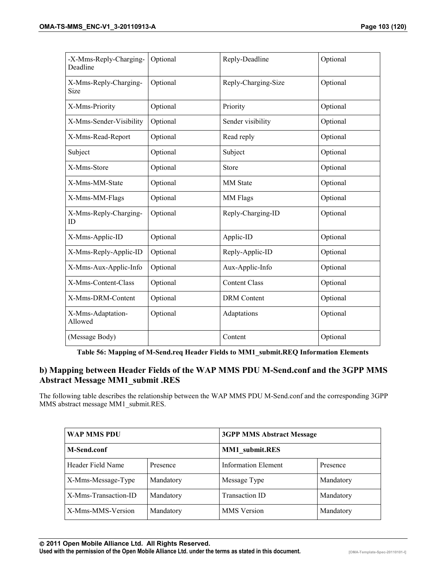| -X-Mms-Reply-Charging-<br>Deadline   | Optional | Reply-Deadline       | Optional |
|--------------------------------------|----------|----------------------|----------|
| X-Mms-Reply-Charging-<br><b>Size</b> | Optional | Reply-Charging-Size  | Optional |
| X-Mms-Priority                       | Optional | Priority             | Optional |
| X-Mms-Sender-Visibility              | Optional | Sender visibility    | Optional |
| X-Mms-Read-Report                    | Optional | Read reply           | Optional |
| Subject                              | Optional | Subject              | Optional |
| X-Mms-Store                          | Optional | <b>Store</b>         | Optional |
| X-Mms-MM-State                       | Optional | <b>MM</b> State      | Optional |
| X-Mms-MM-Flags                       | Optional | MM Flags             | Optional |
| X-Mms-Reply-Charging-<br>ID          | Optional | Reply-Charging-ID    | Optional |
| X-Mms-Applic-ID                      | Optional | Applic-ID            | Optional |
| X-Mms-Reply-Applic-ID                | Optional | Reply-Applic-ID      | Optional |
| X-Mms-Aux-Applic-Info                | Optional | Aux-Applic-Info      | Optional |
| X-Mms-Content-Class                  | Optional | <b>Content Class</b> | Optional |
| X-Mms-DRM-Content                    | Optional | <b>DRM</b> Content   | Optional |
| X-Mms-Adaptation-<br>Allowed         | Optional | Adaptations          | Optional |
| (Message Body)                       |          | Content              | Optional |

**Table 56: Mapping of M-Send.req Header Fields to MM1\_submit.REQ Information Elements** 

#### **b) Mapping between Header Fields of the WAP MMS PDU M-Send.conf and the 3GPP MMS Abstract Message MM1\_submit .RES**

The following table describes the relationship between the WAP MMS PDU M-Send.conf and the corresponding 3GPP MMS abstract message MM1\_submit.RES.

| WAP MMS PDU          |           | <b>3GPP MMS Abstract Message</b> |           |  |
|----------------------|-----------|----------------------------------|-----------|--|
| M-Send.conf          |           | MM1 submit.RES                   |           |  |
| Header Field Name    | Presence  | <b>Information Element</b>       | Presence  |  |
| X-Mms-Message-Type   | Mandatory | Message Type                     | Mandatory |  |
| X-Mms-Transaction-ID | Mandatory | <b>Transaction ID</b>            | Mandatory |  |
| X-Mms-MMS-Version    | Mandatory | <b>MMS</b> Version               | Mandatory |  |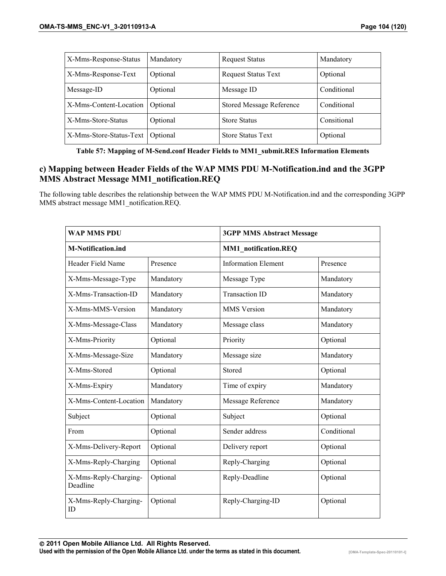| X-Mms-Response-Status   | Mandatory | <b>Request Status</b>           | Mandatory   |
|-------------------------|-----------|---------------------------------|-------------|
| X-Mms-Response-Text     | Optional  | <b>Request Status Text</b>      | Optional    |
| Message-ID              | Optional  | Message ID                      | Conditional |
| X-Mms-Content-Location  | Optional  | <b>Stored Message Reference</b> | Conditional |
| X-Mms-Store-Status      | Optional  | <b>Store Status</b>             | Consitional |
| X-Mms-Store-Status-Text | Optional  | <b>Store Status Text</b>        | Optional    |

**Table 57: Mapping of M-Send.conf Header Fields to MM1\_submit.RES Information Elements** 

#### **c) Mapping between Header Fields of the WAP MMS PDU M-Notification.ind and the 3GPP MMS Abstract Message MM1\_notification.REQ**

The following table describes the relationship between the WAP MMS PDU M-Notification.ind and the corresponding 3GPP MMS abstract message MM1\_notification.REQ.

| <b>WAP MMS PDU</b>                |           | <b>3GPP MMS Abstract Message</b> |             |  |
|-----------------------------------|-----------|----------------------------------|-------------|--|
| <b>M-Notification.ind</b>         |           | MM1 notification.REQ             |             |  |
| Header Field Name                 | Presence  | <b>Information Element</b>       | Presence    |  |
| X-Mms-Message-Type                | Mandatory | Message Type                     | Mandatory   |  |
| X-Mms-Transaction-ID              | Mandatory | <b>Transaction ID</b>            | Mandatory   |  |
| X-Mms-MMS-Version                 | Mandatory | <b>MMS</b> Version               | Mandatory   |  |
| X-Mms-Message-Class               | Mandatory | Message class                    | Mandatory   |  |
| X-Mms-Priority                    | Optional  | Priority                         | Optional    |  |
| X-Mms-Message-Size                | Mandatory | Message size                     | Mandatory   |  |
| X-Mms-Stored                      | Optional  | Stored                           | Optional    |  |
| X-Mms-Expiry                      | Mandatory | Time of expiry                   | Mandatory   |  |
| X-Mms-Content-Location            | Mandatory | Message Reference                | Mandatory   |  |
| Subject                           | Optional  | Subject                          | Optional    |  |
| From                              | Optional  | Sender address                   | Conditional |  |
| X-Mms-Delivery-Report             | Optional  | Delivery report                  | Optional    |  |
| X-Mms-Reply-Charging              | Optional  | Reply-Charging                   | Optional    |  |
| X-Mms-Reply-Charging-<br>Deadline | Optional  | Reply-Deadline                   | Optional    |  |
| X-Mms-Reply-Charging-<br>ID       | Optional  | Reply-Charging-ID                | Optional    |  |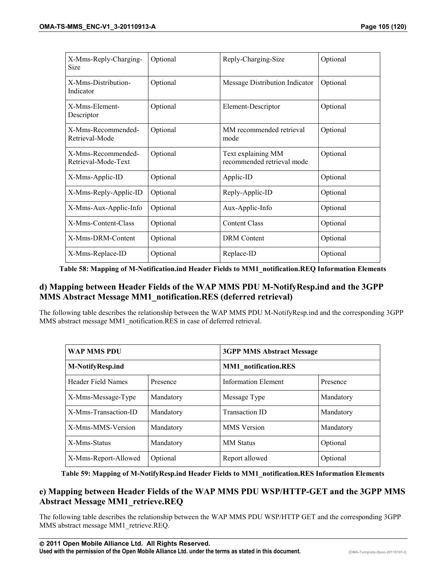| X-Mms-Reply-Charging-<br><b>Size</b>      | Optional | Reply-Charging-Size                              | Optional |
|-------------------------------------------|----------|--------------------------------------------------|----------|
| X-Mms-Distribution-<br>Indicator          | Optional | Message Distribution Indicator                   | Optional |
| X-Mms-Element-<br>Descriptor              | Optional | Element-Descriptor                               | Optional |
| X-Mms-Recommended-<br>Retrieval-Mode      | Optional | MM recommended retrieval<br>mode                 | Optional |
| X-Mms-Recommended-<br>Retrieval-Mode-Text | Optional | Text explaining MM<br>recommended retrieval mode | Optional |
| X-Mms-Applic-ID                           | Optional | Applic-ID                                        | Optional |
| X-Mms-Reply-Applic-ID                     | Optional | Reply-Applic-ID                                  | Optional |
| X-Mms-Aux-Applic-Info                     | Optional | Aux-Applic-Info                                  | Optional |
| X-Mms-Content-Class                       | Optional | <b>Content Class</b>                             | Optional |
| X-Mms-DRM-Content                         | Optional | <b>DRM</b> Content                               | Optional |
| X-Mms-Replace-ID                          | Optional | Replace-ID                                       | Optional |

**Table 58: Mapping of M-Notification.ind Header Fields to MM1\_notification.REQ Information Elements** 

#### **d) Mapping between Header Fields of the WAP MMS PDU M-NotifyResp.ind and the 3GPP MMS Abstract Message MM1\_notification.RES (deferred retrieval)**

The following table describes the relationship between the WAP MMS PDU M-NotifyResp.ind and the corresponding 3GPP MMS abstract message MM1\_notification.RES in case of deferred retrieval.

| <b>WAP MMS PDU</b>      |           | <b>3GPP MMS Abstract Message</b> |           |  |
|-------------------------|-----------|----------------------------------|-----------|--|
| <b>M-NotifyResp.ind</b> |           | <b>MM1</b> notification.RES      |           |  |
| Header Field Names      | Presence  | <b>Information Element</b>       | Presence  |  |
| X-Mms-Message-Type      | Mandatory | Message Type                     | Mandatory |  |
| X-Mms-Transaction-ID    | Mandatory | <b>Transaction ID</b>            | Mandatory |  |
| X-Mms-MMS-Version       | Mandatory | <b>MMS</b> Version               | Mandatory |  |
| X-Mms-Status            | Mandatory | <b>MM</b> Status                 | Optional  |  |
| X-Mms-Report-Allowed    | Optional  | Report allowed                   | Optional  |  |

**Table 59: Mapping of M-NotifyResp.ind Header Fields to MM1\_notification.RES Information Elements** 

#### **e) Mapping between Header Fields of the WAP MMS PDU WSP/HTTP-GET and the 3GPP MMS Abstract Message MM1\_retrieve.REQ**

The following table describes the relationship between the WAP MMS PDU WSP/HTTP GET and the corresponding 3GPP MMS abstract message MM1\_retrieve.REQ.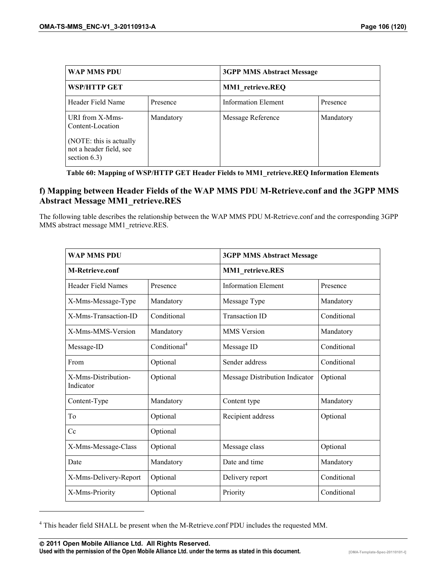| WAP MMS PDU                                                           |           |                            | <b>3GPP MMS Abstract Message</b> |  |  |
|-----------------------------------------------------------------------|-----------|----------------------------|----------------------------------|--|--|
| <b>WSP/HTTP GET</b>                                                   |           | MM1 retrieve.REQ           |                                  |  |  |
| Header Field Name                                                     | Presence  | <b>Information Element</b> | Presence                         |  |  |
| URI from X-Mms-<br>Content-Location                                   | Mandatory | Message Reference          | Mandatory                        |  |  |
| (NOTE: this is actually<br>not a header field, see<br>section $6.3$ ) |           |                            |                                  |  |  |

**Table 60: Mapping of WSP/HTTP GET Header Fields to MM1\_retrieve.REQ Information Elements** 

#### **f) Mapping between Header Fields of the WAP MMS PDU M-Retrieve.conf and the 3GPP MMS Abstract Message MM1\_retrieve.RES**

The following table describes the relationship between the WAP MMS PDU M-Retrieve.conf and the corresponding 3GPP MMS abstract message MM1\_retrieve.RES.

| <b>WAP MMS PDU</b>               |                          | <b>3GPP MMS Abstract Message</b> |             |
|----------------------------------|--------------------------|----------------------------------|-------------|
| <b>M-Retrieve.conf</b>           |                          | MM1_retrieve.RES                 |             |
| Header Field Names               | Presence                 | <b>Information Element</b>       | Presence    |
| X-Mms-Message-Type               | Mandatory                | Message Type                     | Mandatory   |
| X-Mms-Transaction-ID             | Conditional              | <b>Transaction ID</b>            | Conditional |
| X-Mms-MMS-Version                | Mandatory                | <b>MMS</b> Version               | Mandatory   |
| Message-ID                       | Conditional <sup>4</sup> | Message ID                       | Conditional |
| From                             | Optional                 | Sender address                   | Conditional |
| X-Mms-Distribution-<br>Indicator | Optional                 | Message Distribution Indicator   | Optional    |
| Content-Type                     | Mandatory                | Content type                     | Mandatory   |
| To                               | Optional                 | Recipient address                | Optional    |
| Cc                               | Optional                 |                                  |             |
| X-Mms-Message-Class              | Optional                 | Message class                    | Optional    |
| Date                             | Mandatory                | Date and time                    | Mandatory   |
| X-Mms-Delivery-Report            | Optional                 | Delivery report                  | Conditional |
| X-Mms-Priority                   | Optional                 | Priority                         | Conditional |

<sup>4</sup> This header field SHALL be present when the M-Retrieve.conf PDU includes the requested MM.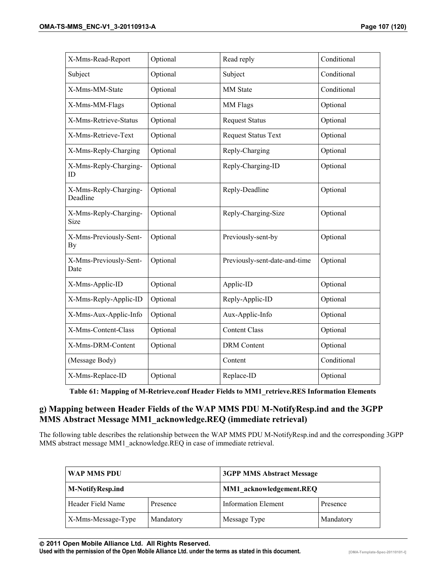| X-Mms-Read-Report                 | Optional | Read reply                    | Conditional |
|-----------------------------------|----------|-------------------------------|-------------|
| Subject                           | Optional | Subject                       | Conditional |
| X-Mms-MM-State                    | Optional | MM State                      | Conditional |
| X-Mms-MM-Flags                    | Optional | MM Flags                      | Optional    |
| X-Mms-Retrieve-Status             | Optional | <b>Request Status</b>         | Optional    |
| X-Mms-Retrieve-Text               | Optional | <b>Request Status Text</b>    | Optional    |
| X-Mms-Reply-Charging              | Optional | Reply-Charging                | Optional    |
| X-Mms-Reply-Charging-<br>ID       | Optional | Reply-Charging-ID             | Optional    |
| X-Mms-Reply-Charging-<br>Deadline | Optional | Reply-Deadline                | Optional    |
| X-Mms-Reply-Charging-<br>Size     | Optional | Reply-Charging-Size           | Optional    |
| X-Mms-Previously-Sent-<br>By      | Optional | Previously-sent-by            | Optional    |
| X-Mms-Previously-Sent-<br>Date    | Optional | Previously-sent-date-and-time | Optional    |
| X-Mms-Applic-ID                   | Optional | Applic-ID                     | Optional    |
| X-Mms-Reply-Applic-ID             | Optional | Reply-Applic-ID               | Optional    |
| X-Mms-Aux-Applic-Info             | Optional | Aux-Applic-Info               | Optional    |
| X-Mms-Content-Class               | Optional | <b>Content Class</b>          | Optional    |
| X-Mms-DRM-Content                 | Optional | <b>DRM</b> Content            | Optional    |
| (Message Body)                    |          | Content                       | Conditional |
| X-Mms-Replace-ID                  | Optional | Replace-ID                    | Optional    |

**Table 61: Mapping of M-Retrieve.conf Header Fields to MM1\_retrieve.RES Information Elements** 

#### **g) Mapping between Header Fields of the WAP MMS PDU M-NotifyResp.ind and the 3GPP MMS Abstract Message MM1\_acknowledge.REQ (immediate retrieval)**

The following table describes the relationship between the WAP MMS PDU M-NotifyResp.ind and the corresponding 3GPP MMS abstract message MM1\_acknowledge.REQ in case of immediate retrieval.

| WAP MMS PDU             |           | <b>3GPP MMS Abstract Message</b> |           |
|-------------------------|-----------|----------------------------------|-----------|
| <b>M-NotifyResp.ind</b> |           | MM1 acknowledgement.REQ          |           |
| Header Field Name       | Presence  | <b>Information Element</b>       | Presence  |
| X-Mms-Message-Type      | Mandatory | Message Type                     | Mandatory |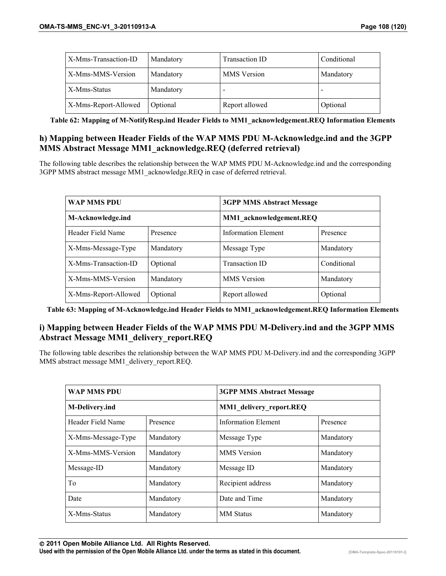| X-Mms-Transaction-ID | Mandatory | Transaction ID     | Conditional |
|----------------------|-----------|--------------------|-------------|
| X-Mms-MMS-Version    | Mandatory | <b>MMS</b> Version | Mandatory   |
| X-Mms-Status         | Mandatory |                    |             |
| X-Mms-Report-Allowed | Optional  | Report allowed     | Optional    |

**Table 62: Mapping of M-NotifyResp.ind Header Fields to MM1\_acknowledgement.REQ Information Elements** 

#### **h) Mapping between Header Fields of the WAP MMS PDU M-Acknowledge.ind and the 3GPP MMS Abstract Message MM1\_acknowledge.REQ (deferred retrieval)**

The following table describes the relationship between the WAP MMS PDU M-Acknowledge.ind and the corresponding 3GPP MMS abstract message MM1\_acknowledge.REQ in case of deferred retrieval.

| <b>WAP MMS PDU</b>   |           | <b>3GPP MMS Abstract Message</b> |             |
|----------------------|-----------|----------------------------------|-------------|
| M-Acknowledge.ind    |           | MM1 acknowledgement.REQ          |             |
| Header Field Name    | Presence  | <b>Information Element</b>       | Presence    |
| X-Mms-Message-Type   | Mandatory | Message Type                     | Mandatory   |
| X-Mms-Transaction-ID | Optional  | <b>Transaction ID</b>            | Conditional |
| X-Mms-MMS-Version    | Mandatory | <b>MMS</b> Version               | Mandatory   |
| X-Mms-Report-Allowed | Optional  | Report allowed                   | Optional    |

**Table 63: Mapping of M-Acknowledge.ind Header Fields to MM1\_acknowledgement.REQ Information Elements** 

#### **i) Mapping between Header Fields of the WAP MMS PDU M-Delivery.ind and the 3GPP MMS Abstract Message MM1\_delivery\_report.REQ**

The following table describes the relationship between the WAP MMS PDU M-Delivery.ind and the corresponding 3GPP MMS abstract message MM1\_delivery\_report.REQ.

| <b>WAP MMS PDU</b>    |           | <b>3GPP MMS Abstract Message</b> |           |
|-----------------------|-----------|----------------------------------|-----------|
| <b>M-Delivery.ind</b> |           | <b>MM1</b> delivery report.REQ   |           |
| Header Field Name     | Presence  | <b>Information Element</b>       | Presence  |
| X-Mms-Message-Type    | Mandatory | Message Type                     | Mandatory |
| X-Mms-MMS-Version     | Mandatory | <b>MMS</b> Version               | Mandatory |
| Message-ID            | Mandatory | Message ID                       | Mandatory |
| To                    | Mandatory | Recipient address                | Mandatory |
| Date                  | Mandatory | Date and Time                    | Mandatory |
| X-Mms-Status          | Mandatory | <b>MM</b> Status                 | Mandatory |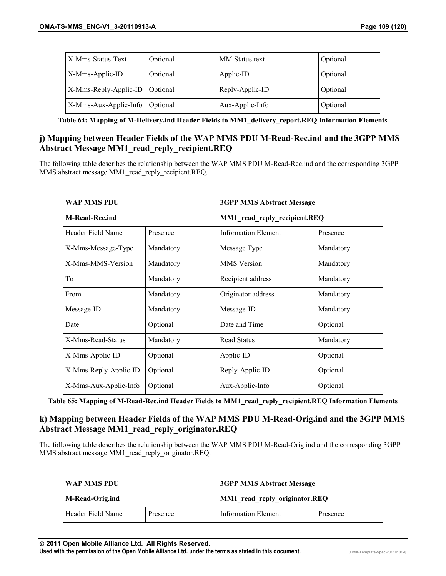| X-Mms-Status-Text                | Optional | MM Status text  | Optional |
|----------------------------------|----------|-----------------|----------|
| X-Mms-Applic-ID                  | Optional | Applic-ID       | Optional |
| X-Mms-Reply-Applic-ID   Optional |          | Reply-Applic-ID | Optional |
| X-Mms-Aux-Applic-Info   Optional |          | Aux-Applic-Info | Optional |

**Table 64: Mapping of M-Delivery.ind Header Fields to MM1\_delivery\_report.REQ Information Elements** 

# **j) Mapping between Header Fields of the WAP MMS PDU M-Read-Rec.ind and the 3GPP MMS Abstract Message MM1\_read\_reply\_recipient.REQ**

The following table describes the relationship between the WAP MMS PDU M-Read-Rec.ind and the corresponding 3GPP MMS abstract message MM1\_read\_reply\_recipient.REQ.

| <b>WAP MMS PDU</b>    |           | <b>3GPP MMS Abstract Message</b> |           |
|-----------------------|-----------|----------------------------------|-----------|
| <b>M-Read-Rec.ind</b> |           | MM1_read_reply_recipient.REQ     |           |
| Header Field Name     | Presence  | <b>Information Element</b>       | Presence  |
| X-Mms-Message-Type    | Mandatory | Message Type                     | Mandatory |
| X-Mms-MMS-Version     | Mandatory | <b>MMS</b> Version               | Mandatory |
| To                    | Mandatory | Recipient address                | Mandatory |
| From                  | Mandatory | Originator address               | Mandatory |
| Message-ID            | Mandatory | Message-ID                       | Mandatory |
| Date                  | Optional  | Date and Time                    | Optional  |
| X-Mms-Read-Status     | Mandatory | <b>Read Status</b>               | Mandatory |
| X-Mms-Applic-ID       | Optional  | Applic-ID                        | Optional  |
| X-Mms-Reply-Applic-ID | Optional  | Reply-Applic-ID                  | Optional  |
| X-Mms-Aux-Applic-Info | Optional  | Aux-Applic-Info                  | Optional  |

**Table 65: Mapping of M-Read-Rec.ind Header Fields to MM1\_read\_reply\_recipient.REQ Information Elements** 

# **k) Mapping between Header Fields of the WAP MMS PDU M-Read-Orig.ind and the 3GPP MMS Abstract Message MM1\_read\_reply\_originator.REQ**

The following table describes the relationship between the WAP MMS PDU M-Read-Orig.ind and the corresponding 3GPP MMS abstract message MM1\_read\_reply\_originator.REQ.

| WAP MMS PDU       |          | <b>3GPP MMS Abstract Message</b> |          |
|-------------------|----------|----------------------------------|----------|
| M-Read-Orig.ind   |          | MM1 read reply originator.REQ    |          |
| Header Field Name | Presence | <b>Information Element</b>       | Presence |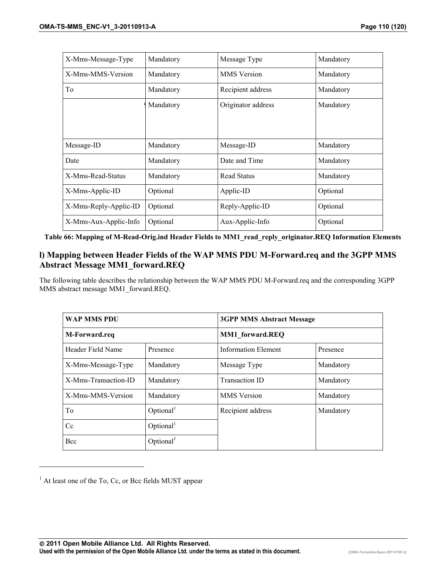| X-Mms-Message-Type    | Mandatory | Message Type       | Mandatory |
|-----------------------|-----------|--------------------|-----------|
| X-Mms-MMS-Version     | Mandatory | <b>MMS</b> Version | Mandatory |
| Tо                    | Mandatory | Recipient address  | Mandatory |
|                       | Mandatory | Originator address | Mandatory |
|                       |           |                    |           |
|                       |           |                    |           |
| Message-ID            | Mandatory | Message-ID         | Mandatory |
| Date                  | Mandatory | Date and Time      | Mandatory |
| X-Mms-Read-Status     | Mandatory | <b>Read Status</b> | Mandatory |
| X-Mms-Applic-ID       | Optional  | Applic-ID          | Optional  |
| X-Mms-Reply-Applic-ID | Optional  | Reply-Applic-ID    | Optional  |
| X-Mms-Aux-Applic-Info | Optional  | Aux-Applic-Info    | Optional  |

**Table 66: Mapping of M-Read-Orig.ind Header Fields to MM1\_read\_reply\_originator.REQ Information Elements** 

#### **l) Mapping between Header Fields of the WAP MMS PDU M-Forward.req and the 3GPP MMS Abstract Message MM1\_forward.REQ**

The following table describes the relationship between the WAP MMS PDU M-Forward.req and the corresponding 3GPP MMS abstract message MM1\_forward.REQ.

| <b>WAP MMS PDU</b>   |                       | <b>3GPP MMS Abstract Message</b> |           |
|----------------------|-----------------------|----------------------------------|-----------|
| M-Forward.req        |                       | <b>MM1</b> forward.REQ           |           |
| Header Field Name    | Presence              | <b>Information Element</b>       | Presence  |
| X-Mms-Message-Type   | Mandatory             | Message Type                     | Mandatory |
| X-Mms-Transaction-ID | Mandatory             | <b>Transaction ID</b>            | Mandatory |
| X-Mms-MMS-Version    | Mandatory             | <b>MMS</b> Version               | Mandatory |
| To                   | Optional <sup>1</sup> | Recipient address                | Mandatory |
| Cc                   | Optional <sup>1</sup> |                                  |           |
| Bcc                  | Optional <sup>1</sup> |                                  |           |

 $<sup>1</sup>$  At least one of the To, Cc, or Bcc fields MUST appear</sup>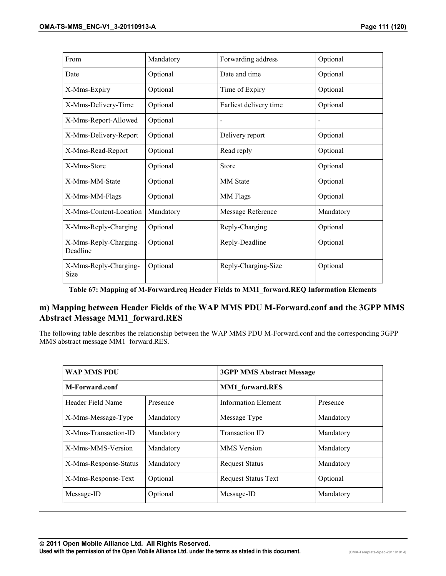| From                                 | Mandatory | Forwarding address     | Optional  |
|--------------------------------------|-----------|------------------------|-----------|
| Date                                 | Optional  | Date and time          | Optional  |
| X-Mms-Expiry                         | Optional  | Time of Expiry         | Optional  |
| X-Mms-Delivery-Time                  | Optional  | Earliest delivery time | Optional  |
| X-Mms-Report-Allowed                 | Optional  |                        |           |
| X-Mms-Delivery-Report                | Optional  | Delivery report        | Optional  |
| X-Mms-Read-Report                    | Optional  | Read reply             | Optional  |
| X-Mms-Store                          | Optional  | Store                  | Optional  |
| X-Mms-MM-State                       | Optional  | <b>MM</b> State        | Optional  |
| X-Mms-MM-Flags                       | Optional  | MM Flags               | Optional  |
| X-Mms-Content-Location               | Mandatory | Message Reference      | Mandatory |
| X-Mms-Reply-Charging                 | Optional  | Reply-Charging         | Optional  |
| X-Mms-Reply-Charging-<br>Deadline    | Optional  | Reply-Deadline         | Optional  |
| X-Mms-Reply-Charging-<br><b>Size</b> | Optional  | Reply-Charging-Size    | Optional  |

**Table 67: Mapping of M-Forward.req Header Fields to MM1\_forward.REQ Information Elements** 

# **m) Mapping between Header Fields of the WAP MMS PDU M-Forward.conf and the 3GPP MMS Abstract Message MM1\_forward.RES**

The following table describes the relationship between the WAP MMS PDU M-Forward.conf and the corresponding 3GPP MMS abstract message MM1\_forward.RES.

| <b>WAP MMS PDU</b>    |           | <b>3GPP MMS Abstract Message</b> |           |
|-----------------------|-----------|----------------------------------|-----------|
| M-Forward.conf        |           | <b>MM1</b> forward.RES           |           |
| Header Field Name     | Presence  | <b>Information Element</b>       | Presence  |
| X-Mms-Message-Type    | Mandatory | Message Type                     | Mandatory |
| X-Mms-Transaction-ID  | Mandatory | <b>Transaction ID</b>            | Mandatory |
| X-Mms-MMS-Version     | Mandatory | <b>MMS</b> Version               | Mandatory |
| X-Mms-Response-Status | Mandatory | <b>Request Status</b>            | Mandatory |
| X-Mms-Response-Text   | Optional  | <b>Request Status Text</b>       | Optional  |
| Message-ID            | Optional  | Message-ID                       | Mandatory |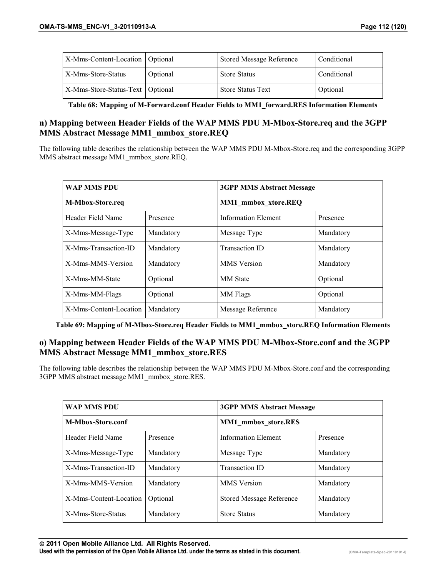| X-Mms-Content-Location   Optional  |          | <b>Stored Message Reference</b> | Conditional |
|------------------------------------|----------|---------------------------------|-------------|
| X-Mms-Store-Status                 | Optional | <b>Store Status</b>             | Conditional |
| X-Mms-Store-Status-Text   Optional |          | <b>Store Status Text</b>        | Optional    |

**Table 68: Mapping of M-Forward.conf Header Fields to MM1\_forward.RES Information Elements** 

#### **n) Mapping between Header Fields of the WAP MMS PDU M-Mbox-Store.req and the 3GPP MMS Abstract Message MM1\_mmbox\_store.REQ**

The following table describes the relationship between the WAP MMS PDU M-Mbox-Store.req and the corresponding 3GPP MMS abstract message MM1\_mmbox\_store.REQ.

| <b>WAP MMS PDU</b>     |           | <b>3GPP MMS Abstract Message</b> |           |
|------------------------|-----------|----------------------------------|-----------|
| M-Mbox-Store.req       |           | <b>MM1</b> mmbox xtore.REQ       |           |
| Header Field Name      | Presence  | <b>Information Element</b>       | Presence  |
| X-Mms-Message-Type     | Mandatory | Message Type                     | Mandatory |
| X-Mms-Transaction-ID   | Mandatory | <b>Transaction ID</b>            | Mandatory |
| X-Mms-MMS-Version      | Mandatory | <b>MMS</b> Version               | Mandatory |
| X-Mms-MM-State         | Optional  | <b>MM</b> State                  | Optional  |
| X-Mms-MM-Flags         | Optional  | MM Flags                         | Optional  |
| X-Mms-Content-Location | Mandatory | Message Reference                | Mandatory |

**Table 69: Mapping of M-Mbox-Store.req Header Fields to MM1\_mmbox\_store.REQ Information Elements** 

# **o) Mapping between Header Fields of the WAP MMS PDU M-Mbox-Store.conf and the 3GPP MMS Abstract Message MM1\_mmbox\_store.RES**

The following table describes the relationship between the WAP MMS PDU M-Mbox-Store.conf and the corresponding 3GPP MMS abstract message MM1\_mmbox\_store.RES.

| <b>WAP MMS PDU</b>     |           | <b>3GPP MMS Abstract Message</b> |           |
|------------------------|-----------|----------------------------------|-----------|
| M-Mbox-Store.conf      |           | MM1 mmbox store.RES              |           |
| Header Field Name      | Presence  | <b>Information Element</b>       | Presence  |
| X-Mms-Message-Type     | Mandatory | Message Type                     | Mandatory |
| X-Mms-Transaction-ID   | Mandatory | <b>Transaction ID</b>            | Mandatory |
| X-Mms-MMS-Version      | Mandatory | <b>MMS</b> Version               | Mandatory |
| X-Mms-Content-Location | Optional  | <b>Stored Message Reference</b>  | Mandatory |
| X-Mms-Store-Status     | Mandatory | <b>Store Status</b>              | Mandatory |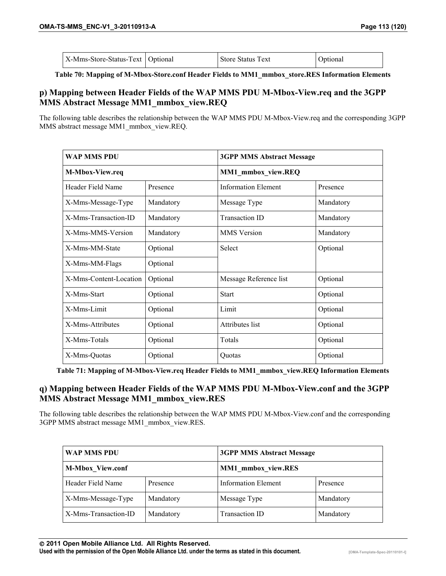| X-Mms-Store-Status-Text   Optional | <b>Store Status Text</b> | Optional |
|------------------------------------|--------------------------|----------|
|                                    |                          |          |

**Table 70: Mapping of M-Mbox-Store.conf Header Fields to MM1\_mmbox\_store.RES Information Elements** 

# **p) Mapping between Header Fields of the WAP MMS PDU M-Mbox-View.req and the 3GPP MMS Abstract Message MM1\_mmbox\_view.REQ**

The following table describes the relationship between the WAP MMS PDU M-Mbox-View.req and the corresponding 3GPP MMS abstract message MM1\_mmbox\_view.REQ.

| <b>WAP MMS PDU</b>     |           | <b>3GPP MMS Abstract Message</b> |           |
|------------------------|-----------|----------------------------------|-----------|
| M-Mbox-View.req        |           | MM1_mmbox_view.REQ               |           |
| Header Field Name      | Presence  | <b>Information Element</b>       | Presence  |
| X-Mms-Message-Type     | Mandatory | Message Type                     | Mandatory |
| X-Mms-Transaction-ID   | Mandatory | <b>Transaction ID</b>            | Mandatory |
| X-Mms-MMS-Version      | Mandatory | <b>MMS</b> Version               | Mandatory |
| X-Mms-MM-State         | Optional  | Select                           | Optional  |
| X-Mms-MM-Flags         | Optional  |                                  |           |
| X-Mms-Content-Location | Optional  | Message Reference list           | Optional  |
| X-Mms-Start            | Optional  | <b>Start</b>                     | Optional  |
| X-Mms-Limit            | Optional  | Limit                            | Optional  |
| X-Mms-Attributes       | Optional  | Attributes list                  | Optional  |
| X-Mms-Totals           | Optional  | Totals                           | Optional  |
| X-Mms-Quotas           | Optional  | Quotas                           | Optional  |

**Table 71: Mapping of M-Mbox-View.req Header Fields to MM1\_mmbox\_view.REQ Information Elements** 

## **q) Mapping between Header Fields of the WAP MMS PDU M-Mbox-View.conf and the 3GPP MMS Abstract Message MM1\_mmbox\_view.RES**

The following table describes the relationship between the WAP MMS PDU M-Mbox-View.conf and the corresponding 3GPP MMS abstract message MM1\_mmbox\_view.RES.

| <b>WAP MMS PDU</b>      |           | <b>3GPP MMS Abstract Message</b> |           |
|-------------------------|-----------|----------------------------------|-----------|
| <b>M-Mbox View.conf</b> |           | <b>MM1</b> mmbox view.RES        |           |
| Header Field Name       | Presence  | <b>Information Element</b>       | Presence  |
| X-Mms-Message-Type      | Mandatory | Message Type                     | Mandatory |
| X-Mms-Transaction-ID    | Mandatory | <b>Transaction ID</b>            | Mandatory |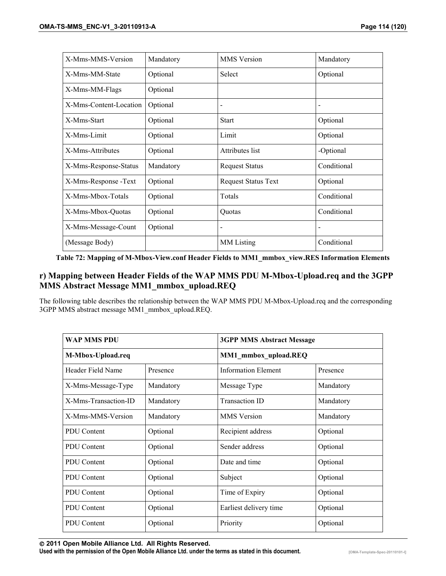| X-Mms-MMS-Version      | Mandatory | <b>MMS</b> Version           | Mandatory                |
|------------------------|-----------|------------------------------|--------------------------|
| X-Mms-MM-State         | Optional  | Select                       | Optional                 |
| X-Mms-MM-Flags         | Optional  |                              |                          |
| X-Mms-Content-Location | Optional  | $\qquad \qquad \blacksquare$ | $\overline{\phantom{a}}$ |
| X-Mms-Start            | Optional  | <b>Start</b>                 | Optional                 |
| X-Mms-Limit            | Optional  | Limit                        | Optional                 |
| X-Mms-Attributes       | Optional  | Attributes list              | -Optional                |
| X-Mms-Response-Status  | Mandatory | <b>Request Status</b>        | Conditional              |
| X-Mms-Response -Text   | Optional  | <b>Request Status Text</b>   | Optional                 |
| X-Mms-Mbox-Totals      | Optional  | Totals                       | Conditional              |
| X-Mms-Mbox-Quotas      | Optional  | Quotas                       | Conditional              |
| X-Mms-Message-Count    | Optional  |                              | $\overline{\phantom{a}}$ |
| (Message Body)         |           | MM Listing                   | Conditional              |

**Table 72: Mapping of M-Mbox-View.conf Header Fields to MM1\_mmbox\_view.RES Information Elements** 

# **r) Mapping between Header Fields of the WAP MMS PDU M-Mbox-Upload.req and the 3GPP MMS Abstract Message MM1\_mmbox\_upload.REQ**

The following table describes the relationship between the WAP MMS PDU M-Mbox-Upload.req and the corresponding 3GPP MMS abstract message MM1\_mmbox\_upload.REQ.

| <b>WAP MMS PDU</b>   |           | <b>3GPP MMS Abstract Message</b> |           |
|----------------------|-----------|----------------------------------|-----------|
| M-Mbox-Upload.req    |           | MM1_mmbox_upload.REQ             |           |
| Header Field Name    | Presence  | <b>Information Element</b>       | Presence  |
| X-Mms-Message-Type   | Mandatory | Message Type                     | Mandatory |
| X-Mms-Transaction-ID | Mandatory | <b>Transaction ID</b>            | Mandatory |
| X-Mms-MMS-Version    | Mandatory | <b>MMS</b> Version               | Mandatory |
| <b>PDU</b> Content   | Optional  | Recipient address                | Optional  |
| <b>PDU</b> Content   | Optional  | Sender address                   | Optional  |
| <b>PDU</b> Content   | Optional  | Date and time                    | Optional  |
| <b>PDU</b> Content   | Optional  | Subject                          | Optional  |
| <b>PDU</b> Content   | Optional  | Time of Expiry                   | Optional  |
| <b>PDU</b> Content   | Optional  | Earliest delivery time           | Optional  |
| <b>PDU</b> Content   | Optional  | Priority                         | Optional  |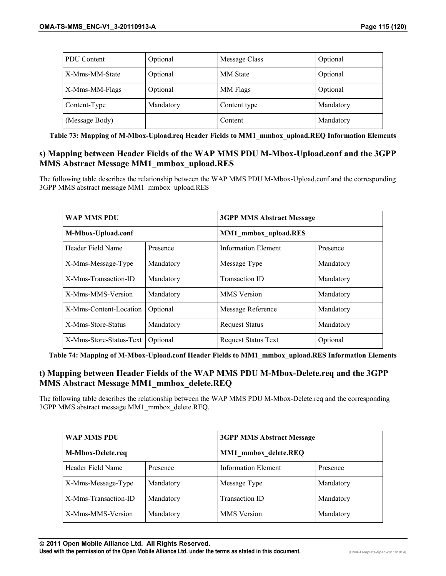| PDU Content    | Optional  | Message Class   | Optional  |
|----------------|-----------|-----------------|-----------|
| X-Mms-MM-State | Optional  | <b>MM</b> State | Optional  |
| X-Mms-MM-Flags | Optional  | MM Flags        | Optional  |
| Content-Type   | Mandatory | Content type    | Mandatory |
| (Message Body) |           | Content         | Mandatory |

**Table 73: Mapping of M-Mbox-Upload.req Header Fields to MM1\_mmbox\_upload.REQ Information Elements** 

## **s) Mapping between Header Fields of the WAP MMS PDU M-Mbox-Upload.conf and the 3GPP MMS Abstract Message MM1\_mmbox\_upload.RES**

The following table describes the relationship between the WAP MMS PDU M-Mbox-Upload.conf and the corresponding 3GPP MMS abstract message MM1\_mmbox\_upload.RES

| <b>WAP MMS PDU</b>      |           | <b>3GPP MMS Abstract Message</b> |           |
|-------------------------|-----------|----------------------------------|-----------|
| M-Mbox-Upload.conf      |           | MM1 mmbox_upload.RES             |           |
| Header Field Name       | Presence  | <b>Information Element</b>       | Presence  |
| X-Mms-Message-Type      | Mandatory | Message Type                     | Mandatory |
| X-Mms-Transaction-ID    | Mandatory | <b>Transaction ID</b>            | Mandatory |
| X-Mms-MMS-Version       | Mandatory | <b>MMS</b> Version               | Mandatory |
| X-Mms-Content-Location  | Optional  | Message Reference                | Mandatory |
| X-Mms-Store-Status      | Mandatory | <b>Request Status</b>            | Mandatory |
| X-Mms-Store-Status-Text | Optional  | <b>Request Status Text</b>       | Optional  |

**Table 74: Mapping of M-Mbox-Upload.conf Header Fields to MM1\_mmbox\_upload.RES Information Elements** 

# **t) Mapping between Header Fields of the WAP MMS PDU M-Mbox-Delete.req and the 3GPP MMS Abstract Message MM1\_mmbox\_delete.REQ**

The following table describes the relationship between the WAP MMS PDU M-Mbox-Delete.req and the corresponding 3GPP MMS abstract message MM1\_mmbox\_delete.REQ.

| <b>WAP MMS PDU</b>       |           | <b>3GPP MMS Abstract Message</b> |           |
|--------------------------|-----------|----------------------------------|-----------|
| <b>M-Mbox-Delete.req</b> |           | MM1 mmbox delete.REQ             |           |
| Header Field Name        | Presence  | Information Element              | Presence  |
| X-Mms-Message-Type       | Mandatory | Message Type                     | Mandatory |
| X-Mms-Transaction-ID     | Mandatory | <b>Transaction ID</b>            | Mandatory |
| X-Mms-MMS-Version        | Mandatory | <b>MMS</b> Version               | Mandatory |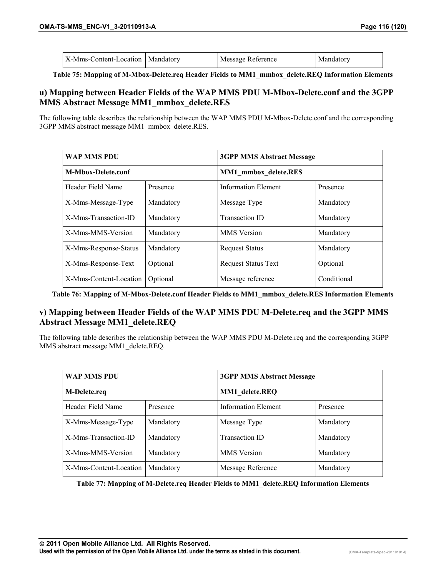| X-Mms-Content-Location   Mandatory<br>Message Reference<br>Mandatory |  |
|----------------------------------------------------------------------|--|
|----------------------------------------------------------------------|--|

**Table 75: Mapping of M-Mbox-Delete.req Header Fields to MM1\_mmbox\_delete.REQ Information Elements** 

#### **u) Mapping between Header Fields of the WAP MMS PDU M-Mbox-Delete.conf and the 3GPP MMS Abstract Message MM1\_mmbox\_delete.RES**

The following table describes the relationship between the WAP MMS PDU M-Mbox-Delete.conf and the corresponding 3GPP MMS abstract message MM1\_mmbox\_delete.RES.

| <b>WAP MMS PDU</b>        |           | <b>3GPP MMS Abstract Message</b> |             |
|---------------------------|-----------|----------------------------------|-------------|
| <b>M-Mbox-Delete.conf</b> |           | <b>MM1</b> mmbox delete.RES      |             |
| Header Field Name         | Presence  | <b>Information Element</b>       | Presence    |
| X-Mms-Message-Type        | Mandatory | Message Type                     | Mandatory   |
| X-Mms-Transaction-ID      | Mandatory | <b>Transaction ID</b>            | Mandatory   |
| X-Mms-MMS-Version         | Mandatory | <b>MMS</b> Version               | Mandatory   |
| X-Mms-Response-Status     | Mandatory | <b>Request Status</b>            | Mandatory   |
| X-Mms-Response-Text       | Optional  | <b>Request Status Text</b>       | Optional    |
| X-Mms-Content-Location    | Optional  | Message reference                | Conditional |

**Table 76: Mapping of M-Mbox-Delete.conf Header Fields to MM1\_mmbox\_delete.RES Information Elements** 

# **v) Mapping between Header Fields of the WAP MMS PDU M-Delete.req and the 3GPP MMS Abstract Message MM1\_delete.REQ**

The following table describes the relationship between the WAP MMS PDU M-Delete.req and the corresponding 3GPP MMS abstract message MM1\_delete.REQ.

| WAP MMS PDU            |           | <b>3GPP MMS Abstract Message</b> |           |
|------------------------|-----------|----------------------------------|-----------|
| M-Delete.req           |           | MM1 delete.REQ                   |           |
| Header Field Name      | Presence  | <b>Information Element</b>       | Presence  |
| X-Mms-Message-Type     | Mandatory | Message Type                     | Mandatory |
| X-Mms-Transaction-ID   | Mandatory | <b>Transaction ID</b>            | Mandatory |
| X-Mms-MMS-Version      | Mandatory | <b>MMS</b> Version               | Mandatory |
| X-Mms-Content-Location | Mandatory | Message Reference                | Mandatory |

**Table 77: Mapping of M-Delete.req Header Fields to MM1\_delete.REQ Information Elements**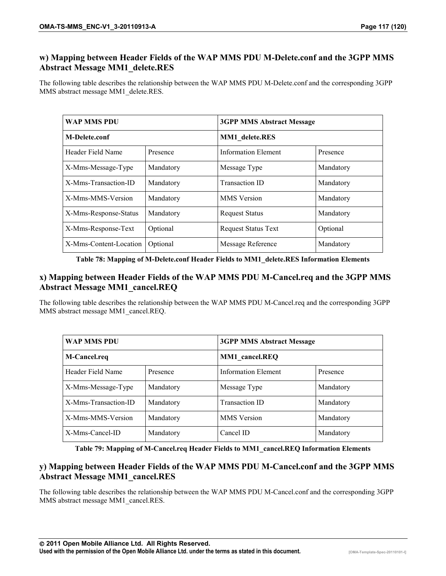# **w) Mapping between Header Fields of the WAP MMS PDU M-Delete.conf and the 3GPP MMS Abstract Message MM1\_delete.RES**

The following table describes the relationship between the WAP MMS PDU M-Delete.conf and the corresponding 3GPP MMS abstract message MM1\_delete.RES.

| <b>WAP MMS PDU</b>     |           | <b>3GPP MMS Abstract Message</b> |           |
|------------------------|-----------|----------------------------------|-----------|
| <b>M-Delete.conf</b>   |           | <b>MM1</b> delete.RES            |           |
| Header Field Name      | Presence  | <b>Information Element</b>       | Presence  |
| X-Mms-Message-Type     | Mandatory | Message Type                     | Mandatory |
| X-Mms-Transaction-ID   | Mandatory | <b>Transaction ID</b>            | Mandatory |
| X-Mms-MMS-Version      | Mandatory | <b>MMS</b> Version               | Mandatory |
| X-Mms-Response-Status  | Mandatory | <b>Request Status</b>            | Mandatory |
| X-Mms-Response-Text    | Optional  | <b>Request Status Text</b>       | Optional  |
| X-Mms-Content-Location | Optional  | Message Reference                | Mandatory |

**Table 78: Mapping of M-Delete.conf Header Fields to MM1\_delete.RES Information Elements** 

# **x) Mapping between Header Fields of the WAP MMS PDU M-Cancel.req and the 3GPP MMS Abstract Message MM1\_cancel.REQ**

The following table describes the relationship between the WAP MMS PDU M-Cancel.req and the corresponding 3GPP MMS abstract message MM1\_cancel.REQ.

| WAP MMS PDU          |           | <b>3GPP MMS Abstract Message</b> |           |
|----------------------|-----------|----------------------------------|-----------|
| M-Cancel.req         |           | <b>MM1</b> cancel.REQ            |           |
| Header Field Name    | Presence  | Information Element              | Presence  |
| X-Mms-Message-Type   | Mandatory | Message Type                     | Mandatory |
| X-Mms-Transaction-ID | Mandatory | <b>Transaction ID</b>            | Mandatory |
| X-Mms-MMS-Version    | Mandatory | <b>MMS</b> Version               | Mandatory |
| X-Mms-Cancel-ID      | Mandatory | Cancel ID                        | Mandatory |

**Table 79: Mapping of M-Cancel.req Header Fields to MM1\_cancel.REQ Information Elements** 

# **y) Mapping between Header Fields of the WAP MMS PDU M-Cancel.conf and the 3GPP MMS Abstract Message MM1\_cancel.RES**

The following table describes the relationship between the WAP MMS PDU M-Cancel.conf and the corresponding 3GPP MMS abstract message MM1\_cancel.RES.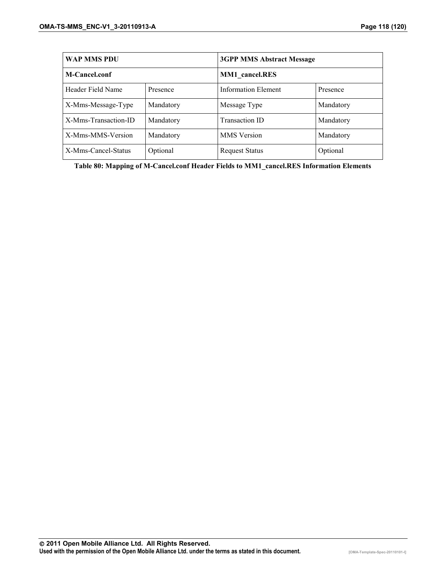| <b>WAP MMS PDU</b>   |           | <b>3GPP MMS Abstract Message</b> |           |
|----------------------|-----------|----------------------------------|-----------|
| M-Cancel.conf        |           | <b>MM1</b> cancel.RES            |           |
| Header Field Name    | Presence  | Information Element              | Presence  |
| X-Mms-Message-Type   | Mandatory | Message Type                     | Mandatory |
| X-Mms-Transaction-ID | Mandatory | <b>Transaction ID</b>            | Mandatory |
| X-Mms-MMS-Version    | Mandatory | <b>MMS</b> Version               | Mandatory |
| X-Mms-Cancel-Status  | Optional  | <b>Request Status</b>            | Optional  |

**Table 80: Mapping of M-Cancel.conf Header Fields to MM1\_cancel.RES Information Elements**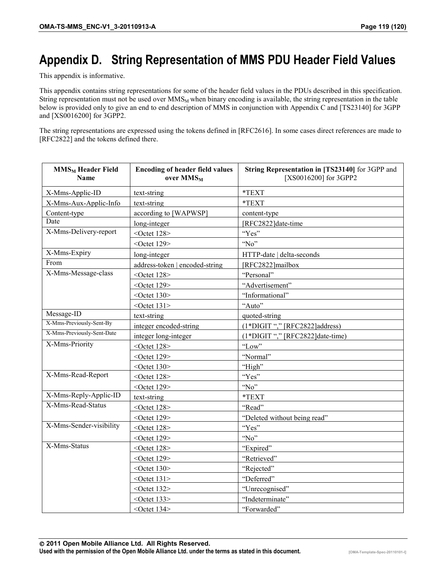# **Appendix D. String Representation of MMS PDU Header Field Values**

This appendix is informative.

This appendix contains string representations for some of the header field values in the PDUs described in this specification. String representation must not be used over  $MMS_M$  when binary encoding is available, the string representation in the table below is provided only to give an end to end description of MMS in conjunction with Appendix C and [TS23140] for 3GPP and [XS0016200] for 3GPP2.

The string representations are expressed using the tokens defined in [RFC2616]. In some cases direct references are made to [RFC2822] and the tokens defined there.

| <b>MMS<sub>M</sub></b> Header Field<br><b>Name</b> | <b>Encoding of header field values</b><br>over MMS <sub>M</sub> | String Representation in [TS23140] for 3GPP and<br>[XS0016200] for 3GPP2 |
|----------------------------------------------------|-----------------------------------------------------------------|--------------------------------------------------------------------------|
| X-Mms-Applic-ID                                    | text-string                                                     | *TEXT                                                                    |
| X-Mms-Aux-Applic-Info                              | text-string                                                     | *TEXT                                                                    |
| Content-type                                       | according to [WAPWSP]                                           | content-type                                                             |
| Date                                               | long-integer                                                    | [RFC2822]date-time                                                       |
| X-Mms-Delivery-report                              | < $Octet 128$                                                   | "Yes"                                                                    |
|                                                    | < $Octet 129$                                                   | "No"                                                                     |
| X-Mms-Expiry                                       | long-integer                                                    | HTTP-date   delta-seconds                                                |
| From                                               | address-token   encoded-string                                  | [RFC2822]mailbox                                                         |
| X-Mms-Message-class                                | < $Octet 128$                                                   | "Personal"                                                               |
|                                                    | < $Octet 129$                                                   | "Advertisement"                                                          |
|                                                    | < $Octet 130$                                                   | "Informational"                                                          |
|                                                    | $<$ Octet 131>                                                  | "Auto"                                                                   |
| Message-ID                                         | text-string                                                     | quoted-string                                                            |
| X-Mms-Previously-Sent-By                           | integer encoded-string                                          | (1*DIGIT "," [RFC2822]address)                                           |
| X-Mms-Previously-Sent-Date                         | integer long-integer                                            | (1*DIGIT "," [RFC2822]date-time)                                         |
| X-Mms-Priority                                     | < $Octet 128$                                                   | "Low"                                                                    |
|                                                    | < $Octet 129$                                                   | "Normal"                                                                 |
|                                                    | < $Octet 130$                                                   | "High"                                                                   |
| X-Mms-Read-Report                                  | < $Octet 128$                                                   | "Yes"                                                                    |
|                                                    | $<$ Octet 129>                                                  | "No"                                                                     |
| X-Mms-Reply-Applic-ID                              | text-string                                                     | *TEXT                                                                    |
| X-Mms-Read-Status                                  | < $Octet 128$                                                   | "Read"                                                                   |
|                                                    | < $Octet 129$                                                   | "Deleted without being read"                                             |
| X-Mms-Sender-visibility                            | < $Octet 128$                                                   | "Yes"                                                                    |
|                                                    | < $Octet 129$                                                   | "No"                                                                     |
| X-Mms-Status                                       | < $Octet 128$                                                   | "Expired"                                                                |
|                                                    | < $Octet 129$                                                   | "Retrieved"                                                              |
|                                                    | < $Octet 130$                                                   | "Rejected"                                                               |
|                                                    | $<$ Octet 131>                                                  | "Deferred"                                                               |
|                                                    | $<$ Octet 132>                                                  | "Unrecognised"                                                           |
|                                                    | $<$ Octet 133>                                                  | "Indeterminate"                                                          |
|                                                    | $<$ Octet 134>                                                  | "Forwarded"                                                              |